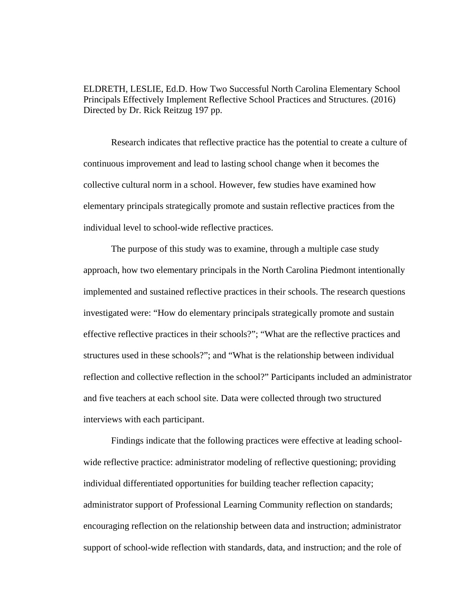ELDRETH, LESLIE, Ed.D. How Two Successful North Carolina Elementary School Principals Effectively Implement Reflective School Practices and Structures. (2016) Directed by Dr. Rick Reitzug 197 pp.

 Research indicates that reflective practice has the potential to create a culture of continuous improvement and lead to lasting school change when it becomes the collective cultural norm in a school. However, few studies have examined how elementary principals strategically promote and sustain reflective practices from the individual level to school-wide reflective practices.

The purpose of this study was to examine, through a multiple case study approach, how two elementary principals in the North Carolina Piedmont intentionally implemented and sustained reflective practices in their schools. The research questions investigated were: "How do elementary principals strategically promote and sustain effective reflective practices in their schools?"; "What are the reflective practices and structures used in these schools?"; and "What is the relationship between individual reflection and collective reflection in the school?" Participants included an administrator and five teachers at each school site. Data were collected through two structured interviews with each participant.

Findings indicate that the following practices were effective at leading schoolwide reflective practice: administrator modeling of reflective questioning; providing individual differentiated opportunities for building teacher reflection capacity; administrator support of Professional Learning Community reflection on standards; encouraging reflection on the relationship between data and instruction; administrator support of school-wide reflection with standards, data, and instruction; and the role of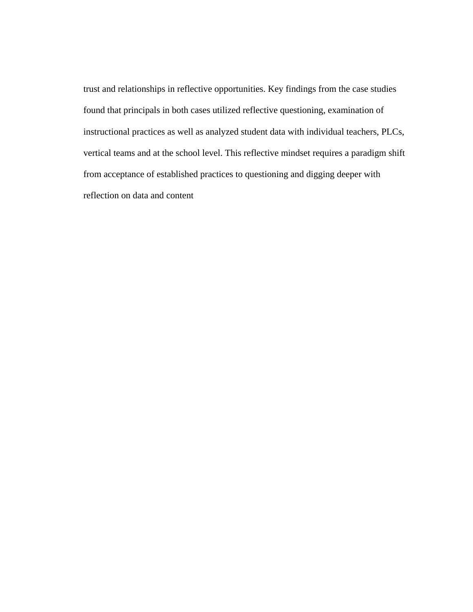trust and relationships in reflective opportunities. Key findings from the case studies found that principals in both cases utilized reflective questioning, examination of instructional practices as well as analyzed student data with individual teachers, PLCs, vertical teams and at the school level. This reflective mindset requires a paradigm shift from acceptance of established practices to questioning and digging deeper with reflection on data and content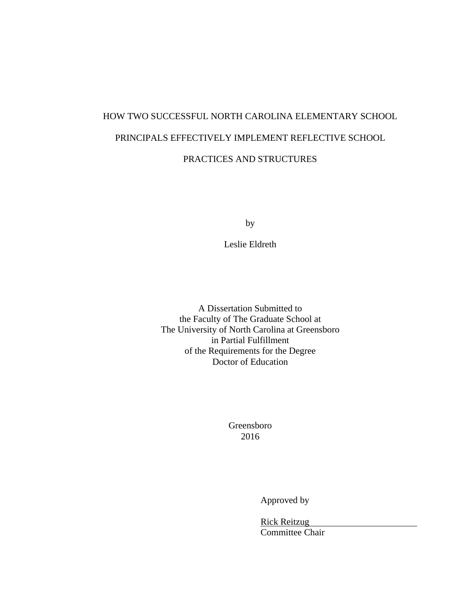# HOW TWO SUCCESSFUL NORTH CAROLINA ELEMENTARY SCHOOL PRINCIPALS EFFECTIVELY IMPLEMENT REFLECTIVE SCHOOL PRACTICES AND STRUCTURES

by

Leslie Eldreth

A Dissertation Submitted to the Faculty of The Graduate School at The University of North Carolina at Greensboro in Partial Fulfillment of the Requirements for the Degree Doctor of Education

> Greensboro 2016

> > Approved by

Rick Reitzug

Committee Chair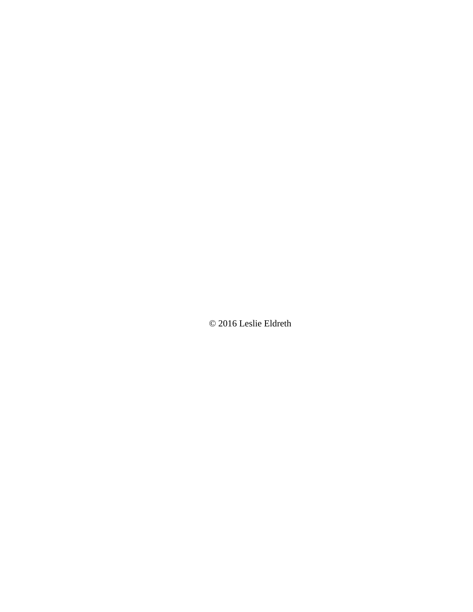© 2016 Leslie Eldreth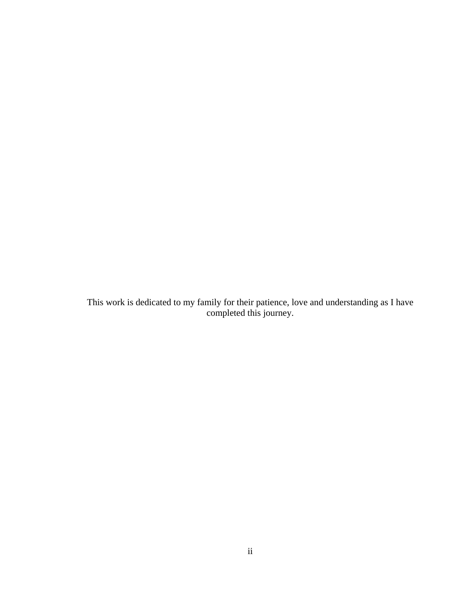This work is dedicated to my family for their patience, love and understanding as I have completed this journey.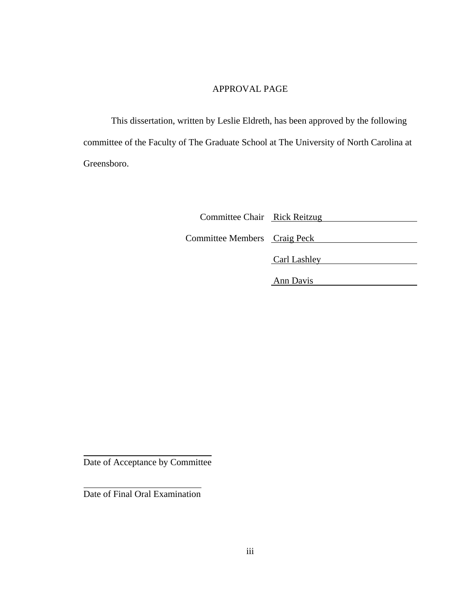## APPROVAL PAGE

 This dissertation, written by Leslie Eldreth, has been approved by the following committee of the Faculty of The Graduate School at The University of North Carolina at Greensboro.

| Committee Chair Rick Reitzug |
|------------------------------|
|------------------------------|

Committee Members Craig Peck

Carl Lashley

Ann Davis

Date of Acceptance by Committee

l

 $\overline{a}$ 

Date of Final Oral Examination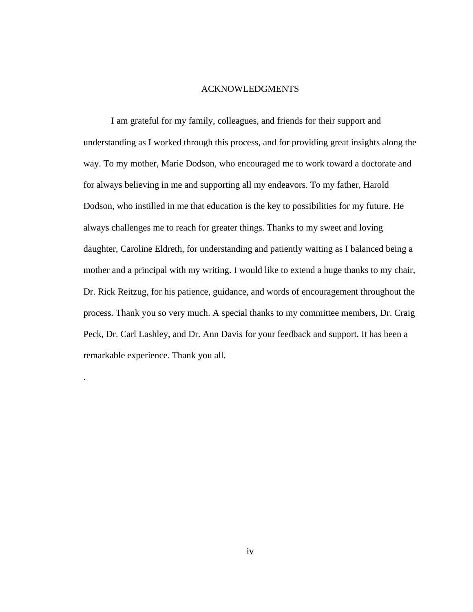## ACKNOWLEDGMENTS

 I am grateful for my family, colleagues, and friends for their support and understanding as I worked through this process, and for providing great insights along the way. To my mother, Marie Dodson, who encouraged me to work toward a doctorate and for always believing in me and supporting all my endeavors. To my father, Harold Dodson, who instilled in me that education is the key to possibilities for my future. He always challenges me to reach for greater things. Thanks to my sweet and loving daughter, Caroline Eldreth, for understanding and patiently waiting as I balanced being a mother and a principal with my writing. I would like to extend a huge thanks to my chair, Dr. Rick Reitzug, for his patience, guidance, and words of encouragement throughout the process. Thank you so very much. A special thanks to my committee members, Dr. Craig Peck, Dr. Carl Lashley, and Dr. Ann Davis for your feedback and support. It has been a remarkable experience. Thank you all.

.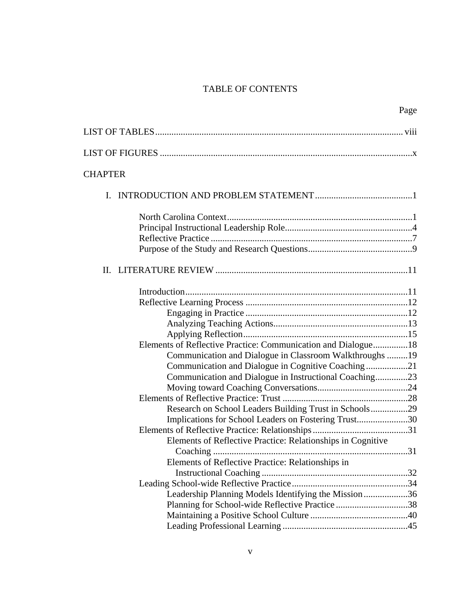# TABLE OF CONTENTS

| Page                                                          |
|---------------------------------------------------------------|
|                                                               |
|                                                               |
| <b>CHAPTER</b>                                                |
|                                                               |
|                                                               |
|                                                               |
|                                                               |
|                                                               |
|                                                               |
|                                                               |
|                                                               |
|                                                               |
|                                                               |
|                                                               |
| Elements of Reflective Practice: Communication and Dialogue18 |
| Communication and Dialogue in Classroom Walkthroughs 19       |
| Communication and Dialogue in Cognitive Coaching21            |
| Communication and Dialogue in Instructional Coaching23        |
|                                                               |
|                                                               |
| Research on School Leaders Building Trust in Schools29        |
| Implications for School Leaders on Fostering Trust30          |
|                                                               |
| Elements of Reflective Practice: Relationships in Cognitive   |
| 31<br>Coaching                                                |
| Elements of Reflective Practice: Relationships in             |
|                                                               |
|                                                               |
| Leadership Planning Models Identifying the Mission 36         |
| Planning for School-wide Reflective Practice 38               |
|                                                               |
|                                                               |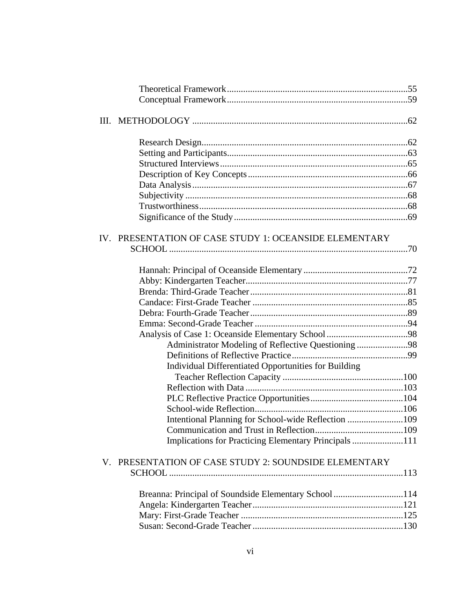| IV. PRESENTATION OF CASE STUDY 1: OCEANSIDE ELEMENTARY |  |
|--------------------------------------------------------|--|
|                                                        |  |
|                                                        |  |
|                                                        |  |
|                                                        |  |
|                                                        |  |
|                                                        |  |
|                                                        |  |
|                                                        |  |
| Administrator Modeling of Reflective Questioning 98    |  |
|                                                        |  |
| Individual Differentiated Opportunities for Building   |  |
|                                                        |  |
|                                                        |  |
|                                                        |  |
|                                                        |  |
| Intentional Planning for School-wide Reflection 109    |  |
|                                                        |  |
|                                                        |  |
| V. PRESENTATION OF CASE STUDY 2: SOUNDSIDE ELEMENTARY  |  |
|                                                        |  |
| Breanna: Principal of Soundside Elementary School 114  |  |
|                                                        |  |
|                                                        |  |
|                                                        |  |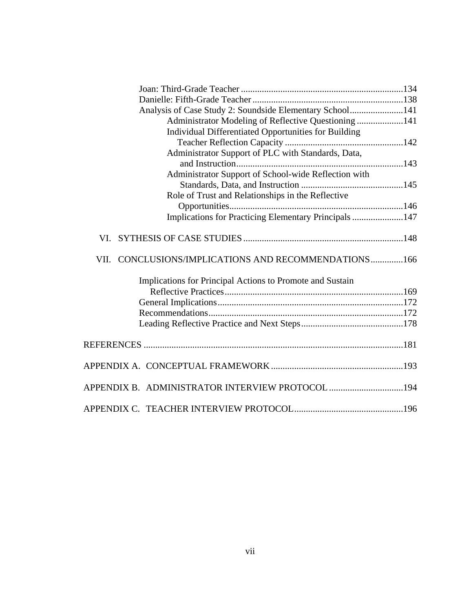| Analysis of Case Study 2: Soundside Elementary School141  |  |
|-----------------------------------------------------------|--|
| Administrator Modeling of Reflective Questioning141       |  |
| Individual Differentiated Opportunities for Building      |  |
|                                                           |  |
| Administrator Support of PLC with Standards, Data,        |  |
|                                                           |  |
| Administrator Support of School-wide Reflection with      |  |
|                                                           |  |
| Role of Trust and Relationships in the Reflective         |  |
|                                                           |  |
| Implications for Practicing Elementary Principals 147     |  |
|                                                           |  |
| VI.                                                       |  |
|                                                           |  |
| VII. CONCLUSIONS/IMPLICATIONS AND RECOMMENDATIONS166      |  |
|                                                           |  |
| Implications for Principal Actions to Promote and Sustain |  |
|                                                           |  |
|                                                           |  |
|                                                           |  |
|                                                           |  |
|                                                           |  |
|                                                           |  |
|                                                           |  |
|                                                           |  |
| APPENDIX B. ADMINISTRATOR INTERVIEW PROTOCOL 194          |  |
|                                                           |  |
|                                                           |  |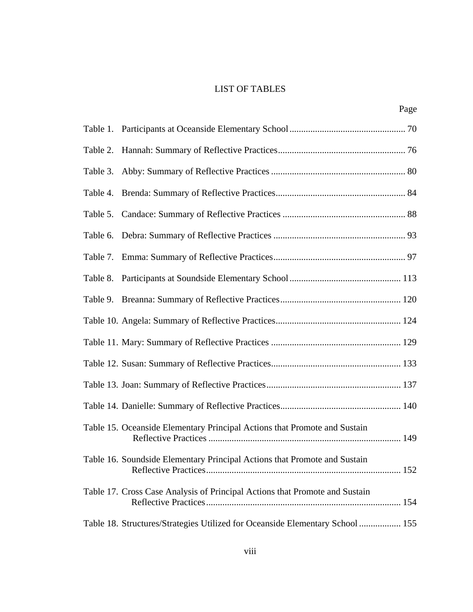# LIST OF TABLES

| Table 2. |                                                                               |
|----------|-------------------------------------------------------------------------------|
| Table 3. |                                                                               |
|          |                                                                               |
|          |                                                                               |
|          |                                                                               |
|          |                                                                               |
|          |                                                                               |
| Table 9. |                                                                               |
|          |                                                                               |
|          |                                                                               |
|          |                                                                               |
|          |                                                                               |
|          |                                                                               |
|          | Table 15. Oceanside Elementary Principal Actions that Promote and Sustain     |
|          | Table 16. Soundside Elementary Principal Actions that Promote and Sustain     |
|          | Table 17. Cross Case Analysis of Principal Actions that Promote and Sustain   |
|          | Table 18. Structures/Strategies Utilized for Oceanside Elementary School  155 |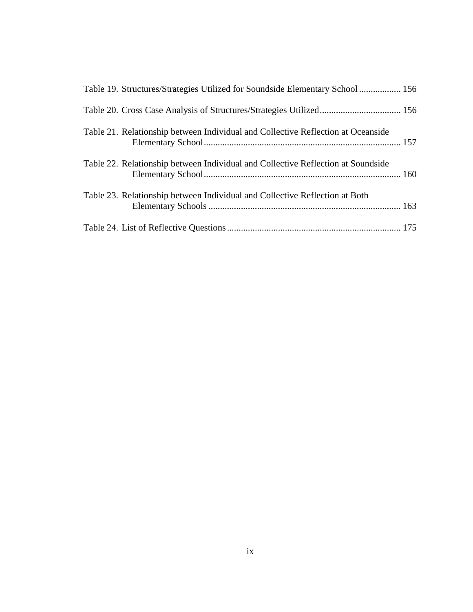| Table 19. Structures/Strategies Utilized for Soundside Elementary School  156    |  |
|----------------------------------------------------------------------------------|--|
|                                                                                  |  |
| Table 21. Relationship between Individual and Collective Reflection at Oceanside |  |
| Table 22. Relationship between Individual and Collective Reflection at Soundside |  |
| Table 23. Relationship between Individual and Collective Reflection at Both      |  |
|                                                                                  |  |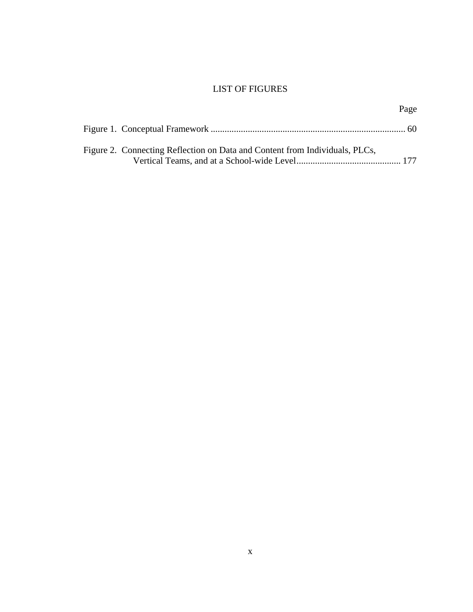## LIST OF FIGURES

| Page                                                                        |  |
|-----------------------------------------------------------------------------|--|
|                                                                             |  |
| Figure 2. Connecting Reflection on Data and Content from Individuals, PLCs, |  |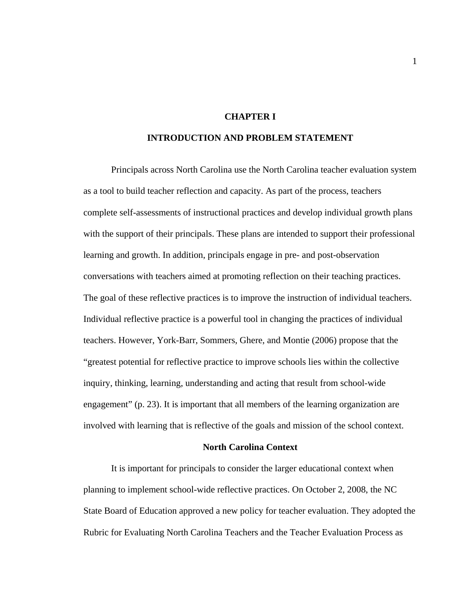## **CHAPTER I**

## **INTRODUCTION AND PROBLEM STATEMENT**

Principals across North Carolina use the North Carolina teacher evaluation system as a tool to build teacher reflection and capacity. As part of the process, teachers complete self-assessments of instructional practices and develop individual growth plans with the support of their principals. These plans are intended to support their professional learning and growth. In addition, principals engage in pre- and post-observation conversations with teachers aimed at promoting reflection on their teaching practices. The goal of these reflective practices is to improve the instruction of individual teachers. Individual reflective practice is a powerful tool in changing the practices of individual teachers. However, York-Barr, Sommers, Ghere, and Montie (2006) propose that the "greatest potential for reflective practice to improve schools lies within the collective inquiry, thinking, learning, understanding and acting that result from school-wide engagement" (p. 23). It is important that all members of the learning organization are involved with learning that is reflective of the goals and mission of the school context.

## **North Carolina Context**

It is important for principals to consider the larger educational context when planning to implement school-wide reflective practices. On October 2, 2008, the NC State Board of Education approved a new policy for teacher evaluation. They adopted the Rubric for Evaluating North Carolina Teachers and the Teacher Evaluation Process as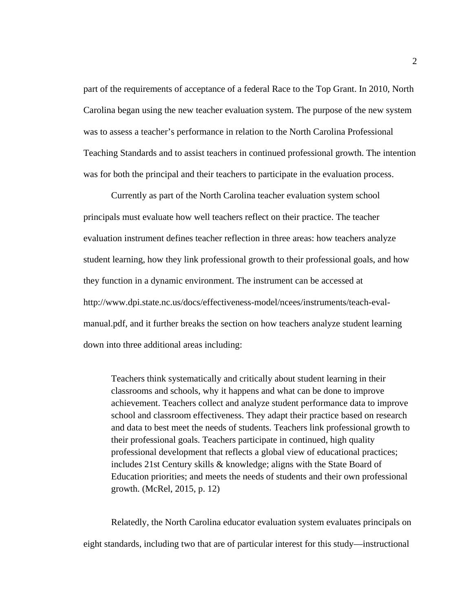part of the requirements of acceptance of a federal Race to the Top Grant. In 2010, North Carolina began using the new teacher evaluation system. The purpose of the new system was to assess a teacher's performance in relation to the North Carolina Professional Teaching Standards and to assist teachers in continued professional growth. The intention was for both the principal and their teachers to participate in the evaluation process.

Currently as part of the North Carolina teacher evaluation system school principals must evaluate how well teachers reflect on their practice. The teacher evaluation instrument defines teacher reflection in three areas: how teachers analyze student learning, how they link professional growth to their professional goals, and how they function in a dynamic environment. The instrument can be accessed at http://www.dpi.state.nc.us/docs/effectiveness-model/ncees/instruments/teach-evalmanual.pdf, and it further breaks the section on how teachers analyze student learning down into three additional areas including:

Teachers think systematically and critically about student learning in their classrooms and schools, why it happens and what can be done to improve achievement. Teachers collect and analyze student performance data to improve school and classroom effectiveness. They adapt their practice based on research and data to best meet the needs of students. Teachers link professional growth to their professional goals. Teachers participate in continued, high quality professional development that reflects a global view of educational practices; includes 21st Century skills & knowledge; aligns with the State Board of Education priorities; and meets the needs of students and their own professional growth. (McRel, 2015, p. 12)

 Relatedly, the North Carolina educator evaluation system evaluates principals on eight standards, including two that are of particular interest for this study—instructional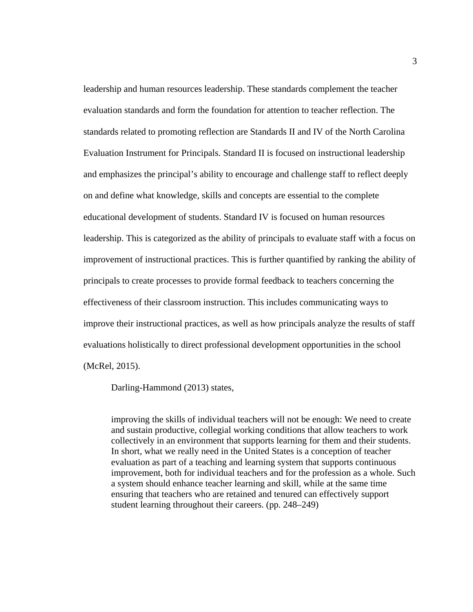leadership and human resources leadership. These standards complement the teacher evaluation standards and form the foundation for attention to teacher reflection. The standards related to promoting reflection are Standards II and IV of the North Carolina Evaluation Instrument for Principals. Standard II is focused on instructional leadership and emphasizes the principal's ability to encourage and challenge staff to reflect deeply on and define what knowledge, skills and concepts are essential to the complete educational development of students. Standard IV is focused on human resources leadership. This is categorized as the ability of principals to evaluate staff with a focus on improvement of instructional practices. This is further quantified by ranking the ability of principals to create processes to provide formal feedback to teachers concerning the effectiveness of their classroom instruction. This includes communicating ways to improve their instructional practices, as well as how principals analyze the results of staff evaluations holistically to direct professional development opportunities in the school (McRel, 2015).

Darling-Hammond (2013) states,

improving the skills of individual teachers will not be enough: We need to create and sustain productive, collegial working conditions that allow teachers to work collectively in an environment that supports learning for them and their students. In short, what we really need in the United States is a conception of teacher evaluation as part of a teaching and learning system that supports continuous improvement, both for individual teachers and for the profession as a whole. Such a system should enhance teacher learning and skill, while at the same time ensuring that teachers who are retained and tenured can effectively support student learning throughout their careers. (pp. 248–249)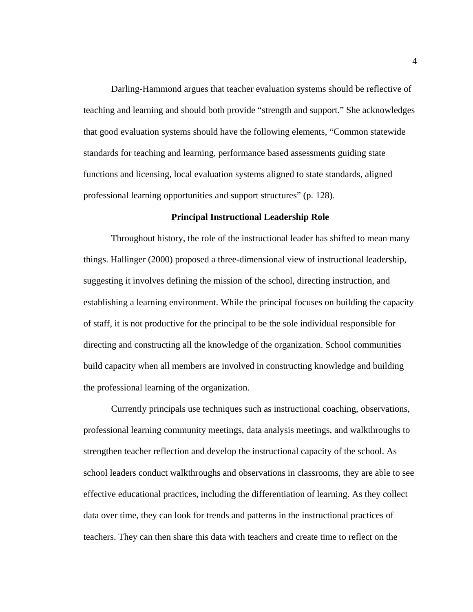Darling-Hammond argues that teacher evaluation systems should be reflective of teaching and learning and should both provide "strength and support." She acknowledges that good evaluation systems should have the following elements, "Common statewide standards for teaching and learning, performance based assessments guiding state functions and licensing, local evaluation systems aligned to state standards, aligned professional learning opportunities and support structures" (p. 128).

## **Principal Instructional Leadership Role**

Throughout history, the role of the instructional leader has shifted to mean many things. Hallinger (2000) proposed a three-dimensional view of instructional leadership, suggesting it involves defining the mission of the school, directing instruction, and establishing a learning environment. While the principal focuses on building the capacity of staff, it is not productive for the principal to be the sole individual responsible for directing and constructing all the knowledge of the organization. School communities build capacity when all members are involved in constructing knowledge and building the professional learning of the organization.

Currently principals use techniques such as instructional coaching, observations, professional learning community meetings, data analysis meetings, and walkthroughs to strengthen teacher reflection and develop the instructional capacity of the school. As school leaders conduct walkthroughs and observations in classrooms, they are able to see effective educational practices, including the differentiation of learning. As they collect data over time, they can look for trends and patterns in the instructional practices of teachers. They can then share this data with teachers and create time to reflect on the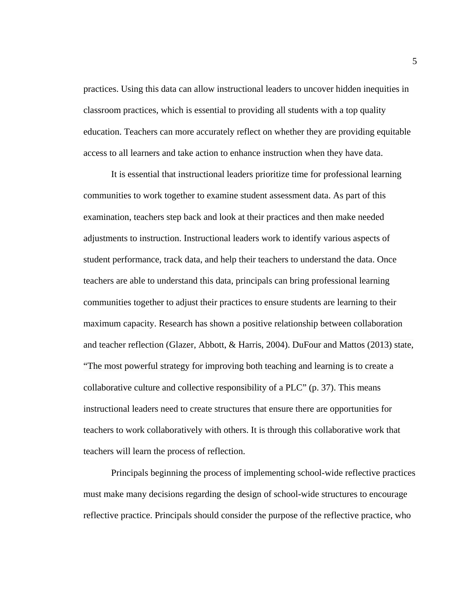practices. Using this data can allow instructional leaders to uncover hidden inequities in classroom practices, which is essential to providing all students with a top quality education. Teachers can more accurately reflect on whether they are providing equitable access to all learners and take action to enhance instruction when they have data.

 It is essential that instructional leaders prioritize time for professional learning communities to work together to examine student assessment data. As part of this examination, teachers step back and look at their practices and then make needed adjustments to instruction. Instructional leaders work to identify various aspects of student performance, track data, and help their teachers to understand the data. Once teachers are able to understand this data, principals can bring professional learning communities together to adjust their practices to ensure students are learning to their maximum capacity. Research has shown a positive relationship between collaboration and teacher reflection (Glazer, Abbott, & Harris, 2004). DuFour and Mattos (2013) state, "The most powerful strategy for improving both teaching and learning is to create a collaborative culture and collective responsibility of a PLC" (p. 37). This means instructional leaders need to create structures that ensure there are opportunities for teachers to work collaboratively with others. It is through this collaborative work that teachers will learn the process of reflection.

Principals beginning the process of implementing school-wide reflective practices must make many decisions regarding the design of school-wide structures to encourage reflective practice. Principals should consider the purpose of the reflective practice, who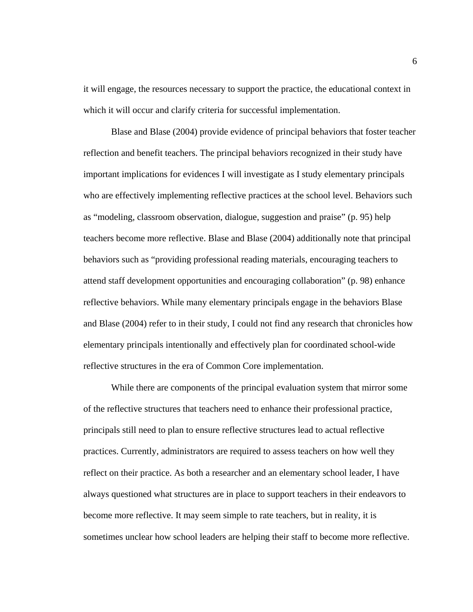it will engage, the resources necessary to support the practice, the educational context in which it will occur and clarify criteria for successful implementation.

Blase and Blase (2004) provide evidence of principal behaviors that foster teacher reflection and benefit teachers. The principal behaviors recognized in their study have important implications for evidences I will investigate as I study elementary principals who are effectively implementing reflective practices at the school level. Behaviors such as "modeling, classroom observation, dialogue, suggestion and praise" (p. 95) help teachers become more reflective. Blase and Blase (2004) additionally note that principal behaviors such as "providing professional reading materials, encouraging teachers to attend staff development opportunities and encouraging collaboration" (p. 98) enhance reflective behaviors. While many elementary principals engage in the behaviors Blase and Blase (2004) refer to in their study, I could not find any research that chronicles how elementary principals intentionally and effectively plan for coordinated school-wide reflective structures in the era of Common Core implementation.

While there are components of the principal evaluation system that mirror some of the reflective structures that teachers need to enhance their professional practice, principals still need to plan to ensure reflective structures lead to actual reflective practices. Currently, administrators are required to assess teachers on how well they reflect on their practice. As both a researcher and an elementary school leader, I have always questioned what structures are in place to support teachers in their endeavors to become more reflective. It may seem simple to rate teachers, but in reality, it is sometimes unclear how school leaders are helping their staff to become more reflective.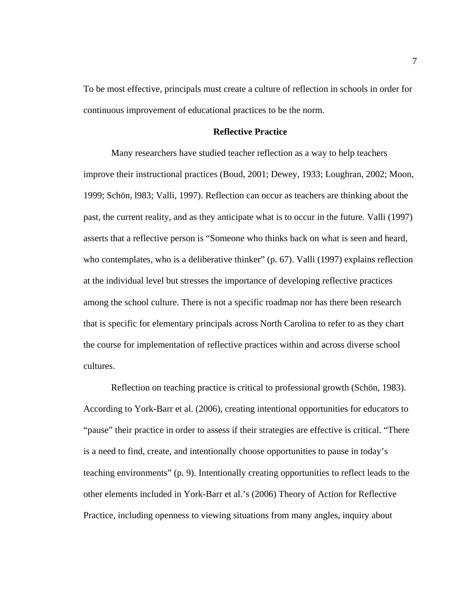To be most effective, principals must create a culture of reflection in schools in order for continuous improvement of educational practices to be the norm.

### **Reflective Practice**

Many researchers have studied teacher reflection as a way to help teachers improve their instructional practices (Boud, 2001; Dewey, 1933; Loughran, 2002; Moon, 1999; Schön, l983; Valli, 1997). Reflection can occur as teachers are thinking about the past, the current reality, and as they anticipate what is to occur in the future. Valli (1997) asserts that a reflective person is "Someone who thinks back on what is seen and heard, who contemplates, who is a deliberative thinker" (p. 67). Valli (1997) explains reflection at the individual level but stresses the importance of developing reflective practices among the school culture. There is not a specific roadmap nor has there been research that is specific for elementary principals across North Carolina to refer to as they chart the course for implementation of reflective practices within and across diverse school cultures.

Reflection on teaching practice is critical to professional growth (Schön, 1983). According to York-Barr et al. (2006), creating intentional opportunities for educators to "pause" their practice in order to assess if their strategies are effective is critical. "There is a need to find, create, and intentionally choose opportunities to pause in today's teaching environments" (p. 9). Intentionally creating opportunities to reflect leads to the other elements included in York-Barr et al.'s (2006) Theory of Action for Reflective Practice, including openness to viewing situations from many angles, inquiry about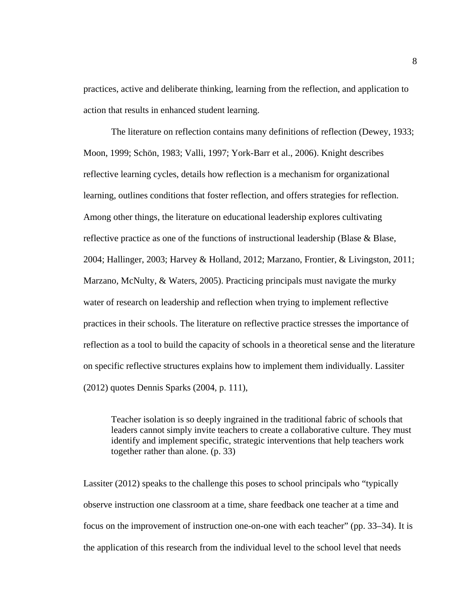practices, active and deliberate thinking, learning from the reflection, and application to action that results in enhanced student learning.

The literature on reflection contains many definitions of reflection (Dewey, 1933; Moon, 1999; Schön, 1983; Valli, 1997; York-Barr et al., 2006). Knight describes reflective learning cycles, details how reflection is a mechanism for organizational learning, outlines conditions that foster reflection, and offers strategies for reflection. Among other things, the literature on educational leadership explores cultivating reflective practice as one of the functions of instructional leadership (Blase & Blase, 2004; Hallinger, 2003; Harvey & Holland, 2012; Marzano, Frontier, & Livingston, 2011; Marzano, McNulty, & Waters, 2005). Practicing principals must navigate the murky water of research on leadership and reflection when trying to implement reflective practices in their schools. The literature on reflective practice stresses the importance of reflection as a tool to build the capacity of schools in a theoretical sense and the literature on specific reflective structures explains how to implement them individually. Lassiter (2012) quotes Dennis Sparks (2004, p. 111),

Teacher isolation is so deeply ingrained in the traditional fabric of schools that leaders cannot simply invite teachers to create a collaborative culture. They must identify and implement specific, strategic interventions that help teachers work together rather than alone. (p. 33)

Lassiter (2012) speaks to the challenge this poses to school principals who "typically observe instruction one classroom at a time, share feedback one teacher at a time and focus on the improvement of instruction one-on-one with each teacher" (pp. 33–34). It is the application of this research from the individual level to the school level that needs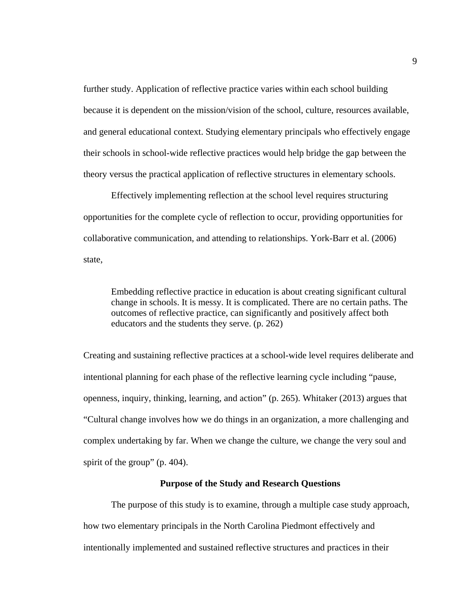further study. Application of reflective practice varies within each school building because it is dependent on the mission/vision of the school, culture, resources available, and general educational context. Studying elementary principals who effectively engage their schools in school-wide reflective practices would help bridge the gap between the theory versus the practical application of reflective structures in elementary schools.

Effectively implementing reflection at the school level requires structuring opportunities for the complete cycle of reflection to occur, providing opportunities for collaborative communication, and attending to relationships. York-Barr et al. (2006) state,

Embedding reflective practice in education is about creating significant cultural change in schools. It is messy. It is complicated. There are no certain paths. The outcomes of reflective practice, can significantly and positively affect both educators and the students they serve. (p. 262)

Creating and sustaining reflective practices at a school-wide level requires deliberate and intentional planning for each phase of the reflective learning cycle including "pause, openness, inquiry, thinking, learning, and action" (p. 265). Whitaker (2013) argues that "Cultural change involves how we do things in an organization, a more challenging and complex undertaking by far. When we change the culture, we change the very soul and spirit of the group" (p. 404).

## **Purpose of the Study and Research Questions**

The purpose of this study is to examine, through a multiple case study approach, how two elementary principals in the North Carolina Piedmont effectively and intentionally implemented and sustained reflective structures and practices in their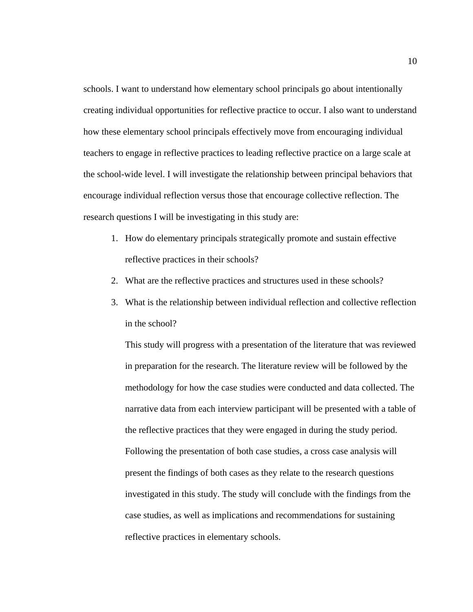schools. I want to understand how elementary school principals go about intentionally creating individual opportunities for reflective practice to occur. I also want to understand how these elementary school principals effectively move from encouraging individual teachers to engage in reflective practices to leading reflective practice on a large scale at the school-wide level. I will investigate the relationship between principal behaviors that encourage individual reflection versus those that encourage collective reflection. The research questions I will be investigating in this study are:

- 1. How do elementary principals strategically promote and sustain effective reflective practices in their schools?
- 2. What are the reflective practices and structures used in these schools?
- 3. What is the relationship between individual reflection and collective reflection in the school?

This study will progress with a presentation of the literature that was reviewed in preparation for the research. The literature review will be followed by the methodology for how the case studies were conducted and data collected. The narrative data from each interview participant will be presented with a table of the reflective practices that they were engaged in during the study period. Following the presentation of both case studies, a cross case analysis will present the findings of both cases as they relate to the research questions investigated in this study. The study will conclude with the findings from the case studies, as well as implications and recommendations for sustaining reflective practices in elementary schools.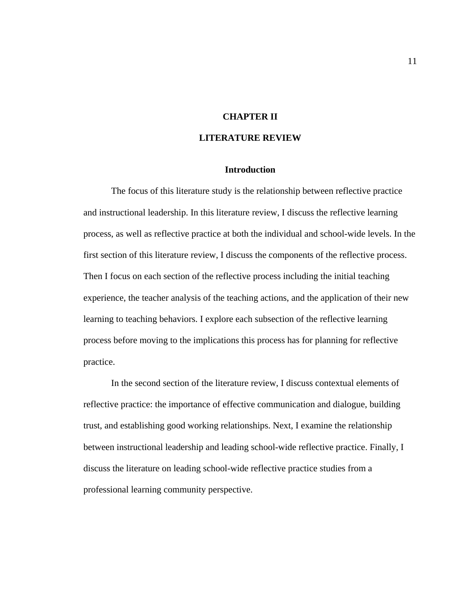## **CHAPTER II**

## **LITERATURE REVIEW**

#### **Introduction**

 The focus of this literature study is the relationship between reflective practice and instructional leadership. In this literature review, I discuss the reflective learning process, as well as reflective practice at both the individual and school-wide levels. In the first section of this literature review, I discuss the components of the reflective process. Then I focus on each section of the reflective process including the initial teaching experience, the teacher analysis of the teaching actions, and the application of their new learning to teaching behaviors. I explore each subsection of the reflective learning process before moving to the implications this process has for planning for reflective practice.

In the second section of the literature review, I discuss contextual elements of reflective practice: the importance of effective communication and dialogue, building trust, and establishing good working relationships. Next, I examine the relationship between instructional leadership and leading school-wide reflective practice. Finally, I discuss the literature on leading school-wide reflective practice studies from a professional learning community perspective.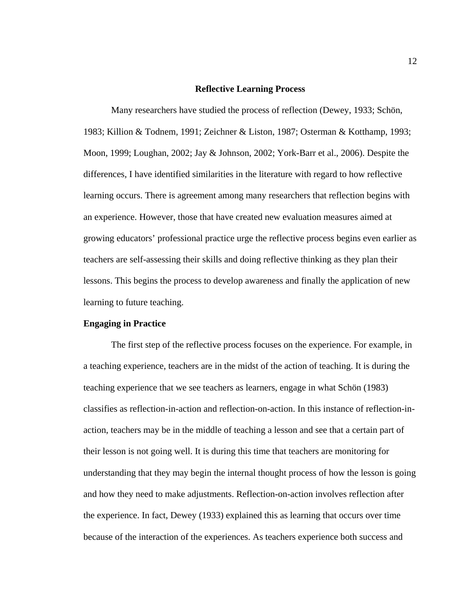#### **Reflective Learning Process**

Many researchers have studied the process of reflection (Dewey, 1933; Schön, 1983; Killion & Todnem, 1991; Zeichner & Liston, 1987; Osterman & Kotthamp, 1993; Moon, 1999; Loughan, 2002; Jay & Johnson, 2002; York-Barr et al., 2006). Despite the differences, I have identified similarities in the literature with regard to how reflective learning occurs. There is agreement among many researchers that reflection begins with an experience. However, those that have created new evaluation measures aimed at growing educators' professional practice urge the reflective process begins even earlier as teachers are self-assessing their skills and doing reflective thinking as they plan their lessons. This begins the process to develop awareness and finally the application of new learning to future teaching.

#### **Engaging in Practice**

The first step of the reflective process focuses on the experience. For example, in a teaching experience, teachers are in the midst of the action of teaching. It is during the teaching experience that we see teachers as learners, engage in what Schön (1983) classifies as reflection-in-action and reflection-on-action. In this instance of reflection-inaction, teachers may be in the middle of teaching a lesson and see that a certain part of their lesson is not going well. It is during this time that teachers are monitoring for understanding that they may begin the internal thought process of how the lesson is going and how they need to make adjustments. Reflection-on-action involves reflection after the experience. In fact, Dewey (1933) explained this as learning that occurs over time because of the interaction of the experiences. As teachers experience both success and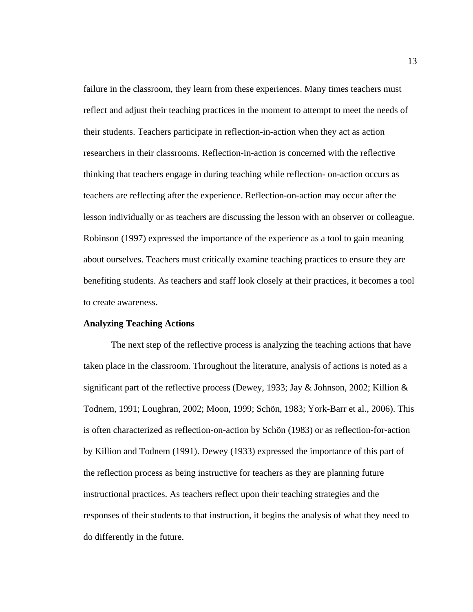failure in the classroom, they learn from these experiences. Many times teachers must reflect and adjust their teaching practices in the moment to attempt to meet the needs of their students. Teachers participate in reflection-in-action when they act as action researchers in their classrooms. Reflection-in-action is concerned with the reflective thinking that teachers engage in during teaching while reflection- on-action occurs as teachers are reflecting after the experience. Reflection-on-action may occur after the lesson individually or as teachers are discussing the lesson with an observer or colleague. Robinson (1997) expressed the importance of the experience as a tool to gain meaning about ourselves. Teachers must critically examine teaching practices to ensure they are benefiting students. As teachers and staff look closely at their practices, it becomes a tool to create awareness.

#### **Analyzing Teaching Actions**

The next step of the reflective process is analyzing the teaching actions that have taken place in the classroom. Throughout the literature, analysis of actions is noted as a significant part of the reflective process (Dewey, 1933; Jay & Johnson, 2002; Killion & Todnem, 1991; Loughran, 2002; Moon, 1999; Schön, 1983; York-Barr et al., 2006). This is often characterized as reflection-on-action by Schön (1983) or as reflection-for-action by Killion and Todnem (1991). Dewey (1933) expressed the importance of this part of the reflection process as being instructive for teachers as they are planning future instructional practices. As teachers reflect upon their teaching strategies and the responses of their students to that instruction, it begins the analysis of what they need to do differently in the future.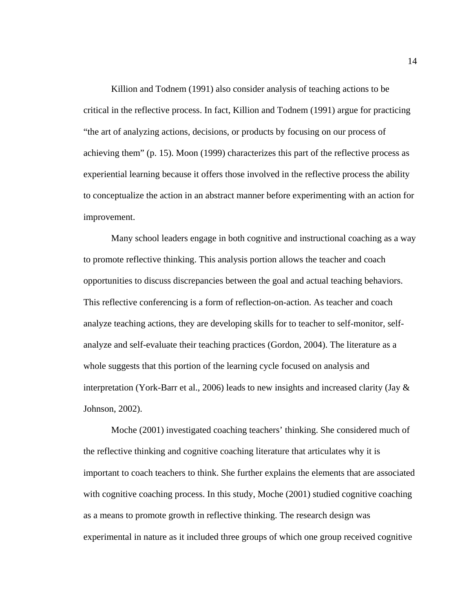Killion and Todnem (1991) also consider analysis of teaching actions to be critical in the reflective process. In fact, Killion and Todnem (1991) argue for practicing "the art of analyzing actions, decisions, or products by focusing on our process of achieving them" (p. 15). Moon (1999) characterizes this part of the reflective process as experiential learning because it offers those involved in the reflective process the ability to conceptualize the action in an abstract manner before experimenting with an action for improvement.

Many school leaders engage in both cognitive and instructional coaching as a way to promote reflective thinking. This analysis portion allows the teacher and coach opportunities to discuss discrepancies between the goal and actual teaching behaviors. This reflective conferencing is a form of reflection-on-action. As teacher and coach analyze teaching actions, they are developing skills for to teacher to self-monitor, selfanalyze and self-evaluate their teaching practices (Gordon, 2004). The literature as a whole suggests that this portion of the learning cycle focused on analysis and interpretation (York-Barr et al., 2006) leads to new insights and increased clarity (Jay  $\&$ Johnson, 2002).

Moche (2001) investigated coaching teachers' thinking. She considered much of the reflective thinking and cognitive coaching literature that articulates why it is important to coach teachers to think. She further explains the elements that are associated with cognitive coaching process. In this study, Moche (2001) studied cognitive coaching as a means to promote growth in reflective thinking. The research design was experimental in nature as it included three groups of which one group received cognitive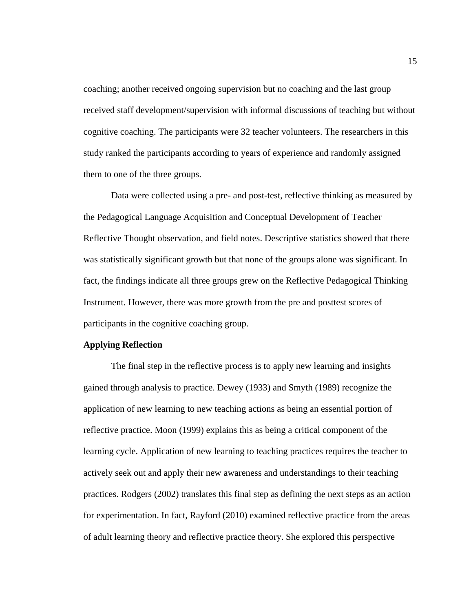coaching; another received ongoing supervision but no coaching and the last group received staff development/supervision with informal discussions of teaching but without cognitive coaching. The participants were 32 teacher volunteers. The researchers in this study ranked the participants according to years of experience and randomly assigned them to one of the three groups.

Data were collected using a pre- and post-test, reflective thinking as measured by the Pedagogical Language Acquisition and Conceptual Development of Teacher Reflective Thought observation, and field notes. Descriptive statistics showed that there was statistically significant growth but that none of the groups alone was significant. In fact, the findings indicate all three groups grew on the Reflective Pedagogical Thinking Instrument. However, there was more growth from the pre and posttest scores of participants in the cognitive coaching group.

### **Applying Reflection**

 The final step in the reflective process is to apply new learning and insights gained through analysis to practice. Dewey (1933) and Smyth (1989) recognize the application of new learning to new teaching actions as being an essential portion of reflective practice. Moon (1999) explains this as being a critical component of the learning cycle. Application of new learning to teaching practices requires the teacher to actively seek out and apply their new awareness and understandings to their teaching practices. Rodgers (2002) translates this final step as defining the next steps as an action for experimentation. In fact, Rayford (2010) examined reflective practice from the areas of adult learning theory and reflective practice theory. She explored this perspective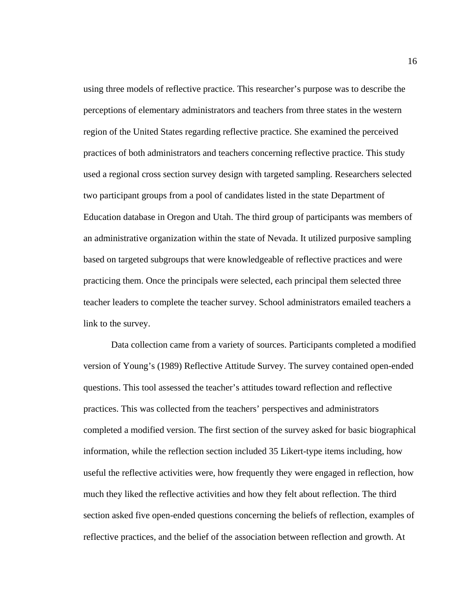using three models of reflective practice. This researcher's purpose was to describe the perceptions of elementary administrators and teachers from three states in the western region of the United States regarding reflective practice. She examined the perceived practices of both administrators and teachers concerning reflective practice. This study used a regional cross section survey design with targeted sampling. Researchers selected two participant groups from a pool of candidates listed in the state Department of Education database in Oregon and Utah. The third group of participants was members of an administrative organization within the state of Nevada. It utilized purposive sampling based on targeted subgroups that were knowledgeable of reflective practices and were practicing them. Once the principals were selected, each principal them selected three teacher leaders to complete the teacher survey. School administrators emailed teachers a link to the survey.

Data collection came from a variety of sources. Participants completed a modified version of Young's (1989) Reflective Attitude Survey. The survey contained open-ended questions. This tool assessed the teacher's attitudes toward reflection and reflective practices. This was collected from the teachers' perspectives and administrators completed a modified version. The first section of the survey asked for basic biographical information, while the reflection section included 35 Likert-type items including, how useful the reflective activities were, how frequently they were engaged in reflection, how much they liked the reflective activities and how they felt about reflection. The third section asked five open-ended questions concerning the beliefs of reflection, examples of reflective practices, and the belief of the association between reflection and growth. At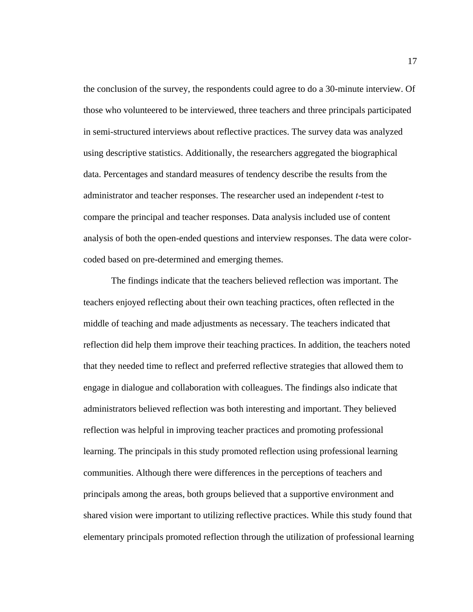the conclusion of the survey, the respondents could agree to do a 30-minute interview. Of those who volunteered to be interviewed, three teachers and three principals participated in semi-structured interviews about reflective practices. The survey data was analyzed using descriptive statistics. Additionally, the researchers aggregated the biographical data. Percentages and standard measures of tendency describe the results from the administrator and teacher responses. The researcher used an independent *t*-test to compare the principal and teacher responses. Data analysis included use of content analysis of both the open-ended questions and interview responses. The data were colorcoded based on pre-determined and emerging themes.

The findings indicate that the teachers believed reflection was important. The teachers enjoyed reflecting about their own teaching practices, often reflected in the middle of teaching and made adjustments as necessary. The teachers indicated that reflection did help them improve their teaching practices. In addition, the teachers noted that they needed time to reflect and preferred reflective strategies that allowed them to engage in dialogue and collaboration with colleagues. The findings also indicate that administrators believed reflection was both interesting and important. They believed reflection was helpful in improving teacher practices and promoting professional learning. The principals in this study promoted reflection using professional learning communities. Although there were differences in the perceptions of teachers and principals among the areas, both groups believed that a supportive environment and shared vision were important to utilizing reflective practices. While this study found that elementary principals promoted reflection through the utilization of professional learning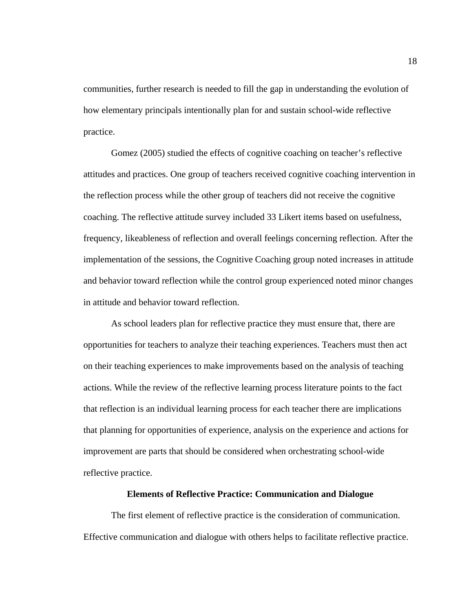communities, further research is needed to fill the gap in understanding the evolution of how elementary principals intentionally plan for and sustain school-wide reflective practice.

Gomez (2005) studied the effects of cognitive coaching on teacher's reflective attitudes and practices. One group of teachers received cognitive coaching intervention in the reflection process while the other group of teachers did not receive the cognitive coaching. The reflective attitude survey included 33 Likert items based on usefulness, frequency, likeableness of reflection and overall feelings concerning reflection. After the implementation of the sessions, the Cognitive Coaching group noted increases in attitude and behavior toward reflection while the control group experienced noted minor changes in attitude and behavior toward reflection.

As school leaders plan for reflective practice they must ensure that, there are opportunities for teachers to analyze their teaching experiences. Teachers must then act on their teaching experiences to make improvements based on the analysis of teaching actions. While the review of the reflective learning process literature points to the fact that reflection is an individual learning process for each teacher there are implications that planning for opportunities of experience, analysis on the experience and actions for improvement are parts that should be considered when orchestrating school-wide reflective practice.

#### **Elements of Reflective Practice: Communication and Dialogue**

 The first element of reflective practice is the consideration of communication. Effective communication and dialogue with others helps to facilitate reflective practice.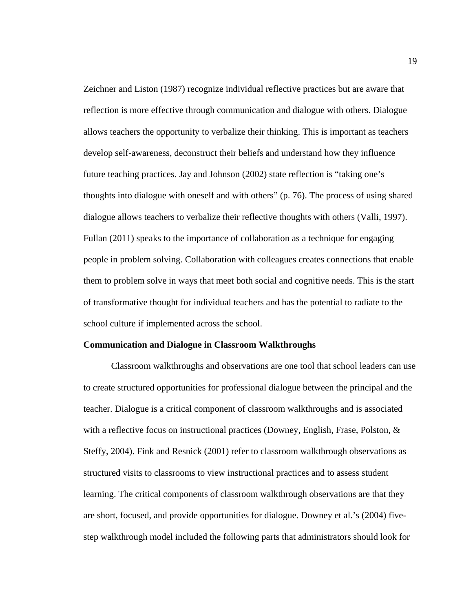Zeichner and Liston (1987) recognize individual reflective practices but are aware that reflection is more effective through communication and dialogue with others. Dialogue allows teachers the opportunity to verbalize their thinking. This is important as teachers develop self-awareness, deconstruct their beliefs and understand how they influence future teaching practices. Jay and Johnson (2002) state reflection is "taking one's thoughts into dialogue with oneself and with others" (p. 76). The process of using shared dialogue allows teachers to verbalize their reflective thoughts with others (Valli, 1997). Fullan (2011) speaks to the importance of collaboration as a technique for engaging people in problem solving. Collaboration with colleagues creates connections that enable them to problem solve in ways that meet both social and cognitive needs. This is the start of transformative thought for individual teachers and has the potential to radiate to the school culture if implemented across the school.

#### **Communication and Dialogue in Classroom Walkthroughs**

 Classroom walkthroughs and observations are one tool that school leaders can use to create structured opportunities for professional dialogue between the principal and the teacher. Dialogue is a critical component of classroom walkthroughs and is associated with a reflective focus on instructional practices (Downey, English, Frase, Polston, & Steffy, 2004). Fink and Resnick (2001) refer to classroom walkthrough observations as structured visits to classrooms to view instructional practices and to assess student learning. The critical components of classroom walkthrough observations are that they are short, focused, and provide opportunities for dialogue. Downey et al.'s (2004) fivestep walkthrough model included the following parts that administrators should look for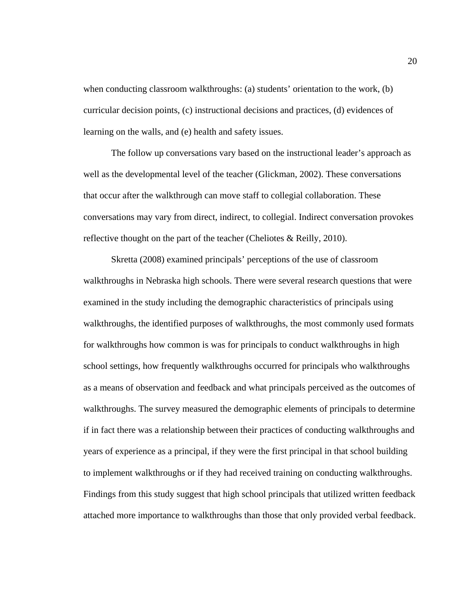when conducting classroom walkthroughs: (a) students' orientation to the work, (b) curricular decision points, (c) instructional decisions and practices, (d) evidences of learning on the walls, and (e) health and safety issues.

 The follow up conversations vary based on the instructional leader's approach as well as the developmental level of the teacher (Glickman, 2002). These conversations that occur after the walkthrough can move staff to collegial collaboration. These conversations may vary from direct, indirect, to collegial. Indirect conversation provokes reflective thought on the part of the teacher (Cheliotes & Reilly, 2010).

 Skretta (2008) examined principals' perceptions of the use of classroom walkthroughs in Nebraska high schools. There were several research questions that were examined in the study including the demographic characteristics of principals using walkthroughs, the identified purposes of walkthroughs, the most commonly used formats for walkthroughs how common is was for principals to conduct walkthroughs in high school settings, how frequently walkthroughs occurred for principals who walkthroughs as a means of observation and feedback and what principals perceived as the outcomes of walkthroughs. The survey measured the demographic elements of principals to determine if in fact there was a relationship between their practices of conducting walkthroughs and years of experience as a principal, if they were the first principal in that school building to implement walkthroughs or if they had received training on conducting walkthroughs. Findings from this study suggest that high school principals that utilized written feedback attached more importance to walkthroughs than those that only provided verbal feedback.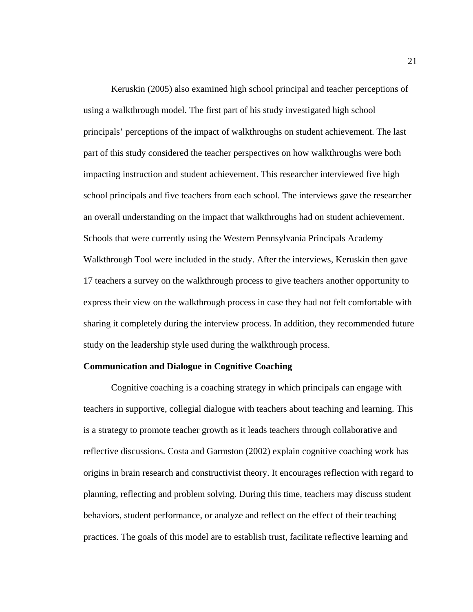Keruskin (2005) also examined high school principal and teacher perceptions of using a walkthrough model. The first part of his study investigated high school principals' perceptions of the impact of walkthroughs on student achievement. The last part of this study considered the teacher perspectives on how walkthroughs were both impacting instruction and student achievement. This researcher interviewed five high school principals and five teachers from each school. The interviews gave the researcher an overall understanding on the impact that walkthroughs had on student achievement. Schools that were currently using the Western Pennsylvania Principals Academy Walkthrough Tool were included in the study. After the interviews, Keruskin then gave 17 teachers a survey on the walkthrough process to give teachers another opportunity to express their view on the walkthrough process in case they had not felt comfortable with sharing it completely during the interview process. In addition, they recommended future study on the leadership style used during the walkthrough process.

#### **Communication and Dialogue in Cognitive Coaching**

Cognitive coaching is a coaching strategy in which principals can engage with teachers in supportive, collegial dialogue with teachers about teaching and learning. This is a strategy to promote teacher growth as it leads teachers through collaborative and reflective discussions. Costa and Garmston (2002) explain cognitive coaching work has origins in brain research and constructivist theory. It encourages reflection with regard to planning, reflecting and problem solving. During this time, teachers may discuss student behaviors, student performance, or analyze and reflect on the effect of their teaching practices. The goals of this model are to establish trust, facilitate reflective learning and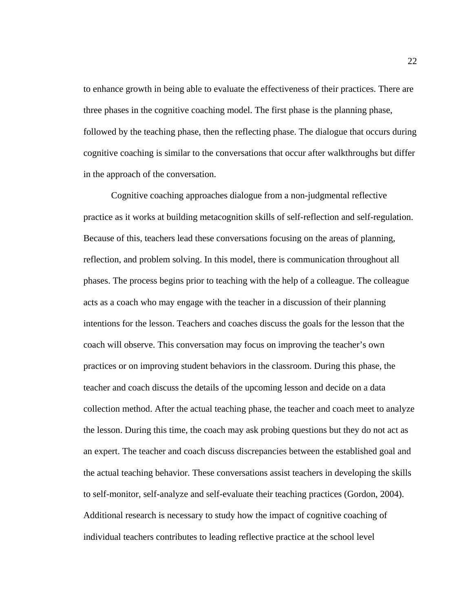to enhance growth in being able to evaluate the effectiveness of their practices. There are three phases in the cognitive coaching model. The first phase is the planning phase, followed by the teaching phase, then the reflecting phase. The dialogue that occurs during cognitive coaching is similar to the conversations that occur after walkthroughs but differ in the approach of the conversation.

Cognitive coaching approaches dialogue from a non-judgmental reflective practice as it works at building metacognition skills of self-reflection and self-regulation. Because of this, teachers lead these conversations focusing on the areas of planning, reflection, and problem solving. In this model, there is communication throughout all phases. The process begins prior to teaching with the help of a colleague. The colleague acts as a coach who may engage with the teacher in a discussion of their planning intentions for the lesson. Teachers and coaches discuss the goals for the lesson that the coach will observe. This conversation may focus on improving the teacher's own practices or on improving student behaviors in the classroom. During this phase, the teacher and coach discuss the details of the upcoming lesson and decide on a data collection method. After the actual teaching phase, the teacher and coach meet to analyze the lesson. During this time, the coach may ask probing questions but they do not act as an expert. The teacher and coach discuss discrepancies between the established goal and the actual teaching behavior. These conversations assist teachers in developing the skills to self-monitor, self-analyze and self-evaluate their teaching practices (Gordon, 2004). Additional research is necessary to study how the impact of cognitive coaching of individual teachers contributes to leading reflective practice at the school level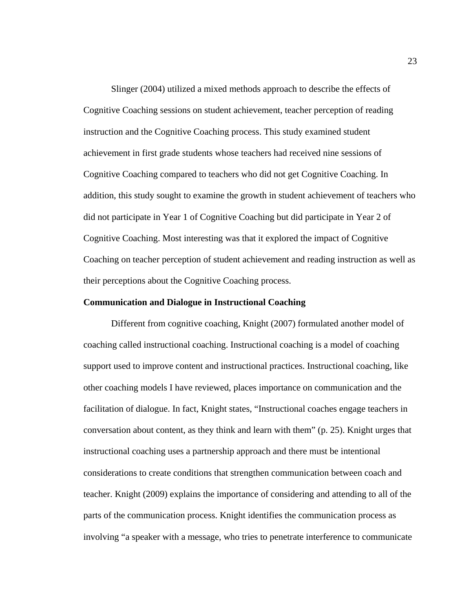Slinger (2004) utilized a mixed methods approach to describe the effects of Cognitive Coaching sessions on student achievement, teacher perception of reading instruction and the Cognitive Coaching process. This study examined student achievement in first grade students whose teachers had received nine sessions of Cognitive Coaching compared to teachers who did not get Cognitive Coaching. In addition, this study sought to examine the growth in student achievement of teachers who did not participate in Year 1 of Cognitive Coaching but did participate in Year 2 of Cognitive Coaching. Most interesting was that it explored the impact of Cognitive Coaching on teacher perception of student achievement and reading instruction as well as their perceptions about the Cognitive Coaching process.

#### **Communication and Dialogue in Instructional Coaching**

 Different from cognitive coaching, Knight (2007) formulated another model of coaching called instructional coaching. Instructional coaching is a model of coaching support used to improve content and instructional practices. Instructional coaching, like other coaching models I have reviewed, places importance on communication and the facilitation of dialogue. In fact, Knight states, "Instructional coaches engage teachers in conversation about content, as they think and learn with them" (p. 25). Knight urges that instructional coaching uses a partnership approach and there must be intentional considerations to create conditions that strengthen communication between coach and teacher. Knight (2009) explains the importance of considering and attending to all of the parts of the communication process. Knight identifies the communication process as involving "a speaker with a message, who tries to penetrate interference to communicate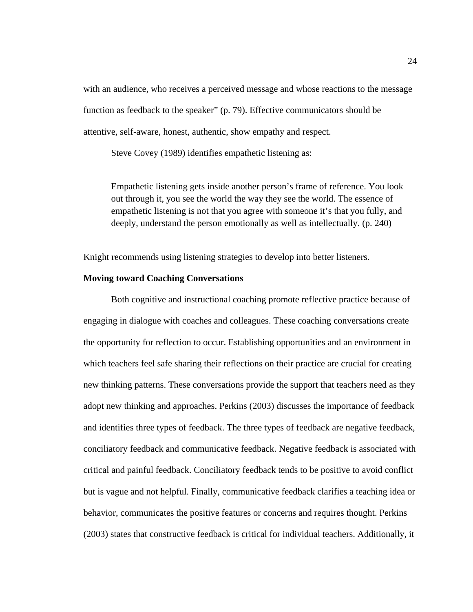with an audience, who receives a perceived message and whose reactions to the message function as feedback to the speaker" (p. 79). Effective communicators should be attentive, self-aware, honest, authentic, show empathy and respect.

Steve Covey (1989) identifies empathetic listening as:

Empathetic listening gets inside another person's frame of reference. You look out through it, you see the world the way they see the world. The essence of empathetic listening is not that you agree with someone it's that you fully, and deeply, understand the person emotionally as well as intellectually. (p. 240)

Knight recommends using listening strategies to develop into better listeners.

# **Moving toward Coaching Conversations**

 Both cognitive and instructional coaching promote reflective practice because of engaging in dialogue with coaches and colleagues. These coaching conversations create the opportunity for reflection to occur. Establishing opportunities and an environment in which teachers feel safe sharing their reflections on their practice are crucial for creating new thinking patterns. These conversations provide the support that teachers need as they adopt new thinking and approaches. Perkins (2003) discusses the importance of feedback and identifies three types of feedback. The three types of feedback are negative feedback, conciliatory feedback and communicative feedback. Negative feedback is associated with critical and painful feedback. Conciliatory feedback tends to be positive to avoid conflict but is vague and not helpful. Finally, communicative feedback clarifies a teaching idea or behavior, communicates the positive features or concerns and requires thought. Perkins (2003) states that constructive feedback is critical for individual teachers. Additionally, it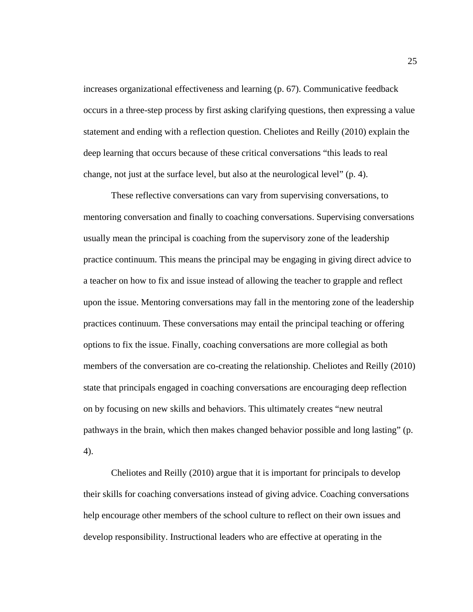increases organizational effectiveness and learning (p. 67). Communicative feedback occurs in a three-step process by first asking clarifying questions, then expressing a value statement and ending with a reflection question. Cheliotes and Reilly (2010) explain the deep learning that occurs because of these critical conversations "this leads to real change, not just at the surface level, but also at the neurological level" (p. 4).

 These reflective conversations can vary from supervising conversations, to mentoring conversation and finally to coaching conversations. Supervising conversations usually mean the principal is coaching from the supervisory zone of the leadership practice continuum. This means the principal may be engaging in giving direct advice to a teacher on how to fix and issue instead of allowing the teacher to grapple and reflect upon the issue. Mentoring conversations may fall in the mentoring zone of the leadership practices continuum. These conversations may entail the principal teaching or offering options to fix the issue. Finally, coaching conversations are more collegial as both members of the conversation are co-creating the relationship. Cheliotes and Reilly (2010) state that principals engaged in coaching conversations are encouraging deep reflection on by focusing on new skills and behaviors. This ultimately creates "new neutral pathways in the brain, which then makes changed behavior possible and long lasting" (p. 4).

 Cheliotes and Reilly (2010) argue that it is important for principals to develop their skills for coaching conversations instead of giving advice. Coaching conversations help encourage other members of the school culture to reflect on their own issues and develop responsibility. Instructional leaders who are effective at operating in the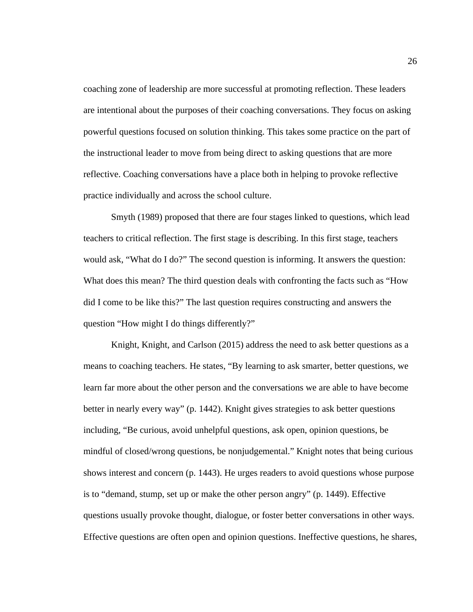coaching zone of leadership are more successful at promoting reflection. These leaders are intentional about the purposes of their coaching conversations. They focus on asking powerful questions focused on solution thinking. This takes some practice on the part of the instructional leader to move from being direct to asking questions that are more reflective. Coaching conversations have a place both in helping to provoke reflective practice individually and across the school culture.

Smyth (1989) proposed that there are four stages linked to questions, which lead teachers to critical reflection. The first stage is describing. In this first stage, teachers would ask, "What do I do?" The second question is informing. It answers the question: What does this mean? The third question deals with confronting the facts such as "How did I come to be like this?" The last question requires constructing and answers the question "How might I do things differently?"

 Knight, Knight, and Carlson (2015) address the need to ask better questions as a means to coaching teachers. He states, "By learning to ask smarter, better questions, we learn far more about the other person and the conversations we are able to have become better in nearly every way" (p. 1442). Knight gives strategies to ask better questions including, "Be curious, avoid unhelpful questions, ask open, opinion questions, be mindful of closed/wrong questions, be nonjudgemental." Knight notes that being curious shows interest and concern (p. 1443). He urges readers to avoid questions whose purpose is to "demand, stump, set up or make the other person angry" (p. 1449). Effective questions usually provoke thought, dialogue, or foster better conversations in other ways. Effective questions are often open and opinion questions. Ineffective questions, he shares,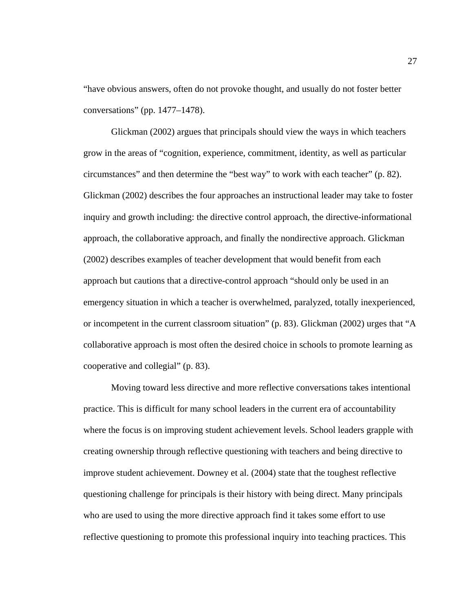"have obvious answers, often do not provoke thought, and usually do not foster better conversations" (pp. 1477–1478).

 Glickman (2002) argues that principals should view the ways in which teachers grow in the areas of "cognition, experience, commitment, identity, as well as particular circumstances" and then determine the "best way" to work with each teacher" (p. 82). Glickman (2002) describes the four approaches an instructional leader may take to foster inquiry and growth including: the directive control approach, the directive-informational approach, the collaborative approach, and finally the nondirective approach. Glickman (2002) describes examples of teacher development that would benefit from each approach but cautions that a directive-control approach "should only be used in an emergency situation in which a teacher is overwhelmed, paralyzed, totally inexperienced, or incompetent in the current classroom situation" (p. 83). Glickman (2002) urges that "A collaborative approach is most often the desired choice in schools to promote learning as cooperative and collegial" (p. 83).

Moving toward less directive and more reflective conversations takes intentional practice. This is difficult for many school leaders in the current era of accountability where the focus is on improving student achievement levels. School leaders grapple with creating ownership through reflective questioning with teachers and being directive to improve student achievement. Downey et al. (2004) state that the toughest reflective questioning challenge for principals is their history with being direct. Many principals who are used to using the more directive approach find it takes some effort to use reflective questioning to promote this professional inquiry into teaching practices. This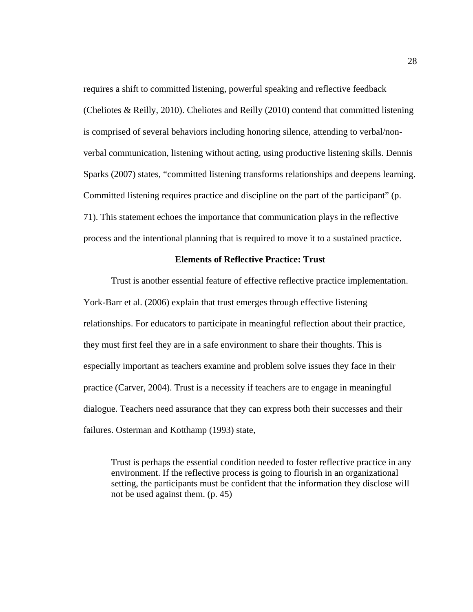requires a shift to committed listening, powerful speaking and reflective feedback (Cheliotes & Reilly, 2010). Cheliotes and Reilly (2010) contend that committed listening is comprised of several behaviors including honoring silence, attending to verbal/nonverbal communication, listening without acting, using productive listening skills. Dennis Sparks (2007) states, "committed listening transforms relationships and deepens learning. Committed listening requires practice and discipline on the part of the participant" (p. 71). This statement echoes the importance that communication plays in the reflective process and the intentional planning that is required to move it to a sustained practice.

### **Elements of Reflective Practice: Trust**

Trust is another essential feature of effective reflective practice implementation. York-Barr et al. (2006) explain that trust emerges through effective listening relationships. For educators to participate in meaningful reflection about their practice, they must first feel they are in a safe environment to share their thoughts. This is especially important as teachers examine and problem solve issues they face in their practice (Carver, 2004). Trust is a necessity if teachers are to engage in meaningful dialogue. Teachers need assurance that they can express both their successes and their failures. Osterman and Kotthamp (1993) state,

Trust is perhaps the essential condition needed to foster reflective practice in any environment. If the reflective process is going to flourish in an organizational setting, the participants must be confident that the information they disclose will not be used against them. (p. 45)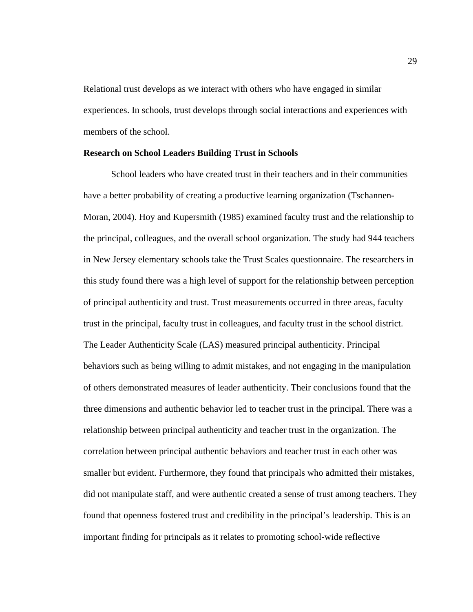Relational trust develops as we interact with others who have engaged in similar experiences. In schools, trust develops through social interactions and experiences with members of the school.

# **Research on School Leaders Building Trust in Schools**

School leaders who have created trust in their teachers and in their communities have a better probability of creating a productive learning organization (Tschannen-Moran, 2004). Hoy and Kupersmith (1985) examined faculty trust and the relationship to the principal, colleagues, and the overall school organization. The study had 944 teachers in New Jersey elementary schools take the Trust Scales questionnaire. The researchers in this study found there was a high level of support for the relationship between perception of principal authenticity and trust. Trust measurements occurred in three areas, faculty trust in the principal, faculty trust in colleagues, and faculty trust in the school district. The Leader Authenticity Scale (LAS) measured principal authenticity. Principal behaviors such as being willing to admit mistakes, and not engaging in the manipulation of others demonstrated measures of leader authenticity. Their conclusions found that the three dimensions and authentic behavior led to teacher trust in the principal. There was a relationship between principal authenticity and teacher trust in the organization. The correlation between principal authentic behaviors and teacher trust in each other was smaller but evident. Furthermore, they found that principals who admitted their mistakes, did not manipulate staff, and were authentic created a sense of trust among teachers. They found that openness fostered trust and credibility in the principal's leadership. This is an important finding for principals as it relates to promoting school-wide reflective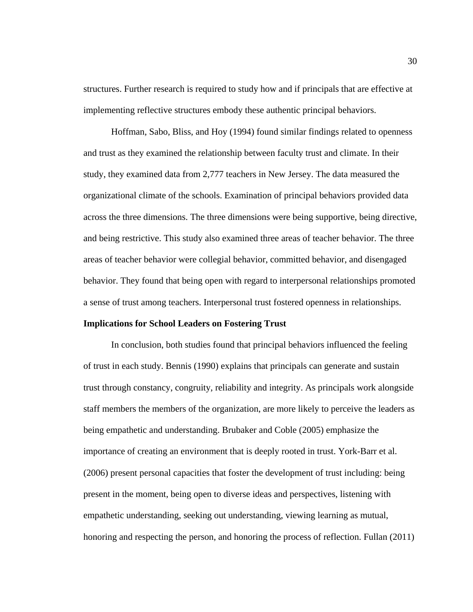structures. Further research is required to study how and if principals that are effective at implementing reflective structures embody these authentic principal behaviors.

Hoffman, Sabo, Bliss, and Hoy (1994) found similar findings related to openness and trust as they examined the relationship between faculty trust and climate. In their study, they examined data from 2,777 teachers in New Jersey. The data measured the organizational climate of the schools. Examination of principal behaviors provided data across the three dimensions. The three dimensions were being supportive, being directive, and being restrictive. This study also examined three areas of teacher behavior. The three areas of teacher behavior were collegial behavior, committed behavior, and disengaged behavior. They found that being open with regard to interpersonal relationships promoted a sense of trust among teachers. Interpersonal trust fostered openness in relationships.

### **Implications for School Leaders on Fostering Trust**

In conclusion, both studies found that principal behaviors influenced the feeling of trust in each study. Bennis (1990) explains that principals can generate and sustain trust through constancy, congruity, reliability and integrity. As principals work alongside staff members the members of the organization, are more likely to perceive the leaders as being empathetic and understanding. Brubaker and Coble (2005) emphasize the importance of creating an environment that is deeply rooted in trust. York-Barr et al. (2006) present personal capacities that foster the development of trust including: being present in the moment, being open to diverse ideas and perspectives, listening with empathetic understanding, seeking out understanding, viewing learning as mutual, honoring and respecting the person, and honoring the process of reflection. Fullan (2011)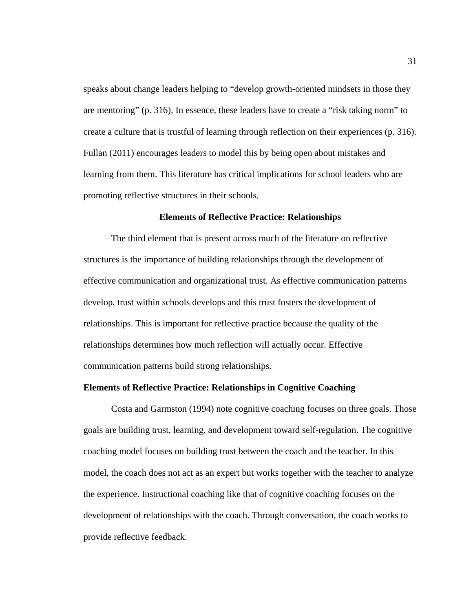speaks about change leaders helping to "develop growth-oriented mindsets in those they are mentoring" (p. 316). In essence, these leaders have to create a "risk taking norm" to create a culture that is trustful of learning through reflection on their experiences (p. 316). Fullan (2011) encourages leaders to model this by being open about mistakes and learning from them. This literature has critical implications for school leaders who are promoting reflective structures in their schools.

### **Elements of Reflective Practice: Relationships**

The third element that is present across much of the literature on reflective structures is the importance of building relationships through the development of effective communication and organizational trust. As effective communication patterns develop, trust within schools develops and this trust fosters the development of relationships. This is important for reflective practice because the quality of the relationships determines how much reflection will actually occur. Effective communication patterns build strong relationships.

#### **Elements of Reflective Practice: Relationships in Cognitive Coaching**

 Costa and Garmston (1994) note cognitive coaching focuses on three goals. Those goals are building trust, learning, and development toward self-regulation. The cognitive coaching model focuses on building trust between the coach and the teacher. In this model, the coach does not act as an expert but works together with the teacher to analyze the experience. Instructional coaching like that of cognitive coaching focuses on the development of relationships with the coach. Through conversation, the coach works to provide reflective feedback.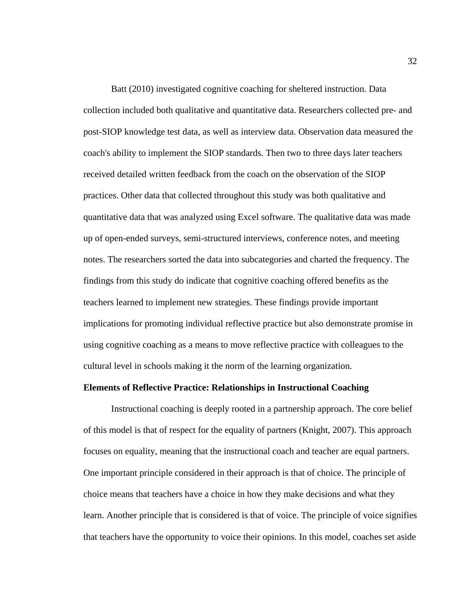Batt (2010) investigated cognitive coaching for sheltered instruction. Data collection included both qualitative and quantitative data. Researchers collected pre- and post-SIOP knowledge test data, as well as interview data. Observation data measured the coach's ability to implement the SIOP standards. Then two to three days later teachers received detailed written feedback from the coach on the observation of the SIOP practices. Other data that collected throughout this study was both qualitative and quantitative data that was analyzed using Excel software. The qualitative data was made up of open-ended surveys, semi-structured interviews, conference notes, and meeting notes. The researchers sorted the data into subcategories and charted the frequency. The findings from this study do indicate that cognitive coaching offered benefits as the teachers learned to implement new strategies. These findings provide important implications for promoting individual reflective practice but also demonstrate promise in using cognitive coaching as a means to move reflective practice with colleagues to the cultural level in schools making it the norm of the learning organization.

#### **Elements of Reflective Practice: Relationships in Instructional Coaching**

 Instructional coaching is deeply rooted in a partnership approach. The core belief of this model is that of respect for the equality of partners (Knight, 2007). This approach focuses on equality, meaning that the instructional coach and teacher are equal partners. One important principle considered in their approach is that of choice. The principle of choice means that teachers have a choice in how they make decisions and what they learn. Another principle that is considered is that of voice. The principle of voice signifies that teachers have the opportunity to voice their opinions. In this model, coaches set aside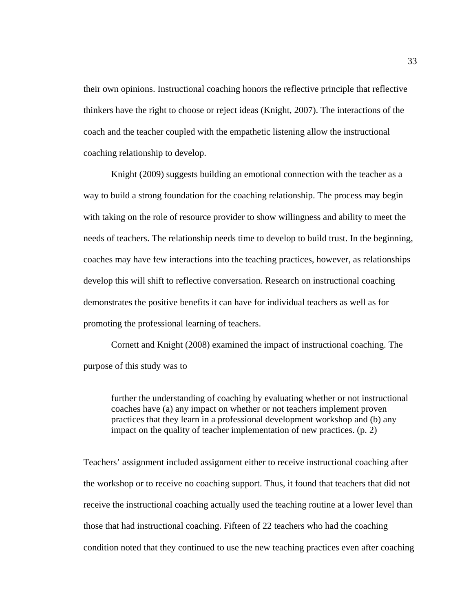their own opinions. Instructional coaching honors the reflective principle that reflective thinkers have the right to choose or reject ideas (Knight, 2007). The interactions of the coach and the teacher coupled with the empathetic listening allow the instructional coaching relationship to develop.

Knight (2009) suggests building an emotional connection with the teacher as a way to build a strong foundation for the coaching relationship. The process may begin with taking on the role of resource provider to show willingness and ability to meet the needs of teachers. The relationship needs time to develop to build trust. In the beginning, coaches may have few interactions into the teaching practices, however, as relationships develop this will shift to reflective conversation. Research on instructional coaching demonstrates the positive benefits it can have for individual teachers as well as for promoting the professional learning of teachers.

 Cornett and Knight (2008) examined the impact of instructional coaching. The purpose of this study was to

further the understanding of coaching by evaluating whether or not instructional coaches have (a) any impact on whether or not teachers implement proven practices that they learn in a professional development workshop and (b) any impact on the quality of teacher implementation of new practices. (p. 2)

Teachers' assignment included assignment either to receive instructional coaching after the workshop or to receive no coaching support. Thus, it found that teachers that did not receive the instructional coaching actually used the teaching routine at a lower level than those that had instructional coaching. Fifteen of 22 teachers who had the coaching condition noted that they continued to use the new teaching practices even after coaching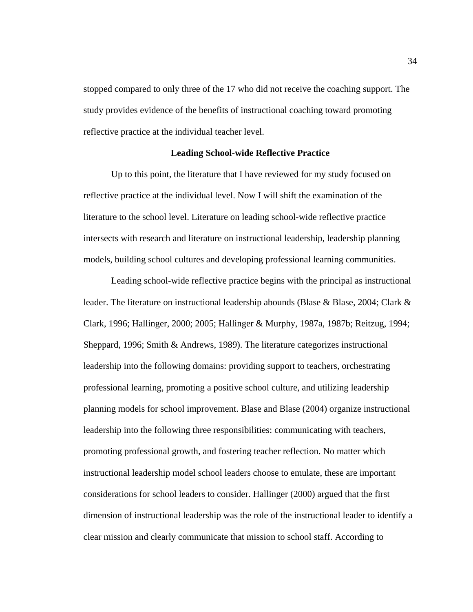stopped compared to only three of the 17 who did not receive the coaching support. The study provides evidence of the benefits of instructional coaching toward promoting reflective practice at the individual teacher level.

# **Leading School-wide Reflective Practice**

Up to this point, the literature that I have reviewed for my study focused on reflective practice at the individual level. Now I will shift the examination of the literature to the school level. Literature on leading school-wide reflective practice intersects with research and literature on instructional leadership, leadership planning models, building school cultures and developing professional learning communities.

Leading school-wide reflective practice begins with the principal as instructional leader. The literature on instructional leadership abounds (Blase & Blase, 2004; Clark & Clark, 1996; Hallinger, 2000; 2005; Hallinger & Murphy, 1987a, 1987b; Reitzug, 1994; Sheppard, 1996; Smith & Andrews, 1989). The literature categorizes instructional leadership into the following domains: providing support to teachers, orchestrating professional learning, promoting a positive school culture, and utilizing leadership planning models for school improvement. Blase and Blase (2004) organize instructional leadership into the following three responsibilities: communicating with teachers, promoting professional growth, and fostering teacher reflection. No matter which instructional leadership model school leaders choose to emulate, these are important considerations for school leaders to consider. Hallinger (2000) argued that the first dimension of instructional leadership was the role of the instructional leader to identify a clear mission and clearly communicate that mission to school staff. According to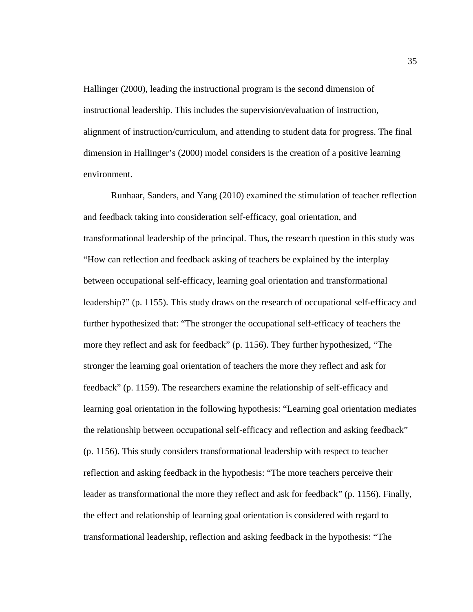Hallinger (2000), leading the instructional program is the second dimension of instructional leadership. This includes the supervision/evaluation of instruction, alignment of instruction/curriculum, and attending to student data for progress. The final dimension in Hallinger's (2000) model considers is the creation of a positive learning environment.

Runhaar, Sanders, and Yang (2010) examined the stimulation of teacher reflection and feedback taking into consideration self-efficacy, goal orientation, and transformational leadership of the principal. Thus, the research question in this study was "How can reflection and feedback asking of teachers be explained by the interplay between occupational self-efficacy, learning goal orientation and transformational leadership?" (p. 1155). This study draws on the research of occupational self-efficacy and further hypothesized that: "The stronger the occupational self-efficacy of teachers the more they reflect and ask for feedback" (p. 1156). They further hypothesized, "The stronger the learning goal orientation of teachers the more they reflect and ask for feedback" (p. 1159). The researchers examine the relationship of self-efficacy and learning goal orientation in the following hypothesis: "Learning goal orientation mediates the relationship between occupational self-efficacy and reflection and asking feedback" (p. 1156). This study considers transformational leadership with respect to teacher reflection and asking feedback in the hypothesis: "The more teachers perceive their leader as transformational the more they reflect and ask for feedback" (p. 1156). Finally, the effect and relationship of learning goal orientation is considered with regard to transformational leadership, reflection and asking feedback in the hypothesis: "The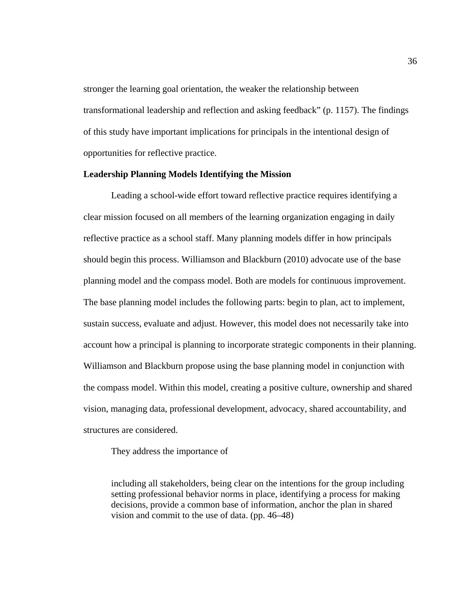stronger the learning goal orientation, the weaker the relationship between transformational leadership and reflection and asking feedback" (p. 1157). The findings of this study have important implications for principals in the intentional design of opportunities for reflective practice.

### **Leadership Planning Models Identifying the Mission**

 Leading a school-wide effort toward reflective practice requires identifying a clear mission focused on all members of the learning organization engaging in daily reflective practice as a school staff. Many planning models differ in how principals should begin this process. Williamson and Blackburn (2010) advocate use of the base planning model and the compass model. Both are models for continuous improvement. The base planning model includes the following parts: begin to plan, act to implement, sustain success, evaluate and adjust. However, this model does not necessarily take into account how a principal is planning to incorporate strategic components in their planning. Williamson and Blackburn propose using the base planning model in conjunction with the compass model. Within this model, creating a positive culture, ownership and shared vision, managing data, professional development, advocacy, shared accountability, and structures are considered.

They address the importance of

including all stakeholders, being clear on the intentions for the group including setting professional behavior norms in place, identifying a process for making decisions, provide a common base of information, anchor the plan in shared vision and commit to the use of data. (pp. 46–48)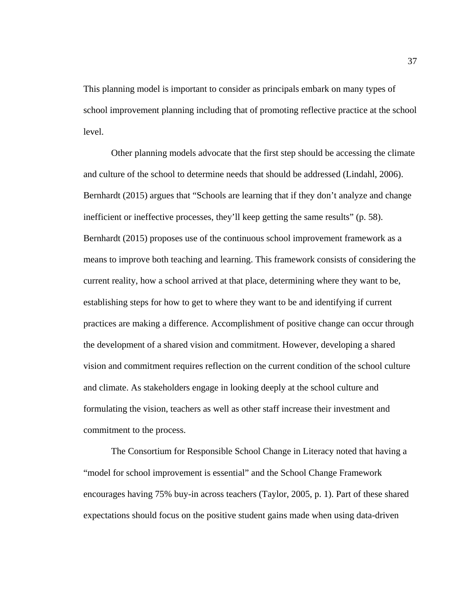This planning model is important to consider as principals embark on many types of school improvement planning including that of promoting reflective practice at the school level.

Other planning models advocate that the first step should be accessing the climate and culture of the school to determine needs that should be addressed (Lindahl, 2006). Bernhardt (2015) argues that "Schools are learning that if they don't analyze and change inefficient or ineffective processes, they'll keep getting the same results" (p. 58). Bernhardt (2015) proposes use of the continuous school improvement framework as a means to improve both teaching and learning. This framework consists of considering the current reality, how a school arrived at that place, determining where they want to be, establishing steps for how to get to where they want to be and identifying if current practices are making a difference. Accomplishment of positive change can occur through the development of a shared vision and commitment. However, developing a shared vision and commitment requires reflection on the current condition of the school culture and climate. As stakeholders engage in looking deeply at the school culture and formulating the vision, teachers as well as other staff increase their investment and commitment to the process.

The Consortium for Responsible School Change in Literacy noted that having a "model for school improvement is essential" and the School Change Framework encourages having 75% buy-in across teachers (Taylor, 2005, p. 1). Part of these shared expectations should focus on the positive student gains made when using data-driven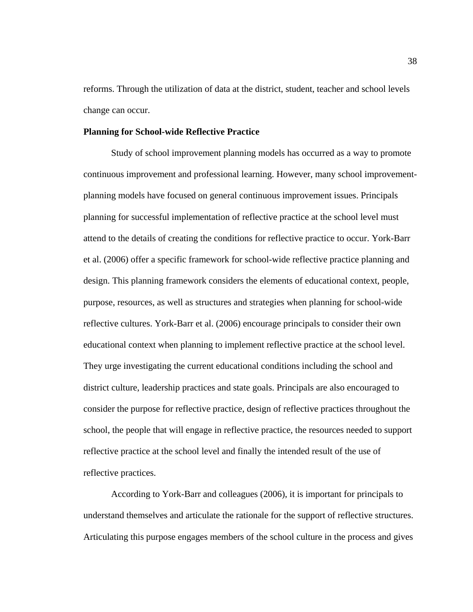reforms. Through the utilization of data at the district, student, teacher and school levels change can occur.

### **Planning for School-wide Reflective Practice**

 Study of school improvement planning models has occurred as a way to promote continuous improvement and professional learning. However, many school improvementplanning models have focused on general continuous improvement issues. Principals planning for successful implementation of reflective practice at the school level must attend to the details of creating the conditions for reflective practice to occur. York-Barr et al. (2006) offer a specific framework for school-wide reflective practice planning and design. This planning framework considers the elements of educational context, people, purpose, resources, as well as structures and strategies when planning for school-wide reflective cultures. York-Barr et al. (2006) encourage principals to consider their own educational context when planning to implement reflective practice at the school level. They urge investigating the current educational conditions including the school and district culture, leadership practices and state goals. Principals are also encouraged to consider the purpose for reflective practice, design of reflective practices throughout the school, the people that will engage in reflective practice, the resources needed to support reflective practice at the school level and finally the intended result of the use of reflective practices.

According to York-Barr and colleagues (2006), it is important for principals to understand themselves and articulate the rationale for the support of reflective structures. Articulating this purpose engages members of the school culture in the process and gives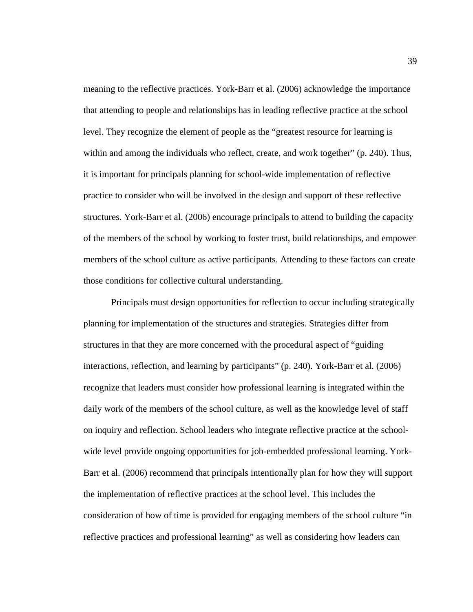meaning to the reflective practices. York-Barr et al. (2006) acknowledge the importance that attending to people and relationships has in leading reflective practice at the school level. They recognize the element of people as the "greatest resource for learning is within and among the individuals who reflect, create, and work together" (p. 240). Thus, it is important for principals planning for school-wide implementation of reflective practice to consider who will be involved in the design and support of these reflective structures. York-Barr et al. (2006) encourage principals to attend to building the capacity of the members of the school by working to foster trust, build relationships, and empower members of the school culture as active participants. Attending to these factors can create those conditions for collective cultural understanding.

Principals must design opportunities for reflection to occur including strategically planning for implementation of the structures and strategies. Strategies differ from structures in that they are more concerned with the procedural aspect of "guiding interactions, reflection, and learning by participants" (p. 240). York-Barr et al. (2006) recognize that leaders must consider how professional learning is integrated within the daily work of the members of the school culture, as well as the knowledge level of staff on inquiry and reflection. School leaders who integrate reflective practice at the schoolwide level provide ongoing opportunities for job-embedded professional learning. York-Barr et al. (2006) recommend that principals intentionally plan for how they will support the implementation of reflective practices at the school level. This includes the consideration of how of time is provided for engaging members of the school culture "in reflective practices and professional learning" as well as considering how leaders can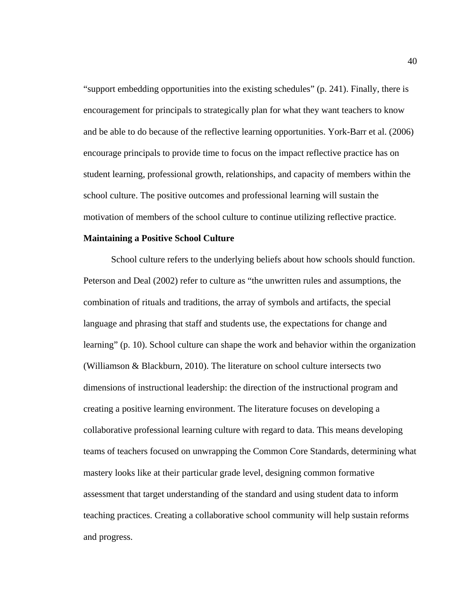"support embedding opportunities into the existing schedules" (p. 241). Finally, there is encouragement for principals to strategically plan for what they want teachers to know and be able to do because of the reflective learning opportunities. York-Barr et al. (2006) encourage principals to provide time to focus on the impact reflective practice has on student learning, professional growth, relationships, and capacity of members within the school culture. The positive outcomes and professional learning will sustain the motivation of members of the school culture to continue utilizing reflective practice.

### **Maintaining a Positive School Culture**

School culture refers to the underlying beliefs about how schools should function. Peterson and Deal (2002) refer to culture as "the unwritten rules and assumptions, the combination of rituals and traditions, the array of symbols and artifacts, the special language and phrasing that staff and students use, the expectations for change and learning" (p. 10). School culture can shape the work and behavior within the organization (Williamson & Blackburn, 2010). The literature on school culture intersects two dimensions of instructional leadership: the direction of the instructional program and creating a positive learning environment. The literature focuses on developing a collaborative professional learning culture with regard to data. This means developing teams of teachers focused on unwrapping the Common Core Standards, determining what mastery looks like at their particular grade level, designing common formative assessment that target understanding of the standard and using student data to inform teaching practices. Creating a collaborative school community will help sustain reforms and progress.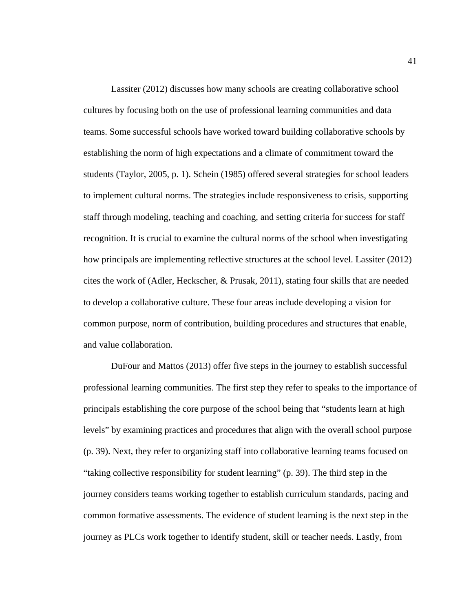Lassiter (2012) discusses how many schools are creating collaborative school cultures by focusing both on the use of professional learning communities and data teams. Some successful schools have worked toward building collaborative schools by establishing the norm of high expectations and a climate of commitment toward the students (Taylor, 2005, p. 1). Schein (1985) offered several strategies for school leaders to implement cultural norms. The strategies include responsiveness to crisis, supporting staff through modeling, teaching and coaching, and setting criteria for success for staff recognition. It is crucial to examine the cultural norms of the school when investigating how principals are implementing reflective structures at the school level. Lassiter (2012) cites the work of (Adler, Heckscher, & Prusak, 2011), stating four skills that are needed to develop a collaborative culture. These four areas include developing a vision for common purpose, norm of contribution, building procedures and structures that enable, and value collaboration.

DuFour and Mattos (2013) offer five steps in the journey to establish successful professional learning communities. The first step they refer to speaks to the importance of principals establishing the core purpose of the school being that "students learn at high levels" by examining practices and procedures that align with the overall school purpose (p. 39). Next, they refer to organizing staff into collaborative learning teams focused on "taking collective responsibility for student learning" (p. 39). The third step in the journey considers teams working together to establish curriculum standards, pacing and common formative assessments. The evidence of student learning is the next step in the journey as PLCs work together to identify student, skill or teacher needs. Lastly, from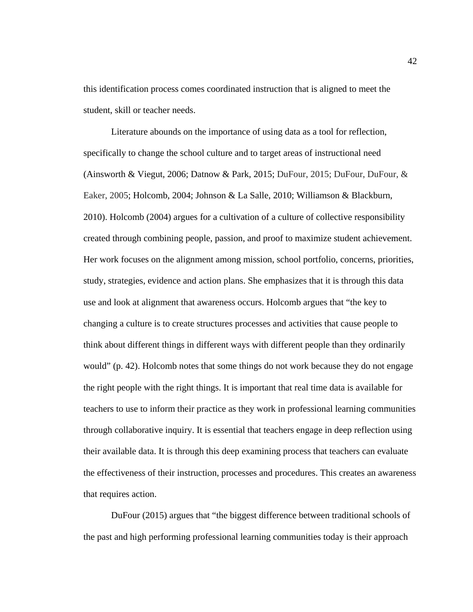this identification process comes coordinated instruction that is aligned to meet the student, skill or teacher needs.

Literature abounds on the importance of using data as a tool for reflection, specifically to change the school culture and to target areas of instructional need (Ainsworth & Viegut, 2006; Datnow & Park, 2015; DuFour, 2015; DuFour, DuFour, & Eaker, 2005; Holcomb, 2004; Johnson & La Salle, 2010; Williamson & Blackburn, 2010). Holcomb (2004) argues for a cultivation of a culture of collective responsibility created through combining people, passion, and proof to maximize student achievement. Her work focuses on the alignment among mission, school portfolio, concerns, priorities, study, strategies, evidence and action plans. She emphasizes that it is through this data use and look at alignment that awareness occurs. Holcomb argues that "the key to changing a culture is to create structures processes and activities that cause people to think about different things in different ways with different people than they ordinarily would" (p. 42). Holcomb notes that some things do not work because they do not engage the right people with the right things. It is important that real time data is available for teachers to use to inform their practice as they work in professional learning communities through collaborative inquiry. It is essential that teachers engage in deep reflection using their available data. It is through this deep examining process that teachers can evaluate the effectiveness of their instruction, processes and procedures. This creates an awareness that requires action.

DuFour (2015) argues that "the biggest difference between traditional schools of the past and high performing professional learning communities today is their approach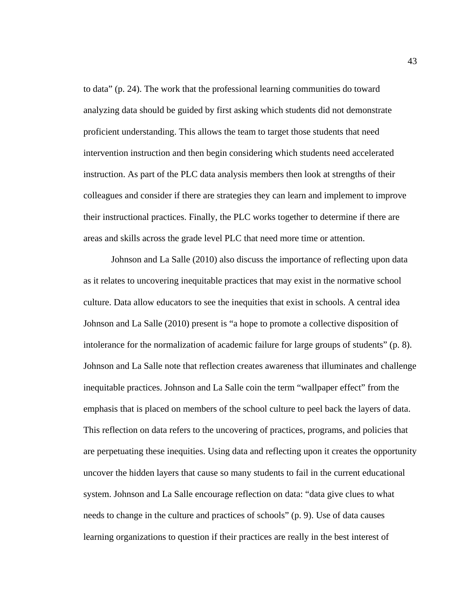to data" (p. 24). The work that the professional learning communities do toward analyzing data should be guided by first asking which students did not demonstrate proficient understanding. This allows the team to target those students that need intervention instruction and then begin considering which students need accelerated instruction. As part of the PLC data analysis members then look at strengths of their colleagues and consider if there are strategies they can learn and implement to improve their instructional practices. Finally, the PLC works together to determine if there are areas and skills across the grade level PLC that need more time or attention.

Johnson and La Salle (2010) also discuss the importance of reflecting upon data as it relates to uncovering inequitable practices that may exist in the normative school culture. Data allow educators to see the inequities that exist in schools. A central idea Johnson and La Salle (2010) present is "a hope to promote a collective disposition of intolerance for the normalization of academic failure for large groups of students" (p. 8). Johnson and La Salle note that reflection creates awareness that illuminates and challenge inequitable practices. Johnson and La Salle coin the term "wallpaper effect" from the emphasis that is placed on members of the school culture to peel back the layers of data. This reflection on data refers to the uncovering of practices, programs, and policies that are perpetuating these inequities. Using data and reflecting upon it creates the opportunity uncover the hidden layers that cause so many students to fail in the current educational system. Johnson and La Salle encourage reflection on data: "data give clues to what needs to change in the culture and practices of schools" (p. 9). Use of data causes learning organizations to question if their practices are really in the best interest of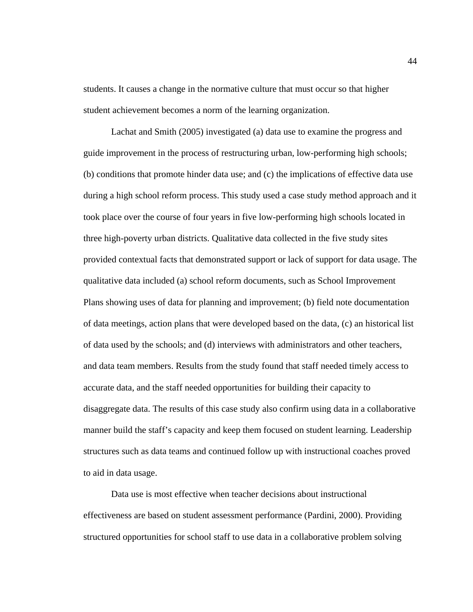students. It causes a change in the normative culture that must occur so that higher student achievement becomes a norm of the learning organization.

Lachat and Smith (2005) investigated (a) data use to examine the progress and guide improvement in the process of restructuring urban, low-performing high schools; (b) conditions that promote hinder data use; and (c) the implications of effective data use during a high school reform process. This study used a case study method approach and it took place over the course of four years in five low-performing high schools located in three high-poverty urban districts. Qualitative data collected in the five study sites provided contextual facts that demonstrated support or lack of support for data usage. The qualitative data included (a) school reform documents, such as School Improvement Plans showing uses of data for planning and improvement; (b) field note documentation of data meetings, action plans that were developed based on the data, (c) an historical list of data used by the schools; and (d) interviews with administrators and other teachers, and data team members. Results from the study found that staff needed timely access to accurate data, and the staff needed opportunities for building their capacity to disaggregate data. The results of this case study also confirm using data in a collaborative manner build the staff's capacity and keep them focused on student learning. Leadership structures such as data teams and continued follow up with instructional coaches proved to aid in data usage.

Data use is most effective when teacher decisions about instructional effectiveness are based on student assessment performance (Pardini, 2000). Providing structured opportunities for school staff to use data in a collaborative problem solving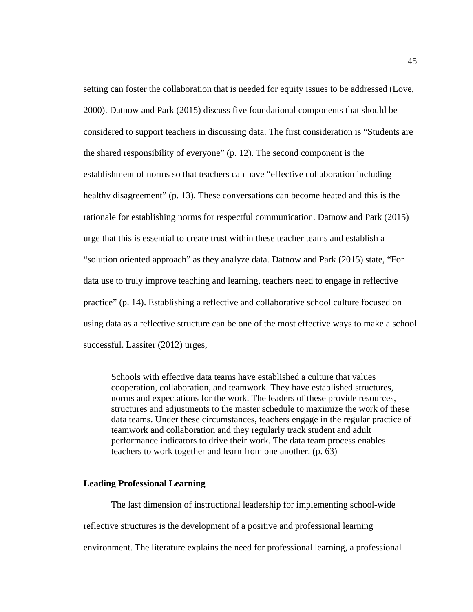setting can foster the collaboration that is needed for equity issues to be addressed (Love, 2000). Datnow and Park (2015) discuss five foundational components that should be considered to support teachers in discussing data. The first consideration is "Students are the shared responsibility of everyone" (p. 12). The second component is the establishment of norms so that teachers can have "effective collaboration including healthy disagreement" (p. 13). These conversations can become heated and this is the rationale for establishing norms for respectful communication. Datnow and Park (2015) urge that this is essential to create trust within these teacher teams and establish a "solution oriented approach" as they analyze data. Datnow and Park (2015) state, "For data use to truly improve teaching and learning, teachers need to engage in reflective practice" (p. 14). Establishing a reflective and collaborative school culture focused on using data as a reflective structure can be one of the most effective ways to make a school successful. Lassiter (2012) urges,

Schools with effective data teams have established a culture that values cooperation, collaboration, and teamwork. They have established structures, norms and expectations for the work. The leaders of these provide resources, structures and adjustments to the master schedule to maximize the work of these data teams. Under these circumstances, teachers engage in the regular practice of teamwork and collaboration and they regularly track student and adult performance indicators to drive their work. The data team process enables teachers to work together and learn from one another. (p. 63)

# **Leading Professional Learning**

 The last dimension of instructional leadership for implementing school-wide reflective structures is the development of a positive and professional learning environment. The literature explains the need for professional learning, a professional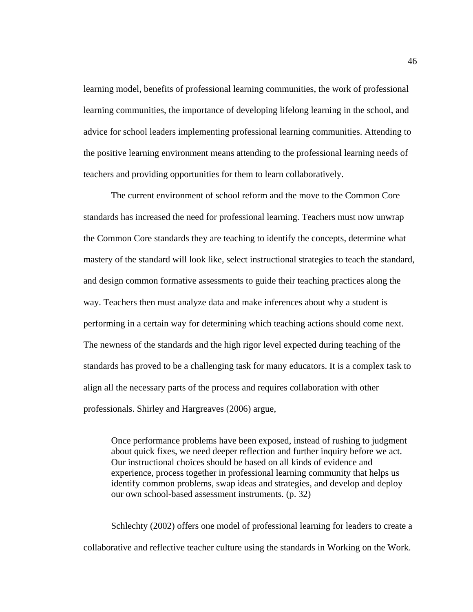learning model, benefits of professional learning communities, the work of professional learning communities, the importance of developing lifelong learning in the school, and advice for school leaders implementing professional learning communities. Attending to the positive learning environment means attending to the professional learning needs of teachers and providing opportunities for them to learn collaboratively.

The current environment of school reform and the move to the Common Core standards has increased the need for professional learning. Teachers must now unwrap the Common Core standards they are teaching to identify the concepts, determine what mastery of the standard will look like, select instructional strategies to teach the standard, and design common formative assessments to guide their teaching practices along the way. Teachers then must analyze data and make inferences about why a student is performing in a certain way for determining which teaching actions should come next. The newness of the standards and the high rigor level expected during teaching of the standards has proved to be a challenging task for many educators. It is a complex task to align all the necessary parts of the process and requires collaboration with other professionals. Shirley and Hargreaves (2006) argue,

Once performance problems have been exposed, instead of rushing to judgment about quick fixes, we need deeper reflection and further inquiry before we act. Our instructional choices should be based on all kinds of evidence and experience, process together in professional learning community that helps us identify common problems, swap ideas and strategies, and develop and deploy our own school-based assessment instruments. (p. 32)

Schlechty (2002) offers one model of professional learning for leaders to create a collaborative and reflective teacher culture using the standards in Working on the Work.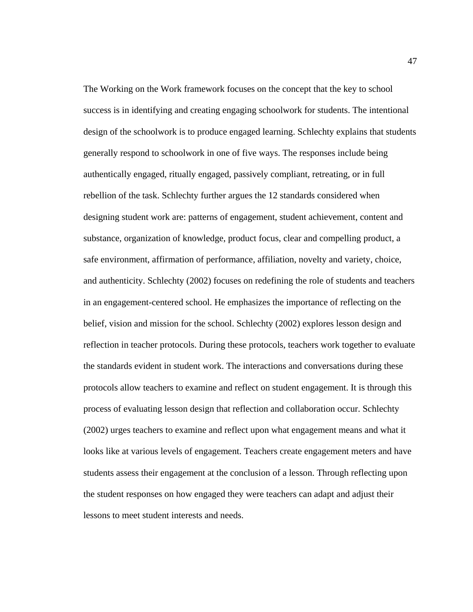The Working on the Work framework focuses on the concept that the key to school success is in identifying and creating engaging schoolwork for students. The intentional design of the schoolwork is to produce engaged learning. Schlechty explains that students generally respond to schoolwork in one of five ways. The responses include being authentically engaged, ritually engaged, passively compliant, retreating, or in full rebellion of the task. Schlechty further argues the 12 standards considered when designing student work are: patterns of engagement, student achievement, content and substance, organization of knowledge, product focus, clear and compelling product, a safe environment, affirmation of performance, affiliation, novelty and variety, choice, and authenticity. Schlechty (2002) focuses on redefining the role of students and teachers in an engagement-centered school. He emphasizes the importance of reflecting on the belief, vision and mission for the school. Schlechty (2002) explores lesson design and reflection in teacher protocols. During these protocols, teachers work together to evaluate the standards evident in student work. The interactions and conversations during these protocols allow teachers to examine and reflect on student engagement. It is through this process of evaluating lesson design that reflection and collaboration occur. Schlechty (2002) urges teachers to examine and reflect upon what engagement means and what it looks like at various levels of engagement. Teachers create engagement meters and have students assess their engagement at the conclusion of a lesson. Through reflecting upon the student responses on how engaged they were teachers can adapt and adjust their lessons to meet student interests and needs.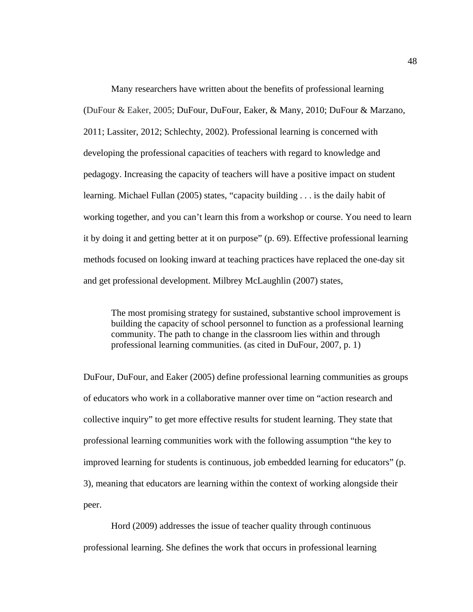Many researchers have written about the benefits of professional learning (DuFour & Eaker, 2005; DuFour, DuFour, Eaker, & Many, 2010; DuFour & Marzano, 2011; Lassiter, 2012; Schlechty, 2002). Professional learning is concerned with developing the professional capacities of teachers with regard to knowledge and pedagogy. Increasing the capacity of teachers will have a positive impact on student learning. Michael Fullan (2005) states, "capacity building . . . is the daily habit of working together, and you can't learn this from a workshop or course. You need to learn it by doing it and getting better at it on purpose" (p. 69). Effective professional learning methods focused on looking inward at teaching practices have replaced the one-day sit and get professional development. Milbrey McLaughlin (2007) states,

The most promising strategy for sustained, substantive school improvement is building the capacity of school personnel to function as a professional learning community. The path to change in the classroom lies within and through professional learning communities. (as cited in DuFour, 2007, p. 1)

DuFour, DuFour, and Eaker (2005) define professional learning communities as groups of educators who work in a collaborative manner over time on "action research and collective inquiry" to get more effective results for student learning. They state that professional learning communities work with the following assumption "the key to improved learning for students is continuous, job embedded learning for educators" (p. 3), meaning that educators are learning within the context of working alongside their peer.

Hord (2009) addresses the issue of teacher quality through continuous professional learning. She defines the work that occurs in professional learning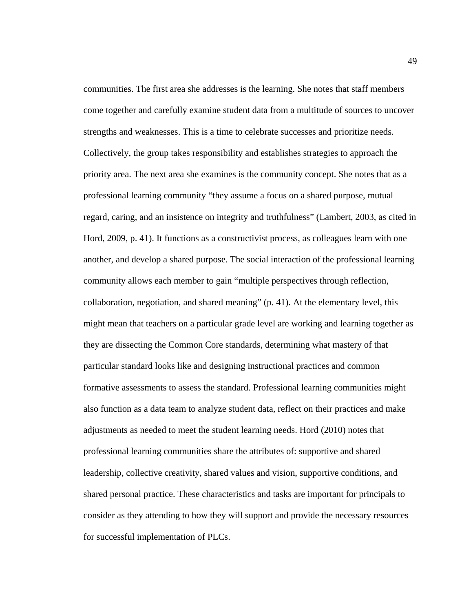communities. The first area she addresses is the learning. She notes that staff members come together and carefully examine student data from a multitude of sources to uncover strengths and weaknesses. This is a time to celebrate successes and prioritize needs. Collectively, the group takes responsibility and establishes strategies to approach the priority area. The next area she examines is the community concept. She notes that as a professional learning community "they assume a focus on a shared purpose, mutual regard, caring, and an insistence on integrity and truthfulness" (Lambert, 2003, as cited in Hord, 2009, p. 41). It functions as a constructivist process, as colleagues learn with one another, and develop a shared purpose. The social interaction of the professional learning community allows each member to gain "multiple perspectives through reflection, collaboration, negotiation, and shared meaning" (p. 41). At the elementary level, this might mean that teachers on a particular grade level are working and learning together as they are dissecting the Common Core standards, determining what mastery of that particular standard looks like and designing instructional practices and common formative assessments to assess the standard. Professional learning communities might also function as a data team to analyze student data, reflect on their practices and make adjustments as needed to meet the student learning needs. Hord (2010) notes that professional learning communities share the attributes of: supportive and shared leadership, collective creativity, shared values and vision, supportive conditions, and shared personal practice. These characteristics and tasks are important for principals to consider as they attending to how they will support and provide the necessary resources for successful implementation of PLCs.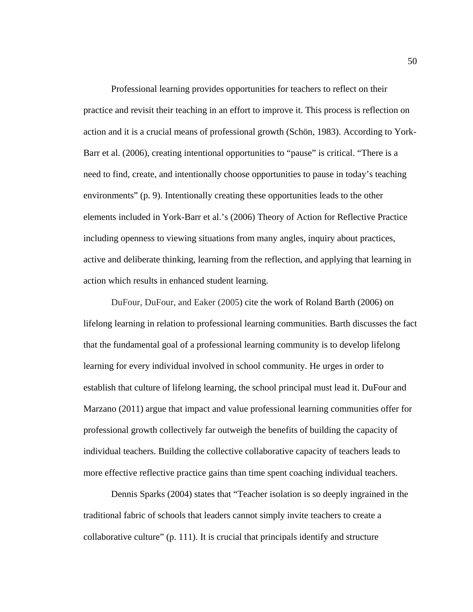Professional learning provides opportunities for teachers to reflect on their practice and revisit their teaching in an effort to improve it. This process is reflection on action and it is a crucial means of professional growth (Schön, 1983). According to York-Barr et al. (2006), creating intentional opportunities to "pause" is critical. "There is a need to find, create, and intentionally choose opportunities to pause in today's teaching environments" (p. 9). Intentionally creating these opportunities leads to the other elements included in York-Barr et al.'s (2006) Theory of Action for Reflective Practice including openness to viewing situations from many angles, inquiry about practices, active and deliberate thinking, learning from the reflection, and applying that learning in action which results in enhanced student learning.

DuFour, DuFour, and Eaker (2005) cite the work of Roland Barth (2006) on lifelong learning in relation to professional learning communities. Barth discusses the fact that the fundamental goal of a professional learning community is to develop lifelong learning for every individual involved in school community. He urges in order to establish that culture of lifelong learning, the school principal must lead it. DuFour and Marzano (2011) argue that impact and value professional learning communities offer for professional growth collectively far outweigh the benefits of building the capacity of individual teachers. Building the collective collaborative capacity of teachers leads to more effective reflective practice gains than time spent coaching individual teachers.

 Dennis Sparks (2004) states that "Teacher isolation is so deeply ingrained in the traditional fabric of schools that leaders cannot simply invite teachers to create a collaborative culture" (p. 111). It is crucial that principals identify and structure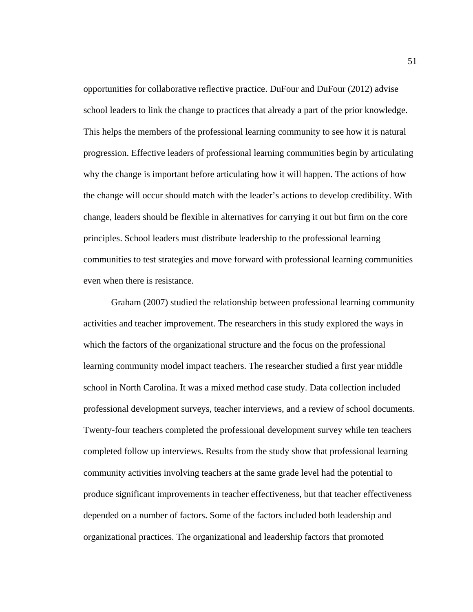opportunities for collaborative reflective practice. DuFour and DuFour (2012) advise school leaders to link the change to practices that already a part of the prior knowledge. This helps the members of the professional learning community to see how it is natural progression. Effective leaders of professional learning communities begin by articulating why the change is important before articulating how it will happen. The actions of how the change will occur should match with the leader's actions to develop credibility. With change, leaders should be flexible in alternatives for carrying it out but firm on the core principles. School leaders must distribute leadership to the professional learning communities to test strategies and move forward with professional learning communities even when there is resistance.

 Graham (2007) studied the relationship between professional learning community activities and teacher improvement. The researchers in this study explored the ways in which the factors of the organizational structure and the focus on the professional learning community model impact teachers. The researcher studied a first year middle school in North Carolina. It was a mixed method case study. Data collection included professional development surveys, teacher interviews, and a review of school documents. Twenty-four teachers completed the professional development survey while ten teachers completed follow up interviews. Results from the study show that professional learning community activities involving teachers at the same grade level had the potential to produce significant improvements in teacher effectiveness, but that teacher effectiveness depended on a number of factors. Some of the factors included both leadership and organizational practices. The organizational and leadership factors that promoted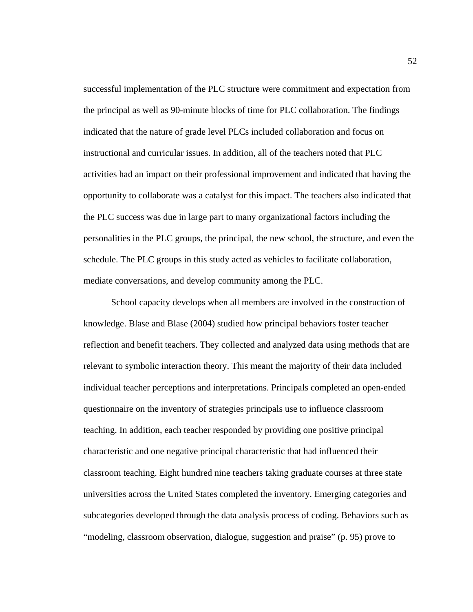successful implementation of the PLC structure were commitment and expectation from the principal as well as 90-minute blocks of time for PLC collaboration. The findings indicated that the nature of grade level PLCs included collaboration and focus on instructional and curricular issues. In addition, all of the teachers noted that PLC activities had an impact on their professional improvement and indicated that having the opportunity to collaborate was a catalyst for this impact. The teachers also indicated that the PLC success was due in large part to many organizational factors including the personalities in the PLC groups, the principal, the new school, the structure, and even the schedule. The PLC groups in this study acted as vehicles to facilitate collaboration, mediate conversations, and develop community among the PLC.

 School capacity develops when all members are involved in the construction of knowledge. Blase and Blase (2004) studied how principal behaviors foster teacher reflection and benefit teachers. They collected and analyzed data using methods that are relevant to symbolic interaction theory. This meant the majority of their data included individual teacher perceptions and interpretations. Principals completed an open-ended questionnaire on the inventory of strategies principals use to influence classroom teaching. In addition, each teacher responded by providing one positive principal characteristic and one negative principal characteristic that had influenced their classroom teaching. Eight hundred nine teachers taking graduate courses at three state universities across the United States completed the inventory. Emerging categories and subcategories developed through the data analysis process of coding. Behaviors such as "modeling, classroom observation, dialogue, suggestion and praise" (p. 95) prove to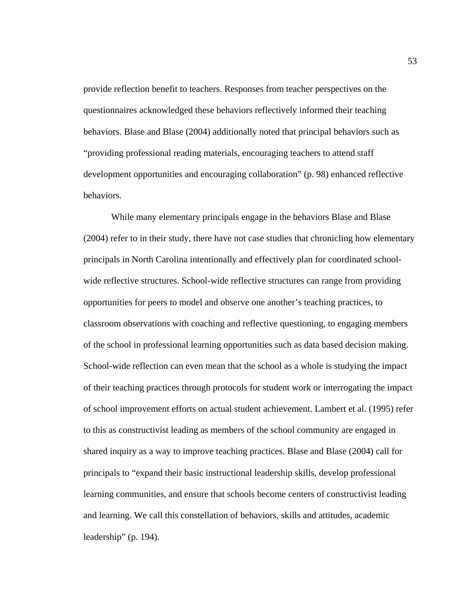provide reflection benefit to teachers. Responses from teacher perspectives on the questionnaires acknowledged these behaviors reflectively informed their teaching behaviors. Blase and Blase (2004) additionally noted that principal behaviors such as "providing professional reading materials, encouraging teachers to attend staff development opportunities and encouraging collaboration" (p. 98) enhanced reflective behaviors.

 While many elementary principals engage in the behaviors Blase and Blase (2004) refer to in their study, there have not case studies that chronicling how elementary principals in North Carolina intentionally and effectively plan for coordinated schoolwide reflective structures. School-wide reflective structures can range from providing opportunities for peers to model and observe one another's teaching practices, to classroom observations with coaching and reflective questioning, to engaging members of the school in professional learning opportunities such as data based decision making. School-wide reflection can even mean that the school as a whole is studying the impact of their teaching practices through protocols for student work or interrogating the impact of school improvement efforts on actual student achievement. Lambert et al. (1995) refer to this as constructivist leading as members of the school community are engaged in shared inquiry as a way to improve teaching practices. Blase and Blase (2004) call for principals to "expand their basic instructional leadership skills, develop professional learning communities, and ensure that schools become centers of constructivist leading and learning. We call this constellation of behaviors, skills and attitudes, academic leadership" (p. 194).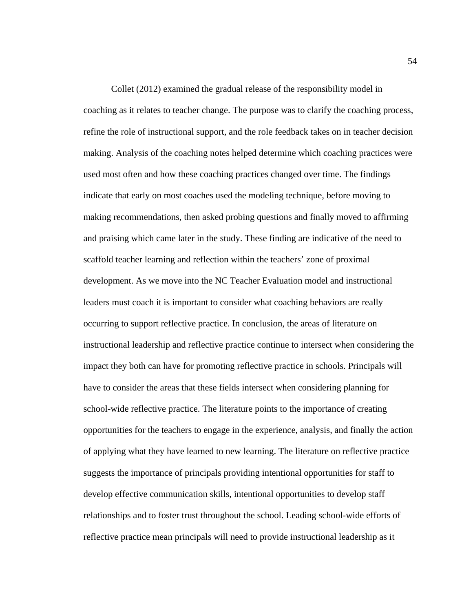Collet (2012) examined the gradual release of the responsibility model in coaching as it relates to teacher change. The purpose was to clarify the coaching process, refine the role of instructional support, and the role feedback takes on in teacher decision making. Analysis of the coaching notes helped determine which coaching practices were used most often and how these coaching practices changed over time. The findings indicate that early on most coaches used the modeling technique, before moving to making recommendations, then asked probing questions and finally moved to affirming and praising which came later in the study. These finding are indicative of the need to scaffold teacher learning and reflection within the teachers' zone of proximal development. As we move into the NC Teacher Evaluation model and instructional leaders must coach it is important to consider what coaching behaviors are really occurring to support reflective practice. In conclusion, the areas of literature on instructional leadership and reflective practice continue to intersect when considering the impact they both can have for promoting reflective practice in schools. Principals will have to consider the areas that these fields intersect when considering planning for school-wide reflective practice. The literature points to the importance of creating opportunities for the teachers to engage in the experience, analysis, and finally the action of applying what they have learned to new learning. The literature on reflective practice suggests the importance of principals providing intentional opportunities for staff to develop effective communication skills, intentional opportunities to develop staff relationships and to foster trust throughout the school. Leading school-wide efforts of reflective practice mean principals will need to provide instructional leadership as it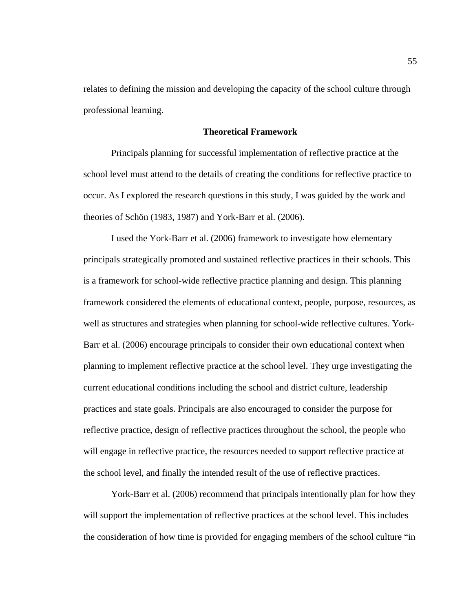relates to defining the mission and developing the capacity of the school culture through professional learning.

# **Theoretical Framework**

 Principals planning for successful implementation of reflective practice at the school level must attend to the details of creating the conditions for reflective practice to occur. As I explored the research questions in this study, I was guided by the work and theories of Schön (1983, 1987) and York-Barr et al. (2006).

I used the York-Barr et al. (2006) framework to investigate how elementary principals strategically promoted and sustained reflective practices in their schools. This is a framework for school-wide reflective practice planning and design. This planning framework considered the elements of educational context, people, purpose, resources, as well as structures and strategies when planning for school-wide reflective cultures. York-Barr et al. (2006) encourage principals to consider their own educational context when planning to implement reflective practice at the school level. They urge investigating the current educational conditions including the school and district culture, leadership practices and state goals. Principals are also encouraged to consider the purpose for reflective practice, design of reflective practices throughout the school, the people who will engage in reflective practice, the resources needed to support reflective practice at the school level, and finally the intended result of the use of reflective practices.

York-Barr et al. (2006) recommend that principals intentionally plan for how they will support the implementation of reflective practices at the school level. This includes the consideration of how time is provided for engaging members of the school culture "in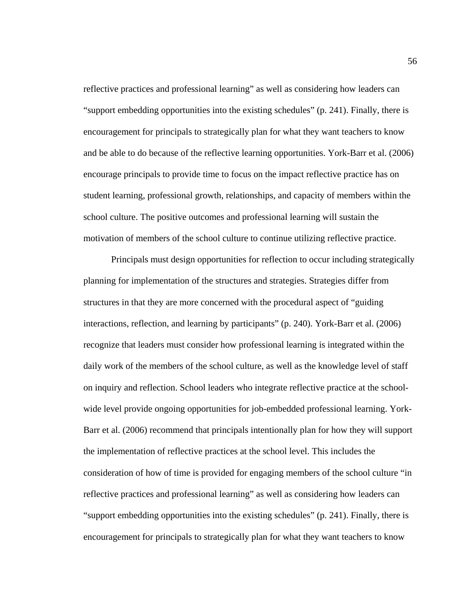reflective practices and professional learning" as well as considering how leaders can "support embedding opportunities into the existing schedules" (p. 241). Finally, there is encouragement for principals to strategically plan for what they want teachers to know and be able to do because of the reflective learning opportunities. York-Barr et al. (2006) encourage principals to provide time to focus on the impact reflective practice has on student learning, professional growth, relationships, and capacity of members within the school culture. The positive outcomes and professional learning will sustain the motivation of members of the school culture to continue utilizing reflective practice.

 Principals must design opportunities for reflection to occur including strategically planning for implementation of the structures and strategies. Strategies differ from structures in that they are more concerned with the procedural aspect of "guiding interactions, reflection, and learning by participants" (p. 240). York-Barr et al. (2006) recognize that leaders must consider how professional learning is integrated within the daily work of the members of the school culture, as well as the knowledge level of staff on inquiry and reflection. School leaders who integrate reflective practice at the schoolwide level provide ongoing opportunities for job-embedded professional learning. York-Barr et al. (2006) recommend that principals intentionally plan for how they will support the implementation of reflective practices at the school level. This includes the consideration of how of time is provided for engaging members of the school culture "in reflective practices and professional learning" as well as considering how leaders can "support embedding opportunities into the existing schedules" (p. 241). Finally, there is encouragement for principals to strategically plan for what they want teachers to know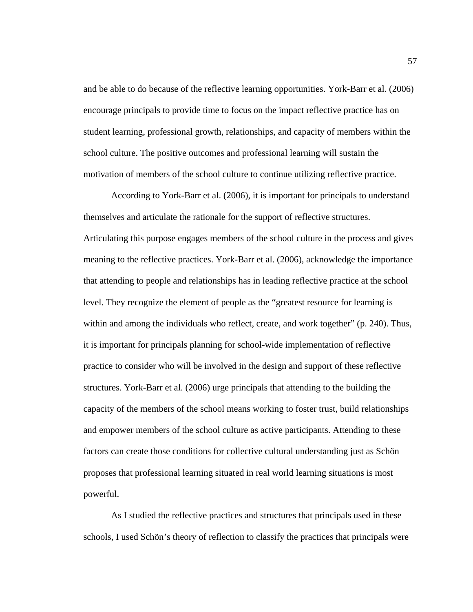and be able to do because of the reflective learning opportunities. York-Barr et al. (2006) encourage principals to provide time to focus on the impact reflective practice has on student learning, professional growth, relationships, and capacity of members within the school culture. The positive outcomes and professional learning will sustain the motivation of members of the school culture to continue utilizing reflective practice.

 According to York-Barr et al. (2006), it is important for principals to understand themselves and articulate the rationale for the support of reflective structures. Articulating this purpose engages members of the school culture in the process and gives meaning to the reflective practices. York-Barr et al. (2006), acknowledge the importance that attending to people and relationships has in leading reflective practice at the school level. They recognize the element of people as the "greatest resource for learning is within and among the individuals who reflect, create, and work together" (p. 240). Thus, it is important for principals planning for school-wide implementation of reflective practice to consider who will be involved in the design and support of these reflective structures. York-Barr et al. (2006) urge principals that attending to the building the capacity of the members of the school means working to foster trust, build relationships and empower members of the school culture as active participants. Attending to these factors can create those conditions for collective cultural understanding just as Schön proposes that professional learning situated in real world learning situations is most powerful.

 As I studied the reflective practices and structures that principals used in these schools, I used Schön's theory of reflection to classify the practices that principals were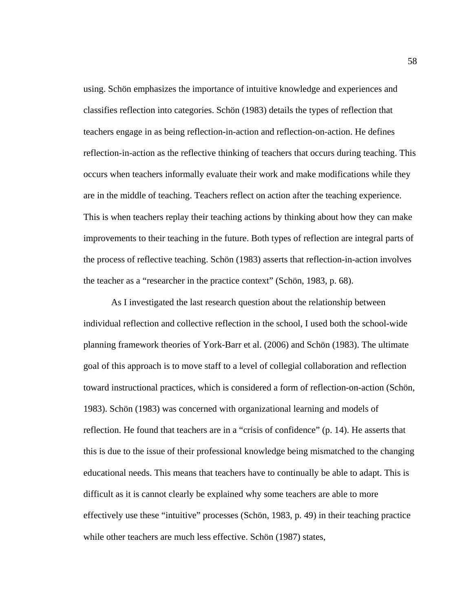using. Schön emphasizes the importance of intuitive knowledge and experiences and classifies reflection into categories. Schön (1983) details the types of reflection that teachers engage in as being reflection-in-action and reflection-on-action. He defines reflection-in-action as the reflective thinking of teachers that occurs during teaching. This occurs when teachers informally evaluate their work and make modifications while they are in the middle of teaching. Teachers reflect on action after the teaching experience. This is when teachers replay their teaching actions by thinking about how they can make improvements to their teaching in the future. Both types of reflection are integral parts of the process of reflective teaching. Schön (1983) asserts that reflection-in-action involves the teacher as a "researcher in the practice context" (Schön, 1983, p. 68).

 As I investigated the last research question about the relationship between individual reflection and collective reflection in the school, I used both the school-wide planning framework theories of York-Barr et al. (2006) and Schön (1983). The ultimate goal of this approach is to move staff to a level of collegial collaboration and reflection toward instructional practices, which is considered a form of reflection-on-action (Schön, 1983). Schön (1983) was concerned with organizational learning and models of reflection. He found that teachers are in a "crisis of confidence" (p. 14). He asserts that this is due to the issue of their professional knowledge being mismatched to the changing educational needs. This means that teachers have to continually be able to adapt. This is difficult as it is cannot clearly be explained why some teachers are able to more effectively use these "intuitive" processes (Schön, 1983, p. 49) in their teaching practice while other teachers are much less effective. Schön (1987) states,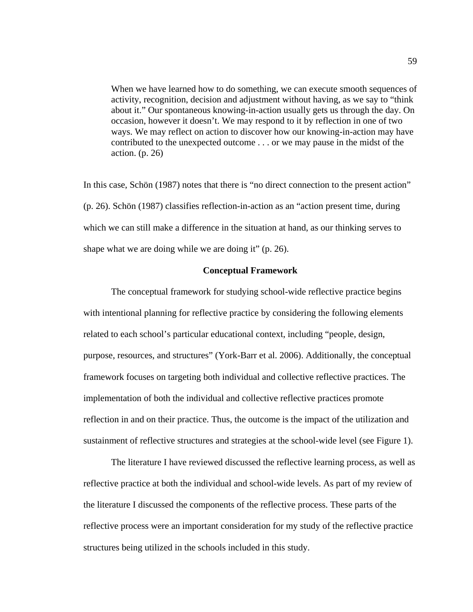When we have learned how to do something, we can execute smooth sequences of activity, recognition, decision and adjustment without having, as we say to "think about it." Our spontaneous knowing-in-action usually gets us through the day. On occasion, however it doesn't. We may respond to it by reflection in one of two ways. We may reflect on action to discover how our knowing-in-action may have contributed to the unexpected outcome . . . or we may pause in the midst of the action. (p. 26)

In this case, Schön (1987) notes that there is "no direct connection to the present action" (p. 26). Schön (1987) classifies reflection-in-action as an "action present time, during which we can still make a difference in the situation at hand, as our thinking serves to shape what we are doing while we are doing it" (p. 26).

#### **Conceptual Framework**

The conceptual framework for studying school-wide reflective practice begins with intentional planning for reflective practice by considering the following elements related to each school's particular educational context, including "people, design, purpose, resources, and structures" (York-Barr et al. 2006). Additionally, the conceptual framework focuses on targeting both individual and collective reflective practices. The implementation of both the individual and collective reflective practices promote reflection in and on their practice. Thus, the outcome is the impact of the utilization and sustainment of reflective structures and strategies at the school-wide level (see Figure 1).

 The literature I have reviewed discussed the reflective learning process, as well as reflective practice at both the individual and school-wide levels. As part of my review of the literature I discussed the components of the reflective process. These parts of the reflective process were an important consideration for my study of the reflective practice structures being utilized in the schools included in this study.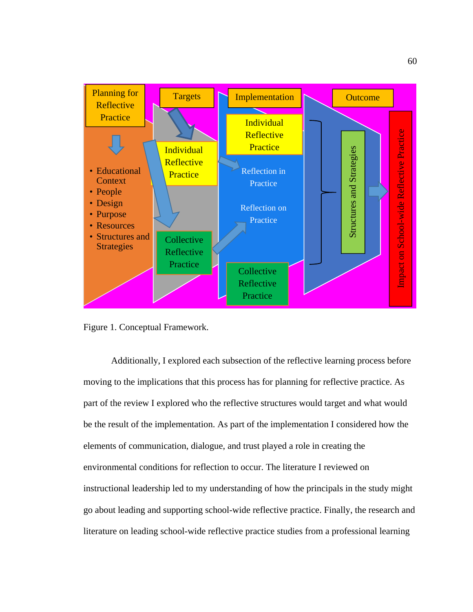

Figure 1. Conceptual Framework.

Additionally, I explored each subsection of the reflective learning process before moving to the implications that this process has for planning for reflective practice. As part of the review I explored who the reflective structures would target and what would be the result of the implementation. As part of the implementation I considered how the elements of communication, dialogue, and trust played a role in creating the environmental conditions for reflection to occur. The literature I reviewed on instructional leadership led to my understanding of how the principals in the study might go about leading and supporting school-wide reflective practice. Finally, the research and literature on leading school-wide reflective practice studies from a professional learning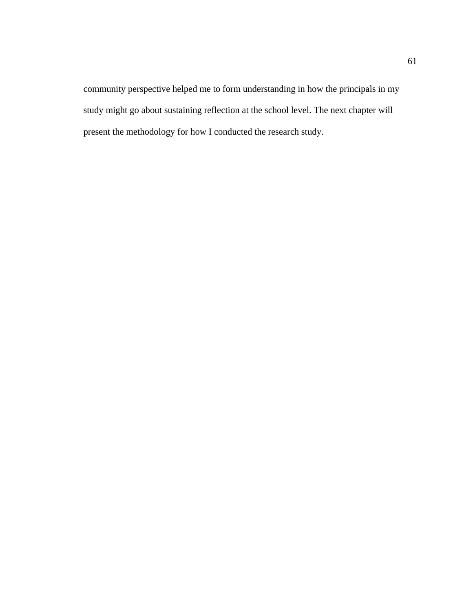community perspective helped me to form understanding in how the principals in my study might go about sustaining reflection at the school level. The next chapter will present the methodology for how I conducted the research study.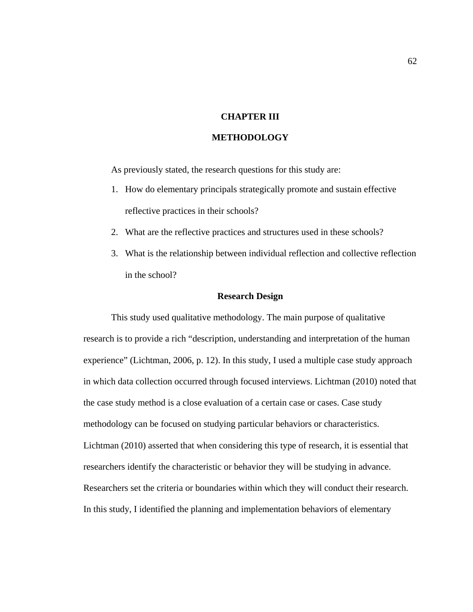### **CHAPTER III**

### **METHODOLOGY**

As previously stated, the research questions for this study are:

- 1. How do elementary principals strategically promote and sustain effective reflective practices in their schools?
- 2. What are the reflective practices and structures used in these schools?
- 3. What is the relationship between individual reflection and collective reflection in the school?

#### **Research Design**

This study used qualitative methodology. The main purpose of qualitative research is to provide a rich "description, understanding and interpretation of the human experience" (Lichtman, 2006, p. 12). In this study, I used a multiple case study approach in which data collection occurred through focused interviews. Lichtman (2010) noted that the case study method is a close evaluation of a certain case or cases. Case study methodology can be focused on studying particular behaviors or characteristics. Lichtman (2010) asserted that when considering this type of research, it is essential that researchers identify the characteristic or behavior they will be studying in advance. Researchers set the criteria or boundaries within which they will conduct their research. In this study, I identified the planning and implementation behaviors of elementary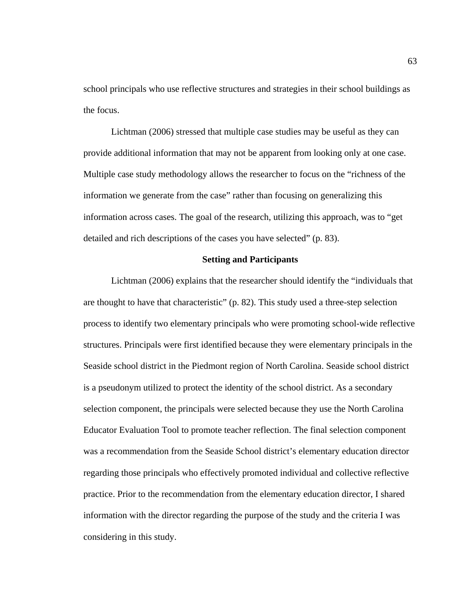school principals who use reflective structures and strategies in their school buildings as the focus.

Lichtman (2006) stressed that multiple case studies may be useful as they can provide additional information that may not be apparent from looking only at one case. Multiple case study methodology allows the researcher to focus on the "richness of the information we generate from the case" rather than focusing on generalizing this information across cases. The goal of the research, utilizing this approach, was to "get detailed and rich descriptions of the cases you have selected" (p. 83).

#### **Setting and Participants**

Lichtman (2006) explains that the researcher should identify the "individuals that are thought to have that characteristic" (p. 82). This study used a three-step selection process to identify two elementary principals who were promoting school-wide reflective structures. Principals were first identified because they were elementary principals in the Seaside school district in the Piedmont region of North Carolina. Seaside school district is a pseudonym utilized to protect the identity of the school district. As a secondary selection component, the principals were selected because they use the North Carolina Educator Evaluation Tool to promote teacher reflection. The final selection component was a recommendation from the Seaside School district's elementary education director regarding those principals who effectively promoted individual and collective reflective practice. Prior to the recommendation from the elementary education director, I shared information with the director regarding the purpose of the study and the criteria I was considering in this study.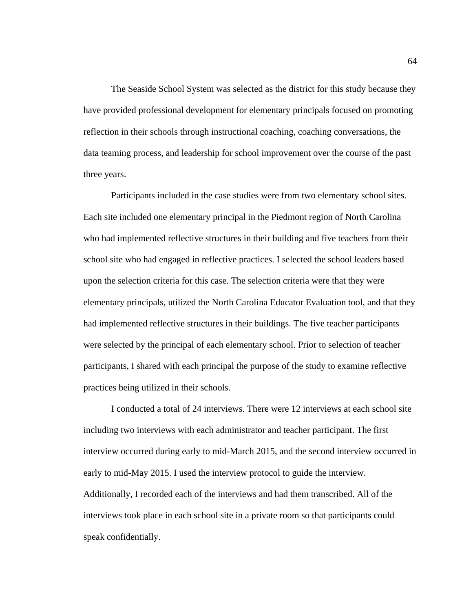The Seaside School System was selected as the district for this study because they have provided professional development for elementary principals focused on promoting reflection in their schools through instructional coaching, coaching conversations, the data teaming process, and leadership for school improvement over the course of the past three years.

Participants included in the case studies were from two elementary school sites. Each site included one elementary principal in the Piedmont region of North Carolina who had implemented reflective structures in their building and five teachers from their school site who had engaged in reflective practices. I selected the school leaders based upon the selection criteria for this case. The selection criteria were that they were elementary principals, utilized the North Carolina Educator Evaluation tool, and that they had implemented reflective structures in their buildings. The five teacher participants were selected by the principal of each elementary school. Prior to selection of teacher participants, I shared with each principal the purpose of the study to examine reflective practices being utilized in their schools.

I conducted a total of 24 interviews. There were 12 interviews at each school site including two interviews with each administrator and teacher participant. The first interview occurred during early to mid-March 2015, and the second interview occurred in early to mid-May 2015. I used the interview protocol to guide the interview. Additionally, I recorded each of the interviews and had them transcribed. All of the interviews took place in each school site in a private room so that participants could speak confidentially.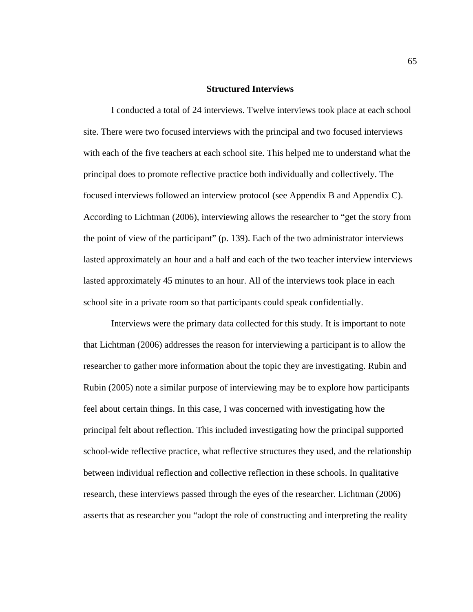### **Structured Interviews**

I conducted a total of 24 interviews. Twelve interviews took place at each school site. There were two focused interviews with the principal and two focused interviews with each of the five teachers at each school site. This helped me to understand what the principal does to promote reflective practice both individually and collectively. The focused interviews followed an interview protocol (see Appendix B and Appendix C). According to Lichtman (2006), interviewing allows the researcher to "get the story from the point of view of the participant" (p. 139). Each of the two administrator interviews lasted approximately an hour and a half and each of the two teacher interview interviews lasted approximately 45 minutes to an hour. All of the interviews took place in each school site in a private room so that participants could speak confidentially.

Interviews were the primary data collected for this study. It is important to note that Lichtman (2006) addresses the reason for interviewing a participant is to allow the researcher to gather more information about the topic they are investigating. Rubin and Rubin (2005) note a similar purpose of interviewing may be to explore how participants feel about certain things. In this case, I was concerned with investigating how the principal felt about reflection. This included investigating how the principal supported school-wide reflective practice, what reflective structures they used, and the relationship between individual reflection and collective reflection in these schools. In qualitative research, these interviews passed through the eyes of the researcher. Lichtman (2006) asserts that as researcher you "adopt the role of constructing and interpreting the reality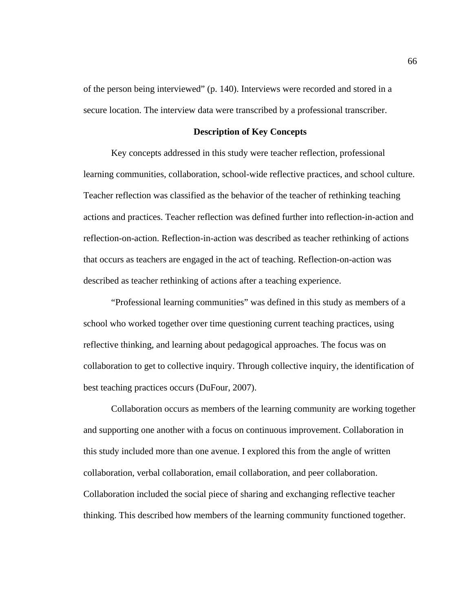of the person being interviewed" (p. 140). Interviews were recorded and stored in a secure location. The interview data were transcribed by a professional transcriber.

### **Description of Key Concepts**

Key concepts addressed in this study were teacher reflection, professional learning communities, collaboration, school-wide reflective practices, and school culture. Teacher reflection was classified as the behavior of the teacher of rethinking teaching actions and practices. Teacher reflection was defined further into reflection-in-action and reflection-on-action. Reflection-in-action was described as teacher rethinking of actions that occurs as teachers are engaged in the act of teaching. Reflection-on-action was described as teacher rethinking of actions after a teaching experience.

 "Professional learning communities" was defined in this study as members of a school who worked together over time questioning current teaching practices, using reflective thinking, and learning about pedagogical approaches. The focus was on collaboration to get to collective inquiry. Through collective inquiry, the identification of best teaching practices occurs (DuFour, 2007).

 Collaboration occurs as members of the learning community are working together and supporting one another with a focus on continuous improvement. Collaboration in this study included more than one avenue. I explored this from the angle of written collaboration, verbal collaboration, email collaboration, and peer collaboration. Collaboration included the social piece of sharing and exchanging reflective teacher thinking. This described how members of the learning community functioned together.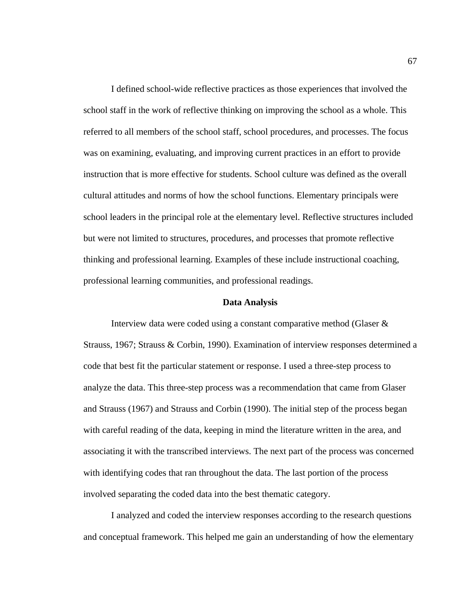I defined school-wide reflective practices as those experiences that involved the school staff in the work of reflective thinking on improving the school as a whole. This referred to all members of the school staff, school procedures, and processes. The focus was on examining, evaluating, and improving current practices in an effort to provide instruction that is more effective for students. School culture was defined as the overall cultural attitudes and norms of how the school functions. Elementary principals were school leaders in the principal role at the elementary level. Reflective structures included but were not limited to structures, procedures, and processes that promote reflective thinking and professional learning. Examples of these include instructional coaching, professional learning communities, and professional readings.

#### **Data Analysis**

Interview data were coded using a constant comparative method (Glaser & Strauss, 1967; Strauss & Corbin, 1990). Examination of interview responses determined a code that best fit the particular statement or response. I used a three-step process to analyze the data. This three-step process was a recommendation that came from Glaser and Strauss (1967) and Strauss and Corbin (1990). The initial step of the process began with careful reading of the data, keeping in mind the literature written in the area, and associating it with the transcribed interviews. The next part of the process was concerned with identifying codes that ran throughout the data. The last portion of the process involved separating the coded data into the best thematic category.

I analyzed and coded the interview responses according to the research questions and conceptual framework. This helped me gain an understanding of how the elementary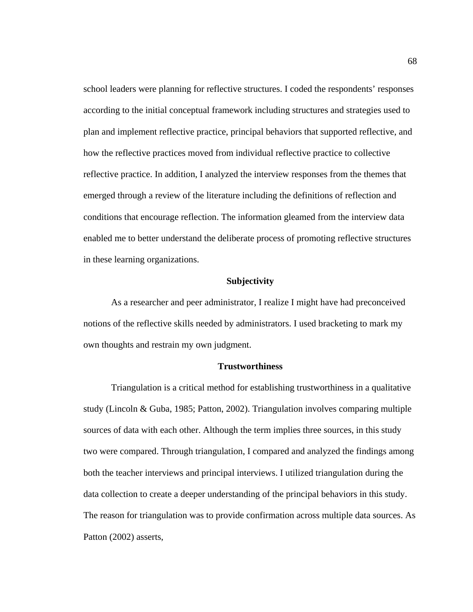school leaders were planning for reflective structures. I coded the respondents' responses according to the initial conceptual framework including structures and strategies used to plan and implement reflective practice, principal behaviors that supported reflective, and how the reflective practices moved from individual reflective practice to collective reflective practice. In addition, I analyzed the interview responses from the themes that emerged through a review of the literature including the definitions of reflection and conditions that encourage reflection. The information gleamed from the interview data enabled me to better understand the deliberate process of promoting reflective structures in these learning organizations.

### **Subjectivity**

As a researcher and peer administrator, I realize I might have had preconceived notions of the reflective skills needed by administrators. I used bracketing to mark my own thoughts and restrain my own judgment.

### **Trustworthiness**

Triangulation is a critical method for establishing trustworthiness in a qualitative study (Lincoln & Guba, 1985; Patton, 2002). Triangulation involves comparing multiple sources of data with each other. Although the term implies three sources, in this study two were compared. Through triangulation, I compared and analyzed the findings among both the teacher interviews and principal interviews. I utilized triangulation during the data collection to create a deeper understanding of the principal behaviors in this study. The reason for triangulation was to provide confirmation across multiple data sources. As Patton (2002) asserts,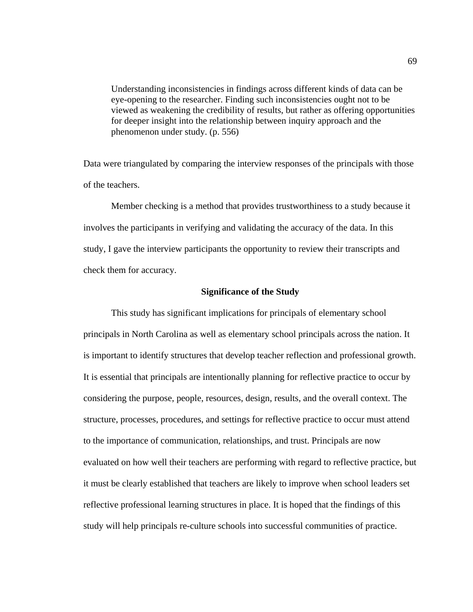Understanding inconsistencies in findings across different kinds of data can be eye-opening to the researcher. Finding such inconsistencies ought not to be viewed as weakening the credibility of results, but rather as offering opportunities for deeper insight into the relationship between inquiry approach and the phenomenon under study. (p. 556)

Data were triangulated by comparing the interview responses of the principals with those of the teachers.

Member checking is a method that provides trustworthiness to a study because it involves the participants in verifying and validating the accuracy of the data. In this study, I gave the interview participants the opportunity to review their transcripts and check them for accuracy.

### **Significance of the Study**

This study has significant implications for principals of elementary school principals in North Carolina as well as elementary school principals across the nation. It is important to identify structures that develop teacher reflection and professional growth. It is essential that principals are intentionally planning for reflective practice to occur by considering the purpose, people, resources, design, results, and the overall context. The structure, processes, procedures, and settings for reflective practice to occur must attend to the importance of communication, relationships, and trust. Principals are now evaluated on how well their teachers are performing with regard to reflective practice, but it must be clearly established that teachers are likely to improve when school leaders set reflective professional learning structures in place. It is hoped that the findings of this study will help principals re-culture schools into successful communities of practice.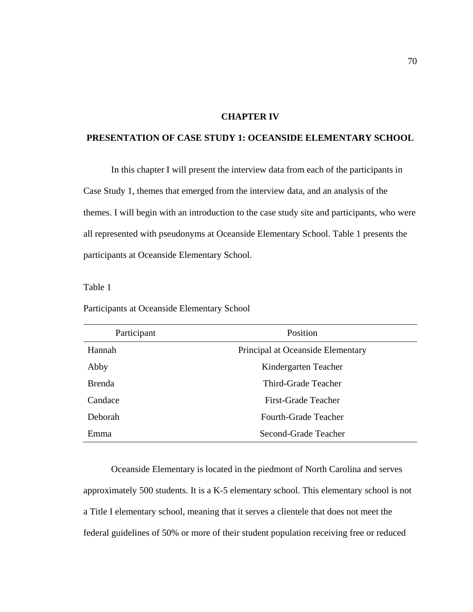### **CHAPTER IV**

### **PRESENTATION OF CASE STUDY 1: OCEANSIDE ELEMENTARY SCHOOL**

 In this chapter I will present the interview data from each of the participants in Case Study 1, themes that emerged from the interview data, and an analysis of the themes. I will begin with an introduction to the case study site and participants, who were all represented with pseudonyms at Oceanside Elementary School. Table 1 presents the participants at Oceanside Elementary School.

### Table 1

Participants at Oceanside Elementary School

| Participant   | Position                          |
|---------------|-----------------------------------|
| Hannah        | Principal at Oceanside Elementary |
| Abby          | Kindergarten Teacher              |
| <b>Brenda</b> | Third-Grade Teacher               |
| Candace       | First-Grade Teacher               |
| Deborah       | <b>Fourth-Grade Teacher</b>       |
| Emma          | Second-Grade Teacher              |

 Oceanside Elementary is located in the piedmont of North Carolina and serves approximately 500 students. It is a K-5 elementary school. This elementary school is not a Title I elementary school, meaning that it serves a clientele that does not meet the federal guidelines of 50% or more of their student population receiving free or reduced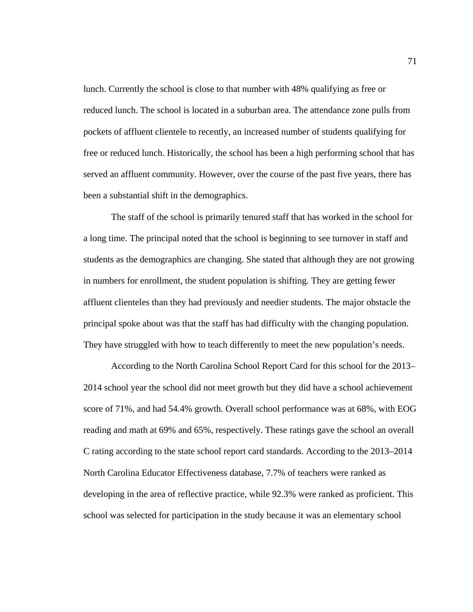lunch. Currently the school is close to that number with 48% qualifying as free or reduced lunch. The school is located in a suburban area. The attendance zone pulls from pockets of affluent clientele to recently, an increased number of students qualifying for free or reduced lunch. Historically, the school has been a high performing school that has served an affluent community. However, over the course of the past five years, there has been a substantial shift in the demographics.

The staff of the school is primarily tenured staff that has worked in the school for a long time. The principal noted that the school is beginning to see turnover in staff and students as the demographics are changing. She stated that although they are not growing in numbers for enrollment, the student population is shifting. They are getting fewer affluent clienteles than they had previously and needier students. The major obstacle the principal spoke about was that the staff has had difficulty with the changing population. They have struggled with how to teach differently to meet the new population's needs.

According to the North Carolina School Report Card for this school for the 2013– 2014 school year the school did not meet growth but they did have a school achievement score of 71%, and had 54.4% growth. Overall school performance was at 68%, with EOG reading and math at 69% and 65%, respectively. These ratings gave the school an overall C rating according to the state school report card standards. According to the 2013–2014 North Carolina Educator Effectiveness database, 7.7% of teachers were ranked as developing in the area of reflective practice, while 92.3% were ranked as proficient. This school was selected for participation in the study because it was an elementary school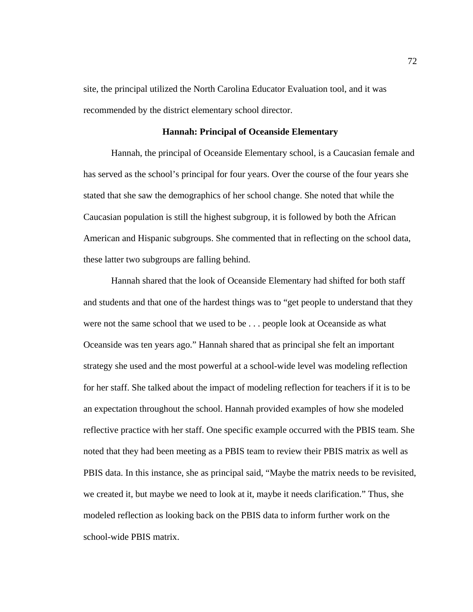site, the principal utilized the North Carolina Educator Evaluation tool, and it was recommended by the district elementary school director.

### **Hannah: Principal of Oceanside Elementary**

Hannah, the principal of Oceanside Elementary school, is a Caucasian female and has served as the school's principal for four years. Over the course of the four years she stated that she saw the demographics of her school change. She noted that while the Caucasian population is still the highest subgroup, it is followed by both the African American and Hispanic subgroups. She commented that in reflecting on the school data, these latter two subgroups are falling behind.

Hannah shared that the look of Oceanside Elementary had shifted for both staff and students and that one of the hardest things was to "get people to understand that they were not the same school that we used to be . . . people look at Oceanside as what Oceanside was ten years ago." Hannah shared that as principal she felt an important strategy she used and the most powerful at a school-wide level was modeling reflection for her staff. She talked about the impact of modeling reflection for teachers if it is to be an expectation throughout the school. Hannah provided examples of how she modeled reflective practice with her staff. One specific example occurred with the PBIS team. She noted that they had been meeting as a PBIS team to review their PBIS matrix as well as PBIS data. In this instance, she as principal said, "Maybe the matrix needs to be revisited, we created it, but maybe we need to look at it, maybe it needs clarification." Thus, she modeled reflection as looking back on the PBIS data to inform further work on the school-wide PBIS matrix.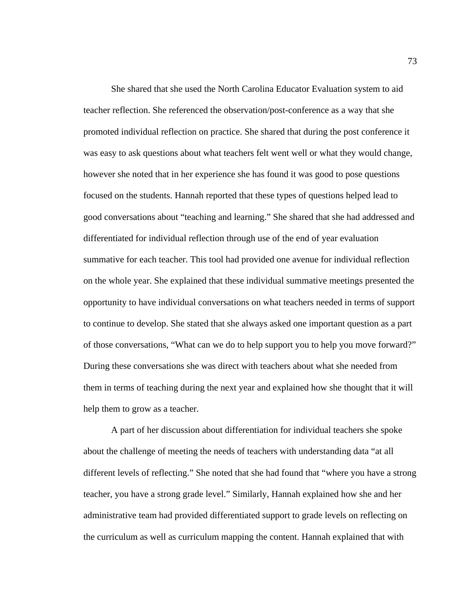She shared that she used the North Carolina Educator Evaluation system to aid teacher reflection. She referenced the observation/post-conference as a way that she promoted individual reflection on practice. She shared that during the post conference it was easy to ask questions about what teachers felt went well or what they would change, however she noted that in her experience she has found it was good to pose questions focused on the students. Hannah reported that these types of questions helped lead to good conversations about "teaching and learning." She shared that she had addressed and differentiated for individual reflection through use of the end of year evaluation summative for each teacher. This tool had provided one avenue for individual reflection on the whole year. She explained that these individual summative meetings presented the opportunity to have individual conversations on what teachers needed in terms of support to continue to develop. She stated that she always asked one important question as a part of those conversations, "What can we do to help support you to help you move forward?" During these conversations she was direct with teachers about what she needed from them in terms of teaching during the next year and explained how she thought that it will help them to grow as a teacher.

 A part of her discussion about differentiation for individual teachers she spoke about the challenge of meeting the needs of teachers with understanding data "at all different levels of reflecting." She noted that she had found that "where you have a strong teacher, you have a strong grade level." Similarly, Hannah explained how she and her administrative team had provided differentiated support to grade levels on reflecting on the curriculum as well as curriculum mapping the content. Hannah explained that with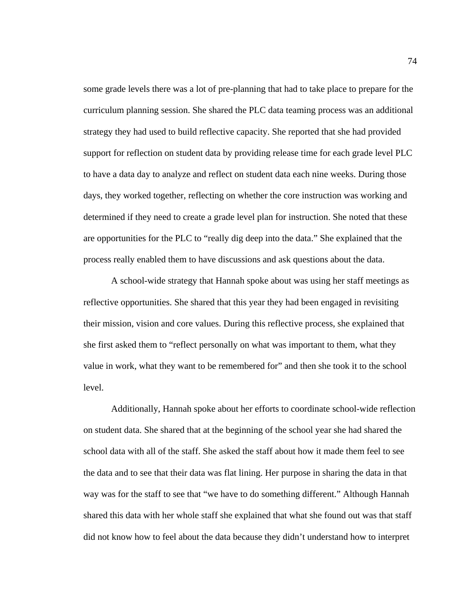some grade levels there was a lot of pre-planning that had to take place to prepare for the curriculum planning session. She shared the PLC data teaming process was an additional strategy they had used to build reflective capacity. She reported that she had provided support for reflection on student data by providing release time for each grade level PLC to have a data day to analyze and reflect on student data each nine weeks. During those days, they worked together, reflecting on whether the core instruction was working and determined if they need to create a grade level plan for instruction. She noted that these are opportunities for the PLC to "really dig deep into the data." She explained that the process really enabled them to have discussions and ask questions about the data.

A school-wide strategy that Hannah spoke about was using her staff meetings as reflective opportunities. She shared that this year they had been engaged in revisiting their mission, vision and core values. During this reflective process, she explained that she first asked them to "reflect personally on what was important to them, what they value in work, what they want to be remembered for" and then she took it to the school level.

Additionally, Hannah spoke about her efforts to coordinate school-wide reflection on student data. She shared that at the beginning of the school year she had shared the school data with all of the staff. She asked the staff about how it made them feel to see the data and to see that their data was flat lining. Her purpose in sharing the data in that way was for the staff to see that "we have to do something different." Although Hannah shared this data with her whole staff she explained that what she found out was that staff did not know how to feel about the data because they didn't understand how to interpret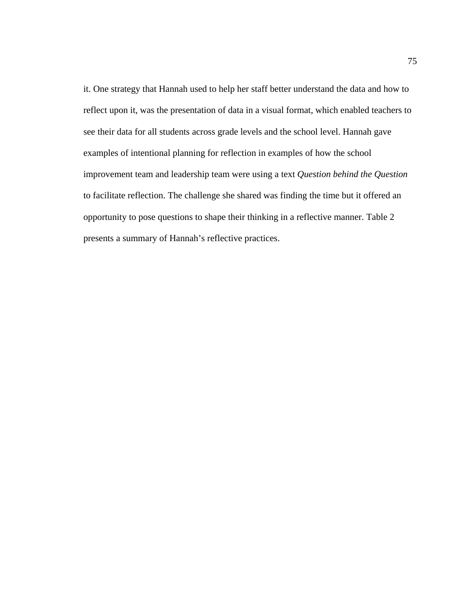it. One strategy that Hannah used to help her staff better understand the data and how to reflect upon it, was the presentation of data in a visual format, which enabled teachers to see their data for all students across grade levels and the school level. Hannah gave examples of intentional planning for reflection in examples of how the school improvement team and leadership team were using a text *Question behind the Question* to facilitate reflection. The challenge she shared was finding the time but it offered an opportunity to pose questions to shape their thinking in a reflective manner. Table 2 presents a summary of Hannah's reflective practices.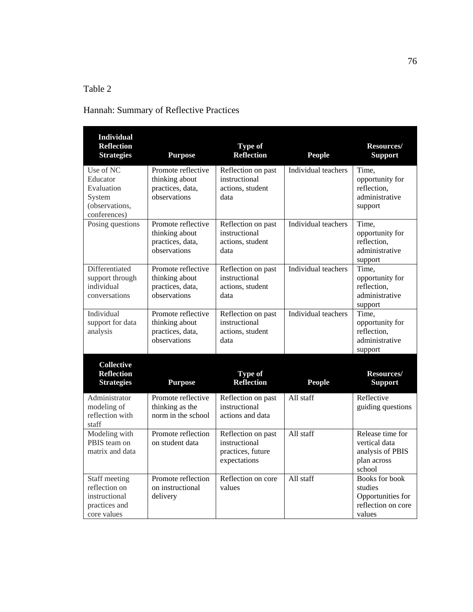## Table 2

# Hannah: Summary of Reflective Practices

| <b>Individual</b><br><b>Reflection</b><br><b>Strategies</b>                     | <b>Purpose</b>                                                           | <b>Type of</b><br><b>Reflection</b>                                      | <b>People</b>       | Resources/<br><b>Support</b>                                                          |
|---------------------------------------------------------------------------------|--------------------------------------------------------------------------|--------------------------------------------------------------------------|---------------------|---------------------------------------------------------------------------------------|
| Use of NC<br>Educator<br>Evaluation<br>System<br>(observations,<br>conferences) | Promote reflective<br>thinking about<br>practices, data,<br>observations | Reflection on past<br>instructional<br>actions, student<br>data          | Individual teachers | Time.<br>opportunity for<br>reflection,<br>administrative<br>support                  |
| Posing questions                                                                | Promote reflective<br>thinking about<br>practices, data,<br>observations | Reflection on past<br>instructional<br>actions, student<br>data          | Individual teachers | Time.<br>opportunity for<br>reflection.<br>administrative<br>support                  |
| Differentiated<br>support through<br>individual<br>conversations                | Promote reflective<br>thinking about<br>practices, data,<br>observations | Reflection on past<br>instructional<br>actions, student<br>data          | Individual teachers | Time,<br>opportunity for<br>reflection,<br>administrative<br>support                  |
| Individual<br>support for data<br>analysis                                      | Promote reflective<br>thinking about<br>practices, data,<br>observations | Reflection on past<br>instructional<br>actions, student<br>data          | Individual teachers | Time,<br>opportunity for<br>reflection.<br>administrative<br>support                  |
| <b>Collective</b><br><b>Reflection</b><br><b>Strategies</b>                     | <b>Purpose</b>                                                           | Type of<br><b>Reflection</b>                                             | <b>People</b>       | Resources/<br><b>Support</b>                                                          |
| Administrator<br>modeling of<br>reflection with<br>staff                        | Promote reflective<br>thinking as the<br>norm in the school              | Reflection on past<br>instructional<br>actions and data                  | All staff           | Reflective<br>guiding questions                                                       |
| Modeling with<br>PBIS team on<br>matrix and data                                | Promote reflection<br>on student data                                    | Reflection on past<br>instructional<br>practices, future<br>expectations | All staff           | Release time for<br>vertical data<br>analysis of PBIS<br>plan across<br>school        |
| Staff meeting<br>reflection on<br>instructional<br>practices and<br>core values | Promote reflection<br>on instructional<br>delivery                       | Reflection on core<br>values                                             | All staff           | <b>Books</b> for book<br>studies<br>Opportunities for<br>reflection on core<br>values |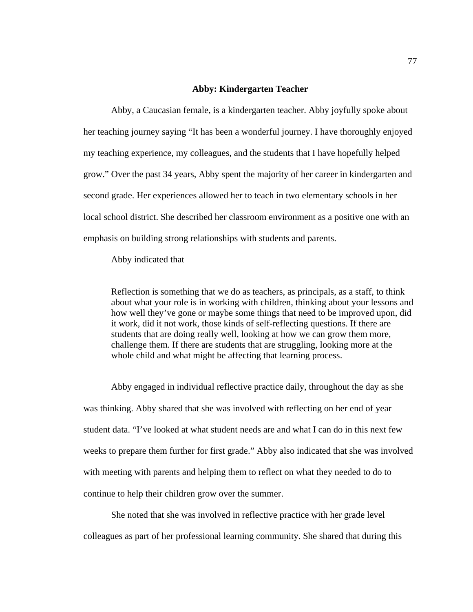#### **Abby: Kindergarten Teacher**

Abby, a Caucasian female, is a kindergarten teacher. Abby joyfully spoke about her teaching journey saying "It has been a wonderful journey. I have thoroughly enjoyed my teaching experience, my colleagues, and the students that I have hopefully helped grow." Over the past 34 years, Abby spent the majority of her career in kindergarten and second grade. Her experiences allowed her to teach in two elementary schools in her local school district. She described her classroom environment as a positive one with an emphasis on building strong relationships with students and parents.

Abby indicated that

Reflection is something that we do as teachers, as principals, as a staff, to think about what your role is in working with children, thinking about your lessons and how well they've gone or maybe some things that need to be improved upon, did it work, did it not work, those kinds of self-reflecting questions. If there are students that are doing really well, looking at how we can grow them more, challenge them. If there are students that are struggling, looking more at the whole child and what might be affecting that learning process.

Abby engaged in individual reflective practice daily, throughout the day as she was thinking. Abby shared that she was involved with reflecting on her end of year student data. "I've looked at what student needs are and what I can do in this next few weeks to prepare them further for first grade." Abby also indicated that she was involved with meeting with parents and helping them to reflect on what they needed to do to continue to help their children grow over the summer.

She noted that she was involved in reflective practice with her grade level colleagues as part of her professional learning community. She shared that during this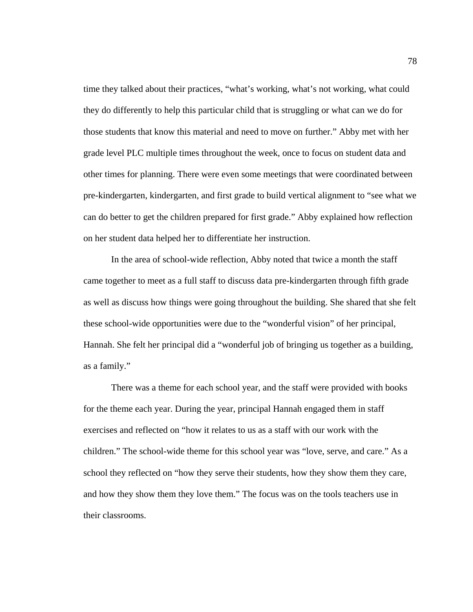time they talked about their practices, "what's working, what's not working, what could they do differently to help this particular child that is struggling or what can we do for those students that know this material and need to move on further." Abby met with her grade level PLC multiple times throughout the week, once to focus on student data and other times for planning. There were even some meetings that were coordinated between pre-kindergarten, kindergarten, and first grade to build vertical alignment to "see what we can do better to get the children prepared for first grade." Abby explained how reflection on her student data helped her to differentiate her instruction.

In the area of school-wide reflection, Abby noted that twice a month the staff came together to meet as a full staff to discuss data pre-kindergarten through fifth grade as well as discuss how things were going throughout the building. She shared that she felt these school-wide opportunities were due to the "wonderful vision" of her principal, Hannah. She felt her principal did a "wonderful job of bringing us together as a building, as a family."

There was a theme for each school year, and the staff were provided with books for the theme each year. During the year, principal Hannah engaged them in staff exercises and reflected on "how it relates to us as a staff with our work with the children." The school-wide theme for this school year was "love, serve, and care." As a school they reflected on "how they serve their students, how they show them they care, and how they show them they love them." The focus was on the tools teachers use in their classrooms.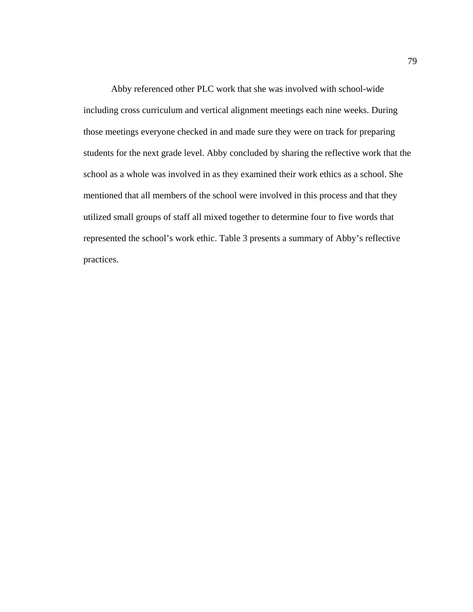Abby referenced other PLC work that she was involved with school-wide including cross curriculum and vertical alignment meetings each nine weeks. During those meetings everyone checked in and made sure they were on track for preparing students for the next grade level. Abby concluded by sharing the reflective work that the school as a whole was involved in as they examined their work ethics as a school. She mentioned that all members of the school were involved in this process and that they utilized small groups of staff all mixed together to determine four to five words that represented the school's work ethic. Table 3 presents a summary of Abby's reflective practices.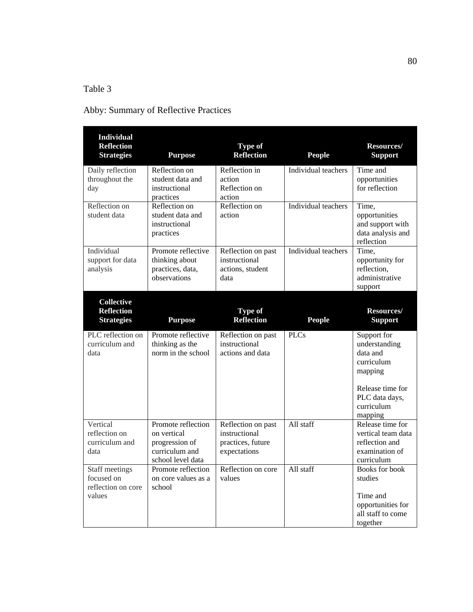## Table 3

# Abby: Summary of Reflective Practices

| <b>Individual</b><br><b>Reflection</b><br><b>Strategies</b>  | <b>Purpose</b>                                                                             | Type of<br><b>Reflection</b>                                             | <b>People</b>       | <b>Resources/</b><br><b>Support</b>                                                                                   |
|--------------------------------------------------------------|--------------------------------------------------------------------------------------------|--------------------------------------------------------------------------|---------------------|-----------------------------------------------------------------------------------------------------------------------|
| Daily reflection<br>throughout the<br>day                    | Reflection on<br>student data and<br>instructional<br>practices                            | Reflection in<br>action<br>Reflection on<br>action                       | Individual teachers | Time and<br>opportunities<br>for reflection                                                                           |
| Reflection on<br>student data                                | Reflection on<br>student data and<br>instructional<br>practices                            | Reflection on<br>action                                                  | Individual teachers | Time,<br>opportunities<br>and support with<br>data analysis and<br>reflection                                         |
| Individual<br>support for data<br>analysis                   | Promote reflective<br>thinking about<br>practices, data,<br>observations                   | Reflection on past<br>instructional<br>actions, student<br>data          | Individual teachers | Time.<br>opportunity for<br>reflection.<br>administrative<br>support                                                  |
| <b>Collective</b><br><b>Reflection</b><br><b>Strategies</b>  | <b>Purpose</b>                                                                             | <b>Type of</b><br><b>Reflection</b>                                      | <b>People</b>       | Resources/<br><b>Support</b>                                                                                          |
| PLC reflection on<br>curriculum and<br>data                  | Promote reflective<br>thinking as the<br>norm in the school                                | Reflection on past<br>instructional<br>actions and data                  | <b>PLCs</b>         | Support for<br>understanding<br>data and<br>curriculum<br>mapping<br>Release time for<br>PLC data days,<br>curriculum |
| Vertical<br>reflection on<br>curriculum and<br>data          | Promote reflection<br>on vertical<br>progression of<br>curriculum and<br>school level data | Reflection on past<br>instructional<br>practices, future<br>expectations | All staff           | mapping<br>Release time for<br>vertical team data<br>reflection and<br>examination of<br>curriculum                   |
| Staff meetings<br>focused on<br>reflection on core<br>values | Promote reflection<br>on core values as a<br>school                                        | Reflection on core<br>values                                             | All staff           | <b>Books for book</b><br>studies<br>Time and<br>opportunities for<br>all staff to come<br>together                    |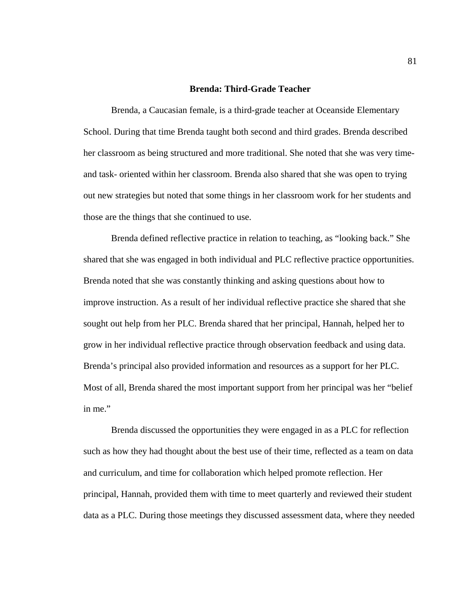### **Brenda: Third-Grade Teacher**

Brenda, a Caucasian female, is a third-grade teacher at Oceanside Elementary School. During that time Brenda taught both second and third grades. Brenda described her classroom as being structured and more traditional. She noted that she was very timeand task- oriented within her classroom. Brenda also shared that she was open to trying out new strategies but noted that some things in her classroom work for her students and those are the things that she continued to use.

Brenda defined reflective practice in relation to teaching, as "looking back." She shared that she was engaged in both individual and PLC reflective practice opportunities. Brenda noted that she was constantly thinking and asking questions about how to improve instruction. As a result of her individual reflective practice she shared that she sought out help from her PLC. Brenda shared that her principal, Hannah, helped her to grow in her individual reflective practice through observation feedback and using data. Brenda's principal also provided information and resources as a support for her PLC. Most of all, Brenda shared the most important support from her principal was her "belief in me."

Brenda discussed the opportunities they were engaged in as a PLC for reflection such as how they had thought about the best use of their time, reflected as a team on data and curriculum, and time for collaboration which helped promote reflection. Her principal, Hannah, provided them with time to meet quarterly and reviewed their student data as a PLC. During those meetings they discussed assessment data, where they needed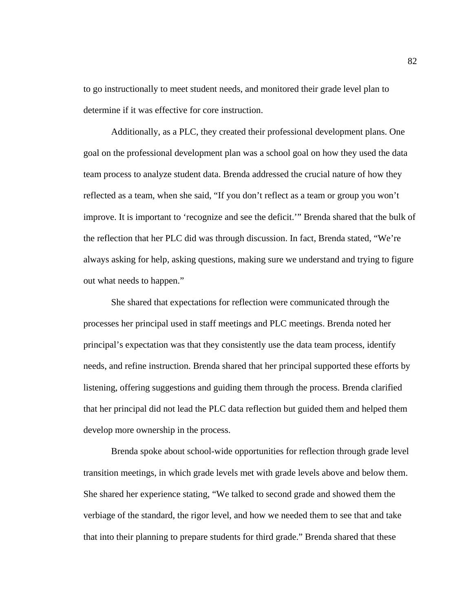to go instructionally to meet student needs, and monitored their grade level plan to determine if it was effective for core instruction.

Additionally, as a PLC, they created their professional development plans. One goal on the professional development plan was a school goal on how they used the data team process to analyze student data. Brenda addressed the crucial nature of how they reflected as a team, when she said, "If you don't reflect as a team or group you won't improve. It is important to 'recognize and see the deficit.'" Brenda shared that the bulk of the reflection that her PLC did was through discussion. In fact, Brenda stated, "We're always asking for help, asking questions, making sure we understand and trying to figure out what needs to happen."

She shared that expectations for reflection were communicated through the processes her principal used in staff meetings and PLC meetings. Brenda noted her principal's expectation was that they consistently use the data team process, identify needs, and refine instruction. Brenda shared that her principal supported these efforts by listening, offering suggestions and guiding them through the process. Brenda clarified that her principal did not lead the PLC data reflection but guided them and helped them develop more ownership in the process.

 Brenda spoke about school-wide opportunities for reflection through grade level transition meetings, in which grade levels met with grade levels above and below them. She shared her experience stating, "We talked to second grade and showed them the verbiage of the standard, the rigor level, and how we needed them to see that and take that into their planning to prepare students for third grade." Brenda shared that these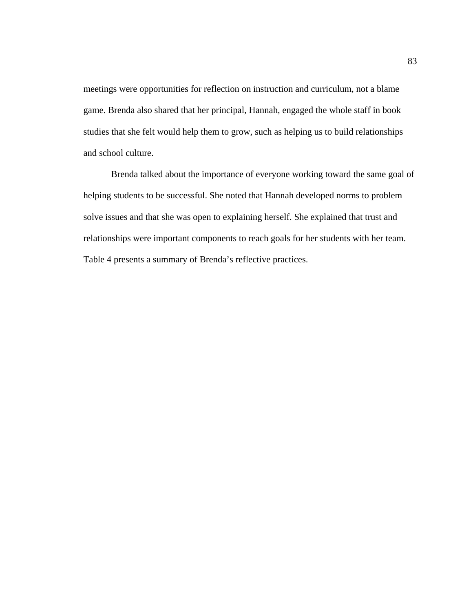meetings were opportunities for reflection on instruction and curriculum, not a blame game. Brenda also shared that her principal, Hannah, engaged the whole staff in book studies that she felt would help them to grow, such as helping us to build relationships and school culture.

Brenda talked about the importance of everyone working toward the same goal of helping students to be successful. She noted that Hannah developed norms to problem solve issues and that she was open to explaining herself. She explained that trust and relationships were important components to reach goals for her students with her team. Table 4 presents a summary of Brenda's reflective practices.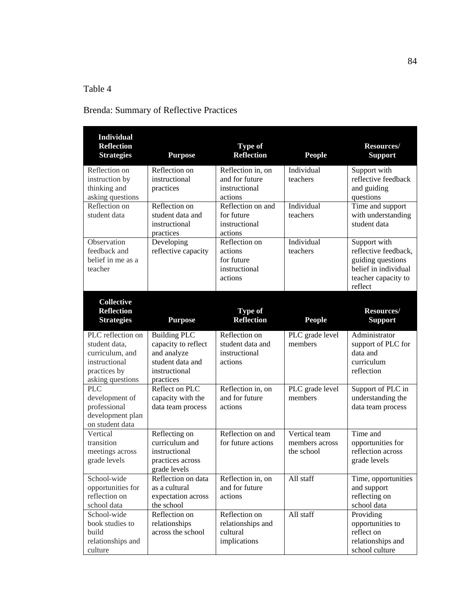## Table 4

# Brenda: Summary of Reflective Practices

| <b>Individual</b><br><b>Reflection</b><br><b>Strategies</b>                                                | <b>Purpose</b>                                                                                              | Type of<br><b>Reflection</b>                                       | <b>People</b>                                 | <b>Resources/</b><br><b>Support</b>                                                                                 |
|------------------------------------------------------------------------------------------------------------|-------------------------------------------------------------------------------------------------------------|--------------------------------------------------------------------|-----------------------------------------------|---------------------------------------------------------------------------------------------------------------------|
| Reflection on<br>instruction by<br>thinking and<br>asking questions                                        | Reflection on<br>instructional<br>practices                                                                 | Reflection in, on<br>and for future<br>instructional<br>actions    | Individual<br>teachers                        | Support with<br>reflective feedback<br>and guiding<br>questions                                                     |
| Reflection on<br>student data                                                                              | Reflection on<br>student data and<br>instructional<br>practices                                             | Reflection on and<br>for future<br>instructional<br>actions        | Individual<br>teachers                        | Time and support<br>with understanding<br>student data                                                              |
| Observation<br>feedback and<br>belief in me as a<br>teacher                                                | Developing<br>reflective capacity                                                                           | Reflection on<br>actions<br>for future<br>instructional<br>actions | Individual<br>teachers                        | Support with<br>reflective feedback,<br>guiding questions<br>belief in individual<br>teacher capacity to<br>reflect |
| <b>Collective</b><br><b>Reflection</b><br><b>Strategies</b>                                                | <b>Purpose</b>                                                                                              | Type of<br><b>Reflection</b>                                       | <b>People</b>                                 | Resources/<br><b>Support</b>                                                                                        |
| PLC reflection on<br>student data,<br>curriculum, and<br>instructional<br>practices by<br>asking questions | <b>Building PLC</b><br>capacity to reflect<br>and analyze<br>student data and<br>instructional<br>practices | Reflection on<br>student data and<br>instructional<br>actions      | PLC grade level<br>members                    | Administrator<br>support of PLC for<br>data and<br>curriculum<br>reflection                                         |
| <b>PLC</b><br>development of<br>professional<br>development plan<br>on student data                        | Reflect on PLC<br>capacity with the<br>data team process                                                    | Reflection in, on<br>and for future<br>actions                     | PLC grade level<br>members                    | Support of PLC in<br>understanding the<br>data team process                                                         |
| Vertical<br>transition<br>meetings across<br>grade levels                                                  | Reflecting on<br>curriculum and<br>instructional<br>practices across<br>grade levels                        | Reflection on and<br>for future actions                            | Vertical team<br>members across<br>the school | Time and<br>opportunities for<br>reflection across<br>grade levels                                                  |
| School-wide<br>opportunities for<br>reflection on<br>school data                                           | Reflection on data<br>as a cultural<br>expectation across<br>the school                                     | Reflection in, on<br>and for future<br>actions                     | All staff                                     | Time, opportunities<br>and support<br>reflecting on<br>school data                                                  |
| School-wide<br>book studies to<br>build<br>relationships and<br>culture                                    | Reflection on<br>relationships<br>across the school                                                         | Reflection on<br>relationships and<br>cultural<br>implications     | All staff                                     | Providing<br>opportunities to<br>reflect on<br>relationships and<br>school culture                                  |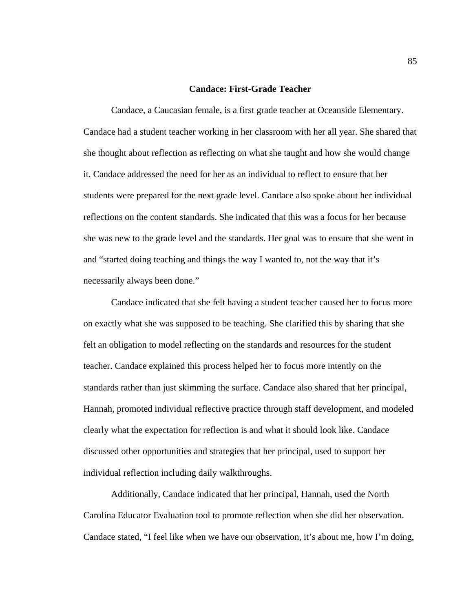### **Candace: First-Grade Teacher**

Candace, a Caucasian female, is a first grade teacher at Oceanside Elementary. Candace had a student teacher working in her classroom with her all year. She shared that she thought about reflection as reflecting on what she taught and how she would change it. Candace addressed the need for her as an individual to reflect to ensure that her students were prepared for the next grade level. Candace also spoke about her individual reflections on the content standards. She indicated that this was a focus for her because she was new to the grade level and the standards. Her goal was to ensure that she went in and "started doing teaching and things the way I wanted to, not the way that it's necessarily always been done."

 Candace indicated that she felt having a student teacher caused her to focus more on exactly what she was supposed to be teaching. She clarified this by sharing that she felt an obligation to model reflecting on the standards and resources for the student teacher. Candace explained this process helped her to focus more intently on the standards rather than just skimming the surface. Candace also shared that her principal, Hannah, promoted individual reflective practice through staff development, and modeled clearly what the expectation for reflection is and what it should look like. Candace discussed other opportunities and strategies that her principal, used to support her individual reflection including daily walkthroughs.

 Additionally, Candace indicated that her principal, Hannah, used the North Carolina Educator Evaluation tool to promote reflection when she did her observation. Candace stated, "I feel like when we have our observation, it's about me, how I'm doing,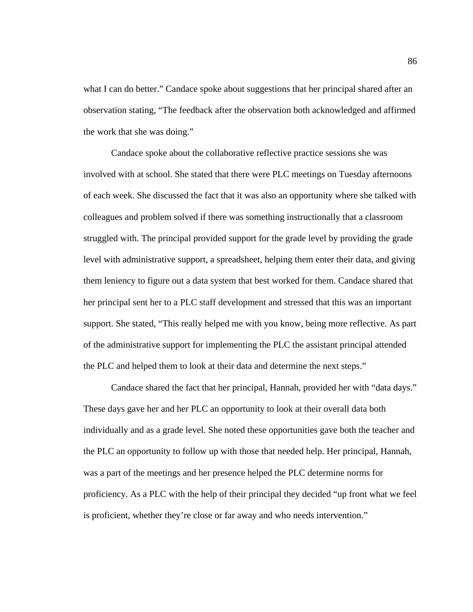what I can do better." Candace spoke about suggestions that her principal shared after an observation stating, "The feedback after the observation both acknowledged and affirmed the work that she was doing."

 Candace spoke about the collaborative reflective practice sessions she was involved with at school. She stated that there were PLC meetings on Tuesday afternoons of each week. She discussed the fact that it was also an opportunity where she talked with colleagues and problem solved if there was something instructionally that a classroom struggled with. The principal provided support for the grade level by providing the grade level with administrative support, a spreadsheet, helping them enter their data, and giving them leniency to figure out a data system that best worked for them. Candace shared that her principal sent her to a PLC staff development and stressed that this was an important support. She stated, "This really helped me with you know, being more reflective. As part of the administrative support for implementing the PLC the assistant principal attended the PLC and helped them to look at their data and determine the next steps."

 Candace shared the fact that her principal, Hannah, provided her with "data days." These days gave her and her PLC an opportunity to look at their overall data both individually and as a grade level. She noted these opportunities gave both the teacher and the PLC an opportunity to follow up with those that needed help. Her principal, Hannah, was a part of the meetings and her presence helped the PLC determine norms for proficiency. As a PLC with the help of their principal they decided "up front what we feel is proficient, whether they're close or far away and who needs intervention."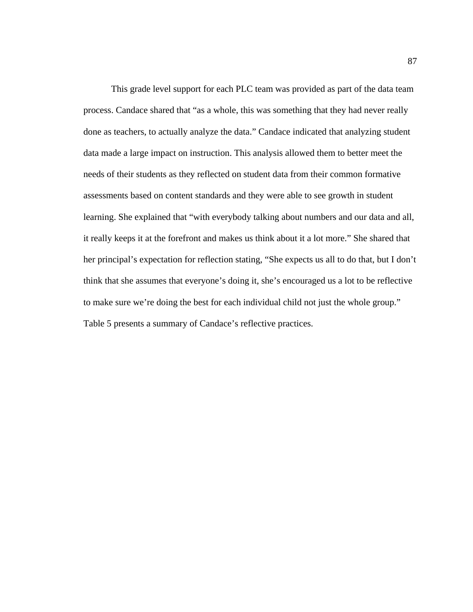This grade level support for each PLC team was provided as part of the data team process. Candace shared that "as a whole, this was something that they had never really done as teachers, to actually analyze the data." Candace indicated that analyzing student data made a large impact on instruction. This analysis allowed them to better meet the needs of their students as they reflected on student data from their common formative assessments based on content standards and they were able to see growth in student learning. She explained that "with everybody talking about numbers and our data and all, it really keeps it at the forefront and makes us think about it a lot more." She shared that her principal's expectation for reflection stating, "She expects us all to do that, but I don't think that she assumes that everyone's doing it, she's encouraged us a lot to be reflective to make sure we're doing the best for each individual child not just the whole group." Table 5 presents a summary of Candace's reflective practices.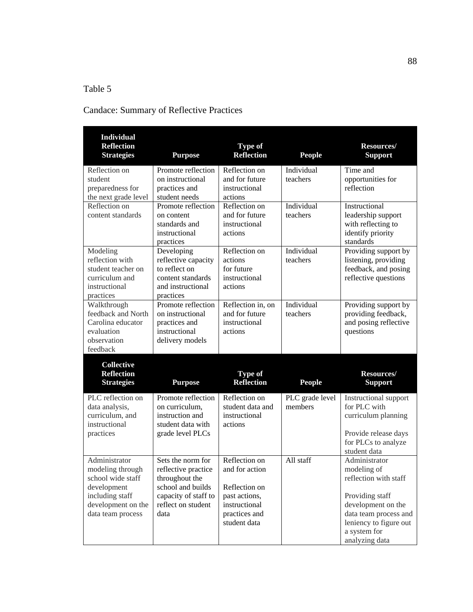## Table 5

# Candace: Summary of Reflective Practices

| <b>Individual</b><br><b>Reflection</b><br><b>Strategies</b>                                                                         | <b>Purpose</b>                                                                                                                        | <b>Type of</b><br><b>Reflection</b>                                                                                 | <b>People</b>              | Resources/<br><b>Support</b>                                                                                                                                                        |
|-------------------------------------------------------------------------------------------------------------------------------------|---------------------------------------------------------------------------------------------------------------------------------------|---------------------------------------------------------------------------------------------------------------------|----------------------------|-------------------------------------------------------------------------------------------------------------------------------------------------------------------------------------|
| Reflection on<br>student<br>preparedness for<br>the next grade level                                                                | Promote reflection<br>on instructional<br>practices and<br>student needs                                                              | Reflection on<br>and for future<br>instructional<br>actions                                                         | Individual<br>teachers     | Time and<br>opportunities for<br>reflection                                                                                                                                         |
| Reflection on<br>content standards                                                                                                  | Promote reflection<br>on content<br>standards and<br>instructional<br>practices                                                       | Reflection on<br>and for future<br>instructional<br>actions                                                         | Individual<br>teachers     | Instructional<br>leadership support<br>with reflecting to<br>identify priority<br>standards                                                                                         |
| Modeling<br>reflection with<br>student teacher on<br>curriculum and<br>instructional<br>practices                                   | Developing<br>reflective capacity<br>to reflect on<br>content standards<br>and instructional<br>practices                             | Reflection on<br>actions<br>for future<br>instructional<br>actions                                                  | Individual<br>teachers     | Providing support by<br>listening, providing<br>feedback, and posing<br>reflective questions                                                                                        |
| Walkthrough<br>feedback and North<br>Carolina educator<br>evaluation<br>observation<br>feedback                                     | Promote reflection<br>on instructional<br>practices and<br>instructional<br>delivery models                                           | Reflection in, on<br>and for future<br>instructional<br>actions                                                     | Individual<br>teachers     | Providing support by<br>providing feedback,<br>and posing reflective<br>questions                                                                                                   |
| <b>Collective</b><br><b>Reflection</b><br><b>Strategies</b>                                                                         | <b>Purpose</b>                                                                                                                        | <b>Type of</b><br><b>Reflection</b>                                                                                 | <b>People</b>              | Resources/<br><b>Support</b>                                                                                                                                                        |
| PLC reflection on<br>data analysis,<br>curriculum, and<br>instructional<br>practices                                                | Promote reflection<br>on curriculum,<br>instruction and<br>student data with<br>grade level PLCs                                      | Reflection on<br>student data and<br>instructional<br>actions                                                       | PLC grade level<br>members | Instructional support<br>for PLC with<br>curriculum planning<br>Provide release days<br>for PLCs to analyze<br>student data                                                         |
| Administrator<br>modeling through<br>school wide staff<br>development<br>including staff<br>development on the<br>data team process | Sets the norm for<br>reflective practice<br>throughout the<br>school and builds<br>capacity of staff to<br>reflect on student<br>data | Reflection on<br>and for action<br>Reflection on<br>past actions,<br>instructional<br>practices and<br>student data | All staff                  | Administrator<br>modeling of<br>reflection with staff<br>Providing staff<br>development on the<br>data team process and<br>leniency to figure out<br>a system for<br>analyzing data |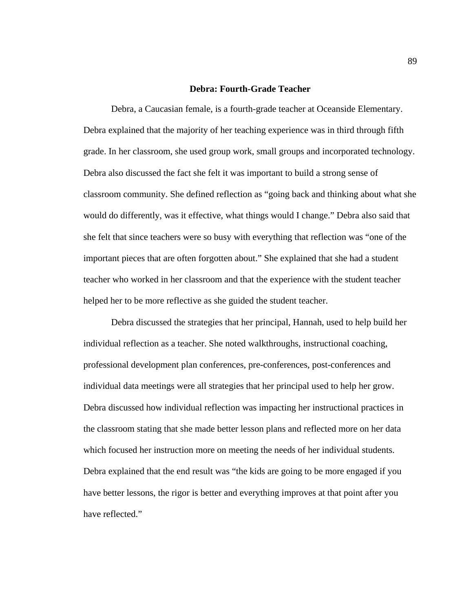### **Debra: Fourth-Grade Teacher**

Debra, a Caucasian female, is a fourth-grade teacher at Oceanside Elementary. Debra explained that the majority of her teaching experience was in third through fifth grade. In her classroom, she used group work, small groups and incorporated technology. Debra also discussed the fact she felt it was important to build a strong sense of classroom community. She defined reflection as "going back and thinking about what she would do differently, was it effective, what things would I change." Debra also said that she felt that since teachers were so busy with everything that reflection was "one of the important pieces that are often forgotten about." She explained that she had a student teacher who worked in her classroom and that the experience with the student teacher helped her to be more reflective as she guided the student teacher.

Debra discussed the strategies that her principal, Hannah, used to help build her individual reflection as a teacher. She noted walkthroughs, instructional coaching, professional development plan conferences, pre-conferences, post-conferences and individual data meetings were all strategies that her principal used to help her grow. Debra discussed how individual reflection was impacting her instructional practices in the classroom stating that she made better lesson plans and reflected more on her data which focused her instruction more on meeting the needs of her individual students. Debra explained that the end result was "the kids are going to be more engaged if you have better lessons, the rigor is better and everything improves at that point after you have reflected."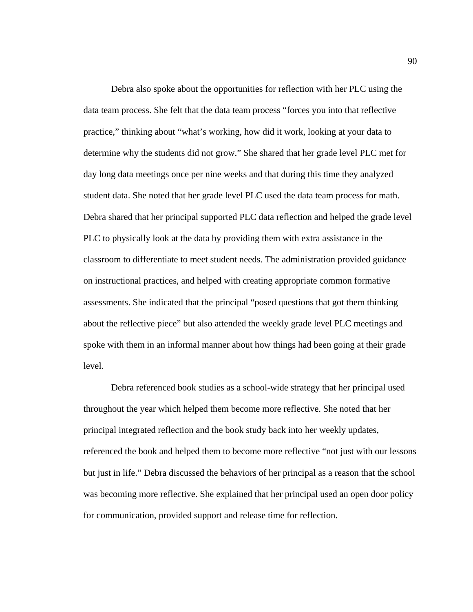Debra also spoke about the opportunities for reflection with her PLC using the data team process. She felt that the data team process "forces you into that reflective practice," thinking about "what's working, how did it work, looking at your data to determine why the students did not grow." She shared that her grade level PLC met for day long data meetings once per nine weeks and that during this time they analyzed student data. She noted that her grade level PLC used the data team process for math. Debra shared that her principal supported PLC data reflection and helped the grade level PLC to physically look at the data by providing them with extra assistance in the classroom to differentiate to meet student needs. The administration provided guidance on instructional practices, and helped with creating appropriate common formative assessments. She indicated that the principal "posed questions that got them thinking about the reflective piece" but also attended the weekly grade level PLC meetings and spoke with them in an informal manner about how things had been going at their grade level.

Debra referenced book studies as a school-wide strategy that her principal used throughout the year which helped them become more reflective. She noted that her principal integrated reflection and the book study back into her weekly updates, referenced the book and helped them to become more reflective "not just with our lessons but just in life." Debra discussed the behaviors of her principal as a reason that the school was becoming more reflective. She explained that her principal used an open door policy for communication, provided support and release time for reflection.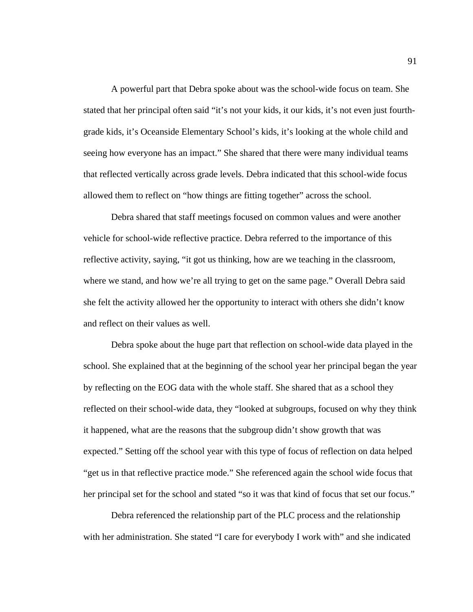A powerful part that Debra spoke about was the school-wide focus on team. She stated that her principal often said "it's not your kids, it our kids, it's not even just fourthgrade kids, it's Oceanside Elementary School's kids, it's looking at the whole child and seeing how everyone has an impact." She shared that there were many individual teams that reflected vertically across grade levels. Debra indicated that this school-wide focus allowed them to reflect on "how things are fitting together" across the school.

 Debra shared that staff meetings focused on common values and were another vehicle for school-wide reflective practice. Debra referred to the importance of this reflective activity, saying, "it got us thinking, how are we teaching in the classroom, where we stand, and how we're all trying to get on the same page." Overall Debra said she felt the activity allowed her the opportunity to interact with others she didn't know and reflect on their values as well.

Debra spoke about the huge part that reflection on school-wide data played in the school. She explained that at the beginning of the school year her principal began the year by reflecting on the EOG data with the whole staff. She shared that as a school they reflected on their school-wide data, they "looked at subgroups, focused on why they think it happened, what are the reasons that the subgroup didn't show growth that was expected." Setting off the school year with this type of focus of reflection on data helped "get us in that reflective practice mode." She referenced again the school wide focus that her principal set for the school and stated "so it was that kind of focus that set our focus."

 Debra referenced the relationship part of the PLC process and the relationship with her administration. She stated "I care for everybody I work with" and she indicated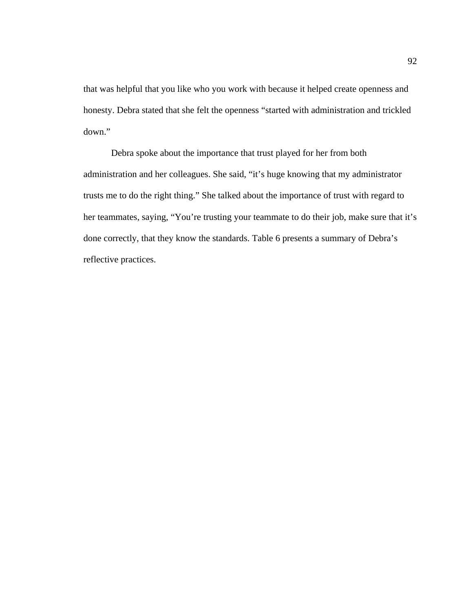that was helpful that you like who you work with because it helped create openness and honesty. Debra stated that she felt the openness "started with administration and trickled down."

Debra spoke about the importance that trust played for her from both administration and her colleagues. She said, "it's huge knowing that my administrator trusts me to do the right thing." She talked about the importance of trust with regard to her teammates, saying, "You're trusting your teammate to do their job, make sure that it's done correctly, that they know the standards. Table 6 presents a summary of Debra's reflective practices.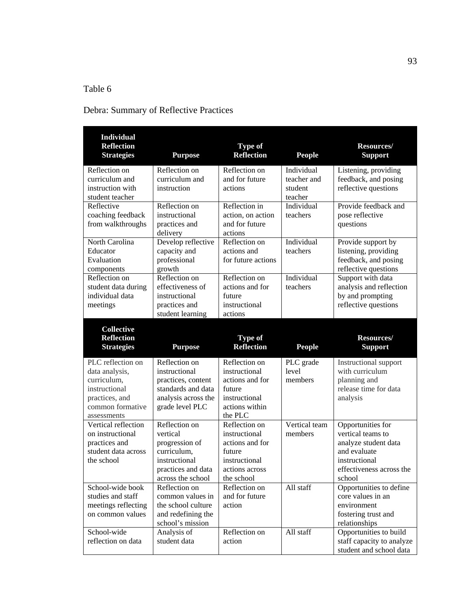## Table 6

# Debra: Summary of Reflective Practices

| <b>Individual</b><br><b>Reflection</b><br><b>Strategies</b>                                         | <b>Purpose</b>                                                                                                         | Type of<br><b>Reflection</b>                                                                                 | <b>People</b>                 | <b>Resources/</b><br><b>Support</b>                                                                                                   |
|-----------------------------------------------------------------------------------------------------|------------------------------------------------------------------------------------------------------------------------|--------------------------------------------------------------------------------------------------------------|-------------------------------|---------------------------------------------------------------------------------------------------------------------------------------|
| Reflection on                                                                                       | Reflection on                                                                                                          | Reflection on                                                                                                | Individual                    | Listening, providing                                                                                                                  |
| curriculum and                                                                                      | curriculum and                                                                                                         | and for future                                                                                               | teacher and                   | feedback, and posing                                                                                                                  |
| instruction with                                                                                    | instruction                                                                                                            | actions                                                                                                      | student                       | reflective questions                                                                                                                  |
| student teacher                                                                                     |                                                                                                                        |                                                                                                              | teacher                       |                                                                                                                                       |
| Reflective                                                                                          | Reflection on                                                                                                          | Reflection in                                                                                                | Individual                    | Provide feedback and                                                                                                                  |
| coaching feedback                                                                                   | instructional                                                                                                          | action, on action                                                                                            | teachers                      | pose reflective                                                                                                                       |
| from walkthroughs                                                                                   | practices and                                                                                                          | and for future<br>actions                                                                                    |                               | questions                                                                                                                             |
| North Carolina                                                                                      | delivery<br>Develop reflective                                                                                         | Reflection on                                                                                                | Individual                    | Provide support by                                                                                                                    |
| Educator                                                                                            | capacity and                                                                                                           | actions and                                                                                                  | teachers                      | listening, providing                                                                                                                  |
| Evaluation                                                                                          | professional                                                                                                           | for future actions                                                                                           |                               | feedback, and posing                                                                                                                  |
| components                                                                                          | growth                                                                                                                 |                                                                                                              |                               | reflective questions                                                                                                                  |
| Reflection on                                                                                       | Reflection on                                                                                                          | Reflection on                                                                                                | Individual                    | Support with data                                                                                                                     |
| student data during                                                                                 | effectiveness of                                                                                                       | actions and for                                                                                              | teachers                      | analysis and reflection                                                                                                               |
| individual data                                                                                     | instructional                                                                                                          | future                                                                                                       |                               | by and prompting                                                                                                                      |
| meetings                                                                                            | practices and                                                                                                          | instructional                                                                                                |                               | reflective questions                                                                                                                  |
|                                                                                                     | student learning                                                                                                       | actions                                                                                                      |                               |                                                                                                                                       |
| <b>Collective</b><br><b>Reflection</b><br><b>Strategies</b>                                         | <b>Purpose</b>                                                                                                         | Type of<br><b>Reflection</b>                                                                                 | <b>People</b>                 | Resources/<br><b>Support</b>                                                                                                          |
| PLC reflection on                                                                                   | Reflection on                                                                                                          |                                                                                                              |                               |                                                                                                                                       |
| data analysis,<br>curriculum,<br>instructional<br>practices, and<br>common formative<br>assessments | instructional<br>practices, content<br>standards and data<br>analysis across the<br>grade level PLC                    | Reflection on<br>instructional<br>actions and for<br>future<br>instructional<br>actions within<br>the PLC    | PLC grade<br>level<br>members | Instructional support<br>with curriculum<br>planning and<br>release time for data<br>analysis                                         |
| Vertical reflection<br>on instructional<br>practices and<br>student data across<br>the school       | Reflection on<br>vertical<br>progression of<br>curriculum,<br>instructional<br>practices and data<br>across the school | Reflection on<br>instructional<br>actions and for<br>future<br>instructional<br>actions across<br>the school | Vertical team<br>members      | Opportunities for<br>vertical teams to<br>analyze student data<br>and evaluate<br>instructional<br>effectiveness across the<br>school |
| School-wide book<br>studies and staff<br>meetings reflecting<br>on common values<br>School-wide     | Reflection on<br>common values in<br>the school culture<br>and redefining the<br>school's mission                      | Reflection on<br>and for future<br>action                                                                    | All staff                     | Opportunities to define<br>core values in an<br>environment<br>fostering trust and<br>relationships<br>Opportunities to build         |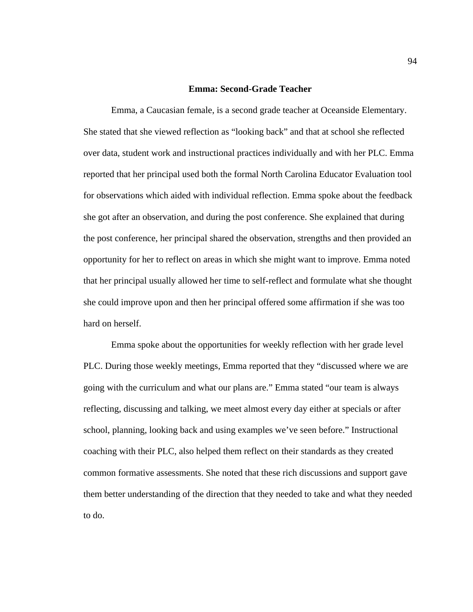### **Emma: Second-Grade Teacher**

 Emma, a Caucasian female, is a second grade teacher at Oceanside Elementary. She stated that she viewed reflection as "looking back" and that at school she reflected over data, student work and instructional practices individually and with her PLC. Emma reported that her principal used both the formal North Carolina Educator Evaluation tool for observations which aided with individual reflection. Emma spoke about the feedback she got after an observation, and during the post conference. She explained that during the post conference, her principal shared the observation, strengths and then provided an opportunity for her to reflect on areas in which she might want to improve. Emma noted that her principal usually allowed her time to self-reflect and formulate what she thought she could improve upon and then her principal offered some affirmation if she was too hard on herself.

 Emma spoke about the opportunities for weekly reflection with her grade level PLC. During those weekly meetings, Emma reported that they "discussed where we are going with the curriculum and what our plans are." Emma stated "our team is always reflecting, discussing and talking, we meet almost every day either at specials or after school, planning, looking back and using examples we've seen before." Instructional coaching with their PLC, also helped them reflect on their standards as they created common formative assessments. She noted that these rich discussions and support gave them better understanding of the direction that they needed to take and what they needed to do.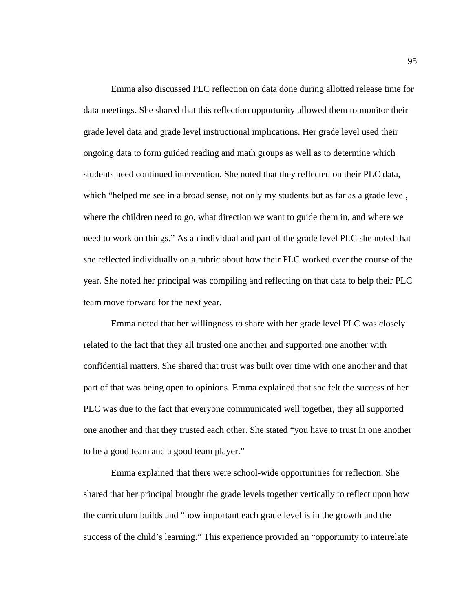Emma also discussed PLC reflection on data done during allotted release time for data meetings. She shared that this reflection opportunity allowed them to monitor their grade level data and grade level instructional implications. Her grade level used their ongoing data to form guided reading and math groups as well as to determine which students need continued intervention. She noted that they reflected on their PLC data, which "helped me see in a broad sense, not only my students but as far as a grade level, where the children need to go, what direction we want to guide them in, and where we need to work on things." As an individual and part of the grade level PLC she noted that she reflected individually on a rubric about how their PLC worked over the course of the year. She noted her principal was compiling and reflecting on that data to help their PLC team move forward for the next year.

 Emma noted that her willingness to share with her grade level PLC was closely related to the fact that they all trusted one another and supported one another with confidential matters. She shared that trust was built over time with one another and that part of that was being open to opinions. Emma explained that she felt the success of her PLC was due to the fact that everyone communicated well together, they all supported one another and that they trusted each other. She stated "you have to trust in one another to be a good team and a good team player."

 Emma explained that there were school-wide opportunities for reflection. She shared that her principal brought the grade levels together vertically to reflect upon how the curriculum builds and "how important each grade level is in the growth and the success of the child's learning." This experience provided an "opportunity to interrelate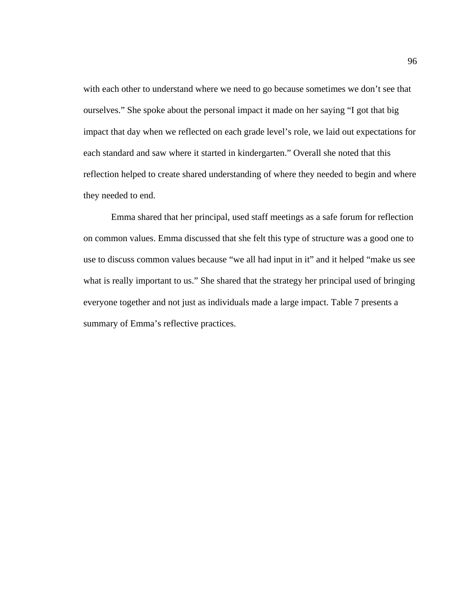with each other to understand where we need to go because sometimes we don't see that ourselves." She spoke about the personal impact it made on her saying "I got that big impact that day when we reflected on each grade level's role, we laid out expectations for each standard and saw where it started in kindergarten." Overall she noted that this reflection helped to create shared understanding of where they needed to begin and where they needed to end.

Emma shared that her principal, used staff meetings as a safe forum for reflection on common values. Emma discussed that she felt this type of structure was a good one to use to discuss common values because "we all had input in it" and it helped "make us see what is really important to us." She shared that the strategy her principal used of bringing everyone together and not just as individuals made a large impact. Table 7 presents a summary of Emma's reflective practices.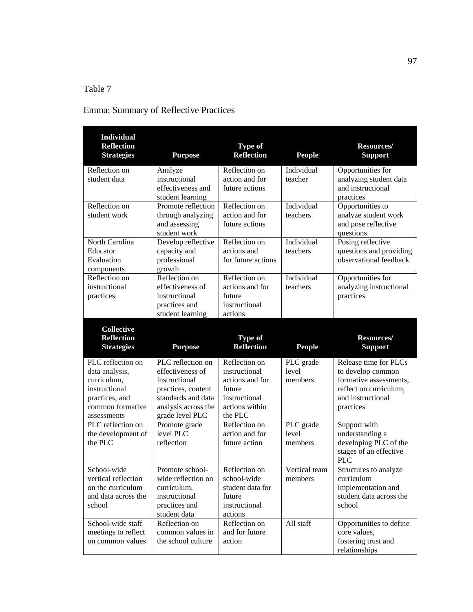## Table 7

## Emma: Summary of Reflective Practices

| <b>Individual</b><br><b>Reflection</b><br><b>Strategies</b>                                                              | <b>Purpose</b>                                                                                                                               | Type of<br><b>Reflection</b>                                                                              | <b>People</b>                 | Resources/<br><b>Support</b>                                                                                                     |
|--------------------------------------------------------------------------------------------------------------------------|----------------------------------------------------------------------------------------------------------------------------------------------|-----------------------------------------------------------------------------------------------------------|-------------------------------|----------------------------------------------------------------------------------------------------------------------------------|
| Reflection on<br>student data                                                                                            | Analyze<br>instructional<br>effectiveness and<br>student learning                                                                            | Reflection on<br>action and for<br>future actions                                                         | Individual<br>teacher         | Opportunities for<br>analyzing student data<br>and instructional<br>practices                                                    |
| Reflection on<br>student work                                                                                            | Promote reflection<br>through analyzing<br>and assessing<br>student work                                                                     | Reflection on<br>action and for<br>future actions                                                         | Individual<br>teachers        | Opportunities to<br>analyze student work<br>and pose reflective<br>questions                                                     |
| North Carolina<br>Educator<br>Evaluation<br>components                                                                   | Develop reflective<br>capacity and<br>professional<br>growth                                                                                 | Reflection on<br>actions and<br>for future actions                                                        | Individual<br>teachers        | Posing reflective<br>questions and providing<br>observational feedback                                                           |
| Reflection on<br>instructional<br>practices                                                                              | Reflection on<br>effectiveness of<br>instructional<br>practices and<br>student learning                                                      | Reflection on<br>actions and for<br>future<br>instructional<br>actions                                    | Individual<br>teachers        | Opportunities for<br>analyzing instructional<br>practices                                                                        |
| <b>Collective</b><br><b>Reflection</b><br><b>Strategies</b>                                                              | <b>Purpose</b>                                                                                                                               | Type of<br><b>Reflection</b>                                                                              | <b>People</b>                 | Resources/<br><b>Support</b>                                                                                                     |
| PLC reflection on<br>data analysis,<br>curriculum,<br>instructional<br>practices, and<br>common formative<br>assessments | PLC reflection on<br>effectiveness of<br>instructional<br>practices, content<br>standards and data<br>analysis across the<br>grade level PLC | Reflection on<br>instructional<br>actions and for<br>future<br>instructional<br>actions within<br>the PLC | PLC grade<br>level<br>members | Release time for PLCs<br>to develop common<br>formative assessments,<br>reflect on curriculum,<br>and instructional<br>practices |
| PLC reflection on<br>the development of<br>the PLC                                                                       | Promote grade<br>level PLC<br>reflection                                                                                                     | Reflection on<br>action and for<br>future action                                                          | PLC grade<br>level<br>members | Support with<br>understanding a<br>developing PLC of the<br>stages of an effective<br><b>PLC</b>                                 |
| School-wide<br>vertical reflection<br>on the curriculum<br>and data across the<br>school                                 | Promote school-<br>wide reflection on<br>curriculum,<br>instructional<br>practices and<br>student data                                       | Reflection on<br>school-wide<br>student data for<br>future<br>instructional<br>actions                    | Vertical team<br>members      | Structures to analyze<br>curriculum<br>implementation and<br>student data across the<br>school                                   |
| School-wide staff<br>meetings to reflect<br>on common values                                                             | Reflection on<br>common values in<br>the school culture                                                                                      | Reflection on<br>and for future<br>action                                                                 | All staff                     | Opportunities to define<br>core values,<br>fostering trust and<br>relationships                                                  |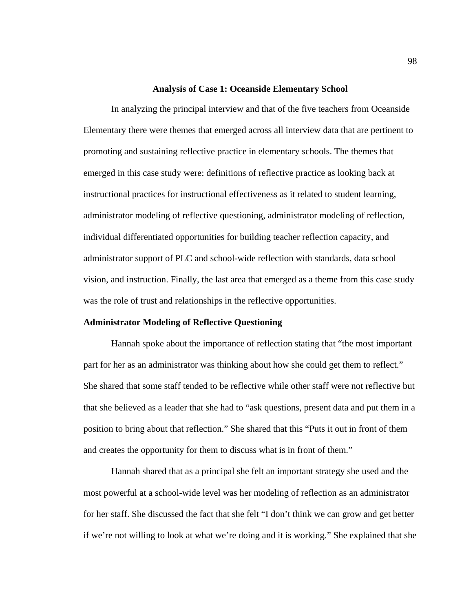#### **Analysis of Case 1: Oceanside Elementary School**

 In analyzing the principal interview and that of the five teachers from Oceanside Elementary there were themes that emerged across all interview data that are pertinent to promoting and sustaining reflective practice in elementary schools. The themes that emerged in this case study were: definitions of reflective practice as looking back at instructional practices for instructional effectiveness as it related to student learning, administrator modeling of reflective questioning, administrator modeling of reflection, individual differentiated opportunities for building teacher reflection capacity, and administrator support of PLC and school-wide reflection with standards, data school vision, and instruction. Finally, the last area that emerged as a theme from this case study was the role of trust and relationships in the reflective opportunities.

### **Administrator Modeling of Reflective Questioning**

Hannah spoke about the importance of reflection stating that "the most important part for her as an administrator was thinking about how she could get them to reflect." She shared that some staff tended to be reflective while other staff were not reflective but that she believed as a leader that she had to "ask questions, present data and put them in a position to bring about that reflection." She shared that this "Puts it out in front of them and creates the opportunity for them to discuss what is in front of them."

Hannah shared that as a principal she felt an important strategy she used and the most powerful at a school-wide level was her modeling of reflection as an administrator for her staff. She discussed the fact that she felt "I don't think we can grow and get better if we're not willing to look at what we're doing and it is working." She explained that she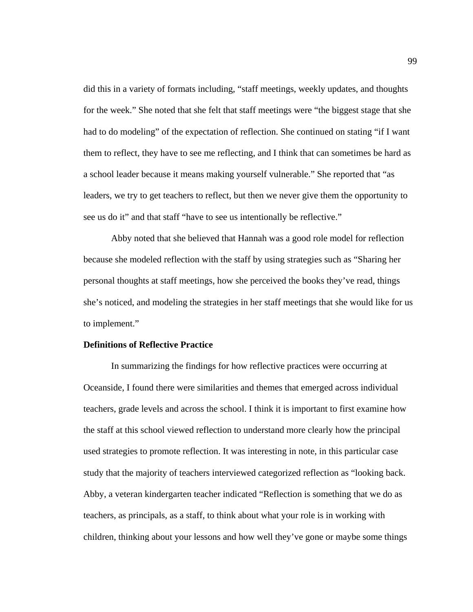did this in a variety of formats including, "staff meetings, weekly updates, and thoughts for the week." She noted that she felt that staff meetings were "the biggest stage that she had to do modeling" of the expectation of reflection. She continued on stating "if I want them to reflect, they have to see me reflecting, and I think that can sometimes be hard as a school leader because it means making yourself vulnerable." She reported that "as leaders, we try to get teachers to reflect, but then we never give them the opportunity to see us do it" and that staff "have to see us intentionally be reflective."

Abby noted that she believed that Hannah was a good role model for reflection because she modeled reflection with the staff by using strategies such as "Sharing her personal thoughts at staff meetings, how she perceived the books they've read, things she's noticed, and modeling the strategies in her staff meetings that she would like for us to implement."

#### **Definitions of Reflective Practice**

 In summarizing the findings for how reflective practices were occurring at Oceanside, I found there were similarities and themes that emerged across individual teachers, grade levels and across the school. I think it is important to first examine how the staff at this school viewed reflection to understand more clearly how the principal used strategies to promote reflection. It was interesting in note, in this particular case study that the majority of teachers interviewed categorized reflection as "looking back. Abby, a veteran kindergarten teacher indicated "Reflection is something that we do as teachers, as principals, as a staff, to think about what your role is in working with children, thinking about your lessons and how well they've gone or maybe some things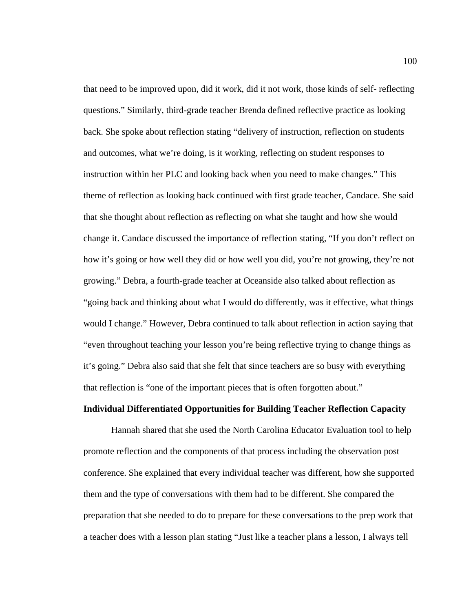that need to be improved upon, did it work, did it not work, those kinds of self- reflecting questions." Similarly, third-grade teacher Brenda defined reflective practice as looking back. She spoke about reflection stating "delivery of instruction, reflection on students and outcomes, what we're doing, is it working, reflecting on student responses to instruction within her PLC and looking back when you need to make changes." This theme of reflection as looking back continued with first grade teacher, Candace. She said that she thought about reflection as reflecting on what she taught and how she would change it. Candace discussed the importance of reflection stating, "If you don't reflect on how it's going or how well they did or how well you did, you're not growing, they're not growing." Debra, a fourth-grade teacher at Oceanside also talked about reflection as "going back and thinking about what I would do differently, was it effective, what things would I change." However, Debra continued to talk about reflection in action saying that "even throughout teaching your lesson you're being reflective trying to change things as it's going." Debra also said that she felt that since teachers are so busy with everything that reflection is "one of the important pieces that is often forgotten about."

## **Individual Differentiated Opportunities for Building Teacher Reflection Capacity**

Hannah shared that she used the North Carolina Educator Evaluation tool to help promote reflection and the components of that process including the observation post conference. She explained that every individual teacher was different, how she supported them and the type of conversations with them had to be different. She compared the preparation that she needed to do to prepare for these conversations to the prep work that a teacher does with a lesson plan stating "Just like a teacher plans a lesson, I always tell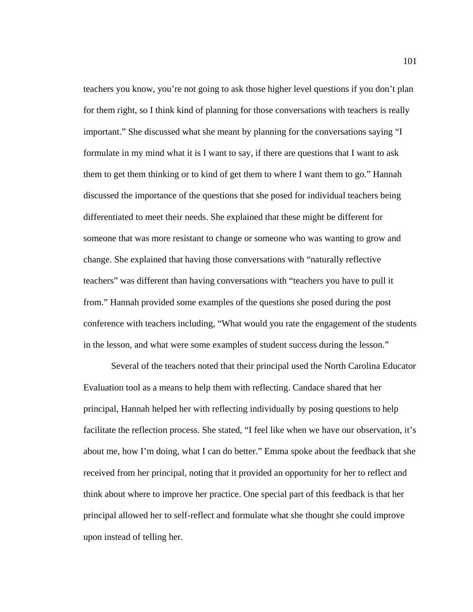teachers you know, you're not going to ask those higher level questions if you don't plan for them right, so I think kind of planning for those conversations with teachers is really important." She discussed what she meant by planning for the conversations saying "I formulate in my mind what it is I want to say, if there are questions that I want to ask them to get them thinking or to kind of get them to where I want them to go." Hannah discussed the importance of the questions that she posed for individual teachers being differentiated to meet their needs. She explained that these might be different for someone that was more resistant to change or someone who was wanting to grow and change. She explained that having those conversations with "naturally reflective teachers" was different than having conversations with "teachers you have to pull it from." Hannah provided some examples of the questions she posed during the post conference with teachers including, "What would you rate the engagement of the students in the lesson, and what were some examples of student success during the lesson."

 Several of the teachers noted that their principal used the North Carolina Educator Evaluation tool as a means to help them with reflecting. Candace shared that her principal, Hannah helped her with reflecting individually by posing questions to help facilitate the reflection process. She stated, "I feel like when we have our observation, it's about me, how I'm doing, what I can do better." Emma spoke about the feedback that she received from her principal, noting that it provided an opportunity for her to reflect and think about where to improve her practice. One special part of this feedback is that her principal allowed her to self-reflect and formulate what she thought she could improve upon instead of telling her.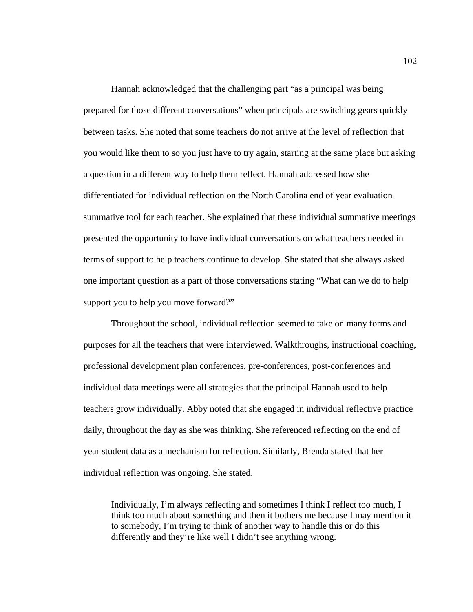Hannah acknowledged that the challenging part "as a principal was being prepared for those different conversations" when principals are switching gears quickly between tasks. She noted that some teachers do not arrive at the level of reflection that you would like them to so you just have to try again, starting at the same place but asking a question in a different way to help them reflect. Hannah addressed how she differentiated for individual reflection on the North Carolina end of year evaluation summative tool for each teacher. She explained that these individual summative meetings presented the opportunity to have individual conversations on what teachers needed in terms of support to help teachers continue to develop. She stated that she always asked one important question as a part of those conversations stating "What can we do to help support you to help you move forward?"

 Throughout the school, individual reflection seemed to take on many forms and purposes for all the teachers that were interviewed. Walkthroughs, instructional coaching, professional development plan conferences, pre-conferences, post-conferences and individual data meetings were all strategies that the principal Hannah used to help teachers grow individually. Abby noted that she engaged in individual reflective practice daily, throughout the day as she was thinking. She referenced reflecting on the end of year student data as a mechanism for reflection. Similarly, Brenda stated that her individual reflection was ongoing. She stated,

Individually, I'm always reflecting and sometimes I think I reflect too much, I think too much about something and then it bothers me because I may mention it to somebody, I'm trying to think of another way to handle this or do this differently and they're like well I didn't see anything wrong.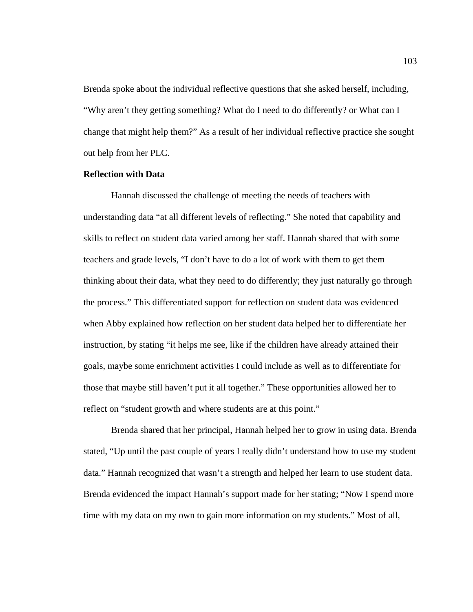Brenda spoke about the individual reflective questions that she asked herself, including, "Why aren't they getting something? What do I need to do differently? or What can I change that might help them?" As a result of her individual reflective practice she sought out help from her PLC.

## **Reflection with Data**

Hannah discussed the challenge of meeting the needs of teachers with understanding data "at all different levels of reflecting." She noted that capability and skills to reflect on student data varied among her staff. Hannah shared that with some teachers and grade levels, "I don't have to do a lot of work with them to get them thinking about their data, what they need to do differently; they just naturally go through the process." This differentiated support for reflection on student data was evidenced when Abby explained how reflection on her student data helped her to differentiate her instruction, by stating "it helps me see, like if the children have already attained their goals, maybe some enrichment activities I could include as well as to differentiate for those that maybe still haven't put it all together." These opportunities allowed her to reflect on "student growth and where students are at this point."

 Brenda shared that her principal, Hannah helped her to grow in using data. Brenda stated, "Up until the past couple of years I really didn't understand how to use my student data." Hannah recognized that wasn't a strength and helped her learn to use student data. Brenda evidenced the impact Hannah's support made for her stating; "Now I spend more time with my data on my own to gain more information on my students." Most of all,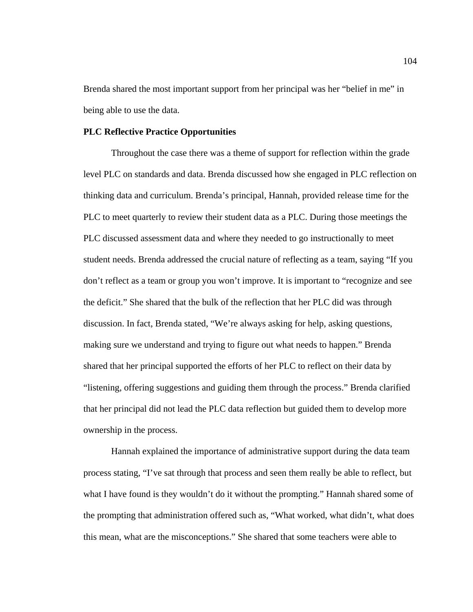Brenda shared the most important support from her principal was her "belief in me" in being able to use the data.

### **PLC Reflective Practice Opportunities**

Throughout the case there was a theme of support for reflection within the grade level PLC on standards and data. Brenda discussed how she engaged in PLC reflection on thinking data and curriculum. Brenda's principal, Hannah, provided release time for the PLC to meet quarterly to review their student data as a PLC. During those meetings the PLC discussed assessment data and where they needed to go instructionally to meet student needs. Brenda addressed the crucial nature of reflecting as a team, saying "If you don't reflect as a team or group you won't improve. It is important to "recognize and see the deficit." She shared that the bulk of the reflection that her PLC did was through discussion. In fact, Brenda stated, "We're always asking for help, asking questions, making sure we understand and trying to figure out what needs to happen." Brenda shared that her principal supported the efforts of her PLC to reflect on their data by "listening, offering suggestions and guiding them through the process." Brenda clarified that her principal did not lead the PLC data reflection but guided them to develop more ownership in the process.

 Hannah explained the importance of administrative support during the data team process stating, "I've sat through that process and seen them really be able to reflect, but what I have found is they wouldn't do it without the prompting." Hannah shared some of the prompting that administration offered such as, "What worked, what didn't, what does this mean, what are the misconceptions." She shared that some teachers were able to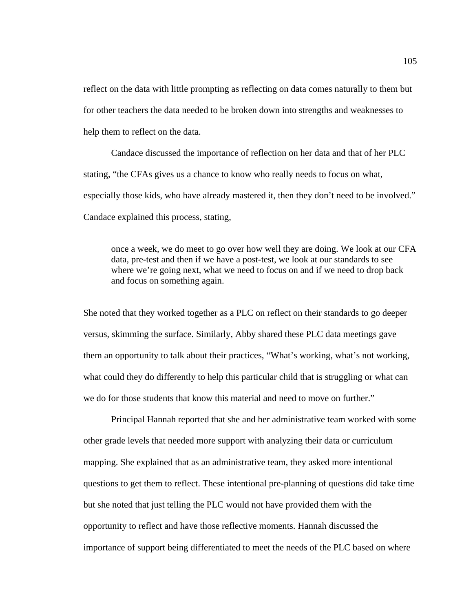reflect on the data with little prompting as reflecting on data comes naturally to them but for other teachers the data needed to be broken down into strengths and weaknesses to help them to reflect on the data.

 Candace discussed the importance of reflection on her data and that of her PLC stating, "the CFAs gives us a chance to know who really needs to focus on what, especially those kids, who have already mastered it, then they don't need to be involved." Candace explained this process, stating,

once a week, we do meet to go over how well they are doing. We look at our CFA data, pre-test and then if we have a post-test, we look at our standards to see where we're going next, what we need to focus on and if we need to drop back and focus on something again.

She noted that they worked together as a PLC on reflect on their standards to go deeper versus, skimming the surface. Similarly, Abby shared these PLC data meetings gave them an opportunity to talk about their practices, "What's working, what's not working, what could they do differently to help this particular child that is struggling or what can we do for those students that know this material and need to move on further."

 Principal Hannah reported that she and her administrative team worked with some other grade levels that needed more support with analyzing their data or curriculum mapping. She explained that as an administrative team, they asked more intentional questions to get them to reflect. These intentional pre-planning of questions did take time but she noted that just telling the PLC would not have provided them with the opportunity to reflect and have those reflective moments. Hannah discussed the importance of support being differentiated to meet the needs of the PLC based on where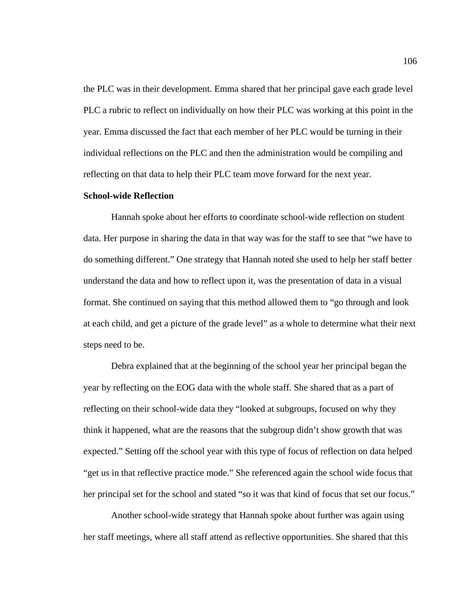the PLC was in their development. Emma shared that her principal gave each grade level PLC a rubric to reflect on individually on how their PLC was working at this point in the year. Emma discussed the fact that each member of her PLC would be turning in their individual reflections on the PLC and then the administration would be compiling and reflecting on that data to help their PLC team move forward for the next year.

## **School-wide Reflection**

 Hannah spoke about her efforts to coordinate school-wide reflection on student data. Her purpose in sharing the data in that way was for the staff to see that "we have to do something different." One strategy that Hannah noted she used to help her staff better understand the data and how to reflect upon it, was the presentation of data in a visual format. She continued on saying that this method allowed them to "go through and look at each child, and get a picture of the grade level" as a whole to determine what their next steps need to be.

 Debra explained that at the beginning of the school year her principal began the year by reflecting on the EOG data with the whole staff. She shared that as a part of reflecting on their school-wide data they "looked at subgroups, focused on why they think it happened, what are the reasons that the subgroup didn't show growth that was expected." Setting off the school year with this type of focus of reflection on data helped "get us in that reflective practice mode." She referenced again the school wide focus that her principal set for the school and stated "so it was that kind of focus that set our focus."

 Another school-wide strategy that Hannah spoke about further was again using her staff meetings, where all staff attend as reflective opportunities. She shared that this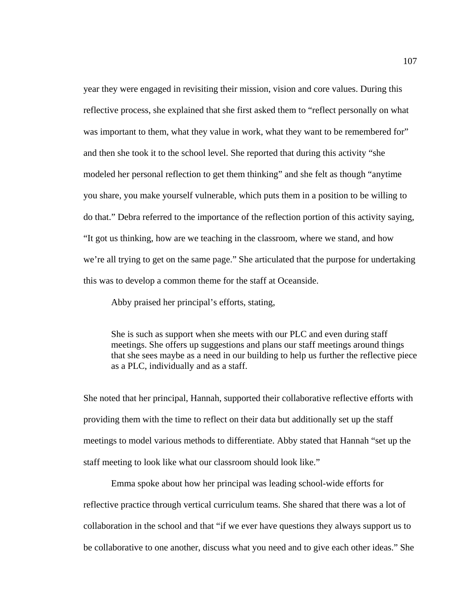year they were engaged in revisiting their mission, vision and core values. During this reflective process, she explained that she first asked them to "reflect personally on what was important to them, what they value in work, what they want to be remembered for" and then she took it to the school level. She reported that during this activity "she modeled her personal reflection to get them thinking" and she felt as though "anytime you share, you make yourself vulnerable, which puts them in a position to be willing to do that." Debra referred to the importance of the reflection portion of this activity saying, "It got us thinking, how are we teaching in the classroom, where we stand, and how we're all trying to get on the same page." She articulated that the purpose for undertaking this was to develop a common theme for the staff at Oceanside.

Abby praised her principal's efforts, stating,

She is such as support when she meets with our PLC and even during staff meetings. She offers up suggestions and plans our staff meetings around things that she sees maybe as a need in our building to help us further the reflective piece as a PLC, individually and as a staff.

She noted that her principal, Hannah, supported their collaborative reflective efforts with providing them with the time to reflect on their data but additionally set up the staff meetings to model various methods to differentiate. Abby stated that Hannah "set up the staff meeting to look like what our classroom should look like."

 Emma spoke about how her principal was leading school-wide efforts for reflective practice through vertical curriculum teams. She shared that there was a lot of collaboration in the school and that "if we ever have questions they always support us to be collaborative to one another, discuss what you need and to give each other ideas." She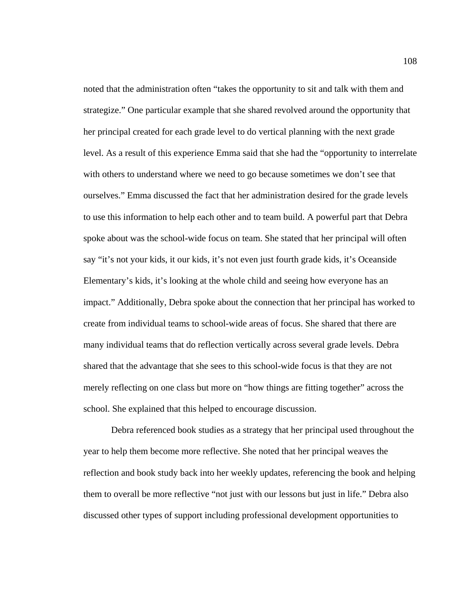noted that the administration often "takes the opportunity to sit and talk with them and strategize." One particular example that she shared revolved around the opportunity that her principal created for each grade level to do vertical planning with the next grade level. As a result of this experience Emma said that she had the "opportunity to interrelate with others to understand where we need to go because sometimes we don't see that ourselves." Emma discussed the fact that her administration desired for the grade levels to use this information to help each other and to team build. A powerful part that Debra spoke about was the school-wide focus on team. She stated that her principal will often say "it's not your kids, it our kids, it's not even just fourth grade kids, it's Oceanside Elementary's kids, it's looking at the whole child and seeing how everyone has an impact." Additionally, Debra spoke about the connection that her principal has worked to create from individual teams to school-wide areas of focus. She shared that there are many individual teams that do reflection vertically across several grade levels. Debra shared that the advantage that she sees to this school-wide focus is that they are not merely reflecting on one class but more on "how things are fitting together" across the school. She explained that this helped to encourage discussion.

 Debra referenced book studies as a strategy that her principal used throughout the year to help them become more reflective. She noted that her principal weaves the reflection and book study back into her weekly updates, referencing the book and helping them to overall be more reflective "not just with our lessons but just in life." Debra also discussed other types of support including professional development opportunities to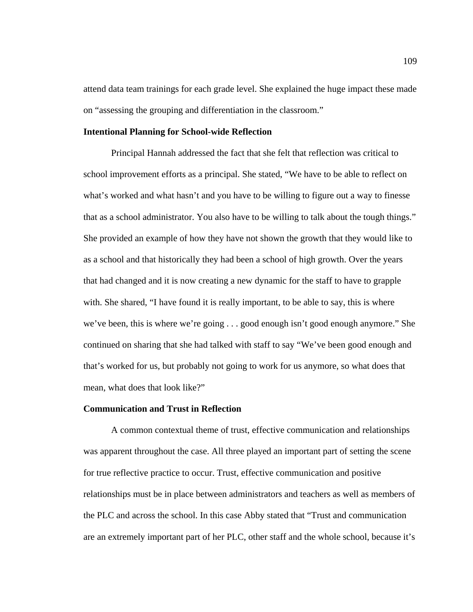attend data team trainings for each grade level. She explained the huge impact these made on "assessing the grouping and differentiation in the classroom."

## **Intentional Planning for School-wide Reflection**

 Principal Hannah addressed the fact that she felt that reflection was critical to school improvement efforts as a principal. She stated, "We have to be able to reflect on what's worked and what hasn't and you have to be willing to figure out a way to finesse that as a school administrator. You also have to be willing to talk about the tough things." She provided an example of how they have not shown the growth that they would like to as a school and that historically they had been a school of high growth. Over the years that had changed and it is now creating a new dynamic for the staff to have to grapple with. She shared, "I have found it is really important, to be able to say, this is where we've been, this is where we're going . . . good enough isn't good enough anymore." She continued on sharing that she had talked with staff to say "We've been good enough and that's worked for us, but probably not going to work for us anymore, so what does that mean, what does that look like?"

### **Communication and Trust in Reflection**

A common contextual theme of trust, effective communication and relationships was apparent throughout the case. All three played an important part of setting the scene for true reflective practice to occur. Trust, effective communication and positive relationships must be in place between administrators and teachers as well as members of the PLC and across the school. In this case Abby stated that "Trust and communication are an extremely important part of her PLC, other staff and the whole school, because it's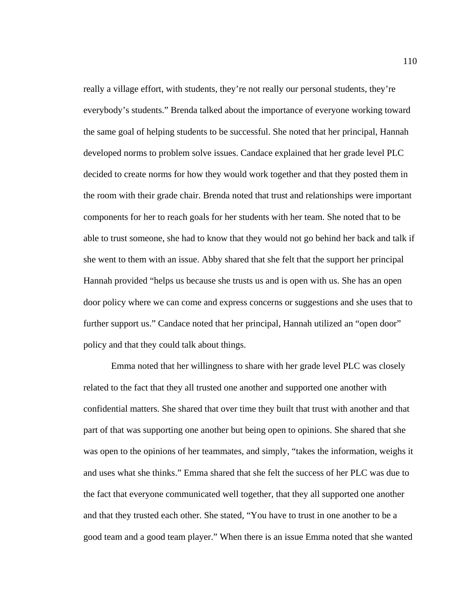really a village effort, with students, they're not really our personal students, they're everybody's students." Brenda talked about the importance of everyone working toward the same goal of helping students to be successful. She noted that her principal, Hannah developed norms to problem solve issues. Candace explained that her grade level PLC decided to create norms for how they would work together and that they posted them in the room with their grade chair. Brenda noted that trust and relationships were important components for her to reach goals for her students with her team. She noted that to be able to trust someone, she had to know that they would not go behind her back and talk if she went to them with an issue. Abby shared that she felt that the support her principal Hannah provided "helps us because she trusts us and is open with us. She has an open door policy where we can come and express concerns or suggestions and she uses that to further support us." Candace noted that her principal, Hannah utilized an "open door" policy and that they could talk about things.

Emma noted that her willingness to share with her grade level PLC was closely related to the fact that they all trusted one another and supported one another with confidential matters. She shared that over time they built that trust with another and that part of that was supporting one another but being open to opinions. She shared that she was open to the opinions of her teammates, and simply, "takes the information, weighs it and uses what she thinks." Emma shared that she felt the success of her PLC was due to the fact that everyone communicated well together, that they all supported one another and that they trusted each other. She stated, "You have to trust in one another to be a good team and a good team player." When there is an issue Emma noted that she wanted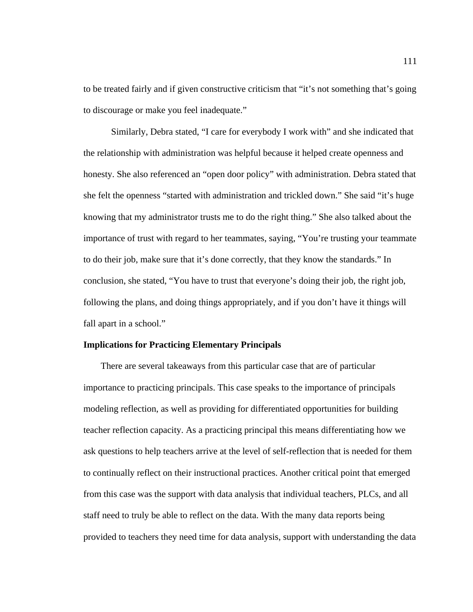to be treated fairly and if given constructive criticism that "it's not something that's going to discourage or make you feel inadequate."

Similarly, Debra stated, "I care for everybody I work with" and she indicated that the relationship with administration was helpful because it helped create openness and honesty. She also referenced an "open door policy" with administration. Debra stated that she felt the openness "started with administration and trickled down." She said "it's huge knowing that my administrator trusts me to do the right thing." She also talked about the importance of trust with regard to her teammates, saying, "You're trusting your teammate to do their job, make sure that it's done correctly, that they know the standards." In conclusion, she stated, "You have to trust that everyone's doing their job, the right job, following the plans, and doing things appropriately, and if you don't have it things will fall apart in a school."

## **Implications for Practicing Elementary Principals**

There are several takeaways from this particular case that are of particular importance to practicing principals. This case speaks to the importance of principals modeling reflection, as well as providing for differentiated opportunities for building teacher reflection capacity. As a practicing principal this means differentiating how we ask questions to help teachers arrive at the level of self-reflection that is needed for them to continually reflect on their instructional practices. Another critical point that emerged from this case was the support with data analysis that individual teachers, PLCs, and all staff need to truly be able to reflect on the data. With the many data reports being provided to teachers they need time for data analysis, support with understanding the data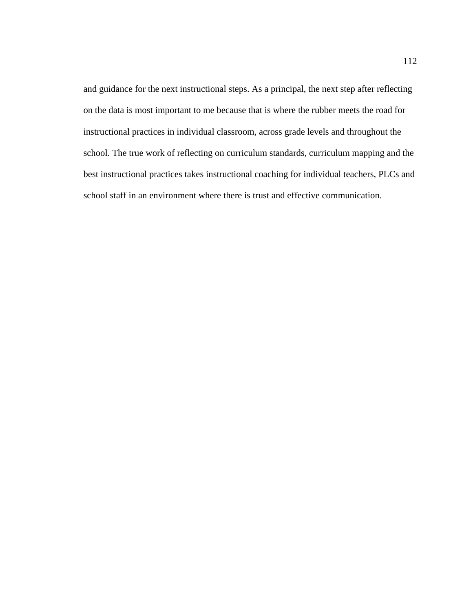and guidance for the next instructional steps. As a principal, the next step after reflecting on the data is most important to me because that is where the rubber meets the road for instructional practices in individual classroom, across grade levels and throughout the school. The true work of reflecting on curriculum standards, curriculum mapping and the best instructional practices takes instructional coaching for individual teachers, PLCs and school staff in an environment where there is trust and effective communication.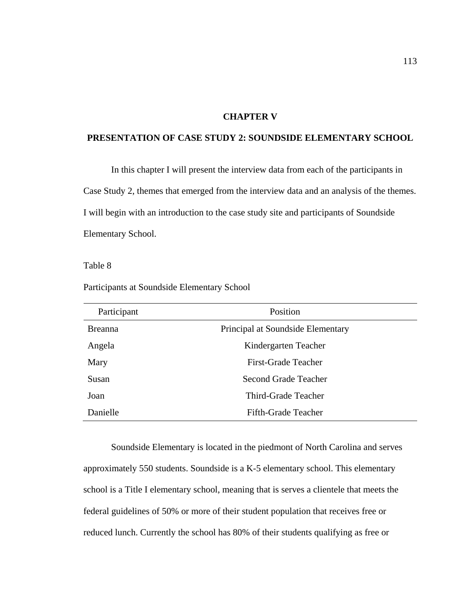## **CHAPTER V**

## **PRESENTATION OF CASE STUDY 2: SOUNDSIDE ELEMENTARY SCHOOL**

In this chapter I will present the interview data from each of the participants in Case Study 2, themes that emerged from the interview data and an analysis of the themes. I will begin with an introduction to the case study site and participants of Soundside Elementary School.

Table 8

Participants at Soundside Elementary School

| Participant    | Position                          |  |  |
|----------------|-----------------------------------|--|--|
| <b>Breanna</b> | Principal at Soundside Elementary |  |  |
| Angela         | Kindergarten Teacher              |  |  |
| Mary           | First-Grade Teacher               |  |  |
| Susan          | <b>Second Grade Teacher</b>       |  |  |
| Joan           | Third-Grade Teacher               |  |  |
| Danielle       | Fifth-Grade Teacher               |  |  |

Soundside Elementary is located in the piedmont of North Carolina and serves approximately 550 students. Soundside is a K-5 elementary school. This elementary school is a Title I elementary school, meaning that is serves a clientele that meets the federal guidelines of 50% or more of their student population that receives free or reduced lunch. Currently the school has 80% of their students qualifying as free or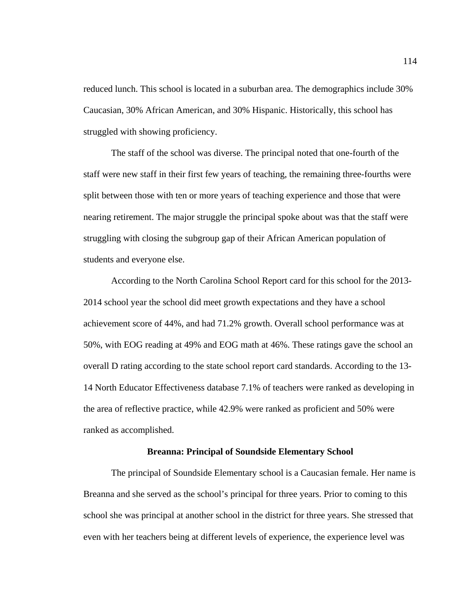reduced lunch. This school is located in a suburban area. The demographics include 30% Caucasian, 30% African American, and 30% Hispanic. Historically, this school has struggled with showing proficiency.

The staff of the school was diverse. The principal noted that one-fourth of the staff were new staff in their first few years of teaching, the remaining three-fourths were split between those with ten or more years of teaching experience and those that were nearing retirement. The major struggle the principal spoke about was that the staff were struggling with closing the subgroup gap of their African American population of students and everyone else.

 According to the North Carolina School Report card for this school for the 2013- 2014 school year the school did meet growth expectations and they have a school achievement score of 44%, and had 71.2% growth. Overall school performance was at 50%, with EOG reading at 49% and EOG math at 46%. These ratings gave the school an overall D rating according to the state school report card standards. According to the 13- 14 North Educator Effectiveness database 7.1% of teachers were ranked as developing in the area of reflective practice, while 42.9% were ranked as proficient and 50% were ranked as accomplished.

### **Breanna: Principal of Soundside Elementary School**

The principal of Soundside Elementary school is a Caucasian female. Her name is Breanna and she served as the school's principal for three years. Prior to coming to this school she was principal at another school in the district for three years. She stressed that even with her teachers being at different levels of experience, the experience level was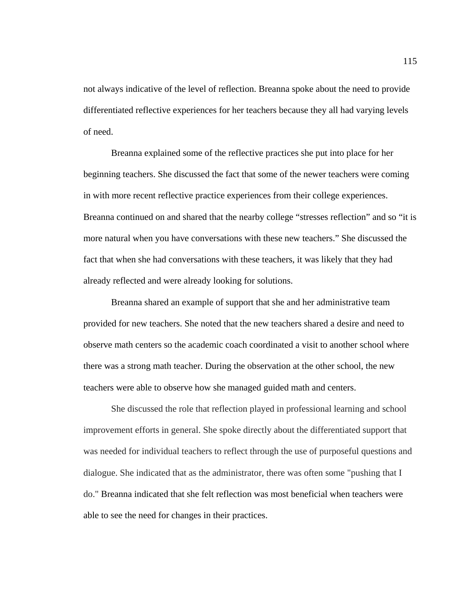not always indicative of the level of reflection. Breanna spoke about the need to provide differentiated reflective experiences for her teachers because they all had varying levels of need.

Breanna explained some of the reflective practices she put into place for her beginning teachers. She discussed the fact that some of the newer teachers were coming in with more recent reflective practice experiences from their college experiences. Breanna continued on and shared that the nearby college "stresses reflection" and so "it is more natural when you have conversations with these new teachers." She discussed the fact that when she had conversations with these teachers, it was likely that they had already reflected and were already looking for solutions.

Breanna shared an example of support that she and her administrative team provided for new teachers. She noted that the new teachers shared a desire and need to observe math centers so the academic coach coordinated a visit to another school where there was a strong math teacher. During the observation at the other school, the new teachers were able to observe how she managed guided math and centers.

She discussed the role that reflection played in professional learning and school improvement efforts in general. She spoke directly about the differentiated support that was needed for individual teachers to reflect through the use of purposeful questions and dialogue. She indicated that as the administrator, there was often some "pushing that I do." Breanna indicated that she felt reflection was most beneficial when teachers were able to see the need for changes in their practices.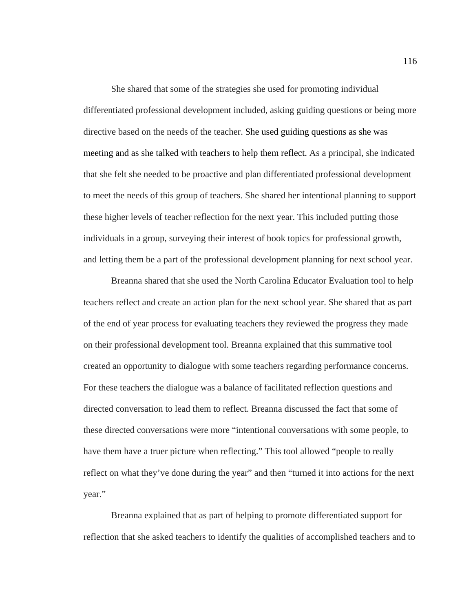She shared that some of the strategies she used for promoting individual differentiated professional development included, asking guiding questions or being more directive based on the needs of the teacher. She used guiding questions as she was meeting and as she talked with teachers to help them reflect. As a principal, she indicated that she felt she needed to be proactive and plan differentiated professional development to meet the needs of this group of teachers. She shared her intentional planning to support these higher levels of teacher reflection for the next year. This included putting those individuals in a group, surveying their interest of book topics for professional growth, and letting them be a part of the professional development planning for next school year.

Breanna shared that she used the North Carolina Educator Evaluation tool to help teachers reflect and create an action plan for the next school year. She shared that as part of the end of year process for evaluating teachers they reviewed the progress they made on their professional development tool. Breanna explained that this summative tool created an opportunity to dialogue with some teachers regarding performance concerns. For these teachers the dialogue was a balance of facilitated reflection questions and directed conversation to lead them to reflect. Breanna discussed the fact that some of these directed conversations were more "intentional conversations with some people, to have them have a truer picture when reflecting." This tool allowed "people to really reflect on what they've done during the year" and then "turned it into actions for the next year."

 Breanna explained that as part of helping to promote differentiated support for reflection that she asked teachers to identify the qualities of accomplished teachers and to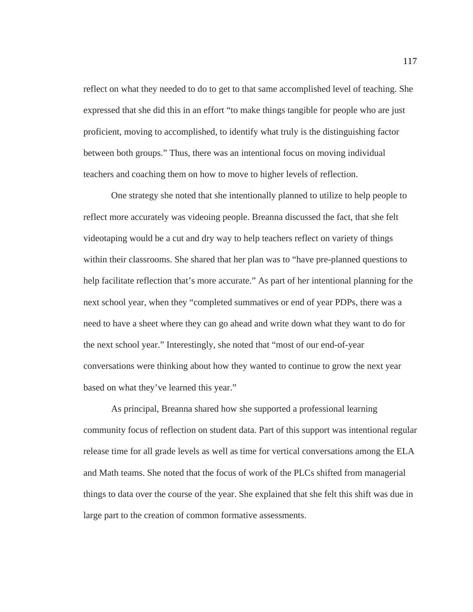reflect on what they needed to do to get to that same accomplished level of teaching. She expressed that she did this in an effort "to make things tangible for people who are just proficient, moving to accomplished, to identify what truly is the distinguishing factor between both groups." Thus, there was an intentional focus on moving individual teachers and coaching them on how to move to higher levels of reflection.

One strategy she noted that she intentionally planned to utilize to help people to reflect more accurately was videoing people. Breanna discussed the fact, that she felt videotaping would be a cut and dry way to help teachers reflect on variety of things within their classrooms. She shared that her plan was to "have pre-planned questions to help facilitate reflection that's more accurate." As part of her intentional planning for the next school year, when they "completed summatives or end of year PDPs, there was a need to have a sheet where they can go ahead and write down what they want to do for the next school year." Interestingly, she noted that "most of our end-of-year conversations were thinking about how they wanted to continue to grow the next year based on what they've learned this year."

As principal, Breanna shared how she supported a professional learning community focus of reflection on student data. Part of this support was intentional regular release time for all grade levels as well as time for vertical conversations among the ELA and Math teams. She noted that the focus of work of the PLCs shifted from managerial things to data over the course of the year. She explained that she felt this shift was due in large part to the creation of common formative assessments.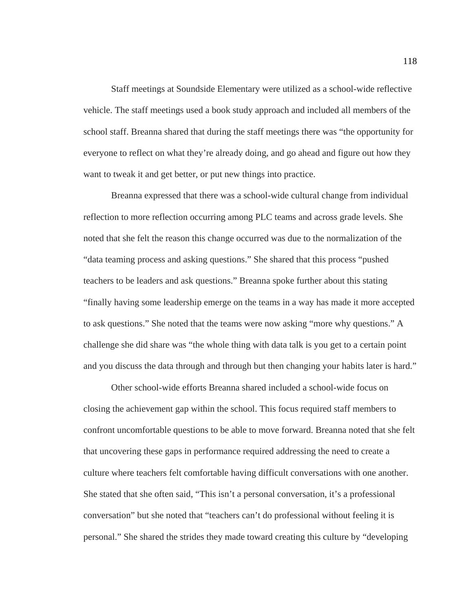Staff meetings at Soundside Elementary were utilized as a school-wide reflective vehicle. The staff meetings used a book study approach and included all members of the school staff. Breanna shared that during the staff meetings there was "the opportunity for everyone to reflect on what they're already doing, and go ahead and figure out how they want to tweak it and get better, or put new things into practice.

Breanna expressed that there was a school-wide cultural change from individual reflection to more reflection occurring among PLC teams and across grade levels. She noted that she felt the reason this change occurred was due to the normalization of the "data teaming process and asking questions." She shared that this process "pushed teachers to be leaders and ask questions." Breanna spoke further about this stating "finally having some leadership emerge on the teams in a way has made it more accepted to ask questions." She noted that the teams were now asking "more why questions." A challenge she did share was "the whole thing with data talk is you get to a certain point and you discuss the data through and through but then changing your habits later is hard."

Other school-wide efforts Breanna shared included a school-wide focus on closing the achievement gap within the school. This focus required staff members to confront uncomfortable questions to be able to move forward. Breanna noted that she felt that uncovering these gaps in performance required addressing the need to create a culture where teachers felt comfortable having difficult conversations with one another. She stated that she often said, "This isn't a personal conversation, it's a professional conversation" but she noted that "teachers can't do professional without feeling it is personal." She shared the strides they made toward creating this culture by "developing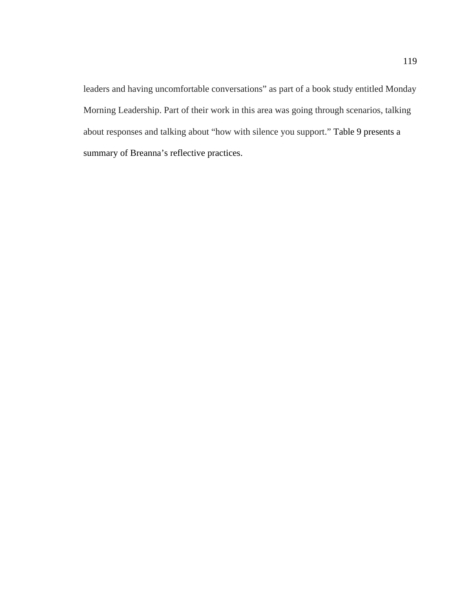leaders and having uncomfortable conversations" as part of a book study entitled Monday Morning Leadership. Part of their work in this area was going through scenarios, talking about responses and talking about "how with silence you support." Table 9 presents a summary of Breanna's reflective practices.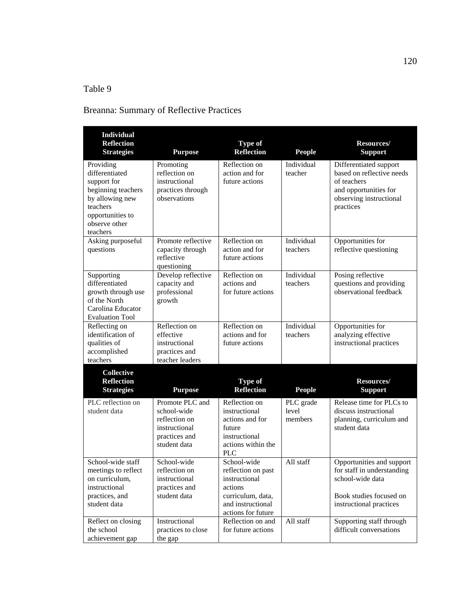# Table 9

## Breanna: Summary of Reflective Practices

| <b>Individual</b>                      |                               |                                  |                       |                                                     |
|----------------------------------------|-------------------------------|----------------------------------|-----------------------|-----------------------------------------------------|
| <b>Reflection</b><br><b>Strategies</b> | <b>Purpose</b>                | Type of<br><b>Reflection</b>     | <b>People</b>         | <b>Resources/</b><br><b>Support</b>                 |
|                                        |                               |                                  |                       |                                                     |
| Providing<br>differentiated            | Promoting<br>reflection on    | Reflection on<br>action and for  | Individual<br>teacher | Differentiated support<br>based on reflective needs |
| support for                            | instructional                 | future actions                   |                       | of teachers                                         |
| beginning teachers                     | practices through             |                                  |                       | and opportunities for                               |
| by allowing new                        | observations                  |                                  |                       | observing instructional                             |
| teachers                               |                               |                                  |                       | practices                                           |
| opportunities to                       |                               |                                  |                       |                                                     |
| observe other                          |                               |                                  |                       |                                                     |
| teachers                               | Promote reflective            | Reflection on                    | Individual            | Opportunities for                                   |
| Asking purposeful<br>questions         | capacity through              | action and for                   | teachers              | reflective questioning                              |
|                                        | reflective                    | future actions                   |                       |                                                     |
|                                        | questioning                   |                                  |                       |                                                     |
| Supporting                             | Develop reflective            | Reflection on                    | Individual            | Posing reflective                                   |
| differentiated                         | capacity and                  | actions and                      | teachers              | questions and providing                             |
| growth through use                     | professional                  | for future actions               |                       | observational feedback                              |
| of the North<br>Carolina Educator      | growth                        |                                  |                       |                                                     |
| <b>Evaluation Tool</b>                 |                               |                                  |                       |                                                     |
| Reflecting on                          | Reflection on                 | Reflection on                    | Individual            | Opportunities for                                   |
| identification of                      | effective                     | actions and for                  | teachers              | analyzing effective                                 |
| qualities of                           | instructional                 | future actions                   |                       | instructional practices                             |
| accomplished                           | practices and                 |                                  |                       |                                                     |
| teachers                               | teacher leaders               |                                  |                       |                                                     |
| <b>Collective</b>                      |                               |                                  |                       |                                                     |
| <b>Reflection</b>                      |                               | Type of<br><b>Reflection</b>     |                       | Resources/                                          |
| <b>Strategies</b>                      | <b>Purpose</b>                |                                  | <b>People</b>         | <b>Support</b>                                      |
| PLC reflection on                      | Promote PLC and               | Reflection on                    | PLC grade             | Release time for PLCs to                            |
| student data                           | school-wide<br>reflection on  | instructional<br>actions and for | level<br>members      | discuss instructional                               |
|                                        | instructional                 | future                           |                       | planning, curriculum and<br>student data            |
|                                        | practices and                 | instructional                    |                       |                                                     |
|                                        | student data                  | actions within the               |                       |                                                     |
|                                        |                               | PLC                              |                       |                                                     |
| School-wide staff                      | School-wide                   | School-wide                      | All staff             | Opportunities and support                           |
| meetings to reflect                    | reflection on                 | reflection on past               |                       | for staff in understanding                          |
| on curriculum,                         | instructional                 | instructional                    |                       | school-wide data                                    |
| instructional<br>practices, and        | practices and<br>student data | actions<br>curriculum, data,     |                       | Book studies focused on                             |
| student data                           |                               | and instructional                |                       | instructional practices                             |
|                                        |                               | actions for future               |                       |                                                     |
| Reflect on closing                     | Instructional                 | Reflection on and                | All staff             | Supporting staff through                            |
| the school                             | practices to close            | for future actions               |                       | difficult conversations                             |
| achievement gap                        | the gap                       |                                  |                       |                                                     |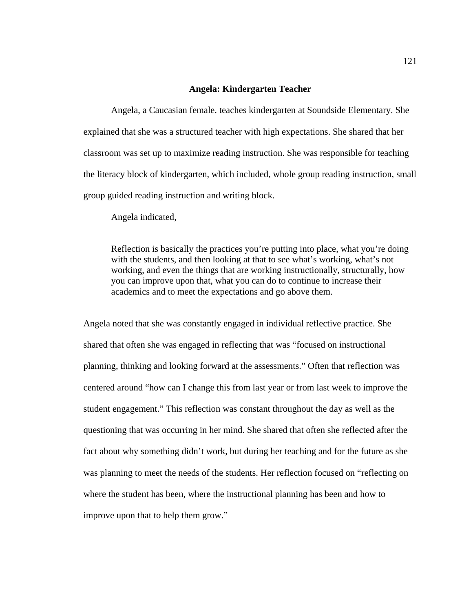### **Angela: Kindergarten Teacher**

Angela, a Caucasian female. teaches kindergarten at Soundside Elementary. She explained that she was a structured teacher with high expectations. She shared that her classroom was set up to maximize reading instruction. She was responsible for teaching the literacy block of kindergarten, which included, whole group reading instruction, small group guided reading instruction and writing block.

Angela indicated,

Reflection is basically the practices you're putting into place, what you're doing with the students, and then looking at that to see what's working, what's not working, and even the things that are working instructionally, structurally, how you can improve upon that, what you can do to continue to increase their academics and to meet the expectations and go above them.

Angela noted that she was constantly engaged in individual reflective practice. She shared that often she was engaged in reflecting that was "focused on instructional planning, thinking and looking forward at the assessments." Often that reflection was centered around "how can I change this from last year or from last week to improve the student engagement." This reflection was constant throughout the day as well as the questioning that was occurring in her mind. She shared that often she reflected after the fact about why something didn't work, but during her teaching and for the future as she was planning to meet the needs of the students. Her reflection focused on "reflecting on where the student has been, where the instructional planning has been and how to improve upon that to help them grow."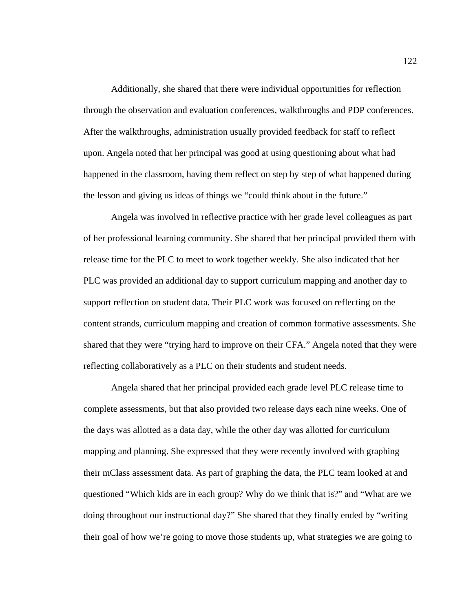Additionally, she shared that there were individual opportunities for reflection through the observation and evaluation conferences, walkthroughs and PDP conferences. After the walkthroughs, administration usually provided feedback for staff to reflect upon. Angela noted that her principal was good at using questioning about what had happened in the classroom, having them reflect on step by step of what happened during the lesson and giving us ideas of things we "could think about in the future."

 Angela was involved in reflective practice with her grade level colleagues as part of her professional learning community. She shared that her principal provided them with release time for the PLC to meet to work together weekly. She also indicated that her PLC was provided an additional day to support curriculum mapping and another day to support reflection on student data. Their PLC work was focused on reflecting on the content strands, curriculum mapping and creation of common formative assessments. She shared that they were "trying hard to improve on their CFA." Angela noted that they were reflecting collaboratively as a PLC on their students and student needs.

 Angela shared that her principal provided each grade level PLC release time to complete assessments, but that also provided two release days each nine weeks. One of the days was allotted as a data day, while the other day was allotted for curriculum mapping and planning. She expressed that they were recently involved with graphing their mClass assessment data. As part of graphing the data, the PLC team looked at and questioned "Which kids are in each group? Why do we think that is?" and "What are we doing throughout our instructional day?" She shared that they finally ended by "writing their goal of how we're going to move those students up, what strategies we are going to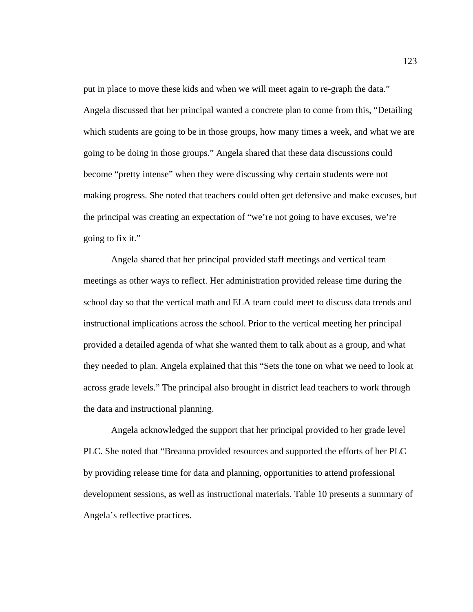put in place to move these kids and when we will meet again to re-graph the data." Angela discussed that her principal wanted a concrete plan to come from this, "Detailing which students are going to be in those groups, how many times a week, and what we are going to be doing in those groups." Angela shared that these data discussions could become "pretty intense" when they were discussing why certain students were not making progress. She noted that teachers could often get defensive and make excuses, but the principal was creating an expectation of "we're not going to have excuses, we're going to fix it."

 Angela shared that her principal provided staff meetings and vertical team meetings as other ways to reflect. Her administration provided release time during the school day so that the vertical math and ELA team could meet to discuss data trends and instructional implications across the school. Prior to the vertical meeting her principal provided a detailed agenda of what she wanted them to talk about as a group, and what they needed to plan. Angela explained that this "Sets the tone on what we need to look at across grade levels." The principal also brought in district lead teachers to work through the data and instructional planning.

Angela acknowledged the support that her principal provided to her grade level PLC. She noted that "Breanna provided resources and supported the efforts of her PLC by providing release time for data and planning, opportunities to attend professional development sessions, as well as instructional materials. Table 10 presents a summary of Angela's reflective practices.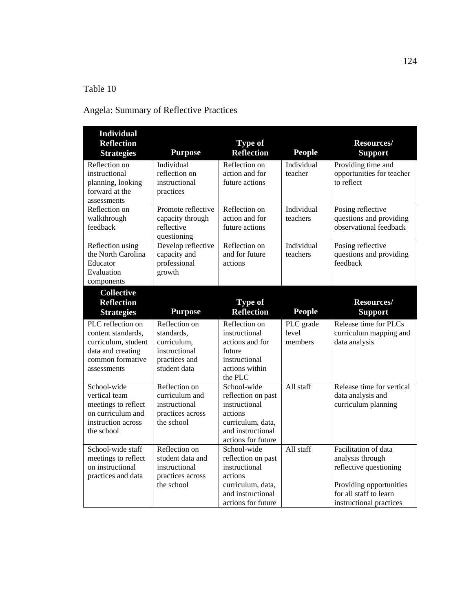## Table 10

## Angela: Summary of Reflective Practices

| <b>Individual</b><br><b>Reflection</b><br><b>Strategies</b>                                                            | <b>Purpose</b>                                                                               | <b>Type of</b><br><b>Reflection</b>                                                                                           | <b>People</b>                 | Resources/<br><b>Support</b>                                                                                                                       |
|------------------------------------------------------------------------------------------------------------------------|----------------------------------------------------------------------------------------------|-------------------------------------------------------------------------------------------------------------------------------|-------------------------------|----------------------------------------------------------------------------------------------------------------------------------------------------|
| Reflection on<br>instructional<br>planning, looking<br>forward at the<br>assessments                                   | Individual<br>reflection on<br>instructional<br>practices                                    | Reflection on<br>action and for<br>future actions                                                                             | Individual<br>teacher         | Providing time and<br>opportunities for teacher<br>to reflect                                                                                      |
| Reflection on<br>walkthrough<br>feedback                                                                               | Promote reflective<br>capacity through<br>reflective<br>questioning                          | Reflection on<br>action and for<br>future actions                                                                             | Individual<br>teachers        | Posing reflective<br>questions and providing<br>observational feedback                                                                             |
| Reflection using<br>the North Carolina<br>Educator<br>Evaluation<br>components                                         | Develop reflective<br>capacity and<br>professional<br>growth                                 | Reflection on<br>and for future<br>actions                                                                                    | Individual<br>teachers        | Posing reflective<br>questions and providing<br>feedback                                                                                           |
| <b>Collective</b><br><b>Reflection</b><br><b>Strategies</b>                                                            | <b>Purpose</b>                                                                               | <b>Type of</b><br><b>Reflection</b>                                                                                           | <b>People</b>                 | <b>Resources/</b><br><b>Support</b>                                                                                                                |
| PLC reflection on<br>content standards,<br>curriculum, student<br>data and creating<br>common formative<br>assessments | Reflection on<br>standards,<br>curriculum,<br>instructional<br>practices and<br>student data | Reflection on<br>instructional<br>actions and for<br>future<br>instructional<br>actions within<br>the PLC                     | PLC grade<br>level<br>members | Release time for PLCs<br>curriculum mapping and<br>data analysis                                                                                   |
| School-wide<br>vertical team<br>meetings to reflect<br>on curriculum and<br>instruction across<br>the school           | Reflection on<br>curriculum and<br>instructional<br>practices across<br>the school           | School-wide<br>reflection on past<br>instructional<br>actions<br>curriculum, data,<br>and instructional<br>actions for future | All staff                     | Release time for vertical<br>data analysis and<br>curriculum planning                                                                              |
| School-wide staff<br>meetings to reflect<br>on instructional<br>practices and data                                     | Reflection on<br>student data and<br>instructional<br>practices across<br>the school         | School-wide<br>reflection on past<br>instructional<br>actions<br>curriculum, data,<br>and instructional<br>actions for future | All staff                     | Facilitation of data<br>analysis through<br>reflective questioning<br>Providing opportunities<br>for all staff to learn<br>instructional practices |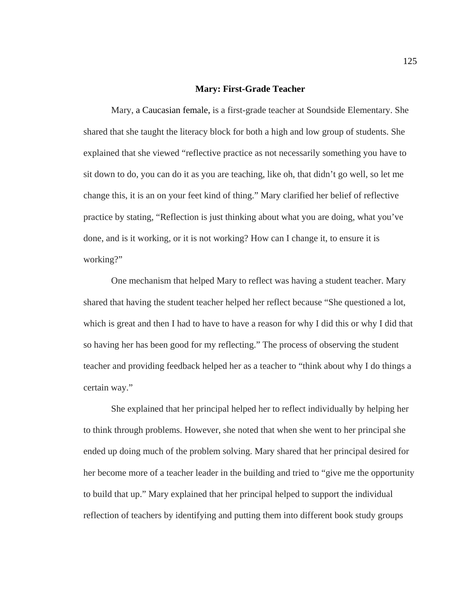#### **Mary: First-Grade Teacher**

Mary, a Caucasian female, is a first-grade teacher at Soundside Elementary. She shared that she taught the literacy block for both a high and low group of students. She explained that she viewed "reflective practice as not necessarily something you have to sit down to do, you can do it as you are teaching, like oh, that didn't go well, so let me change this, it is an on your feet kind of thing." Mary clarified her belief of reflective practice by stating, "Reflection is just thinking about what you are doing, what you've done, and is it working, or it is not working? How can I change it, to ensure it is working?"

 One mechanism that helped Mary to reflect was having a student teacher. Mary shared that having the student teacher helped her reflect because "She questioned a lot, which is great and then I had to have to have a reason for why I did this or why I did that so having her has been good for my reflecting." The process of observing the student teacher and providing feedback helped her as a teacher to "think about why I do things a certain way."

 She explained that her principal helped her to reflect individually by helping her to think through problems. However, she noted that when she went to her principal she ended up doing much of the problem solving. Mary shared that her principal desired for her become more of a teacher leader in the building and tried to "give me the opportunity to build that up." Mary explained that her principal helped to support the individual reflection of teachers by identifying and putting them into different book study groups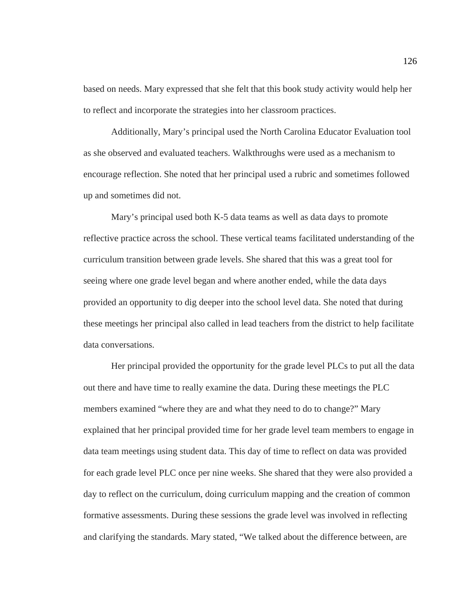based on needs. Mary expressed that she felt that this book study activity would help her to reflect and incorporate the strategies into her classroom practices.

 Additionally, Mary's principal used the North Carolina Educator Evaluation tool as she observed and evaluated teachers. Walkthroughs were used as a mechanism to encourage reflection. She noted that her principal used a rubric and sometimes followed up and sometimes did not.

 Mary's principal used both K-5 data teams as well as data days to promote reflective practice across the school. These vertical teams facilitated understanding of the curriculum transition between grade levels. She shared that this was a great tool for seeing where one grade level began and where another ended, while the data days provided an opportunity to dig deeper into the school level data. She noted that during these meetings her principal also called in lead teachers from the district to help facilitate data conversations.

 Her principal provided the opportunity for the grade level PLCs to put all the data out there and have time to really examine the data. During these meetings the PLC members examined "where they are and what they need to do to change?" Mary explained that her principal provided time for her grade level team members to engage in data team meetings using student data. This day of time to reflect on data was provided for each grade level PLC once per nine weeks. She shared that they were also provided a day to reflect on the curriculum, doing curriculum mapping and the creation of common formative assessments. During these sessions the grade level was involved in reflecting and clarifying the standards. Mary stated, "We talked about the difference between, are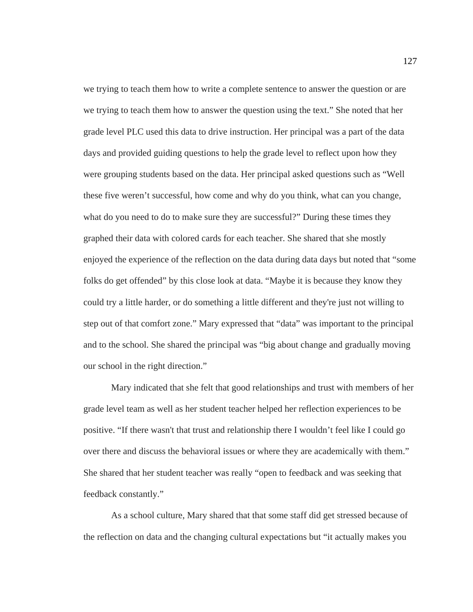we trying to teach them how to write a complete sentence to answer the question or are we trying to teach them how to answer the question using the text." She noted that her grade level PLC used this data to drive instruction. Her principal was a part of the data days and provided guiding questions to help the grade level to reflect upon how they were grouping students based on the data. Her principal asked questions such as "Well these five weren't successful, how come and why do you think, what can you change, what do you need to do to make sure they are successful?" During these times they graphed their data with colored cards for each teacher. She shared that she mostly enjoyed the experience of the reflection on the data during data days but noted that "some folks do get offended" by this close look at data. "Maybe it is because they know they could try a little harder, or do something a little different and they're just not willing to step out of that comfort zone." Mary expressed that "data" was important to the principal and to the school. She shared the principal was "big about change and gradually moving our school in the right direction."

 Mary indicated that she felt that good relationships and trust with members of her grade level team as well as her student teacher helped her reflection experiences to be positive. "If there wasn't that trust and relationship there I wouldn't feel like I could go over there and discuss the behavioral issues or where they are academically with them." She shared that her student teacher was really "open to feedback and was seeking that feedback constantly."

As a school culture, Mary shared that that some staff did get stressed because of the reflection on data and the changing cultural expectations but "it actually makes you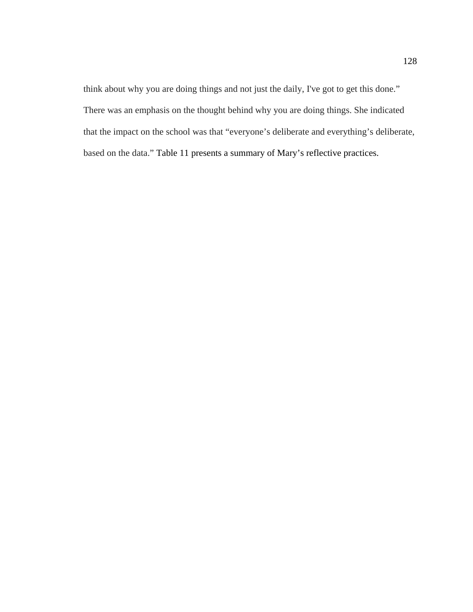think about why you are doing things and not just the daily, I've got to get this done." There was an emphasis on the thought behind why you are doing things. She indicated that the impact on the school was that "everyone's deliberate and everything's deliberate, based on the data." Table 11 presents a summary of Mary's reflective practices.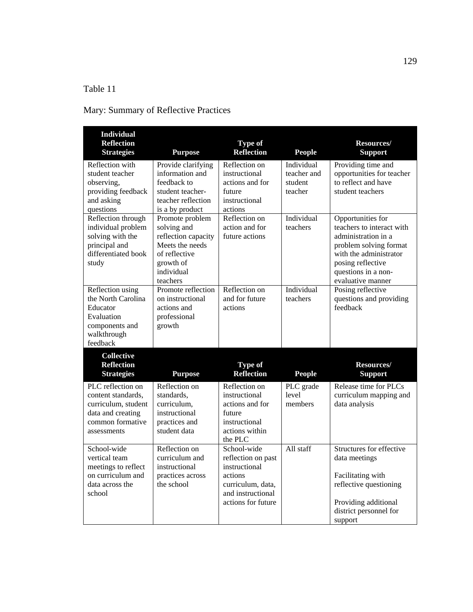## Table 11

## Mary: Summary of Reflective Practices

| <b>Individual</b><br><b>Reflection</b><br><b>Strategies</b>                                                            | <b>Purpose</b>                                                                                                                   | Type of<br>Reflection                                                                                                         | <b>People</b>                                   | Resources/<br><b>Support</b>                                                                                                                                                               |
|------------------------------------------------------------------------------------------------------------------------|----------------------------------------------------------------------------------------------------------------------------------|-------------------------------------------------------------------------------------------------------------------------------|-------------------------------------------------|--------------------------------------------------------------------------------------------------------------------------------------------------------------------------------------------|
| Reflection with<br>student teacher<br>observing,<br>providing feedback<br>and asking<br>questions                      | Provide clarifying<br>information and<br>feedback to<br>student teacher-<br>teacher reflection<br>is a by product                | Reflection on<br>instructional<br>actions and for<br>future<br>instructional<br>actions                                       | Individual<br>teacher and<br>student<br>teacher | Providing time and<br>opportunities for teacher<br>to reflect and have<br>student teachers                                                                                                 |
| Reflection through<br>individual problem<br>solving with the<br>principal and<br>differentiated book<br>study          | Promote problem<br>solving and<br>reflection capacity<br>Meets the needs<br>of reflective<br>growth of<br>individual<br>teachers | Reflection on<br>action and for<br>future actions                                                                             | Individual<br>teachers                          | Opportunities for<br>teachers to interact with<br>administration in a<br>problem solving format<br>with the administrator<br>posing reflective<br>questions in a non-<br>evaluative manner |
| Reflection using<br>the North Carolina<br>Educator<br>Evaluation<br>components and<br>walkthrough<br>feedback          | Promote reflection<br>on instructional<br>actions and<br>professional<br>growth                                                  | Reflection on<br>and for future<br>actions                                                                                    | Individual<br>teachers                          | Posing reflective<br>questions and providing<br>feedback                                                                                                                                   |
| <b>Collective</b><br><b>Reflection</b><br><b>Strategies</b>                                                            | <b>Purpose</b>                                                                                                                   | <b>Type of</b><br><b>Reflection</b>                                                                                           | <b>People</b>                                   | Resources/<br><b>Support</b>                                                                                                                                                               |
| PLC reflection on<br>content standards.<br>curriculum, student<br>data and creating<br>common formative<br>assessments | Reflection on<br>standards.<br>curriculum,<br>instructional<br>practices and<br>student data                                     | Reflection on<br>instructional<br>actions and for<br>future<br>instructional<br>actions within<br>the PLC                     | PLC grade<br>level<br>members                   | Release time for PLCs<br>curriculum mapping and<br>data analysis                                                                                                                           |
| School-wide<br>vertical team<br>meetings to reflect<br>on curriculum and<br>data across the<br>school                  | Reflection on<br>curriculum and<br>instructional<br>practices across<br>the school                                               | School-wide<br>reflection on past<br>instructional<br>actions<br>curriculum, data,<br>and instructional<br>actions for future | All staff                                       | Structures for effective<br>data meetings<br>Facilitating with<br>reflective questioning<br>Providing additional<br>district personnel for<br>support                                      |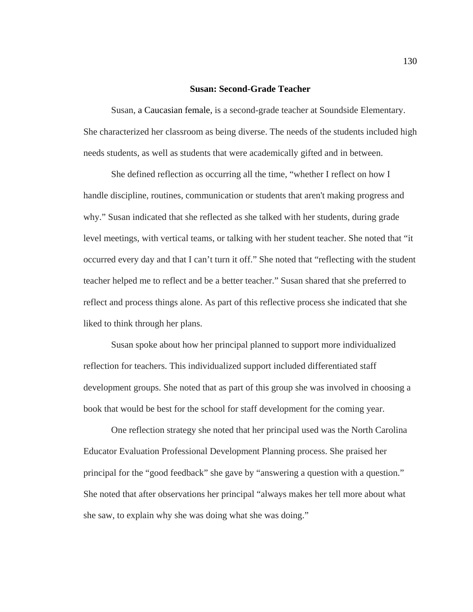## **Susan: Second-Grade Teacher**

Susan, a Caucasian female, is a second-grade teacher at Soundside Elementary. She characterized her classroom as being diverse. The needs of the students included high needs students, as well as students that were academically gifted and in between.

She defined reflection as occurring all the time, "whether I reflect on how I handle discipline, routines, communication or students that aren't making progress and why." Susan indicated that she reflected as she talked with her students, during grade level meetings, with vertical teams, or talking with her student teacher. She noted that "it occurred every day and that I can't turn it off." She noted that "reflecting with the student teacher helped me to reflect and be a better teacher." Susan shared that she preferred to reflect and process things alone. As part of this reflective process she indicated that she liked to think through her plans.

Susan spoke about how her principal planned to support more individualized reflection for teachers. This individualized support included differentiated staff development groups. She noted that as part of this group she was involved in choosing a book that would be best for the school for staff development for the coming year.

One reflection strategy she noted that her principal used was the North Carolina Educator Evaluation Professional Development Planning process. She praised her principal for the "good feedback" she gave by "answering a question with a question." She noted that after observations her principal "always makes her tell more about what she saw, to explain why she was doing what she was doing."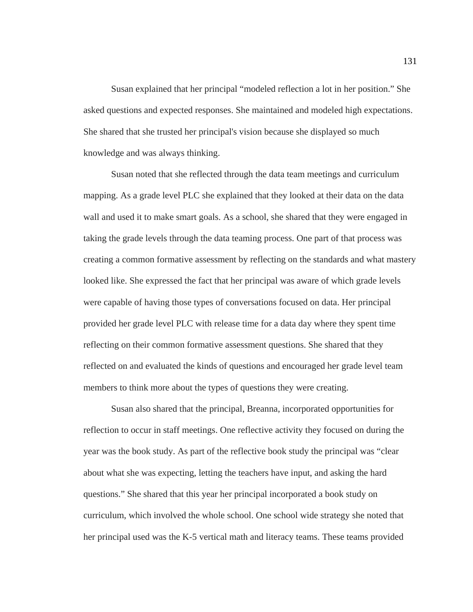Susan explained that her principal "modeled reflection a lot in her position." She asked questions and expected responses. She maintained and modeled high expectations. She shared that she trusted her principal's vision because she displayed so much knowledge and was always thinking.

Susan noted that she reflected through the data team meetings and curriculum mapping. As a grade level PLC she explained that they looked at their data on the data wall and used it to make smart goals. As a school, she shared that they were engaged in taking the grade levels through the data teaming process. One part of that process was creating a common formative assessment by reflecting on the standards and what mastery looked like. She expressed the fact that her principal was aware of which grade levels were capable of having those types of conversations focused on data. Her principal provided her grade level PLC with release time for a data day where they spent time reflecting on their common formative assessment questions. She shared that they reflected on and evaluated the kinds of questions and encouraged her grade level team members to think more about the types of questions they were creating.

 Susan also shared that the principal, Breanna, incorporated opportunities for reflection to occur in staff meetings. One reflective activity they focused on during the year was the book study. As part of the reflective book study the principal was "clear about what she was expecting, letting the teachers have input, and asking the hard questions." She shared that this year her principal incorporated a book study on curriculum, which involved the whole school. One school wide strategy she noted that her principal used was the K-5 vertical math and literacy teams. These teams provided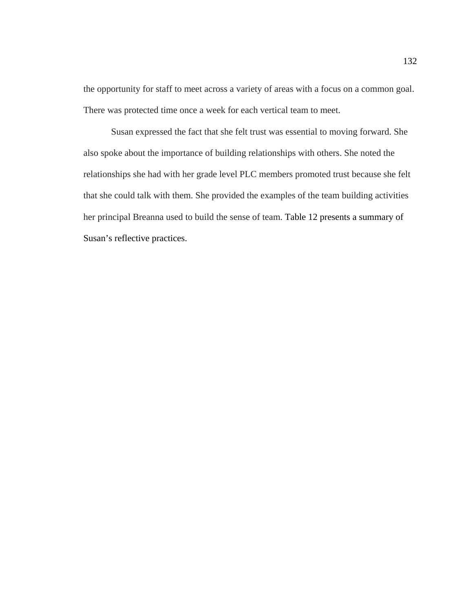the opportunity for staff to meet across a variety of areas with a focus on a common goal. There was protected time once a week for each vertical team to meet.

Susan expressed the fact that she felt trust was essential to moving forward. She also spoke about the importance of building relationships with others. She noted the relationships she had with her grade level PLC members promoted trust because she felt that she could talk with them. She provided the examples of the team building activities her principal Breanna used to build the sense of team. Table 12 presents a summary of Susan's reflective practices.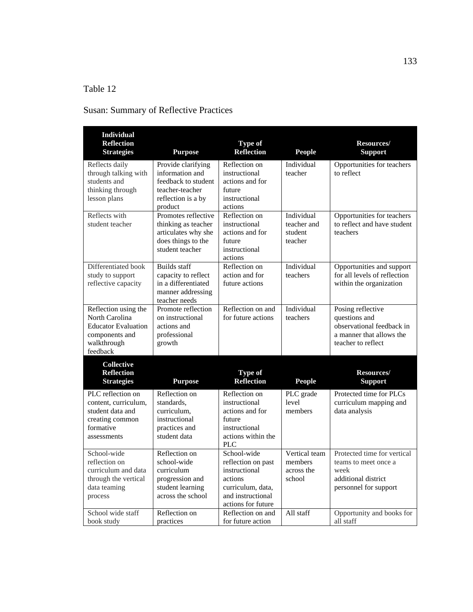# Susan: Summary of Reflective Practices

| <b>Individual</b><br><b>Reflection</b><br><b>Strategies</b>                                                       | <b>Purpose</b>                                                                                                   | <b>Type of</b><br><b>Reflection</b>                                                                                           | <b>People</b>                                    | Resources/<br><b>Support</b>                                                                                      |
|-------------------------------------------------------------------------------------------------------------------|------------------------------------------------------------------------------------------------------------------|-------------------------------------------------------------------------------------------------------------------------------|--------------------------------------------------|-------------------------------------------------------------------------------------------------------------------|
| Reflects daily<br>through talking with<br>students and<br>thinking through<br>lesson plans                        | Provide clarifying<br>information and<br>feedback to student<br>teacher-teacher<br>reflection is a by<br>product | Reflection on<br>instructional<br>actions and for<br>future<br>instructional<br>actions                                       | Individual<br>teacher                            | Opportunities for teachers<br>to reflect                                                                          |
| Reflects with<br>student teacher                                                                                  | Promotes reflective<br>thinking as teacher<br>articulates why she<br>does things to the<br>student teacher       | Reflection on<br>instructional<br>actions and for<br>future<br>instructional<br>actions                                       | Individual<br>teacher and<br>student<br>teacher  | Opportunities for teachers<br>to reflect and have student<br>teachers                                             |
| Differentiated book<br>study to support<br>reflective capacity                                                    | <b>Builds</b> staff<br>capacity to reflect<br>in a differentiated<br>manner addressing<br>teacher needs          | Reflection on<br>action and for<br>future actions                                                                             | Individual<br>teachers                           | Opportunities and support<br>for all levels of reflection<br>within the organization                              |
| Reflection using the<br>North Carolina<br><b>Educator Evaluation</b><br>components and<br>walkthrough<br>feedback | Promote reflection<br>on instructional<br>actions and<br>professional<br>growth                                  | Reflection on and<br>for future actions                                                                                       | Individual<br>teachers                           | Posing reflective<br>questions and<br>observational feedback in<br>a manner that allows the<br>teacher to reflect |
| <b>Collective</b><br><b>Reflection</b><br><b>Strategies</b>                                                       | <b>Purpose</b>                                                                                                   | Type of<br><b>Reflection</b>                                                                                                  | <b>People</b>                                    | Resources/<br><b>Support</b>                                                                                      |
| PLC reflection on<br>content, curriculum,<br>student data and<br>creating common<br>formative<br>assessments      | Reflection on<br>standards.<br>curriculum.<br>instructional<br>practices and<br>student data                     | Reflection on<br>instructional<br>actions and for<br>future<br>instructional<br>actions within the<br><b>PLC</b>              | PLC grade<br>level<br>members                    | Protected time for PLCs<br>curriculum mapping and<br>data analysis                                                |
| School-wide<br>reflection on<br>curriculum and data<br>through the vertical<br>data teaming<br>process            | Reflection on<br>school-wide<br>curriculum<br>progression and<br>student learning<br>across the school           | School-wide<br>reflection on past<br>instructional<br>actions<br>curriculum, data,<br>and instructional<br>actions for future | Vertical team<br>members<br>across the<br>school | Protected time for vertical<br>teams to meet once a<br>week<br>additional district<br>personnel for support       |
| School wide staff<br>book study                                                                                   | Reflection on<br>practices                                                                                       | Reflection on and<br>for future action                                                                                        | All staff                                        | Opportunity and books for<br>all staff                                                                            |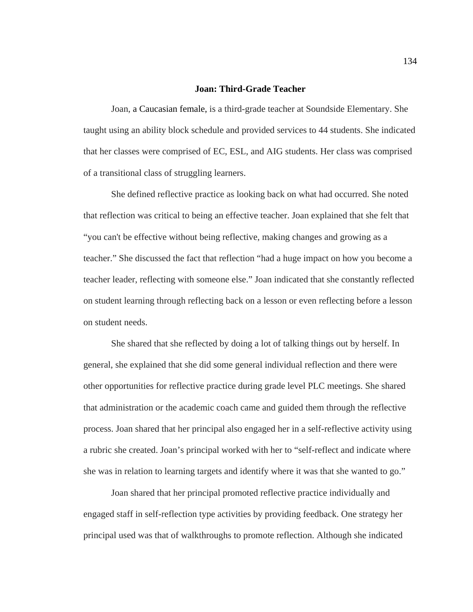#### **Joan: Third-Grade Teacher**

Joan, a Caucasian female, is a third-grade teacher at Soundside Elementary. She taught using an ability block schedule and provided services to 44 students. She indicated that her classes were comprised of EC, ESL, and AIG students. Her class was comprised of a transitional class of struggling learners.

She defined reflective practice as looking back on what had occurred. She noted that reflection was critical to being an effective teacher. Joan explained that she felt that "you can't be effective without being reflective, making changes and growing as a teacher." She discussed the fact that reflection "had a huge impact on how you become a teacher leader, reflecting with someone else." Joan indicated that she constantly reflected on student learning through reflecting back on a lesson or even reflecting before a lesson on student needs.

She shared that she reflected by doing a lot of talking things out by herself. In general, she explained that she did some general individual reflection and there were other opportunities for reflective practice during grade level PLC meetings. She shared that administration or the academic coach came and guided them through the reflective process. Joan shared that her principal also engaged her in a self-reflective activity using a rubric she created. Joan's principal worked with her to "self-reflect and indicate where she was in relation to learning targets and identify where it was that she wanted to go."

Joan shared that her principal promoted reflective practice individually and engaged staff in self-reflection type activities by providing feedback. One strategy her principal used was that of walkthroughs to promote reflection. Although she indicated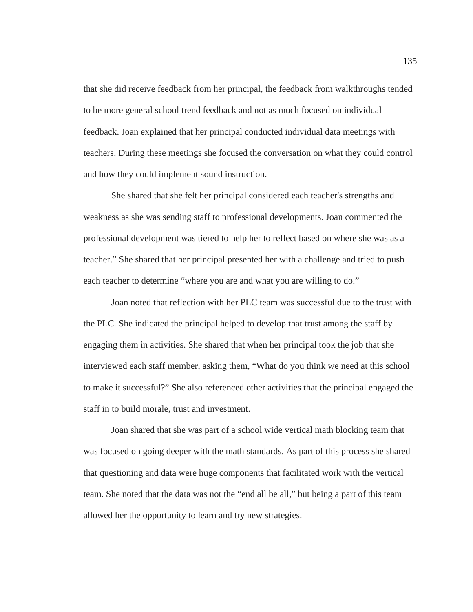that she did receive feedback from her principal, the feedback from walkthroughs tended to be more general school trend feedback and not as much focused on individual feedback. Joan explained that her principal conducted individual data meetings with teachers. During these meetings she focused the conversation on what they could control and how they could implement sound instruction.

She shared that she felt her principal considered each teacher's strengths and weakness as she was sending staff to professional developments. Joan commented the professional development was tiered to help her to reflect based on where she was as a teacher." She shared that her principal presented her with a challenge and tried to push each teacher to determine "where you are and what you are willing to do."

Joan noted that reflection with her PLC team was successful due to the trust with the PLC. She indicated the principal helped to develop that trust among the staff by engaging them in activities. She shared that when her principal took the job that she interviewed each staff member, asking them, "What do you think we need at this school to make it successful?" She also referenced other activities that the principal engaged the staff in to build morale, trust and investment.

Joan shared that she was part of a school wide vertical math blocking team that was focused on going deeper with the math standards. As part of this process she shared that questioning and data were huge components that facilitated work with the vertical team. She noted that the data was not the "end all be all," but being a part of this team allowed her the opportunity to learn and try new strategies.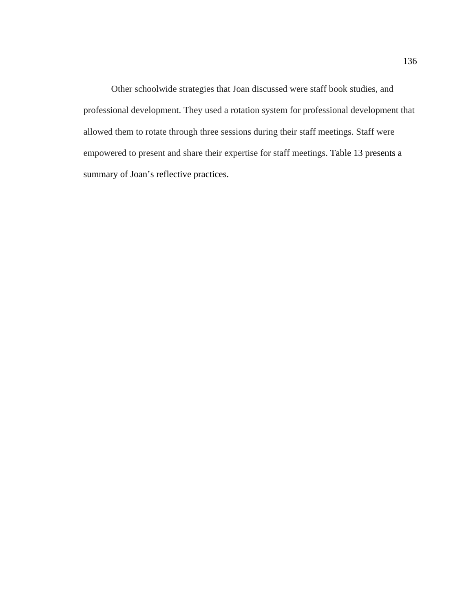Other schoolwide strategies that Joan discussed were staff book studies, and professional development. They used a rotation system for professional development that allowed them to rotate through three sessions during their staff meetings. Staff were empowered to present and share their expertise for staff meetings. Table 13 presents a summary of Joan's reflective practices.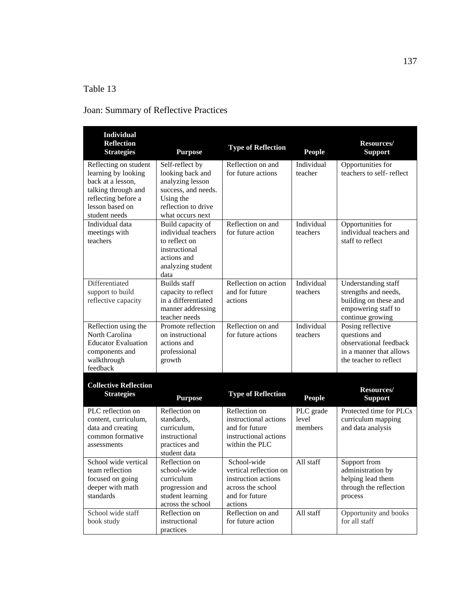# Joan: Summary of Reflective Practices

| <b>Individual</b><br><b>Reflection</b><br><b>Strategies</b> | <b>Purpose</b>                           | <b>Type of Reflection</b>                     | <b>People</b>          | Resources/<br><b>Support</b>                      |
|-------------------------------------------------------------|------------------------------------------|-----------------------------------------------|------------------------|---------------------------------------------------|
| Reflecting on student<br>learning by looking                | Self-reflect by<br>looking back and      | Reflection on and<br>for future actions       | Individual<br>teacher  | Opportunities for<br>teachers to self-reflect     |
| back at a lesson,                                           | analyzing lesson<br>success, and needs.  |                                               |                        |                                                   |
| talking through and<br>reflecting before a                  | Using the                                |                                               |                        |                                                   |
| lesson based on<br>student needs                            | reflection to drive<br>what occurs next  |                                               |                        |                                                   |
| Individual data                                             | Build capacity of                        | Reflection on and                             | Individual             | Opportunities for                                 |
| meetings with<br>teachers                                   | individual teachers<br>to reflect on     | for future action                             | teachers               | individual teachers and<br>staff to reflect       |
|                                                             | instructional                            |                                               |                        |                                                   |
|                                                             | actions and<br>analyzing student         |                                               |                        |                                                   |
| Differentiated                                              | data<br><b>Builds staff</b>              | Reflection on action                          | Individual             | Understanding staff                               |
| support to build                                            | capacity to reflect                      | and for future                                | teachers               | strengths and needs,                              |
| reflective capacity                                         | in a differentiated<br>manner addressing | actions                                       |                        | building on these and<br>empowering staff to      |
|                                                             | teacher needs                            |                                               |                        | continue growing                                  |
| Reflection using the<br>North Carolina                      | Promote reflection<br>on instructional   | Reflection on and<br>for future actions       | Individual<br>teachers | Posing reflective<br>questions and                |
| <b>Educator Evaluation</b>                                  | actions and                              |                                               |                        | observational feedback                            |
| components and<br>walkthrough                               | professional<br>growth                   |                                               |                        | in a manner that allows<br>the teacher to reflect |
| feedback                                                    |                                          |                                               |                        |                                                   |
| <b>Collective Reflection</b>                                |                                          |                                               |                        | Resources/                                        |
| <b>Strategies</b>                                           | <b>Purpose</b>                           | <b>Type of Reflection</b>                     | <b>People</b>          | <b>Support</b>                                    |
| PLC reflection on                                           | Reflection on                            | Reflection on                                 | PLC grade              | Protected time for PLCs                           |
| content, curriculum,<br>data and creating                   | standards,<br>curriculum.                | instructional actions<br>and for future       | level<br>members       | curriculum mapping<br>and data analysis           |
| common formative                                            | instructional                            | instructional actions                         |                        |                                                   |
| assessments                                                 | practices and<br>student data            | within the PLC                                |                        |                                                   |
| School wide vertical                                        | Reflection on                            | School-wide                                   | All staff              | Support from                                      |
| team reflection<br>focused on going                         | school-wide<br>curriculum                | vertical reflection on<br>instruction actions |                        | administration by<br>helping lead them            |
| deeper with math                                            | progression and                          | across the school                             |                        | through the reflection                            |
| standards                                                   | student learning<br>across the school    | and for future<br>actions                     |                        | process                                           |
| School wide staff                                           | Reflection on                            | Reflection on and                             | All staff              | Opportunity and books                             |
| book study                                                  | instructional<br>practices               | for future action                             |                        | for all staff                                     |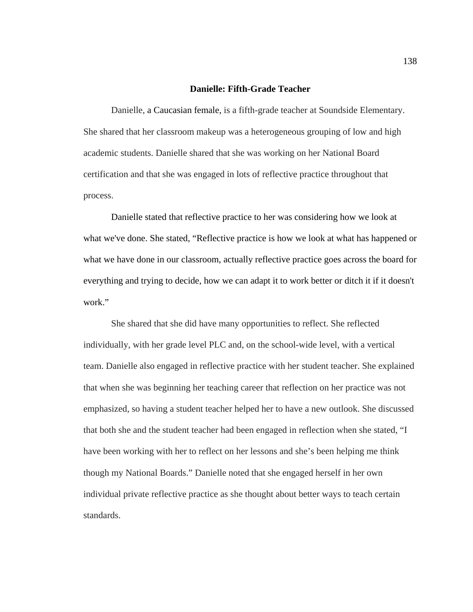#### **Danielle: Fifth-Grade Teacher**

Danielle, a Caucasian female, is a fifth-grade teacher at Soundside Elementary. She shared that her classroom makeup was a heterogeneous grouping of low and high academic students. Danielle shared that she was working on her National Board certification and that she was engaged in lots of reflective practice throughout that process.

Danielle stated that reflective practice to her was considering how we look at what we've done. She stated, "Reflective practice is how we look at what has happened or what we have done in our classroom, actually reflective practice goes across the board for everything and trying to decide, how we can adapt it to work better or ditch it if it doesn't work."

She shared that she did have many opportunities to reflect. She reflected individually, with her grade level PLC and, on the school-wide level, with a vertical team. Danielle also engaged in reflective practice with her student teacher. She explained that when she was beginning her teaching career that reflection on her practice was not emphasized, so having a student teacher helped her to have a new outlook. She discussed that both she and the student teacher had been engaged in reflection when she stated, "I have been working with her to reflect on her lessons and she's been helping me think though my National Boards." Danielle noted that she engaged herself in her own individual private reflective practice as she thought about better ways to teach certain standards.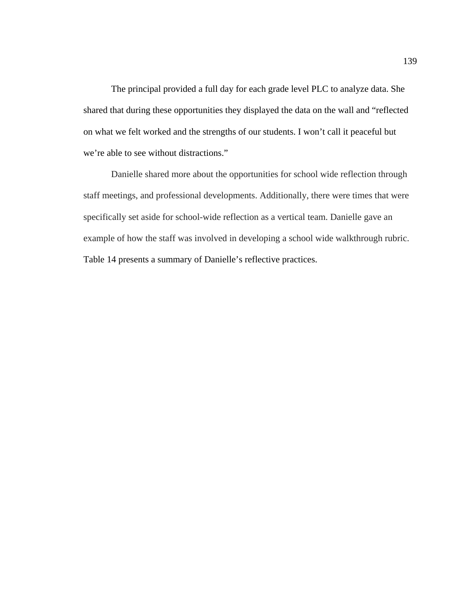The principal provided a full day for each grade level PLC to analyze data. She shared that during these opportunities they displayed the data on the wall and "reflected on what we felt worked and the strengths of our students. I won't call it peaceful but we're able to see without distractions."

Danielle shared more about the opportunities for school wide reflection through staff meetings, and professional developments. Additionally, there were times that were specifically set aside for school-wide reflection as a vertical team. Danielle gave an example of how the staff was involved in developing a school wide walkthrough rubric. Table 14 presents a summary of Danielle's reflective practices.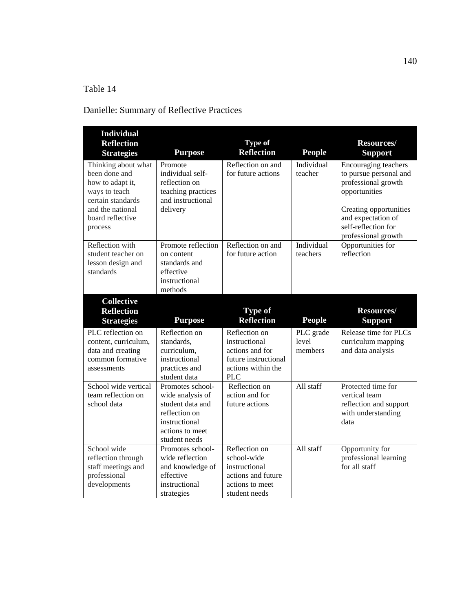# Danielle: Summary of Reflective Practices

| <b>Individual</b><br><b>Reflection</b><br><b>Strategies</b>                                                                                       | <b>Purpose</b>                                                                                      | Type of<br><b>Reflection</b>            | <b>People</b>          | Resources/<br><b>Support</b>                                                                                                                                                         |
|---------------------------------------------------------------------------------------------------------------------------------------------------|-----------------------------------------------------------------------------------------------------|-----------------------------------------|------------------------|--------------------------------------------------------------------------------------------------------------------------------------------------------------------------------------|
| Thinking about what<br>been done and<br>how to adapt it,<br>ways to teach<br>certain standards<br>and the national<br>board reflective<br>process | Promote<br>individual self-<br>reflection on<br>teaching practices<br>and instructional<br>delivery | Reflection on and<br>for future actions | Individual<br>teacher  | Encouraging teachers<br>to pursue personal and<br>professional growth<br>opportunities<br>Creating opportunities<br>and expectation of<br>self-reflection for<br>professional growth |
| Reflection with<br>student teacher on<br>lesson design and<br>standards                                                                           | Promote reflection<br>on content<br>standards and<br>effective<br>instructional<br>methods          | Reflection on and<br>for future action  | Individual<br>teachers | Opportunities for<br>reflection                                                                                                                                                      |
| <b>Collective</b>                                                                                                                                 |                                                                                                     |                                         |                        |                                                                                                                                                                                      |
| <b>Reflection</b>                                                                                                                                 |                                                                                                     | <b>Type of</b>                          |                        | Resources/                                                                                                                                                                           |
|                                                                                                                                                   |                                                                                                     |                                         |                        |                                                                                                                                                                                      |
| <b>Strategies</b>                                                                                                                                 | <b>Purpose</b>                                                                                      | <b>Reflection</b>                       | <b>People</b>          | <b>Support</b>                                                                                                                                                                       |
| PLC reflection on                                                                                                                                 | Reflection on                                                                                       | Reflection on                           | PLC grade              | Release time for PLCs                                                                                                                                                                |
| content, curriculum,                                                                                                                              | standards,                                                                                          | instructional                           | level                  | curriculum mapping                                                                                                                                                                   |
| data and creating                                                                                                                                 | curriculum,                                                                                         | actions and for                         | members                | and data analysis                                                                                                                                                                    |
| common formative                                                                                                                                  | instructional                                                                                       | future instructional                    |                        |                                                                                                                                                                                      |
| assessments                                                                                                                                       | practices and                                                                                       | actions within the                      |                        |                                                                                                                                                                                      |
|                                                                                                                                                   | student data                                                                                        | <b>PLC</b>                              |                        |                                                                                                                                                                                      |
| School wide vertical                                                                                                                              | Promotes school-                                                                                    | Reflection on                           | All staff              | Protected time for                                                                                                                                                                   |
| team reflection on                                                                                                                                | wide analysis of                                                                                    | action and for                          |                        | vertical team                                                                                                                                                                        |
| school data                                                                                                                                       | student data and                                                                                    | future actions                          |                        | reflection and support                                                                                                                                                               |
|                                                                                                                                                   | reflection on                                                                                       |                                         |                        | with understanding                                                                                                                                                                   |
|                                                                                                                                                   | instructional                                                                                       |                                         |                        | data                                                                                                                                                                                 |
|                                                                                                                                                   | actions to meet                                                                                     |                                         |                        |                                                                                                                                                                                      |
|                                                                                                                                                   | student needs                                                                                       |                                         |                        |                                                                                                                                                                                      |
| School wide                                                                                                                                       | Promotes school-                                                                                    | Reflection on                           | All staff              | Opportunity for                                                                                                                                                                      |
| reflection through                                                                                                                                | wide reflection                                                                                     | school-wide                             |                        | professional learning<br>for all staff                                                                                                                                               |
| staff meetings and<br>professional                                                                                                                | and knowledge of<br>effective                                                                       | instructional<br>actions and future     |                        |                                                                                                                                                                                      |
| developments                                                                                                                                      | instructional                                                                                       | actions to meet                         |                        |                                                                                                                                                                                      |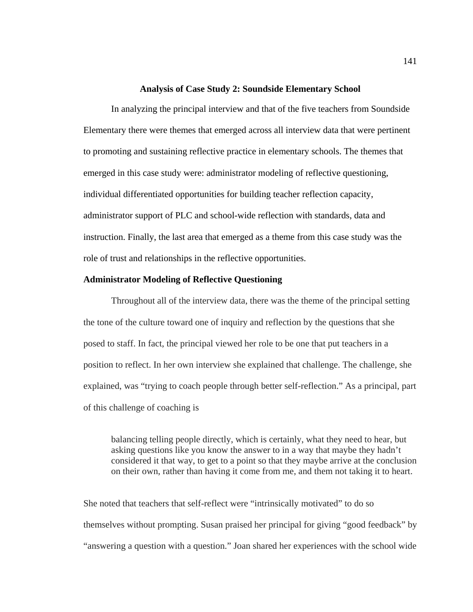#### **Analysis of Case Study 2: Soundside Elementary School**

In analyzing the principal interview and that of the five teachers from Soundside Elementary there were themes that emerged across all interview data that were pertinent to promoting and sustaining reflective practice in elementary schools. The themes that emerged in this case study were: administrator modeling of reflective questioning, individual differentiated opportunities for building teacher reflection capacity, administrator support of PLC and school-wide reflection with standards, data and instruction. Finally, the last area that emerged as a theme from this case study was the role of trust and relationships in the reflective opportunities.

#### **Administrator Modeling of Reflective Questioning**

Throughout all of the interview data, there was the theme of the principal setting the tone of the culture toward one of inquiry and reflection by the questions that she posed to staff. In fact, the principal viewed her role to be one that put teachers in a position to reflect. In her own interview she explained that challenge. The challenge, she explained, was "trying to coach people through better self-reflection." As a principal, part of this challenge of coaching is

balancing telling people directly, which is certainly, what they need to hear, but asking questions like you know the answer to in a way that maybe they hadn't considered it that way, to get to a point so that they maybe arrive at the conclusion on their own, rather than having it come from me, and them not taking it to heart.

She noted that teachers that self-reflect were "intrinsically motivated" to do so themselves without prompting. Susan praised her principal for giving "good feedback" by "answering a question with a question." Joan shared her experiences with the school wide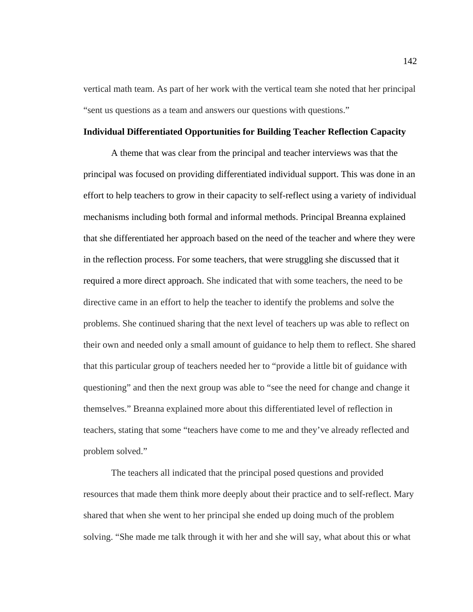vertical math team. As part of her work with the vertical team she noted that her principal "sent us questions as a team and answers our questions with questions."

#### **Individual Differentiated Opportunities for Building Teacher Reflection Capacity**

A theme that was clear from the principal and teacher interviews was that the principal was focused on providing differentiated individual support. This was done in an effort to help teachers to grow in their capacity to self-reflect using a variety of individual mechanisms including both formal and informal methods. Principal Breanna explained that she differentiated her approach based on the need of the teacher and where they were in the reflection process. For some teachers, that were struggling she discussed that it required a more direct approach. She indicated that with some teachers, the need to be directive came in an effort to help the teacher to identify the problems and solve the problems. She continued sharing that the next level of teachers up was able to reflect on their own and needed only a small amount of guidance to help them to reflect. She shared that this particular group of teachers needed her to "provide a little bit of guidance with questioning" and then the next group was able to "see the need for change and change it themselves." Breanna explained more about this differentiated level of reflection in teachers, stating that some "teachers have come to me and they've already reflected and problem solved."

The teachers all indicated that the principal posed questions and provided resources that made them think more deeply about their practice and to self-reflect. Mary shared that when she went to her principal she ended up doing much of the problem solving. "She made me talk through it with her and she will say, what about this or what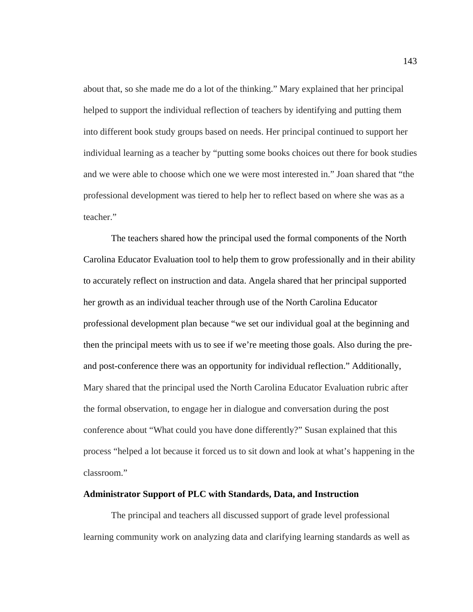about that, so she made me do a lot of the thinking." Mary explained that her principal helped to support the individual reflection of teachers by identifying and putting them into different book study groups based on needs. Her principal continued to support her individual learning as a teacher by "putting some books choices out there for book studies and we were able to choose which one we were most interested in." Joan shared that "the professional development was tiered to help her to reflect based on where she was as a teacher."

The teachers shared how the principal used the formal components of the North Carolina Educator Evaluation tool to help them to grow professionally and in their ability to accurately reflect on instruction and data. Angela shared that her principal supported her growth as an individual teacher through use of the North Carolina Educator professional development plan because "we set our individual goal at the beginning and then the principal meets with us to see if we're meeting those goals. Also during the preand post-conference there was an opportunity for individual reflection." Additionally, Mary shared that the principal used the North Carolina Educator Evaluation rubric after the formal observation, to engage her in dialogue and conversation during the post conference about "What could you have done differently?" Susan explained that this process "helped a lot because it forced us to sit down and look at what's happening in the classroom."

#### **Administrator Support of PLC with Standards, Data, and Instruction**

 The principal and teachers all discussed support of grade level professional learning community work on analyzing data and clarifying learning standards as well as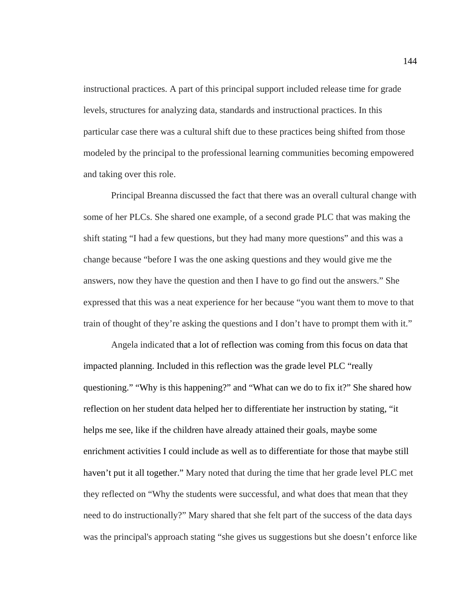instructional practices. A part of this principal support included release time for grade levels, structures for analyzing data, standards and instructional practices. In this particular case there was a cultural shift due to these practices being shifted from those modeled by the principal to the professional learning communities becoming empowered and taking over this role.

 Principal Breanna discussed the fact that there was an overall cultural change with some of her PLCs. She shared one example, of a second grade PLC that was making the shift stating "I had a few questions, but they had many more questions" and this was a change because "before I was the one asking questions and they would give me the answers, now they have the question and then I have to go find out the answers." She expressed that this was a neat experience for her because "you want them to move to that train of thought of they're asking the questions and I don't have to prompt them with it."

Angela indicated that a lot of reflection was coming from this focus on data that impacted planning. Included in this reflection was the grade level PLC "really questioning." "Why is this happening?" and "What can we do to fix it?" She shared how reflection on her student data helped her to differentiate her instruction by stating, "it helps me see, like if the children have already attained their goals, maybe some enrichment activities I could include as well as to differentiate for those that maybe still haven't put it all together." Mary noted that during the time that her grade level PLC met they reflected on "Why the students were successful, and what does that mean that they need to do instructionally?" Mary shared that she felt part of the success of the data days was the principal's approach stating "she gives us suggestions but she doesn't enforce like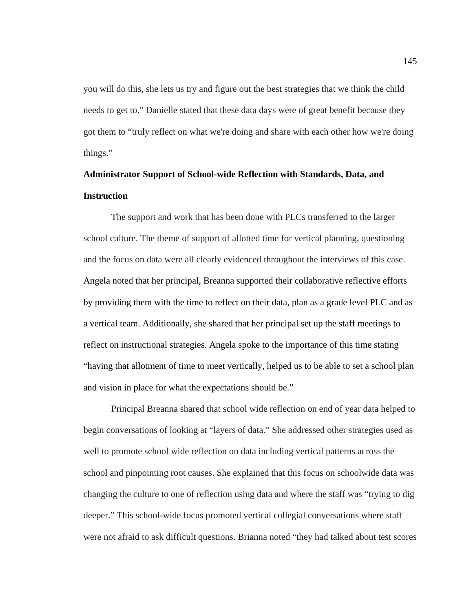you will do this, she lets us try and figure out the best strategies that we think the child needs to get to." Danielle stated that these data days were of great benefit because they got them to "truly reflect on what we're doing and share with each other how we're doing things."

# **Administrator Support of School-wide Reflection with Standards, Data, and Instruction**

 The support and work that has been done with PLCs transferred to the larger school culture. The theme of support of allotted time for vertical planning, questioning and the focus on data were all clearly evidenced throughout the interviews of this case. Angela noted that her principal, Breanna supported their collaborative reflective efforts by providing them with the time to reflect on their data, plan as a grade level PLC and as a vertical team. Additionally, she shared that her principal set up the staff meetings to reflect on instructional strategies. Angela spoke to the importance of this time stating "having that allotment of time to meet vertically, helped us to be able to set a school plan and vision in place for what the expectations should be."

Principal Breanna shared that school wide reflection on end of year data helped to begin conversations of looking at "layers of data." She addressed other strategies used as well to promote school wide reflection on data including vertical patterns across the school and pinpointing root causes. She explained that this focus on schoolwide data was changing the culture to one of reflection using data and where the staff was "trying to dig deeper." This school-wide focus promoted vertical collegial conversations where staff were not afraid to ask difficult questions. Brianna noted "they had talked about test scores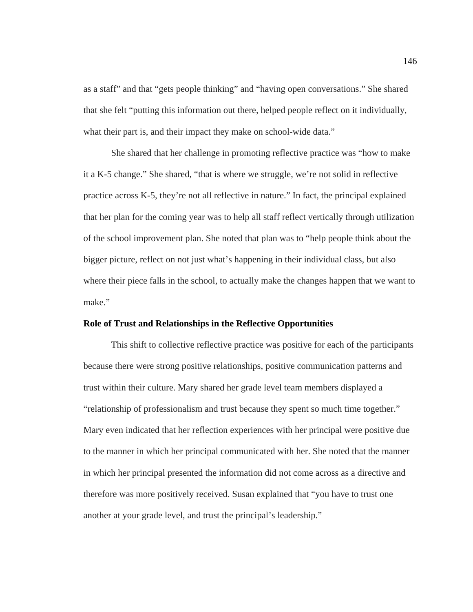as a staff" and that "gets people thinking" and "having open conversations." She shared that she felt "putting this information out there, helped people reflect on it individually, what their part is, and their impact they make on school-wide data."

She shared that her challenge in promoting reflective practice was "how to make it a K-5 change." She shared, "that is where we struggle, we're not solid in reflective practice across K-5, they're not all reflective in nature." In fact, the principal explained that her plan for the coming year was to help all staff reflect vertically through utilization of the school improvement plan. She noted that plan was to "help people think about the bigger picture, reflect on not just what's happening in their individual class, but also where their piece falls in the school, to actually make the changes happen that we want to make."

#### **Role of Trust and Relationships in the Reflective Opportunities**

 This shift to collective reflective practice was positive for each of the participants because there were strong positive relationships, positive communication patterns and trust within their culture. Mary shared her grade level team members displayed a "relationship of professionalism and trust because they spent so much time together." Mary even indicated that her reflection experiences with her principal were positive due to the manner in which her principal communicated with her. She noted that the manner in which her principal presented the information did not come across as a directive and therefore was more positively received. Susan explained that "you have to trust one another at your grade level, and trust the principal's leadership."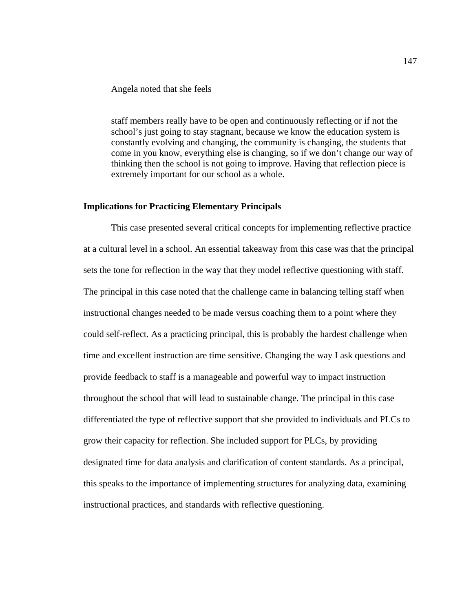#### Angela noted that she feels

staff members really have to be open and continuously reflecting or if not the school's just going to stay stagnant, because we know the education system is constantly evolving and changing, the community is changing, the students that come in you know, everything else is changing, so if we don't change our way of thinking then the school is not going to improve. Having that reflection piece is extremely important for our school as a whole.

#### **Implications for Practicing Elementary Principals**

This case presented several critical concepts for implementing reflective practice at a cultural level in a school. An essential takeaway from this case was that the principal sets the tone for reflection in the way that they model reflective questioning with staff. The principal in this case noted that the challenge came in balancing telling staff when instructional changes needed to be made versus coaching them to a point where they could self-reflect. As a practicing principal, this is probably the hardest challenge when time and excellent instruction are time sensitive. Changing the way I ask questions and provide feedback to staff is a manageable and powerful way to impact instruction throughout the school that will lead to sustainable change. The principal in this case differentiated the type of reflective support that she provided to individuals and PLCs to grow their capacity for reflection. She included support for PLCs, by providing designated time for data analysis and clarification of content standards. As a principal, this speaks to the importance of implementing structures for analyzing data, examining instructional practices, and standards with reflective questioning.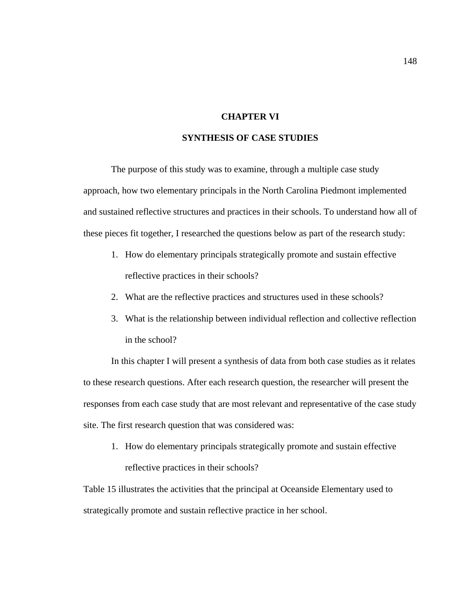#### **CHAPTER VI**

#### **SYNTHESIS OF CASE STUDIES**

The purpose of this study was to examine, through a multiple case study approach, how two elementary principals in the North Carolina Piedmont implemented and sustained reflective structures and practices in their schools. To understand how all of these pieces fit together, I researched the questions below as part of the research study:

- 1. How do elementary principals strategically promote and sustain effective reflective practices in their schools?
- 2. What are the reflective practices and structures used in these schools?
- 3. What is the relationship between individual reflection and collective reflection in the school?

In this chapter I will present a synthesis of data from both case studies as it relates to these research questions. After each research question, the researcher will present the responses from each case study that are most relevant and representative of the case study site. The first research question that was considered was:

1. How do elementary principals strategically promote and sustain effective reflective practices in their schools?

Table 15 illustrates the activities that the principal at Oceanside Elementary used to strategically promote and sustain reflective practice in her school.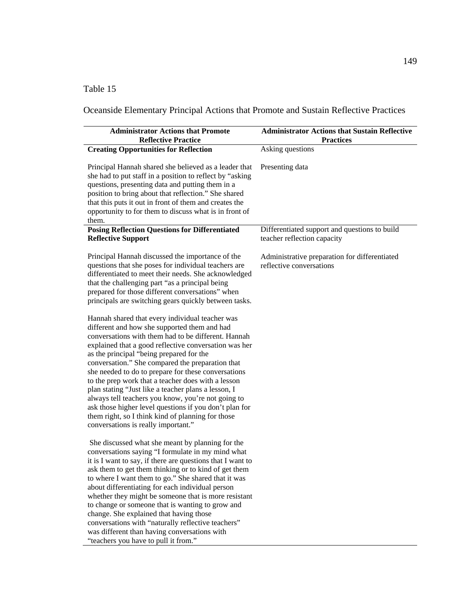Oceanside Elementary Principal Actions that Promote and Sustain Reflective Practices

| <b>Administrator Actions that Promote</b><br><b>Reflective Practice</b>                                                                                                                                                                                                                                                                                                                                                                                                                                                                                                                                                                                                                         | <b>Administrator Actions that Sustain Reflective</b><br><b>Practices</b>     |
|-------------------------------------------------------------------------------------------------------------------------------------------------------------------------------------------------------------------------------------------------------------------------------------------------------------------------------------------------------------------------------------------------------------------------------------------------------------------------------------------------------------------------------------------------------------------------------------------------------------------------------------------------------------------------------------------------|------------------------------------------------------------------------------|
| <b>Creating Opportunities for Reflection</b>                                                                                                                                                                                                                                                                                                                                                                                                                                                                                                                                                                                                                                                    | Asking questions                                                             |
| Principal Hannah shared she believed as a leader that<br>she had to put staff in a position to reflect by "asking"<br>questions, presenting data and putting them in a<br>position to bring about that reflection." She shared<br>that this puts it out in front of them and creates the<br>opportunity to for them to discuss what is in front of<br>them.                                                                                                                                                                                                                                                                                                                                     | Presenting data                                                              |
| <b>Posing Reflection Questions for Differentiated</b><br><b>Reflective Support</b>                                                                                                                                                                                                                                                                                                                                                                                                                                                                                                                                                                                                              | Differentiated support and questions to build<br>teacher reflection capacity |
| Principal Hannah discussed the importance of the<br>questions that she poses for individual teachers are<br>differentiated to meet their needs. She acknowledged<br>that the challenging part "as a principal being<br>prepared for those different conversations" when<br>principals are switching gears quickly between tasks.                                                                                                                                                                                                                                                                                                                                                                | Administrative preparation for differentiated<br>reflective conversations    |
| Hannah shared that every individual teacher was<br>different and how she supported them and had<br>conversations with them had to be different. Hannah<br>explained that a good reflective conversation was her<br>as the principal "being prepared for the<br>conversation." She compared the preparation that<br>she needed to do to prepare for these conversations<br>to the prep work that a teacher does with a lesson<br>plan stating "Just like a teacher plans a lesson, I<br>always tell teachers you know, you're not going to<br>ask those higher level questions if you don't plan for<br>them right, so I think kind of planning for those<br>conversations is really important." |                                                                              |
| She discussed what she meant by planning for the<br>conversations saying "I formulate in my mind what<br>it is I want to say, if there are questions that I want to<br>ask them to get them thinking or to kind of get them<br>to where I want them to go." She shared that it was<br>about differentiating for each individual person<br>whether they might be someone that is more resistant<br>to change or someone that is wanting to grow and<br>change. She explained that having those<br>conversations with "naturally reflective teachers"<br>was different than having conversations with<br>"teachers you have to pull it from."                                                     |                                                                              |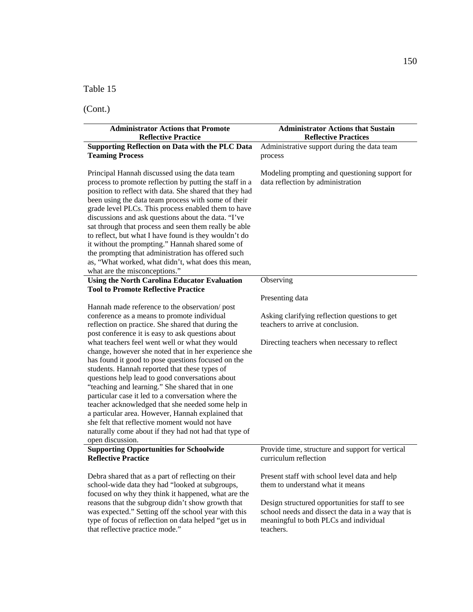(Cont.)

| <b>Administrator Actions that Promote</b><br><b>Reflective Practice</b>                                                                                                                                                                                                                                                                                                                                                                                                                                                                                                                                                                                                                                                                                                                                                        | <b>Administrator Actions that Sustain</b><br><b>Reflective Practices</b>                                                                                                                                                              |
|--------------------------------------------------------------------------------------------------------------------------------------------------------------------------------------------------------------------------------------------------------------------------------------------------------------------------------------------------------------------------------------------------------------------------------------------------------------------------------------------------------------------------------------------------------------------------------------------------------------------------------------------------------------------------------------------------------------------------------------------------------------------------------------------------------------------------------|---------------------------------------------------------------------------------------------------------------------------------------------------------------------------------------------------------------------------------------|
| <b>Supporting Reflection on Data with the PLC Data</b><br><b>Teaming Process</b>                                                                                                                                                                                                                                                                                                                                                                                                                                                                                                                                                                                                                                                                                                                                               | Administrative support during the data team<br>process                                                                                                                                                                                |
| Principal Hannah discussed using the data team<br>process to promote reflection by putting the staff in a<br>position to reflect with data. She shared that they had<br>been using the data team process with some of their<br>grade level PLCs. This process enabled them to have<br>discussions and ask questions about the data. "I've<br>sat through that process and seen them really be able<br>to reflect, but what I have found is they wouldn't do<br>it without the prompting." Hannah shared some of<br>the prompting that administration has offered such<br>as, "What worked, what didn't, what does this mean,<br>what are the misconceptions."                                                                                                                                                                  | Modeling prompting and questioning support for<br>data reflection by administration                                                                                                                                                   |
| <b>Using the North Carolina Educator Evaluation</b>                                                                                                                                                                                                                                                                                                                                                                                                                                                                                                                                                                                                                                                                                                                                                                            | Observing                                                                                                                                                                                                                             |
| <b>Tool to Promote Reflective Practice</b>                                                                                                                                                                                                                                                                                                                                                                                                                                                                                                                                                                                                                                                                                                                                                                                     |                                                                                                                                                                                                                                       |
|                                                                                                                                                                                                                                                                                                                                                                                                                                                                                                                                                                                                                                                                                                                                                                                                                                | Presenting data                                                                                                                                                                                                                       |
| Hannah made reference to the observation/post<br>conference as a means to promote individual<br>reflection on practice. She shared that during the<br>post conference it is easy to ask questions about<br>what teachers feel went well or what they would<br>change, however she noted that in her experience she<br>has found it good to pose questions focused on the<br>students. Hannah reported that these types of<br>questions help lead to good conversations about<br>"teaching and learning." She shared that in one<br>particular case it led to a conversation where the<br>teacher acknowledged that she needed some help in<br>a particular area. However, Hannah explained that<br>she felt that reflective moment would not have<br>naturally come about if they had not had that type of<br>open discussion. | Asking clarifying reflection questions to get<br>teachers to arrive at conclusion.<br>Directing teachers when necessary to reflect                                                                                                    |
| <b>Supporting Opportunities for Schoolwide</b><br><b>Reflective Practice</b>                                                                                                                                                                                                                                                                                                                                                                                                                                                                                                                                                                                                                                                                                                                                                   | Provide time, structure and support for vertical<br>curriculum reflection                                                                                                                                                             |
| Debra shared that as a part of reflecting on their<br>school-wide data they had "looked at subgroups,<br>focused on why they think it happened, what are the<br>reasons that the subgroup didn't show growth that<br>was expected." Setting off the school year with this<br>type of focus of reflection on data helped "get us in                                                                                                                                                                                                                                                                                                                                                                                                                                                                                             | Present staff with school level data and help<br>them to understand what it means<br>Design structured opportunities for staff to see<br>school needs and dissect the data in a way that is<br>meaningful to both PLCs and individual |
| that reflective practice mode."                                                                                                                                                                                                                                                                                                                                                                                                                                                                                                                                                                                                                                                                                                                                                                                                | teachers.                                                                                                                                                                                                                             |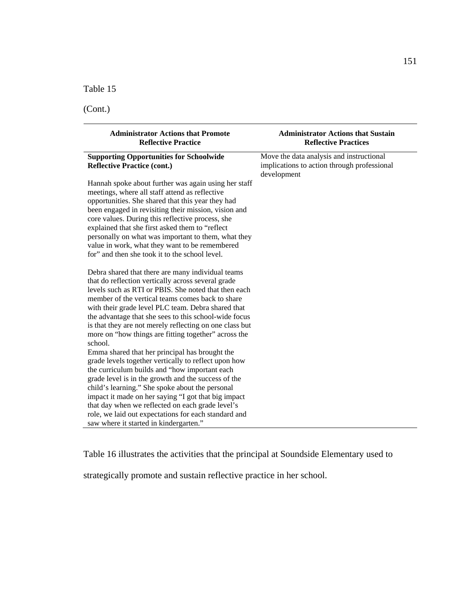### (Cont.)

| <b>Administrator Actions that Promote</b><br><b>Reflective Practice</b>                                                                                                                                                                                                                                                                                                                                                                                                               | <b>Administrator Actions that Sustain</b><br><b>Reflective Practices</b>                               |
|---------------------------------------------------------------------------------------------------------------------------------------------------------------------------------------------------------------------------------------------------------------------------------------------------------------------------------------------------------------------------------------------------------------------------------------------------------------------------------------|--------------------------------------------------------------------------------------------------------|
| <b>Supporting Opportunities for Schoolwide</b><br><b>Reflective Practice (cont.)</b>                                                                                                                                                                                                                                                                                                                                                                                                  | Move the data analysis and instructional<br>implications to action through professional<br>development |
| Hannah spoke about further was again using her staff<br>meetings, where all staff attend as reflective<br>opportunities. She shared that this year they had<br>been engaged in revisiting their mission, vision and<br>core values. During this reflective process, she<br>explained that she first asked them to "reflect<br>personally on what was important to them, what they<br>value in work, what they want to be remembered<br>for" and then she took it to the school level. |                                                                                                        |
| Debra shared that there are many individual teams<br>that do reflection vertically across several grade<br>levels such as RTI or PBIS. She noted that then each<br>member of the vertical teams comes back to share<br>with their grade level PLC team. Debra shared that<br>the advantage that she sees to this school-wide focus<br>is that they are not merely reflecting on one class but<br>more on "how things are fitting together" across the<br>school.                      |                                                                                                        |
| Emma shared that her principal has brought the<br>grade levels together vertically to reflect upon how<br>the curriculum builds and "how important each<br>grade level is in the growth and the success of the<br>child's learning." She spoke about the personal<br>impact it made on her saying "I got that big impact<br>that day when we reflected on each grade level's<br>role, we laid out expectations for each standard and<br>saw where it started in kindergarten."        |                                                                                                        |

Table 16 illustrates the activities that the principal at Soundside Elementary used to

strategically promote and sustain reflective practice in her school.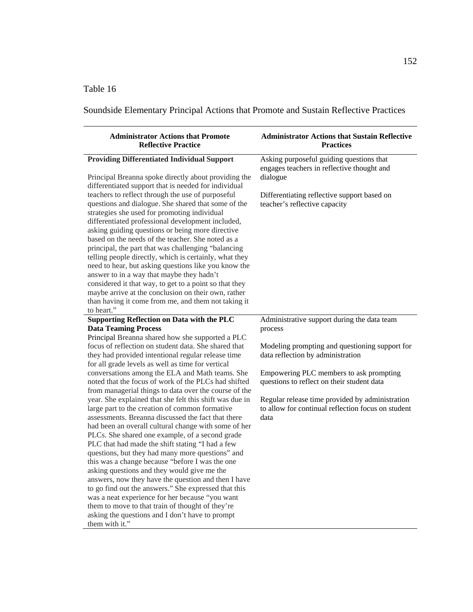Soundside Elementary Principal Actions that Promote and Sustain Reflective Practices

| <b>Administrator Actions that Promote</b><br><b>Reflective Practice</b>                                                                                                                                                                                                                                                                                                                                                                                                                                                                                                                                                                                                                                                                                                                                                                                                                                  | <b>Administrator Actions that Sustain Reflective</b><br><b>Practices</b>                                                                                                           |
|----------------------------------------------------------------------------------------------------------------------------------------------------------------------------------------------------------------------------------------------------------------------------------------------------------------------------------------------------------------------------------------------------------------------------------------------------------------------------------------------------------------------------------------------------------------------------------------------------------------------------------------------------------------------------------------------------------------------------------------------------------------------------------------------------------------------------------------------------------------------------------------------------------|------------------------------------------------------------------------------------------------------------------------------------------------------------------------------------|
| <b>Providing Differentiated Individual Support</b><br>Principal Breanna spoke directly about providing the<br>differentiated support that is needed for individual<br>teachers to reflect through the use of purposeful<br>questions and dialogue. She shared that some of the<br>strategies she used for promoting individual<br>differentiated professional development included,<br>asking guiding questions or being more directive<br>based on the needs of the teacher. She noted as a<br>principal, the part that was challenging "balancing<br>telling people directly, which is certainly, what they<br>need to hear, but asking questions like you know the<br>answer to in a way that maybe they hadn't<br>considered it that way, to get to a point so that they<br>maybe arrive at the conclusion on their own, rather<br>than having it come from me, and them not taking it<br>to heart." | Asking purposeful guiding questions that<br>engages teachers in reflective thought and<br>dialogue<br>Differentiating reflective support based on<br>teacher's reflective capacity |
| <b>Supporting Reflection on Data with the PLC</b><br><b>Data Teaming Process</b><br>Principal Breanna shared how she supported a PLC<br>focus of reflection on student data. She shared that<br>they had provided intentional regular release time                                                                                                                                                                                                                                                                                                                                                                                                                                                                                                                                                                                                                                                       | Administrative support during the data team<br>process<br>Modeling prompting and questioning support for<br>data reflection by administration                                      |
| for all grade levels as well as time for vertical<br>conversations among the ELA and Math teams. She<br>noted that the focus of work of the PLCs had shifted<br>from managerial things to data over the course of the                                                                                                                                                                                                                                                                                                                                                                                                                                                                                                                                                                                                                                                                                    | Empowering PLC members to ask prompting<br>questions to reflect on their student data                                                                                              |
| year. She explained that she felt this shift was due in<br>large part to the creation of common formative<br>assessments. Breanna discussed the fact that there<br>had been an overall cultural change with some of her<br>PLCs. She shared one example, of a second grade<br>PLC that had made the shift stating "I had a few<br>questions, but they had many more questions" and<br>this was a change because "before I was the one<br>asking questions and they would give me the<br>answers, now they have the question and then I have<br>to go find out the answers." She expressed that this<br>was a neat experience for her because "you want<br>them to move to that train of thought of they're<br>asking the questions and I don't have to prompt<br>them with it."                                                                                                                          | Regular release time provided by administration<br>to allow for continual reflection focus on student<br>data                                                                      |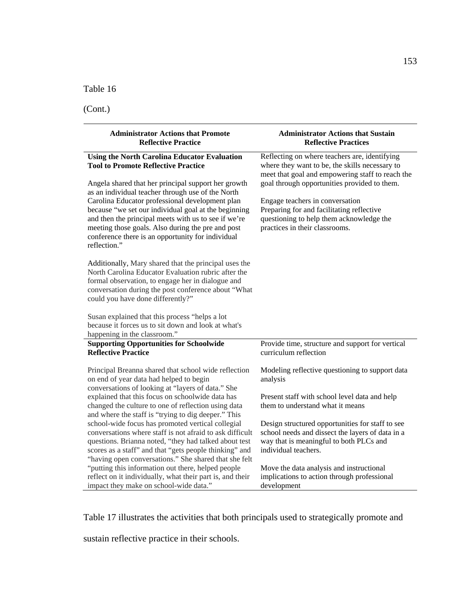### (Cont.)

| <b>Administrator Actions that Promote</b><br><b>Reflective Practice</b>                                                                                                                                                                                                                                                                                                                                                                                                                                    | <b>Administrator Actions that Sustain</b><br><b>Reflective Practices</b>                                                                                                                                                                                                                                                                                          |
|------------------------------------------------------------------------------------------------------------------------------------------------------------------------------------------------------------------------------------------------------------------------------------------------------------------------------------------------------------------------------------------------------------------------------------------------------------------------------------------------------------|-------------------------------------------------------------------------------------------------------------------------------------------------------------------------------------------------------------------------------------------------------------------------------------------------------------------------------------------------------------------|
| <b>Using the North Carolina Educator Evaluation</b><br><b>Tool to Promote Reflective Practice</b><br>Angela shared that her principal support her growth<br>as an individual teacher through use of the North<br>Carolina Educator professional development plan<br>because "we set our individual goal at the beginning<br>and then the principal meets with us to see if we're<br>meeting those goals. Also during the pre and post<br>conference there is an opportunity for individual<br>reflection." | Reflecting on where teachers are, identifying<br>where they want to be, the skills necessary to<br>meet that goal and empowering staff to reach the<br>goal through opportunities provided to them.<br>Engage teachers in conversation<br>Preparing for and facilitating reflective<br>questioning to help them acknowledge the<br>practices in their classrooms. |
| Additionally, Mary shared that the principal uses the<br>North Carolina Educator Evaluation rubric after the<br>formal observation, to engage her in dialogue and<br>conversation during the post conference about "What<br>could you have done differently?"                                                                                                                                                                                                                                              |                                                                                                                                                                                                                                                                                                                                                                   |
| Susan explained that this process "helps a lot<br>because it forces us to sit down and look at what's<br>happening in the classroom."                                                                                                                                                                                                                                                                                                                                                                      |                                                                                                                                                                                                                                                                                                                                                                   |
| <b>Supporting Opportunities for Schoolwide</b><br><b>Reflective Practice</b>                                                                                                                                                                                                                                                                                                                                                                                                                               | Provide time, structure and support for vertical<br>curriculum reflection                                                                                                                                                                                                                                                                                         |
| Principal Breanna shared that school wide reflection<br>on end of year data had helped to begin<br>conversations of looking at "layers of data." She                                                                                                                                                                                                                                                                                                                                                       | Modeling reflective questioning to support data<br>analysis                                                                                                                                                                                                                                                                                                       |
| explained that this focus on schoolwide data has<br>changed the culture to one of reflection using data<br>and where the staff is "trying to dig deeper." This                                                                                                                                                                                                                                                                                                                                             | Present staff with school level data and help<br>them to understand what it means                                                                                                                                                                                                                                                                                 |
| school-wide focus has promoted vertical collegial<br>conversations where staff is not afraid to ask difficult<br>questions. Brianna noted, "they had talked about test<br>scores as a staff" and that "gets people thinking" and<br>"having open conversations." She shared that she felt                                                                                                                                                                                                                  | Design structured opportunities for staff to see<br>school needs and dissect the layers of data in a<br>way that is meaningful to both PLCs and<br>individual teachers.                                                                                                                                                                                           |
| "putting this information out there, helped people<br>reflect on it individually, what their part is, and their<br>impact they make on school-wide data."                                                                                                                                                                                                                                                                                                                                                  | Move the data analysis and instructional<br>implications to action through professional<br>development                                                                                                                                                                                                                                                            |

Table 17 illustrates the activities that both principals used to strategically promote and

sustain reflective practice in their schools.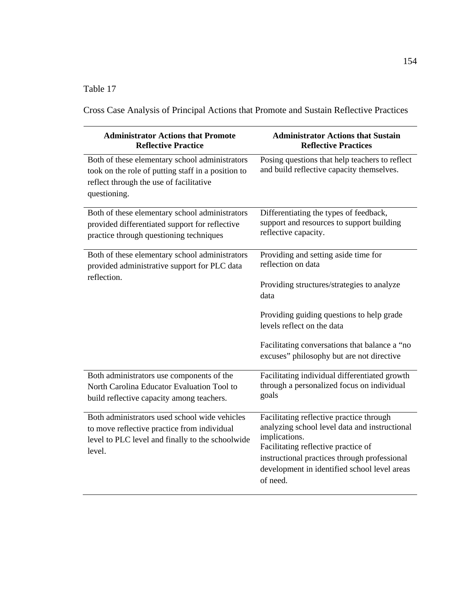Cross Case Analysis of Principal Actions that Promote and Sustain Reflective Practices

| <b>Administrator Actions that Promote</b><br><b>Reflective Practice</b>                                                                                         | <b>Administrator Actions that Sustain</b><br><b>Reflective Practices</b>                                                                                                                                                                                      |
|-----------------------------------------------------------------------------------------------------------------------------------------------------------------|---------------------------------------------------------------------------------------------------------------------------------------------------------------------------------------------------------------------------------------------------------------|
| Both of these elementary school administrators<br>took on the role of putting staff in a position to<br>reflect through the use of facilitative<br>questioning. | Posing questions that help teachers to reflect<br>and build reflective capacity themselves.                                                                                                                                                                   |
| Both of these elementary school administrators<br>provided differentiated support for reflective<br>practice through questioning techniques                     | Differentiating the types of feedback,<br>support and resources to support building<br>reflective capacity.                                                                                                                                                   |
| Both of these elementary school administrators<br>provided administrative support for PLC data<br>reflection.                                                   | Providing and setting aside time for<br>reflection on data                                                                                                                                                                                                    |
|                                                                                                                                                                 | Providing structures/strategies to analyze<br>data                                                                                                                                                                                                            |
|                                                                                                                                                                 | Providing guiding questions to help grade<br>levels reflect on the data                                                                                                                                                                                       |
|                                                                                                                                                                 | Facilitating conversations that balance a "no<br>excuses" philosophy but are not directive                                                                                                                                                                    |
| Both administrators use components of the<br>North Carolina Educator Evaluation Tool to<br>build reflective capacity among teachers.                            | Facilitating individual differentiated growth<br>through a personalized focus on individual<br>goals                                                                                                                                                          |
| Both administrators used school wide vehicles<br>to move reflective practice from individual<br>level to PLC level and finally to the schoolwide<br>level.      | Facilitating reflective practice through<br>analyzing school level data and instructional<br>implications.<br>Facilitating reflective practice of<br>instructional practices through professional<br>development in identified school level areas<br>of need. |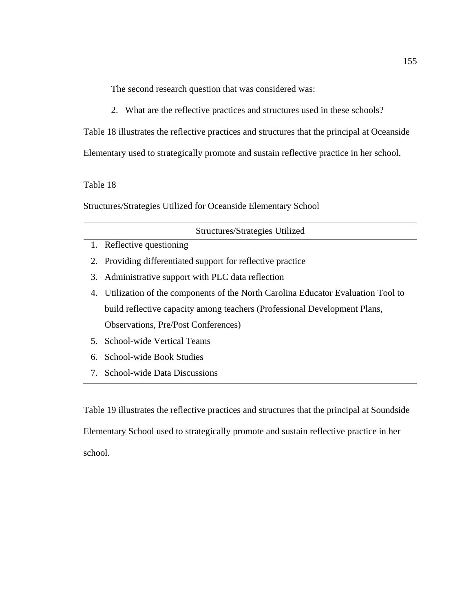The second research question that was considered was:

2. What are the reflective practices and structures used in these schools?

Table 18 illustrates the reflective practices and structures that the principal at Oceanside

Elementary used to strategically promote and sustain reflective practice in her school.

#### Table 18

Structures/Strategies Utilized for Oceanside Elementary School

| Structures/Strategies Utilized                                                     |
|------------------------------------------------------------------------------------|
| 1. Reflective questioning                                                          |
| 2. Providing differentiated support for reflective practice                        |
| 3. Administrative support with PLC data reflection                                 |
| 4. Utilization of the components of the North Carolina Educator Evaluation Tool to |
| build reflective capacity among teachers (Professional Development Plans,          |
| <b>Observations, Pre/Post Conferences)</b>                                         |
| 5. School-wide Vertical Teams                                                      |
| 6. School-wide Book Studies                                                        |

- 
- 7. School-wide Data Discussions

Table 19 illustrates the reflective practices and structures that the principal at Soundside Elementary School used to strategically promote and sustain reflective practice in her school.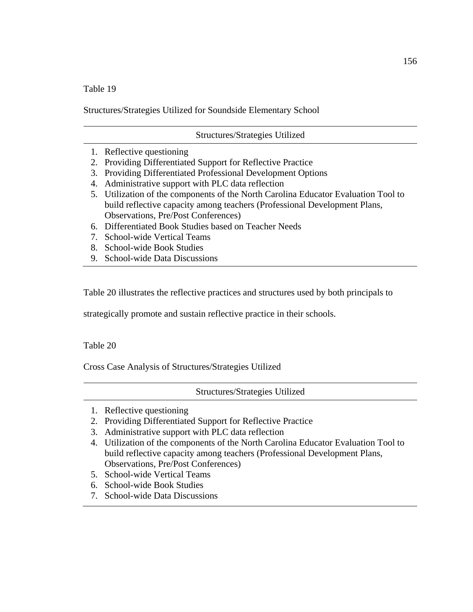Structures/Strategies Utilized for Soundside Elementary School

| Structures/Strategies Utilized |  |
|--------------------------------|--|
|--------------------------------|--|

- 1. Reflective questioning
- 2. Providing Differentiated Support for Reflective Practice
- 3. Providing Differentiated Professional Development Options
- 4. Administrative support with PLC data reflection
- 5. Utilization of the components of the North Carolina Educator Evaluation Tool to build reflective capacity among teachers (Professional Development Plans, Observations, Pre/Post Conferences)
- 6. Differentiated Book Studies based on Teacher Needs
- 7. School-wide Vertical Teams
- 8. School-wide Book Studies
- 9. School-wide Data Discussions

Table 20 illustrates the reflective practices and structures used by both principals to

strategically promote and sustain reflective practice in their schools.

Table 20

Cross Case Analysis of Structures/Strategies Utilized

Structures/Strategies Utilized

- 1. Reflective questioning
- 2. Providing Differentiated Support for Reflective Practice
- 3. Administrative support with PLC data reflection
- 4. Utilization of the components of the North Carolina Educator Evaluation Tool to build reflective capacity among teachers (Professional Development Plans, Observations, Pre/Post Conferences)
- 5. School-wide Vertical Teams
- 6. School-wide Book Studies
- 7. School-wide Data Discussions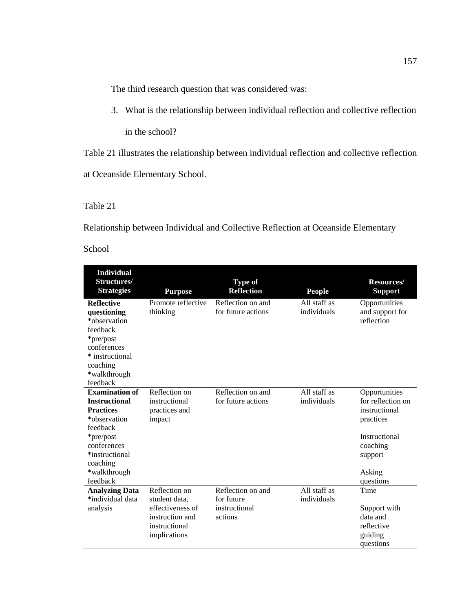The third research question that was considered was:

3. What is the relationship between individual reflection and collective reflection in the school?

Table 21 illustrates the relationship between individual reflection and collective reflection

at Oceanside Elementary School.

Table 21

Relationship between Individual and Collective Reflection at Oceanside Elementary

School

| <b>Individual</b><br>Structures/<br><b>Strategies</b>                                                                                                                               | <b>Purpose</b>                                                                                         | <b>Type of</b><br><b>Reflection</b>                         | <b>People</b>               | Resources/<br><b>Support</b>                                                                                                    |
|-------------------------------------------------------------------------------------------------------------------------------------------------------------------------------------|--------------------------------------------------------------------------------------------------------|-------------------------------------------------------------|-----------------------------|---------------------------------------------------------------------------------------------------------------------------------|
| <b>Reflective</b><br>questioning<br>*observation<br>feedback<br>*pre/post<br>conferences<br>* instructional<br>coaching<br>*walkthrough<br>feedback                                 | Promote reflective<br>thinking                                                                         | Reflection on and<br>for future actions                     | All staff as<br>individuals | Opportunities<br>and support for<br>reflection                                                                                  |
| <b>Examination of</b><br><b>Instructional</b><br><b>Practices</b><br>*observation<br>feedback<br>*pre/post<br>conferences<br>*instructional<br>coaching<br>*walkthrough<br>feedback | Reflection on<br>instructional<br>practices and<br>impact                                              | Reflection on and<br>for future actions                     | All staff as<br>individuals | Opportunities<br>for reflection on<br>instructional<br>practices<br>Instructional<br>coaching<br>support<br>Asking<br>questions |
| <b>Analyzing Data</b><br>*individual data<br>analysis                                                                                                                               | Reflection on<br>student data.<br>effectiveness of<br>instruction and<br>instructional<br>implications | Reflection on and<br>for future<br>instructional<br>actions | All staff as<br>individuals | Time<br>Support with<br>data and<br>reflective<br>guiding<br>questions                                                          |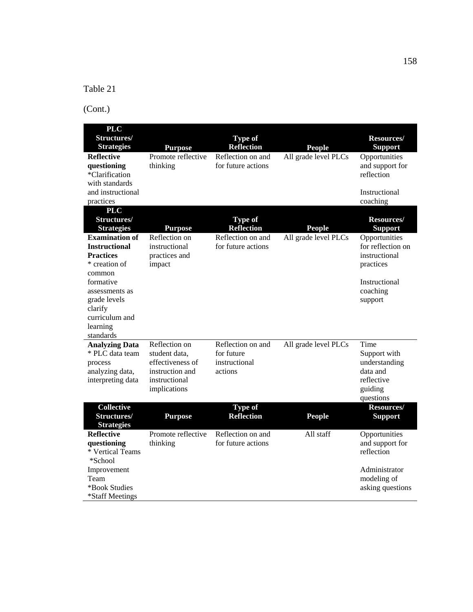(Cont.)

| <b>PLC</b>                                                                                                                                                                                        |                                                                                                        |                                                             |                      |                                                                                                          |
|---------------------------------------------------------------------------------------------------------------------------------------------------------------------------------------------------|--------------------------------------------------------------------------------------------------------|-------------------------------------------------------------|----------------------|----------------------------------------------------------------------------------------------------------|
| Structures/                                                                                                                                                                                       |                                                                                                        | <b>Type of</b>                                              |                      | Resources/                                                                                               |
| <b>Strategies</b>                                                                                                                                                                                 | <b>Purpose</b>                                                                                         | <b>Reflection</b>                                           | <b>People</b>        | <b>Support</b>                                                                                           |
| <b>Reflective</b><br>questioning<br>*Clarification<br>with standards                                                                                                                              | Promote reflective<br>thinking                                                                         | Reflection on and<br>for future actions                     | All grade level PLCs | Opportunities<br>and support for<br>reflection                                                           |
| and instructional<br>practices                                                                                                                                                                    |                                                                                                        |                                                             |                      | Instructional<br>coaching                                                                                |
| <b>PLC</b><br>Structures/<br><b>Strategies</b>                                                                                                                                                    | <b>Purpose</b>                                                                                         | <b>Type of</b><br><b>Reflection</b>                         | <b>People</b>        | Resources/<br><b>Support</b>                                                                             |
| <b>Examination of</b><br><b>Instructional</b><br><b>Practices</b><br>* creation of<br>common<br>formative<br>assessments as<br>grade levels<br>clarify<br>curriculum and<br>learning<br>standards | Reflection on<br>instructional<br>practices and<br>impact                                              | Reflection on and<br>for future actions                     | All grade level PLCs | Opportunities<br>for reflection on<br>instructional<br>practices<br>Instructional<br>coaching<br>support |
| <b>Analyzing Data</b><br>* PLC data team<br>process<br>analyzing data,<br>interpreting data                                                                                                       | Reflection on<br>student data,<br>effectiveness of<br>instruction and<br>instructional<br>implications | Reflection on and<br>for future<br>instructional<br>actions | All grade level PLCs | Time<br>Support with<br>understanding<br>data and<br>reflective<br>guiding<br>questions                  |
| <b>Collective</b><br>Structures/<br><b>Strategies</b>                                                                                                                                             | <b>Purpose</b>                                                                                         | <b>Type of</b><br><b>Reflection</b>                         | <b>People</b>        | Resources/<br><b>Support</b>                                                                             |
| <b>Reflective</b><br>questioning<br>* Vertical Teams<br>*School<br>Improvement<br>Team<br>*Book Studies<br>*Staff Meetings                                                                        | Promote reflective<br>thinking                                                                         | Reflection on and<br>for future actions                     | All staff            | Opportunities<br>and support for<br>reflection<br>Administrator<br>modeling of<br>asking questions       |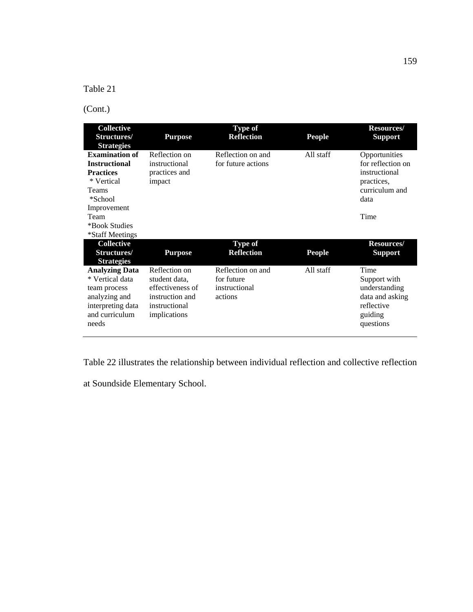(Cont.)

| <b>Collective</b><br>Structures/<br><b>Strategies</b>                                                                                                                 | <b>Purpose</b>                                                                                         | <b>Type of</b><br><b>Reflection</b>                         | <b>People</b> | <b>Resources</b> /<br><b>Support</b>                                                                |
|-----------------------------------------------------------------------------------------------------------------------------------------------------------------------|--------------------------------------------------------------------------------------------------------|-------------------------------------------------------------|---------------|-----------------------------------------------------------------------------------------------------|
| <b>Examination of</b><br><b>Instructional</b><br><b>Practices</b><br>* Vertical<br><b>Teams</b><br>*School<br>Improvement<br>Team<br>*Book Studies<br>*Staff Meetings | Reflection on<br>instructional<br>practices and<br>impact                                              | Reflection on and<br>for future actions                     | All staff     | Opportunities<br>for reflection on<br>instructional<br>practices,<br>curriculum and<br>data<br>Time |
| <b>Collective</b><br>Structures/<br><b>Strategies</b>                                                                                                                 | <b>Purpose</b>                                                                                         | <b>Type of</b><br><b>Reflection</b>                         | <b>People</b> | <b>Resources</b> /<br><b>Support</b>                                                                |
| <b>Analyzing Data</b><br>* Vertical data<br>team process<br>analyzing and<br>interpreting data<br>and curriculum<br>needs                                             | Reflection on<br>student data,<br>effectiveness of<br>instruction and<br>instructional<br>implications | Reflection on and<br>for future<br>instructional<br>actions | All staff     | Time<br>Support with<br>understanding<br>data and asking<br>reflective<br>guiding<br>questions      |

Table 22 illustrates the relationship between individual reflection and collective reflection

at Soundside Elementary School.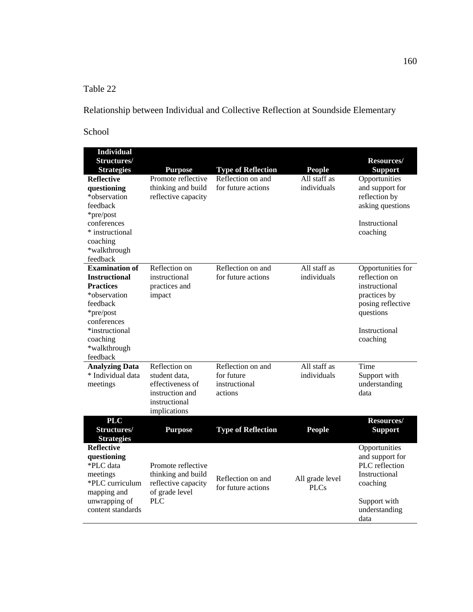Relationship between Individual and Collective Reflection at Soundside Elementary

School

| <b>Individual</b><br>Structures/                                                                                                                                                    |                                                                                                        |                                                             |                                | Resources/                                                                                                                         |
|-------------------------------------------------------------------------------------------------------------------------------------------------------------------------------------|--------------------------------------------------------------------------------------------------------|-------------------------------------------------------------|--------------------------------|------------------------------------------------------------------------------------------------------------------------------------|
| <b>Strategies</b>                                                                                                                                                                   | <b>Purpose</b>                                                                                         | <b>Type of Reflection</b>                                   | <b>People</b>                  | <b>Support</b>                                                                                                                     |
| <b>Reflective</b><br>questioning<br>*observation<br>feedback<br>*pre/post<br>conferences<br>* instructional<br>coaching<br>*walkthrough<br>feedback                                 | Promote reflective<br>thinking and build<br>reflective capacity                                        | Reflection on and<br>for future actions                     | All staff as<br>individuals    | Opportunities<br>and support for<br>reflection by<br>asking questions<br>Instructional<br>coaching                                 |
| <b>Examination of</b><br><b>Instructional</b><br><b>Practices</b><br>*observation<br>feedback<br>*pre/post<br>conferences<br>*instructional<br>coaching<br>*walkthrough<br>feedback | Reflection on<br>instructional<br>practices and<br>impact                                              | Reflection on and<br>for future actions                     | All staff as<br>individuals    | Opportunities for<br>reflection on<br>instructional<br>practices by<br>posing reflective<br>questions<br>Instructional<br>coaching |
| <b>Analyzing Data</b><br>* Individual data<br>meetings                                                                                                                              | Reflection on<br>student data.<br>effectiveness of<br>instruction and<br>instructional<br>implications | Reflection on and<br>for future<br>instructional<br>actions | All staff as<br>individuals    | Time<br>Support with<br>understanding<br>data                                                                                      |
| <b>PLC</b><br>Structures/<br><b>Strategies</b>                                                                                                                                      | <b>Purpose</b>                                                                                         | <b>Type of Reflection</b>                                   | <b>People</b>                  | Resources/<br><b>Support</b>                                                                                                       |
| <b>Reflective</b><br>questioning<br>*PLC data<br>meetings<br>*PLC curriculum<br>mapping and<br>unwrapping of<br>content standards                                                   | Promote reflective<br>thinking and build<br>reflective capacity<br>of grade level<br>PLC               | Reflection on and<br>for future actions                     | All grade level<br><b>PLCs</b> | Opportunities<br>and support for<br>PLC reflection<br>Instructional<br>coaching<br>Support with<br>understanding<br>data           |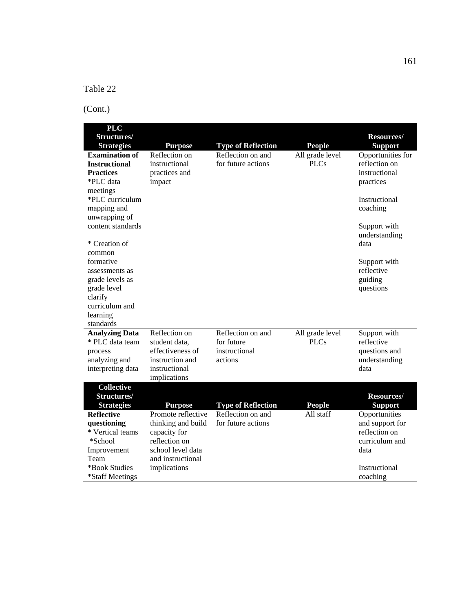(Cont.)

| <b>PLC</b><br>Structures/                                                                 |                                                                                                                     |                                                             |                                   | <b>Resources/</b>                                                           |
|-------------------------------------------------------------------------------------------|---------------------------------------------------------------------------------------------------------------------|-------------------------------------------------------------|-----------------------------------|-----------------------------------------------------------------------------|
| <b>Strategies</b>                                                                         | <b>Purpose</b>                                                                                                      | <b>Type of Reflection</b>                                   | <b>People</b>                     | <b>Support</b>                                                              |
| <b>Examination of</b><br><b>Instructional</b><br><b>Practices</b><br>*PLC data            | Reflection on<br>instructional<br>practices and<br>impact                                                           | Reflection on and<br>for future actions                     | All grade level<br>P <sub>L</sub> | Opportunities for<br>reflection on<br>instructional<br>practices            |
| meetings<br>*PLC curriculum<br>mapping and                                                |                                                                                                                     |                                                             |                                   | Instructional<br>coaching                                                   |
| unwrapping of<br>content standards                                                        |                                                                                                                     |                                                             |                                   | Support with<br>understanding                                               |
| * Creation of<br>common                                                                   |                                                                                                                     |                                                             |                                   | data                                                                        |
| formative<br>assessments as<br>grade levels as<br>grade level                             |                                                                                                                     |                                                             |                                   | Support with<br>reflective<br>guiding<br>questions                          |
| clarify<br>curriculum and<br>learning<br>standards                                        |                                                                                                                     |                                                             |                                   |                                                                             |
| <b>Analyzing Data</b><br>* PLC data team<br>process<br>analyzing and<br>interpreting data | Reflection on<br>student data,<br>effectiveness of<br>instruction and<br>instructional<br>implications              | Reflection on and<br>for future<br>instructional<br>actions | All grade level<br><b>PLCs</b>    | Support with<br>reflective<br>questions and<br>understanding<br>data        |
| <b>Collective</b><br>Structures/<br><b>Strategies</b>                                     | <b>Purpose</b>                                                                                                      | <b>Type of Reflection</b>                                   | <b>People</b>                     | <b>Resources/</b><br><b>Support</b>                                         |
| <b>Reflective</b><br>questioning<br>* Vertical teams<br>*School<br>Improvement<br>Team    | Promote reflective<br>thinking and build<br>capacity for<br>reflection on<br>school level data<br>and instructional | Reflection on and<br>for future actions                     | All staff                         | Opportunities<br>and support for<br>reflection on<br>curriculum and<br>data |
| *Book Studies<br>*Staff Meetings                                                          | implications                                                                                                        |                                                             |                                   | Instructional<br>coaching                                                   |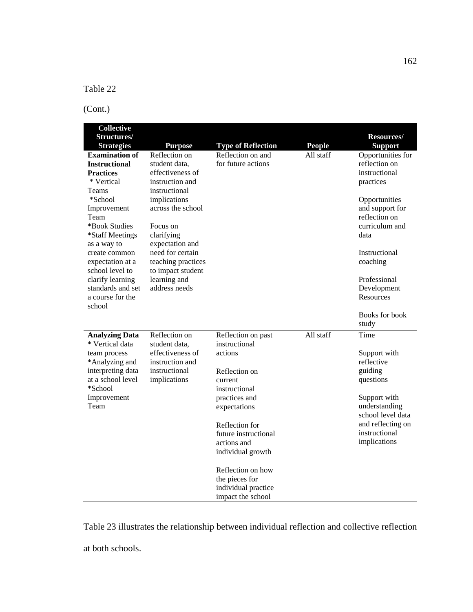### (Cont.)

| <b>Collective</b><br>Structures/<br><b>Strategies</b> | <b>Purpose</b>                | <b>Type of Reflection</b>      | <b>People</b> | Resources/<br><b>Support</b>     |
|-------------------------------------------------------|-------------------------------|--------------------------------|---------------|----------------------------------|
| <b>Examination of</b>                                 | Reflection on                 | Reflection on and              | All staff     | Opportunities for                |
| <b>Instructional</b>                                  | student data.                 | for future actions             |               | reflection on                    |
| <b>Practices</b>                                      | effectiveness of              |                                |               | instructional                    |
| * Vertical                                            | instruction and               |                                |               | practices                        |
| Teams<br>*School                                      | instructional<br>implications |                                |               |                                  |
| Improvement                                           | across the school             |                                |               | Opportunities<br>and support for |
| Team                                                  |                               |                                |               | reflection on                    |
| *Book Studies                                         | Focus on                      |                                |               | curriculum and                   |
| *Staff Meetings                                       | clarifying                    |                                |               | data                             |
| as a way to                                           | expectation and               |                                |               |                                  |
| create common                                         | need for certain              |                                |               | Instructional                    |
| expectation at a                                      | teaching practices            |                                |               | coaching                         |
| school level to                                       | to impact student             |                                |               |                                  |
| clarify learning                                      | learning and                  |                                |               | Professional                     |
| standards and set                                     | address needs                 |                                |               | Development                      |
| a course for the<br>school                            |                               |                                |               | Resources                        |
|                                                       |                               |                                |               | Books for book<br>study          |
| <b>Analyzing Data</b>                                 | Reflection on                 | Reflection on past             | All staff     | Time                             |
| * Vertical data                                       | student data,                 | instructional                  |               |                                  |
| team process                                          | effectiveness of              | actions                        |               | Support with                     |
| *Analyzing and                                        | instruction and               |                                |               | reflective                       |
| interpreting data                                     | instructional                 | Reflection on                  |               | guiding                          |
| at a school level<br>*School                          | implications                  | current                        |               | questions                        |
| Improvement                                           |                               | instructional<br>practices and |               | Support with                     |
| Team                                                  |                               | expectations                   |               | understanding                    |
|                                                       |                               |                                |               | school level data                |
|                                                       |                               | Reflection for                 |               | and reflecting on                |
|                                                       |                               | future instructional           |               | instructional                    |
|                                                       |                               | actions and                    |               | implications                     |
|                                                       |                               | individual growth              |               |                                  |
|                                                       |                               | Reflection on how              |               |                                  |
|                                                       |                               | the pieces for                 |               |                                  |
|                                                       |                               | individual practice            |               |                                  |
|                                                       |                               | impact the school              |               |                                  |

Table 23 illustrates the relationship between individual reflection and collective reflection at both schools.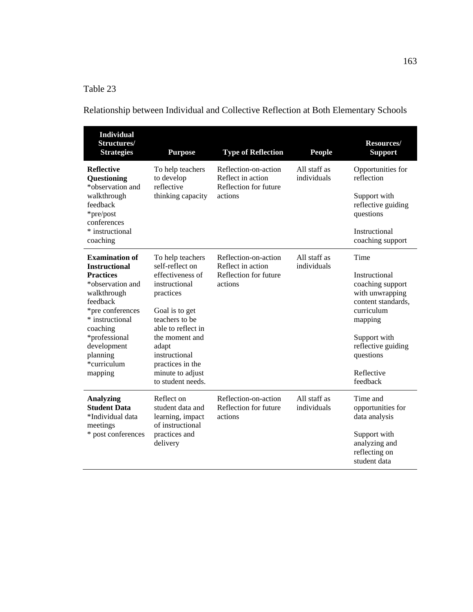Relationship between Individual and Collective Reflection at Both Elementary Schools

| <b>Individual</b><br>Structures/<br><b>Strategies</b>                                                                                                                                    | <b>Purpose</b>                                                                                                                                                                                                    | <b>Type of Reflection</b>                                                     | <b>People</b>               | Resources/<br><b>Support</b>                                                                                                                                                     |
|------------------------------------------------------------------------------------------------------------------------------------------------------------------------------------------|-------------------------------------------------------------------------------------------------------------------------------------------------------------------------------------------------------------------|-------------------------------------------------------------------------------|-----------------------------|----------------------------------------------------------------------------------------------------------------------------------------------------------------------------------|
| <b>Reflective</b><br><b>Questioning</b><br>*observation and<br>walkthrough<br>feedback<br>*pre/post                                                                                      | To help teachers<br>to develop<br>reflective<br>thinking capacity                                                                                                                                                 | Reflection-on-action<br>Reflect in action<br>Reflection for future<br>actions | All staff as<br>individuals | Opportunities for<br>reflection                                                                                                                                                  |
|                                                                                                                                                                                          |                                                                                                                                                                                                                   |                                                                               |                             | Support with<br>reflective guiding<br>questions                                                                                                                                  |
| conferences<br>* instructional<br>coaching                                                                                                                                               |                                                                                                                                                                                                                   |                                                                               |                             | Instructional<br>coaching support                                                                                                                                                |
| <b>Examination of</b><br><b>Instructional</b>                                                                                                                                            | To help teachers<br>self-reflect on                                                                                                                                                                               | Reflection-on-action<br>Reflect in action                                     | All staff as<br>individuals | Time                                                                                                                                                                             |
| <b>Practices</b><br>*observation and<br>walkthrough<br>feedback<br>*pre conferences<br>* instructional<br>coaching<br>*professional<br>development<br>planning<br>*curriculum<br>mapping | effectiveness of<br>instructional<br>practices<br>Goal is to get<br>teachers to be<br>able to reflect in<br>the moment and<br>adapt<br>instructional<br>practices in the<br>minute to adjust<br>to student needs. | Reflection for future<br>actions                                              |                             | Instructional<br>coaching support<br>with unwrapping<br>content standards,<br>curriculum<br>mapping<br>Support with<br>reflective guiding<br>questions<br>Reflective<br>feedback |
| <b>Analyzing</b><br><b>Student Data</b><br>*Individual data<br>meetings<br>* post conferences                                                                                            | Reflect on<br>student data and<br>learning, impact<br>of instructional<br>practices and<br>delivery                                                                                                               | Reflection-on-action<br>Reflection for future<br>actions                      | All staff as<br>individuals | Time and<br>opportunities for<br>data analysis<br>Support with<br>analyzing and<br>reflecting on<br>student data                                                                 |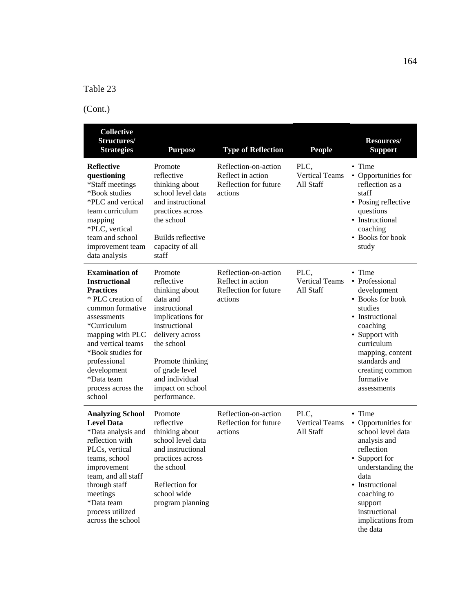# (Cont.)

| <b>Collective</b><br>Structures/<br><b>Strategies</b>                                                                                                                                                                                                                                | <b>Purpose</b>                                                                                                                                                                                                                         | <b>Type of Reflection</b>                                                     | <b>People</b>                              | Resources/<br><b>Support</b>                                                                                                                                                                                                  |
|--------------------------------------------------------------------------------------------------------------------------------------------------------------------------------------------------------------------------------------------------------------------------------------|----------------------------------------------------------------------------------------------------------------------------------------------------------------------------------------------------------------------------------------|-------------------------------------------------------------------------------|--------------------------------------------|-------------------------------------------------------------------------------------------------------------------------------------------------------------------------------------------------------------------------------|
| <b>Reflective</b><br>questioning<br>*Staff meetings<br>*Book studies<br>*PLC and vertical<br>team curriculum<br>mapping<br>*PLC, vertical<br>team and school<br>improvement team<br>data analysis                                                                                    | Promote<br>reflective<br>thinking about<br>school level data<br>and instructional<br>practices across<br>the school<br>Builds reflective<br>capacity of all<br>staff                                                                   | Reflection-on-action<br>Reflect in action<br>Reflection for future<br>actions | PLC.<br><b>Vertical Teams</b><br>All Staff | • Time<br>• Opportunities for<br>reflection as a<br>staff<br>• Posing reflective<br>questions<br>• Instructional<br>coaching<br>• Books for book<br>study                                                                     |
| <b>Examination of</b><br><b>Instructional</b><br><b>Practices</b><br>* PLC creation of<br>common formative<br>assessments<br>*Curriculum<br>mapping with PLC<br>and vertical teams<br>*Book studies for<br>professional<br>development<br>*Data team<br>process across the<br>school | Promote<br>reflective<br>thinking about<br>data and<br>instructional<br>implications for<br>instructional<br>delivery across<br>the school<br>Promote thinking<br>of grade level<br>and individual<br>impact on school<br>performance. | Reflection-on-action<br>Reflect in action<br>Reflection for future<br>actions | PLC,<br><b>Vertical Teams</b><br>All Staff | • Time<br>• Professional<br>development<br>• Books for book<br>studies<br>• Instructional<br>coaching<br>• Support with<br>curriculum<br>mapping, content<br>standards and<br>creating common<br>formative<br>assessments     |
| <b>Analyzing School</b><br><b>Level Data</b><br>*Data analysis and<br>reflection with<br>PLCs, vertical<br>teams, school<br>improvement<br>team, and all staff<br>through staff<br>meetings<br>*Data team<br>process utilized<br>across the school                                   | Promote<br>reflective<br>thinking about<br>school level data<br>and instructional<br>practices across<br>the school<br>Reflection for<br>school wide<br>program planning                                                               | Reflection-on-action<br>Reflection for future<br>actions                      | PLC,<br><b>Vertical Teams</b><br>All Staff | • Time<br>• Opportunities for<br>school level data<br>analysis and<br>reflection<br>• Support for<br>understanding the<br>data<br>• Instructional<br>coaching to<br>support<br>instructional<br>implications from<br>the data |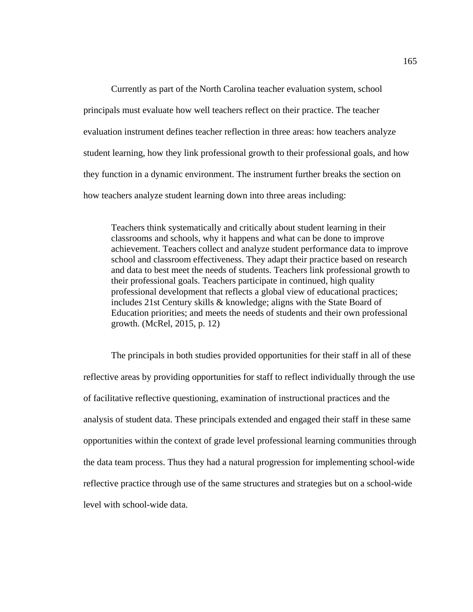Currently as part of the North Carolina teacher evaluation system, school principals must evaluate how well teachers reflect on their practice. The teacher evaluation instrument defines teacher reflection in three areas: how teachers analyze student learning, how they link professional growth to their professional goals, and how they function in a dynamic environment. The instrument further breaks the section on how teachers analyze student learning down into three areas including:

Teachers think systematically and critically about student learning in their classrooms and schools, why it happens and what can be done to improve achievement. Teachers collect and analyze student performance data to improve school and classroom effectiveness. They adapt their practice based on research and data to best meet the needs of students. Teachers link professional growth to their professional goals. Teachers participate in continued, high quality professional development that reflects a global view of educational practices; includes 21st Century skills & knowledge; aligns with the State Board of Education priorities; and meets the needs of students and their own professional growth. (McRel, 2015, p. 12)

 The principals in both studies provided opportunities for their staff in all of these reflective areas by providing opportunities for staff to reflect individually through the use of facilitative reflective questioning, examination of instructional practices and the analysis of student data. These principals extended and engaged their staff in these same opportunities within the context of grade level professional learning communities through the data team process. Thus they had a natural progression for implementing school-wide reflective practice through use of the same structures and strategies but on a school-wide level with school-wide data.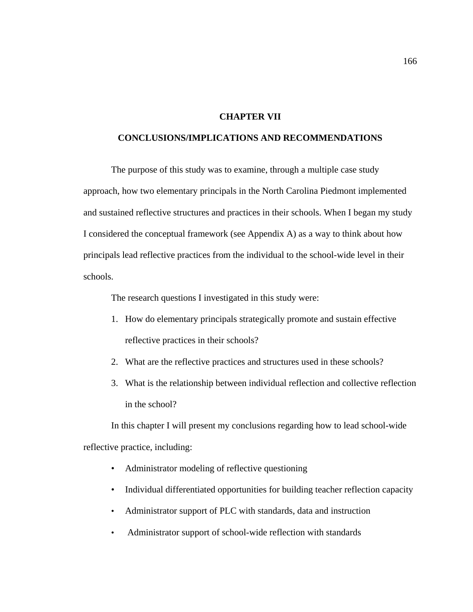#### **CHAPTER VII**

#### **CONCLUSIONS/IMPLICATIONS AND RECOMMENDATIONS**

 The purpose of this study was to examine, through a multiple case study approach, how two elementary principals in the North Carolina Piedmont implemented and sustained reflective structures and practices in their schools. When I began my study I considered the conceptual framework (see Appendix A) as a way to think about how principals lead reflective practices from the individual to the school-wide level in their schools.

The research questions I investigated in this study were:

- 1. How do elementary principals strategically promote and sustain effective reflective practices in their schools?
- 2. What are the reflective practices and structures used in these schools?
- 3. What is the relationship between individual reflection and collective reflection in the school?

 In this chapter I will present my conclusions regarding how to lead school-wide reflective practice, including:

- Administrator modeling of reflective questioning
- Individual differentiated opportunities for building teacher reflection capacity
- Administrator support of PLC with standards, data and instruction
- Administrator support of school-wide reflection with standards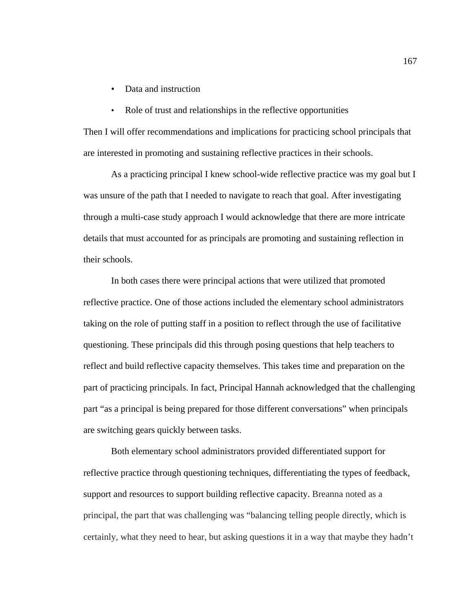- Data and instruction
- Role of trust and relationships in the reflective opportunities

Then I will offer recommendations and implications for practicing school principals that are interested in promoting and sustaining reflective practices in their schools.

 As a practicing principal I knew school-wide reflective practice was my goal but I was unsure of the path that I needed to navigate to reach that goal. After investigating through a multi-case study approach I would acknowledge that there are more intricate details that must accounted for as principals are promoting and sustaining reflection in their schools.

 In both cases there were principal actions that were utilized that promoted reflective practice. One of those actions included the elementary school administrators taking on the role of putting staff in a position to reflect through the use of facilitative questioning. These principals did this through posing questions that help teachers to reflect and build reflective capacity themselves. This takes time and preparation on the part of practicing principals. In fact, Principal Hannah acknowledged that the challenging part "as a principal is being prepared for those different conversations" when principals are switching gears quickly between tasks.

 Both elementary school administrators provided differentiated support for reflective practice through questioning techniques, differentiating the types of feedback, support and resources to support building reflective capacity. Breanna noted as a principal, the part that was challenging was "balancing telling people directly, which is certainly, what they need to hear, but asking questions it in a way that maybe they hadn't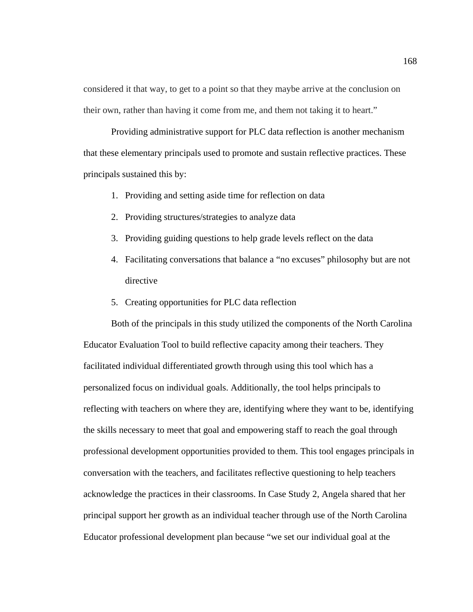considered it that way, to get to a point so that they maybe arrive at the conclusion on their own, rather than having it come from me, and them not taking it to heart."

Providing administrative support for PLC data reflection is another mechanism that these elementary principals used to promote and sustain reflective practices. These principals sustained this by:

- 1. Providing and setting aside time for reflection on data
- 2. Providing structures/strategies to analyze data
- 3. Providing guiding questions to help grade levels reflect on the data
- 4. Facilitating conversations that balance a "no excuses" philosophy but are not directive
- 5. Creating opportunities for PLC data reflection

 Both of the principals in this study utilized the components of the North Carolina Educator Evaluation Tool to build reflective capacity among their teachers. They facilitated individual differentiated growth through using this tool which has a personalized focus on individual goals. Additionally, the tool helps principals to reflecting with teachers on where they are, identifying where they want to be, identifying the skills necessary to meet that goal and empowering staff to reach the goal through professional development opportunities provided to them. This tool engages principals in conversation with the teachers, and facilitates reflective questioning to help teachers acknowledge the practices in their classrooms. In Case Study 2, Angela shared that her principal support her growth as an individual teacher through use of the North Carolina Educator professional development plan because "we set our individual goal at the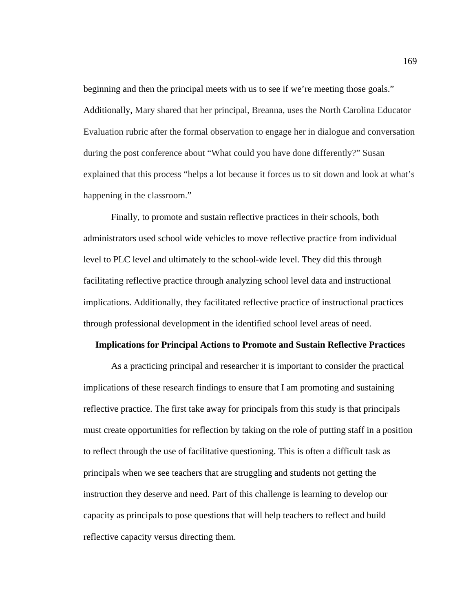beginning and then the principal meets with us to see if we're meeting those goals." Additionally, Mary shared that her principal, Breanna, uses the North Carolina Educator Evaluation rubric after the formal observation to engage her in dialogue and conversation during the post conference about "What could you have done differently?" Susan explained that this process "helps a lot because it forces us to sit down and look at what's happening in the classroom."

 Finally, to promote and sustain reflective practices in their schools, both administrators used school wide vehicles to move reflective practice from individual level to PLC level and ultimately to the school-wide level. They did this through facilitating reflective practice through analyzing school level data and instructional implications. Additionally, they facilitated reflective practice of instructional practices through professional development in the identified school level areas of need.

#### **Implications for Principal Actions to Promote and Sustain Reflective Practices**

As a practicing principal and researcher it is important to consider the practical implications of these research findings to ensure that I am promoting and sustaining reflective practice. The first take away for principals from this study is that principals must create opportunities for reflection by taking on the role of putting staff in a position to reflect through the use of facilitative questioning. This is often a difficult task as principals when we see teachers that are struggling and students not getting the instruction they deserve and need. Part of this challenge is learning to develop our capacity as principals to pose questions that will help teachers to reflect and build reflective capacity versus directing them.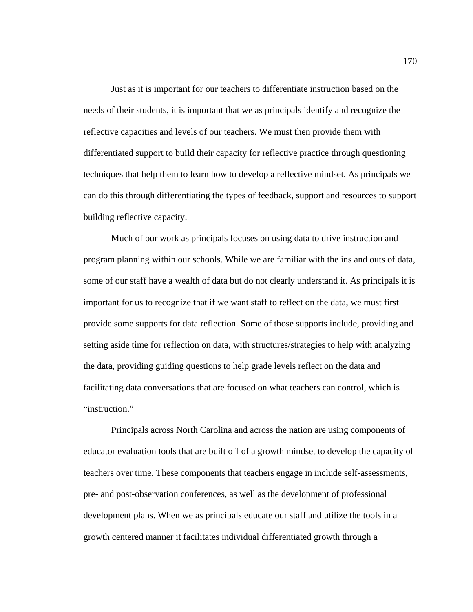Just as it is important for our teachers to differentiate instruction based on the needs of their students, it is important that we as principals identify and recognize the reflective capacities and levels of our teachers. We must then provide them with differentiated support to build their capacity for reflective practice through questioning techniques that help them to learn how to develop a reflective mindset. As principals we can do this through differentiating the types of feedback, support and resources to support building reflective capacity.

 Much of our work as principals focuses on using data to drive instruction and program planning within our schools. While we are familiar with the ins and outs of data, some of our staff have a wealth of data but do not clearly understand it. As principals it is important for us to recognize that if we want staff to reflect on the data, we must first provide some supports for data reflection. Some of those supports include, providing and setting aside time for reflection on data, with structures/strategies to help with analyzing the data, providing guiding questions to help grade levels reflect on the data and facilitating data conversations that are focused on what teachers can control, which is "instruction."

 Principals across North Carolina and across the nation are using components of educator evaluation tools that are built off of a growth mindset to develop the capacity of teachers over time. These components that teachers engage in include self-assessments, pre- and post-observation conferences, as well as the development of professional development plans. When we as principals educate our staff and utilize the tools in a growth centered manner it facilitates individual differentiated growth through a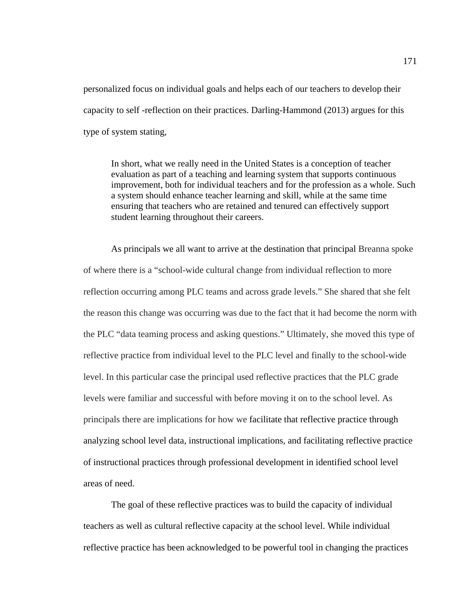personalized focus on individual goals and helps each of our teachers to develop their capacity to self -reflection on their practices. Darling-Hammond (2013) argues for this type of system stating,

In short, what we really need in the United States is a conception of teacher evaluation as part of a teaching and learning system that supports continuous improvement, both for individual teachers and for the profession as a whole. Such a system should enhance teacher learning and skill, while at the same time ensuring that teachers who are retained and tenured can effectively support student learning throughout their careers.

 As principals we all want to arrive at the destination that principal Breanna spoke of where there is a "school-wide cultural change from individual reflection to more reflection occurring among PLC teams and across grade levels." She shared that she felt the reason this change was occurring was due to the fact that it had become the norm with the PLC "data teaming process and asking questions." Ultimately, she moved this type of reflective practice from individual level to the PLC level and finally to the school-wide level. In this particular case the principal used reflective practices that the PLC grade levels were familiar and successful with before moving it on to the school level. As principals there are implications for how we facilitate that reflective practice through analyzing school level data, instructional implications, and facilitating reflective practice of instructional practices through professional development in identified school level areas of need.

 The goal of these reflective practices was to build the capacity of individual teachers as well as cultural reflective capacity at the school level. While individual reflective practice has been acknowledged to be powerful tool in changing the practices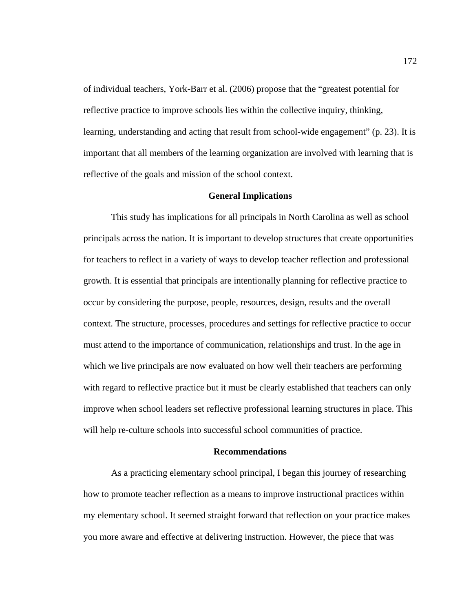of individual teachers, York-Barr et al. (2006) propose that the "greatest potential for reflective practice to improve schools lies within the collective inquiry, thinking, learning, understanding and acting that result from school-wide engagement" (p. 23). It is important that all members of the learning organization are involved with learning that is reflective of the goals and mission of the school context.

#### **General Implications**

This study has implications for all principals in North Carolina as well as school principals across the nation. It is important to develop structures that create opportunities for teachers to reflect in a variety of ways to develop teacher reflection and professional growth. It is essential that principals are intentionally planning for reflective practice to occur by considering the purpose, people, resources, design, results and the overall context. The structure, processes, procedures and settings for reflective practice to occur must attend to the importance of communication, relationships and trust. In the age in which we live principals are now evaluated on how well their teachers are performing with regard to reflective practice but it must be clearly established that teachers can only improve when school leaders set reflective professional learning structures in place. This will help re-culture schools into successful school communities of practice.

#### **Recommendations**

 As a practicing elementary school principal, I began this journey of researching how to promote teacher reflection as a means to improve instructional practices within my elementary school. It seemed straight forward that reflection on your practice makes you more aware and effective at delivering instruction. However, the piece that was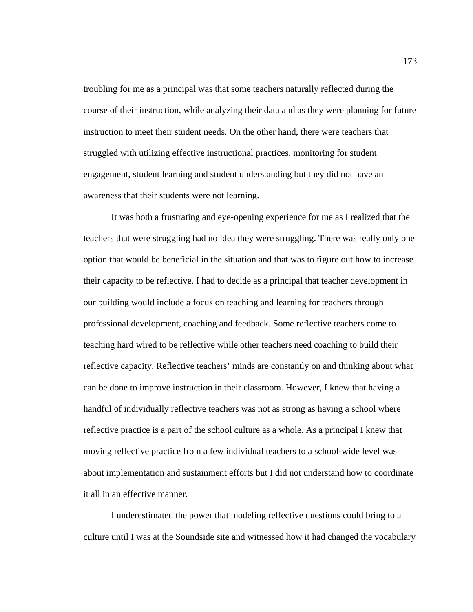troubling for me as a principal was that some teachers naturally reflected during the course of their instruction, while analyzing their data and as they were planning for future instruction to meet their student needs. On the other hand, there were teachers that struggled with utilizing effective instructional practices, monitoring for student engagement, student learning and student understanding but they did not have an awareness that their students were not learning.

It was both a frustrating and eye-opening experience for me as I realized that the teachers that were struggling had no idea they were struggling. There was really only one option that would be beneficial in the situation and that was to figure out how to increase their capacity to be reflective. I had to decide as a principal that teacher development in our building would include a focus on teaching and learning for teachers through professional development, coaching and feedback. Some reflective teachers come to teaching hard wired to be reflective while other teachers need coaching to build their reflective capacity. Reflective teachers' minds are constantly on and thinking about what can be done to improve instruction in their classroom. However, I knew that having a handful of individually reflective teachers was not as strong as having a school where reflective practice is a part of the school culture as a whole. As a principal I knew that moving reflective practice from a few individual teachers to a school-wide level was about implementation and sustainment efforts but I did not understand how to coordinate it all in an effective manner.

I underestimated the power that modeling reflective questions could bring to a culture until I was at the Soundside site and witnessed how it had changed the vocabulary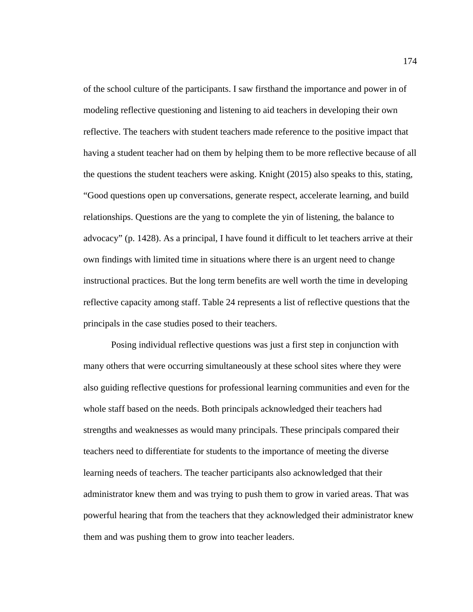of the school culture of the participants. I saw firsthand the importance and power in of modeling reflective questioning and listening to aid teachers in developing their own reflective. The teachers with student teachers made reference to the positive impact that having a student teacher had on them by helping them to be more reflective because of all the questions the student teachers were asking. Knight (2015) also speaks to this, stating, "Good questions open up conversations, generate respect, accelerate learning, and build relationships. Questions are the yang to complete the yin of listening, the balance to advocacy" (p. 1428). As a principal, I have found it difficult to let teachers arrive at their own findings with limited time in situations where there is an urgent need to change instructional practices. But the long term benefits are well worth the time in developing reflective capacity among staff. Table 24 represents a list of reflective questions that the principals in the case studies posed to their teachers.

Posing individual reflective questions was just a first step in conjunction with many others that were occurring simultaneously at these school sites where they were also guiding reflective questions for professional learning communities and even for the whole staff based on the needs. Both principals acknowledged their teachers had strengths and weaknesses as would many principals. These principals compared their teachers need to differentiate for students to the importance of meeting the diverse learning needs of teachers. The teacher participants also acknowledged that their administrator knew them and was trying to push them to grow in varied areas. That was powerful hearing that from the teachers that they acknowledged their administrator knew them and was pushing them to grow into teacher leaders.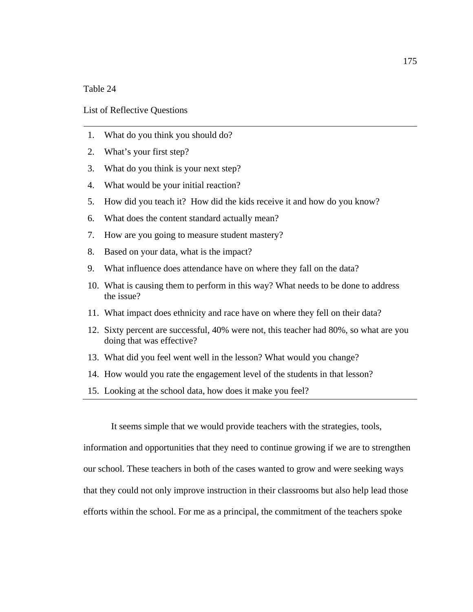Table 24

List of Reflective Questions

- 1. What do you think you should do?
- 2. What's your first step?
- 3. What do you think is your next step?
- 4. What would be your initial reaction?
- 5. How did you teach it? How did the kids receive it and how do you know?
- 6. What does the content standard actually mean?
- 7. How are you going to measure student mastery?
- 8. Based on your data, what is the impact?
- 9. What influence does attendance have on where they fall on the data?
- 10. What is causing them to perform in this way? What needs to be done to address the issue?
- 11. What impact does ethnicity and race have on where they fell on their data?
- 12. Sixty percent are successful, 40% were not, this teacher had 80%, so what are you doing that was effective?
- 13. What did you feel went well in the lesson? What would you change?
- 14. How would you rate the engagement level of the students in that lesson?
- 15. Looking at the school data, how does it make you feel?

It seems simple that we would provide teachers with the strategies, tools,

information and opportunities that they need to continue growing if we are to strengthen our school. These teachers in both of the cases wanted to grow and were seeking ways that they could not only improve instruction in their classrooms but also help lead those efforts within the school. For me as a principal, the commitment of the teachers spoke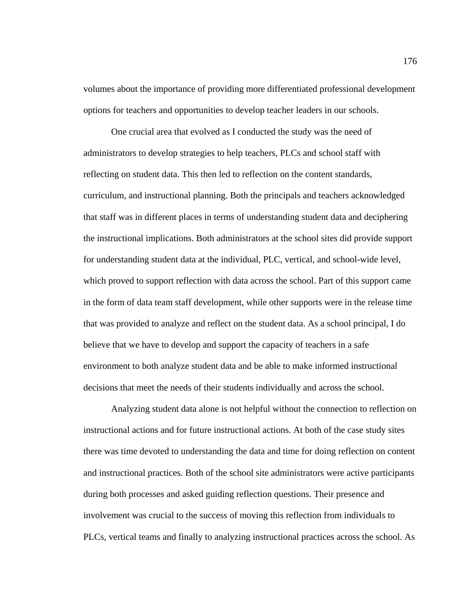volumes about the importance of providing more differentiated professional development options for teachers and opportunities to develop teacher leaders in our schools.

One crucial area that evolved as I conducted the study was the need of administrators to develop strategies to help teachers, PLCs and school staff with reflecting on student data. This then led to reflection on the content standards, curriculum, and instructional planning. Both the principals and teachers acknowledged that staff was in different places in terms of understanding student data and deciphering the instructional implications. Both administrators at the school sites did provide support for understanding student data at the individual, PLC, vertical, and school-wide level, which proved to support reflection with data across the school. Part of this support came in the form of data team staff development, while other supports were in the release time that was provided to analyze and reflect on the student data. As a school principal, I do believe that we have to develop and support the capacity of teachers in a safe environment to both analyze student data and be able to make informed instructional decisions that meet the needs of their students individually and across the school.

Analyzing student data alone is not helpful without the connection to reflection on instructional actions and for future instructional actions. At both of the case study sites there was time devoted to understanding the data and time for doing reflection on content and instructional practices. Both of the school site administrators were active participants during both processes and asked guiding reflection questions. Their presence and involvement was crucial to the success of moving this reflection from individuals to PLCs, vertical teams and finally to analyzing instructional practices across the school. As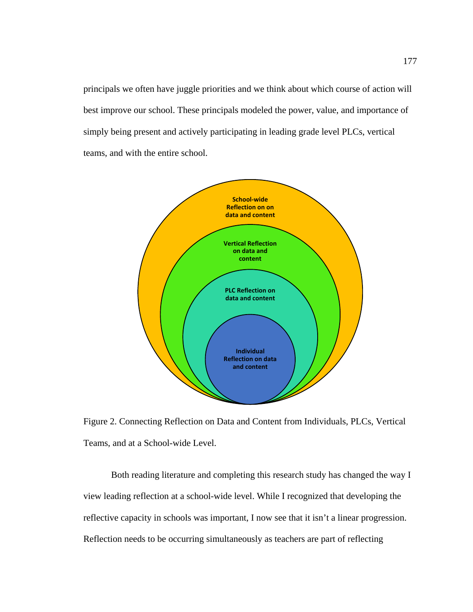principals we often have juggle priorities and we think about which course of action will best improve our school. These principals modeled the power, value, and importance of simply being present and actively participating in leading grade level PLCs, vertical teams, and with the entire school.



Figure 2. Connecting Reflection on Data and Content from Individuals, PLCs, Vertical Teams, and at a School-wide Level.

Both reading literature and completing this research study has changed the way I view leading reflection at a school-wide level. While I recognized that developing the reflective capacity in schools was important, I now see that it isn't a linear progression. Reflection needs to be occurring simultaneously as teachers are part of reflecting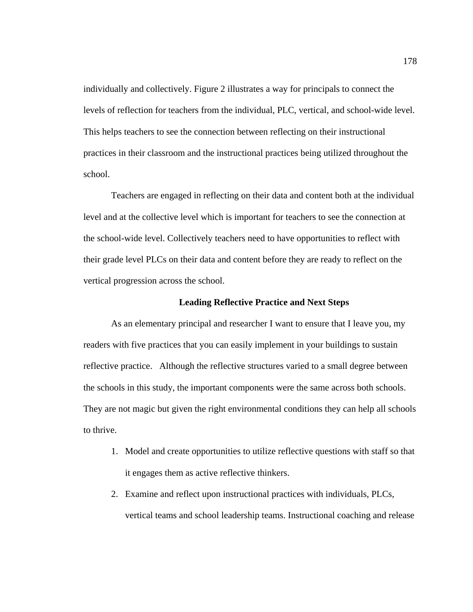individually and collectively. Figure 2 illustrates a way for principals to connect the levels of reflection for teachers from the individual, PLC, vertical, and school-wide level. This helps teachers to see the connection between reflecting on their instructional practices in their classroom and the instructional practices being utilized throughout the school.

Teachers are engaged in reflecting on their data and content both at the individual level and at the collective level which is important for teachers to see the connection at the school-wide level. Collectively teachers need to have opportunities to reflect with their grade level PLCs on their data and content before they are ready to reflect on the vertical progression across the school.

#### **Leading Reflective Practice and Next Steps**

As an elementary principal and researcher I want to ensure that I leave you, my readers with five practices that you can easily implement in your buildings to sustain reflective practice. Although the reflective structures varied to a small degree between the schools in this study, the important components were the same across both schools. They are not magic but given the right environmental conditions they can help all schools to thrive.

- 1. Model and create opportunities to utilize reflective questions with staff so that it engages them as active reflective thinkers.
- 2. Examine and reflect upon instructional practices with individuals, PLCs, vertical teams and school leadership teams. Instructional coaching and release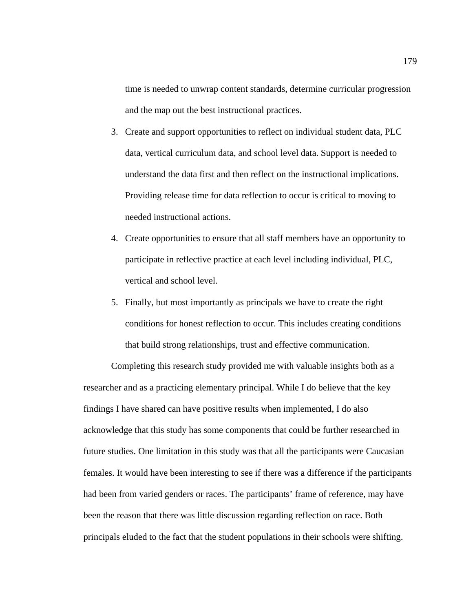time is needed to unwrap content standards, determine curricular progression and the map out the best instructional practices.

- 3. Create and support opportunities to reflect on individual student data, PLC data, vertical curriculum data, and school level data. Support is needed to understand the data first and then reflect on the instructional implications. Providing release time for data reflection to occur is critical to moving to needed instructional actions.
- 4. Create opportunities to ensure that all staff members have an opportunity to participate in reflective practice at each level including individual, PLC, vertical and school level.
- 5. Finally, but most importantly as principals we have to create the right conditions for honest reflection to occur. This includes creating conditions that build strong relationships, trust and effective communication.

Completing this research study provided me with valuable insights both as a researcher and as a practicing elementary principal. While I do believe that the key findings I have shared can have positive results when implemented, I do also acknowledge that this study has some components that could be further researched in future studies. One limitation in this study was that all the participants were Caucasian females. It would have been interesting to see if there was a difference if the participants had been from varied genders or races. The participants' frame of reference, may have been the reason that there was little discussion regarding reflection on race. Both principals eluded to the fact that the student populations in their schools were shifting.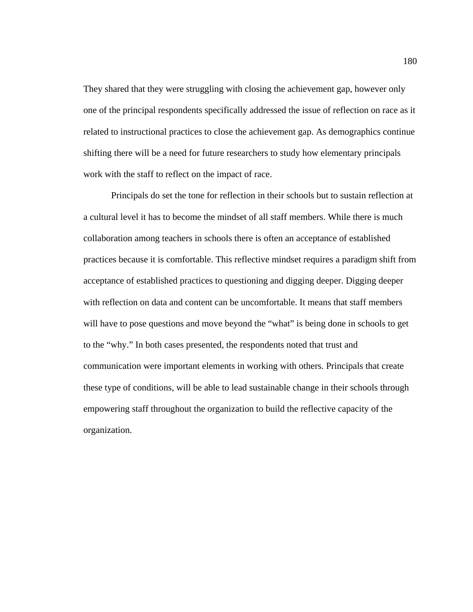They shared that they were struggling with closing the achievement gap, however only one of the principal respondents specifically addressed the issue of reflection on race as it related to instructional practices to close the achievement gap. As demographics continue shifting there will be a need for future researchers to study how elementary principals work with the staff to reflect on the impact of race.

Principals do set the tone for reflection in their schools but to sustain reflection at a cultural level it has to become the mindset of all staff members. While there is much collaboration among teachers in schools there is often an acceptance of established practices because it is comfortable. This reflective mindset requires a paradigm shift from acceptance of established practices to questioning and digging deeper. Digging deeper with reflection on data and content can be uncomfortable. It means that staff members will have to pose questions and move beyond the "what" is being done in schools to get to the "why." In both cases presented, the respondents noted that trust and communication were important elements in working with others. Principals that create these type of conditions, will be able to lead sustainable change in their schools through empowering staff throughout the organization to build the reflective capacity of the organization.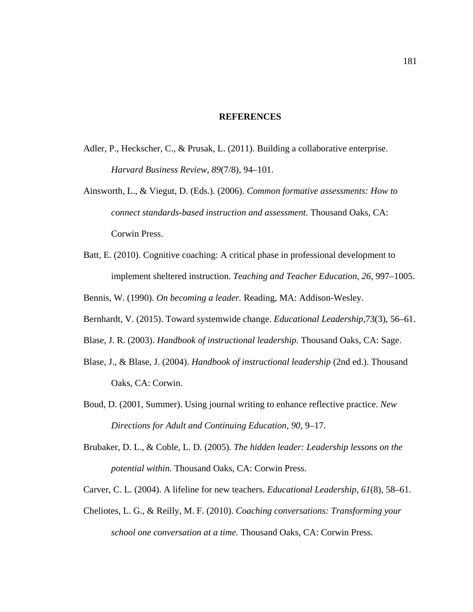#### **REFERENCES**

- Adler, P., Heckscher, C., & Prusak, L. (2011). Building a collaborative enterprise. *Harvard Business Review, 89*(7/8), 94–101.
- Ainsworth, L., & Viegut, D. (Eds.). (2006). *Common formative assessments: How to connect standards-based instruction and assessment.* Thousand Oaks, CA: Corwin Press.
- Batt, E. (2010). Cognitive coaching: A critical phase in professional development to implement sheltered instruction. *Teaching and Teacher Education, 26,* 997–1005.

Bennis, W. (1990). *On becoming a leader.* Reading, MA: Addison-Wesley.

- Bernhardt, V. (2015). Toward systemwide change. *Educational Leadership*,73(3), 56–61.
- Blase, J. R. (2003). *Handbook of instructional leadership.* Thousand Oaks, CA: Sage.
- Blase, J., & Blase, J. (2004). *Handbook of instructional leadership* (2nd ed.). Thousand Oaks, CA: Corwin.
- Boud, D. (2001, Summer). Using journal writing to enhance reflective practice. *New Directions for Adult and Continuing Education, 90,* 9–17.
- Brubaker, D. L., & Coble, L. D. (2005). *The hidden leader: Leadership lessons on the potential within.* Thousand Oaks, CA: Corwin Press.
- Carver, C. L. (2004). A lifeline for new teachers. *Educational Leadership, 61*(8), 58–61.
- Cheliotes, L. G., & Reilly, M. F. (2010). *Coaching conversations: Transforming your school one conversation at a time.* Thousand Oaks, CA: Corwin Press.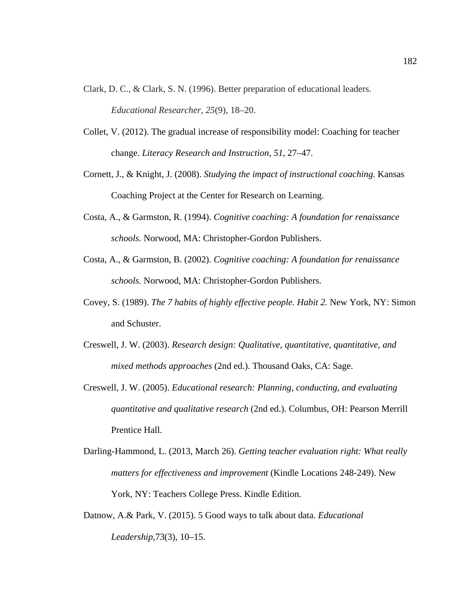- Clark, D. C., & Clark, S. N. (1996). Better preparation of educational leaders. *Educational Researcher, 25*(9), 18–20.
- Collet, V. (2012). The gradual increase of responsibility model: Coaching for teacher change. *Literacy Research and Instruction, 51,* 27–47.
- Cornett, J., & Knight, J. (2008). *Studying the impact of instructional coaching.* Kansas Coaching Project at the Center for Research on Learning.
- Costa, A., & Garmston, R. (1994). *Cognitive coaching: A foundation for renaissance schools.* Norwood, MA: Christopher-Gordon Publishers.
- Costa, A., & Garmston, B. (2002). *Cognitive coaching: A foundation for renaissance schools.* Norwood, MA: Christopher-Gordon Publishers.
- Covey, S. (1989). *The 7 habits of highly effective people. Habit 2.* New York, NY: Simon and Schuster.
- Creswell, J. W. (2003). *Research design: Qualitative, quantitative, quantitative, and mixed methods approaches* (2nd ed.). Thousand Oaks, CA: Sage.
- Creswell, J. W. (2005). *Educational research: Planning, conducting, and evaluating quantitative and qualitative research* (2nd ed.). Columbus, OH: Pearson Merrill Prentice Hall.
- Darling-Hammond, L. (2013, March 26). *Getting teacher evaluation right: What really matters for effectiveness and improvement* (Kindle Locations 248-249). New York, NY: Teachers College Press. Kindle Edition.
- Datnow, A.& Park, V. (2015). 5 Good ways to talk about data. *Educational Leadership*,73(3), 10–15.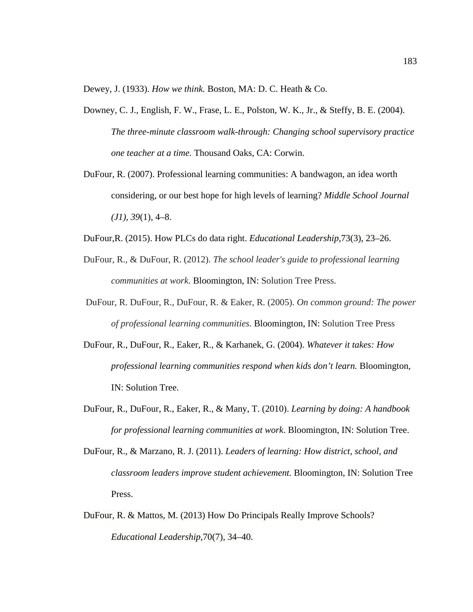Dewey, J. (1933). *How we think.* Boston, MA: D. C. Heath & Co.

- Downey, C. J., English, F. W., Frase, L. E., Polston, W. K., Jr., & Steffy, B. E. (2004). *The three-minute classroom walk-through: Changing school supervisory practice one teacher at a time.* Thousand Oaks, CA: Corwin.
- DuFour, R. (2007). Professional learning communities: A bandwagon, an idea worth considering, or our best hope for high levels of learning? *Middle School Journal (J1), 39*(1), 4–8.

DuFour,R. (2015). How PLCs do data right. *Educational Leadership*,73(3), 23–26.

- DuFour, R., & DuFour, R. (2012). *The school leader's guide to professional learning communities at work*. Bloomington, IN: Solution Tree Press.
- DuFour, R. DuFour, R., DuFour, R. & Eaker, R. (2005). *On common ground: The power of professional learning communities*. Bloomington, IN: Solution Tree Press
- DuFour, R., DuFour, R., Eaker, R., & Karhanek, G. (2004). *Whatever it takes: How professional learning communities respond when kids don't learn.* Bloomington, IN: Solution Tree.
- DuFour, R., DuFour, R., Eaker, R., & Many, T. (2010). *Learning by doing: A handbook for professional learning communities at work*. Bloomington, IN: Solution Tree.
- DuFour, R., & Marzano, R. J. (2011). *Leaders of learning: How district, school, and classroom leaders improve student achievement.* Bloomington, IN: Solution Tree Press.
- DuFour, R. & Mattos, M. (2013) How Do Principals Really Improve Schools? *Educational Leadership*,70(7), 34–40.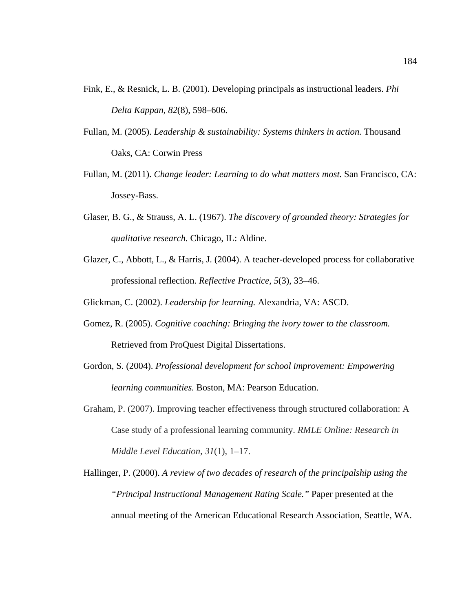- Fink, E., & Resnick, L. B. (2001). Developing principals as instructional leaders. *Phi Delta Kappan, 82*(8), 598–606.
- Fullan, M. (2005). *Leadership & sustainability: Systems thinkers in action.* Thousand Oaks, CA: Corwin Press
- Fullan, M. (2011). *Change leader: Learning to do what matters most.* San Francisco, CA: Jossey-Bass.
- Glaser, B. G., & Strauss, A. L. (1967). *The discovery of grounded theory: Strategies for qualitative research.* Chicago, IL: Aldine.
- Glazer, C., Abbott, L., & Harris, J. (2004). A teacher-developed process for collaborative professional reflection. *Reflective Practice, 5*(3), 33–46.
- Glickman, C. (2002). *Leadership for learning.* Alexandria, VA: ASCD.
- Gomez, R. (2005). *Cognitive coaching: Bringing the ivory tower to the classroom.*  Retrieved from ProQuest Digital Dissertations.
- Gordon, S. (2004). *Professional development for school improvement: Empowering learning communities.* Boston, MA: Pearson Education.
- Graham, P. (2007). Improving teacher effectiveness through structured collaboration: A Case study of a professional learning community. *RMLE Online: Research in Middle Level Education, 31*(1), 1–17.
- Hallinger, P. (2000). *A review of two decades of research of the principalship using the "Principal Instructional Management Rating Scale."* Paper presented at the annual meeting of the American Educational Research Association, Seattle, WA.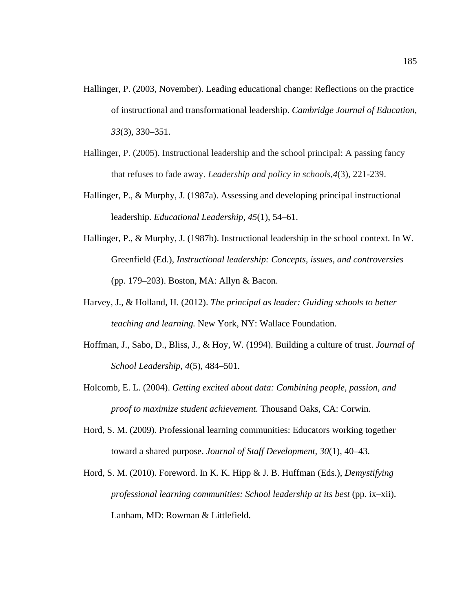- Hallinger, P. (2003, November). Leading educational change: Reflections on the practice of instructional and transformational leadership. *Cambridge Journal of Education, 33*(3), 330–351.
- Hallinger, P. (2005). Instructional leadership and the school principal: A passing fancy that refuses to fade away. *Leadership and policy in schools*,*4*(3), 221-239.
- Hallinger, P., & Murphy, J. (1987a). Assessing and developing principal instructional leadership. *Educational Leadership, 45*(1), 54–61.
- Hallinger, P., & Murphy, J. (1987b). Instructional leadership in the school context. In W. Greenfield (Ed.), *Instructional leadership: Concepts, issues, and controversies* (pp. 179–203). Boston, MA: Allyn & Bacon.
- Harvey, J., & Holland, H. (2012). *The principal as leader: Guiding schools to better teaching and learning.* New York, NY: Wallace Foundation.
- Hoffman, J., Sabo, D., Bliss, J., & Hoy, W. (1994). Building a culture of trust. *Journal of School Leadership, 4*(5), 484–501.
- Holcomb, E. L. (2004). *Getting excited about data: Combining people, passion, and proof to maximize student achievement.* Thousand Oaks, CA: Corwin.
- Hord, S. M. (2009). Professional learning communities: Educators working together toward a shared purpose. *Journal of Staff Development, 30*(1), 40–43.
- Hord, S. M. (2010). Foreword. In K. K. Hipp & J. B. Huffman (Eds.), *Demystifying professional learning communities: School leadership at its best (pp. ix–xii).* Lanham, MD: Rowman & Littlefield.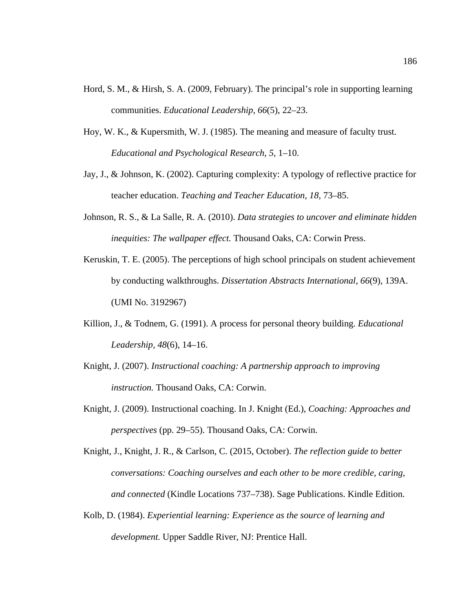- Hord, S. M., & Hirsh, S. A. (2009, February). The principal's role in supporting learning communities. *Educational Leadership, 66*(5), 22–23.
- Hoy, W. K., & Kupersmith, W. J. (1985). The meaning and measure of faculty trust. *Educational and Psychological Research, 5,* 1–10.
- Jay, J., & Johnson, K. (2002). Capturing complexity: A typology of reflective practice for teacher education. *Teaching and Teacher Education, 18,* 73–85.
- Johnson, R. S., & La Salle, R. A. (2010). *Data strategies to uncover and eliminate hidden inequities: The wallpaper effect.* Thousand Oaks, CA: Corwin Press.
- Keruskin, T. E. (2005). The perceptions of high school principals on student achievement by conducting walkthroughs. *Dissertation Abstracts International, 66*(9), 139A. (UMI No. 3192967)
- Killion, J., & Todnem, G. (1991). A process for personal theory building. *Educational Leadership, 48*(6), 14–16.
- Knight, J. (2007). *Instructional coaching: A partnership approach to improving instruction.* Thousand Oaks, CA: Corwin.
- Knight, J. (2009). Instructional coaching. In J. Knight (Ed.), *Coaching: Approaches and perspectives* (pp. 29–55). Thousand Oaks, CA: Corwin.
- Knight, J., Knight, J. R., & Carlson, C. (2015, October). *The reflection guide to better conversations: Coaching ourselves and each other to be more credible, caring, and connected* (Kindle Locations 737–738). Sage Publications. Kindle Edition.
- Kolb, D. (1984). *Experiential learning: Experience as the source of learning and development.* Upper Saddle River, NJ: Prentice Hall.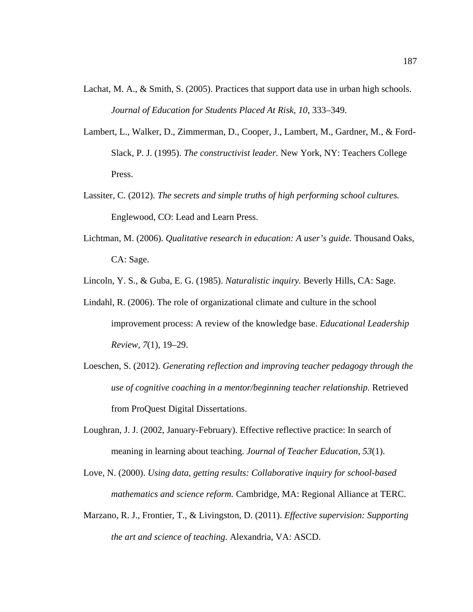- Lachat, M. A., & Smith, S. (2005). Practices that support data use in urban high schools. *Journal of Education for Students Placed At Risk, 10,* 333–349.
- Lambert, L., Walker, D., Zimmerman, D., Cooper, J., Lambert, M., Gardner, M., & Ford-Slack, P. J. (1995). *The constructivist leader.* New York, NY: Teachers College Press.
- Lassiter, C. (2012). *The secrets and simple truths of high performing school cultures.*  Englewood, CO: Lead and Learn Press.
- Lichtman, M. (2006). *Qualitative research in education: A user's guide*. Thousand Oaks, CA: Sage.
- Lincoln, Y. S., & Guba, E. G. (1985). *Naturalistic inquiry.* Beverly Hills, CA: Sage.
- Lindahl, R. (2006). The role of organizational climate and culture in the school improvement process: A review of the knowledge base. *Educational Leadership Review, 7*(1), 19–29.
- Loeschen, S. (2012). *Generating reflection and improving teacher pedagogy through the use of cognitive coaching in a mentor/beginning teacher relationship.* Retrieved from ProQuest Digital Dissertations.
- Loughran, J. J. (2002, January-February). Effective reflective practice: In search of meaning in learning about teaching. *Journal of Teacher Education, 53*(1).
- Love, N. (2000). *Using data, getting results: Collaborative inquiry for school-based mathematics and science reform.* Cambridge, MA: Regional Alliance at TERC.
- Marzano, R. J., Frontier, T., & Livingston, D. (2011). *Effective supervision: Supporting the art and science of teaching.* Alexandria, VA: ASCD.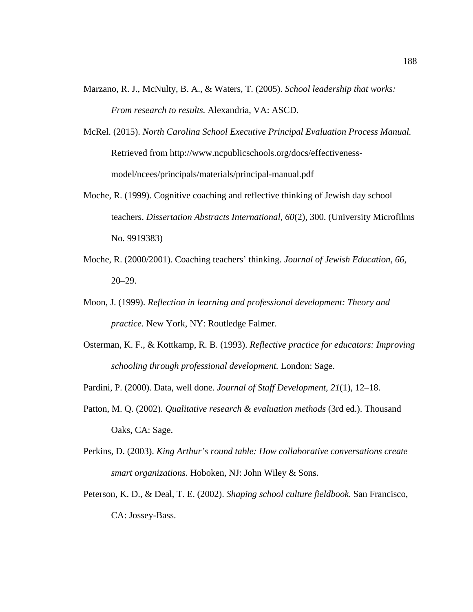- Marzano, R. J., McNulty, B. A., & Waters, T. (2005). *School leadership that works: From research to results.* Alexandria, VA: ASCD.
- McRel. (2015). *North Carolina School Executive Principal Evaluation Process Manual.*  Retrieved from http://www.ncpublicschools.org/docs/effectivenessmodel/ncees/principals/materials/principal-manual.pdf
- Moche, R. (1999). Cognitive coaching and reflective thinking of Jewish day school teachers. *Dissertation Abstracts International, 60*(2), 300. (University Microfilms No. 9919383)
- Moche, R. (2000/2001). Coaching teachers' thinking. *Journal of Jewish Education, 66,*  20–29.
- Moon, J. (1999). *Reflection in learning and professional development: Theory and practice.* New York, NY: Routledge Falmer.
- Osterman, K. F., & Kottkamp, R. B. (1993). *Reflective practice for educators: Improving schooling through professional development.* London: Sage.
- Pardini, P. (2000). Data, well done. *Journal of Staff Development, 21*(1), 12–18.
- Patton, M. Q. (2002). *Qualitative research & evaluation methods* (3rd ed.). Thousand Oaks, CA: Sage.
- Perkins, D. (2003). *King Arthur's round table: How collaborative conversations create smart organizations.* Hoboken, NJ: John Wiley & Sons.
- Peterson, K. D., & Deal, T. E. (2002). *Shaping school culture fieldbook.* San Francisco, CA: Jossey-Bass.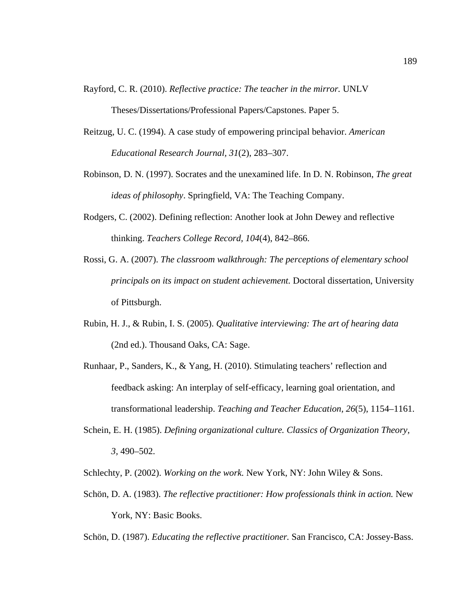Rayford, C. R. (2010). *Reflective practice: The teacher in the mirror.* UNLV

Theses/Dissertations/Professional Papers/Capstones. Paper 5.

- Reitzug, U. C. (1994). A case study of empowering principal behavior. *American Educational Research Journal, 31*(2), 283–307.
- Robinson, D. N. (1997). Socrates and the unexamined life. In D. N. Robinson, *The great ideas of philosophy*. Springfield, VA: The Teaching Company.
- Rodgers, C. (2002). Defining reflection: Another look at John Dewey and reflective thinking. *Teachers College Record, 104*(4), 842–866.
- Rossi, G. A. (2007). *The classroom walkthrough: The perceptions of elementary school principals on its impact on student achievement.* Doctoral dissertation, University of Pittsburgh.
- Rubin, H. J., & Rubin, I. S. (2005). *Qualitative interviewing: The art of hearing data* (2nd ed.). Thousand Oaks, CA: Sage.
- Runhaar, P., Sanders, K., & Yang, H. (2010). Stimulating teachers' reflection and feedback asking: An interplay of self-efficacy, learning goal orientation, and transformational leadership. *Teaching and Teacher Education, 26*(5), 1154–1161.
- Schein, E. H. (1985). *Defining organizational culture. Classics of Organization Theory, 3,* 490–502.

Schlechty, P. (2002). *Working on the work*. New York, NY: John Wiley & Sons.

Schön, D. A. (1983). *The reflective practitioner: How professionals think in action*. New York, NY: Basic Books.

Schön, D. (1987). *Educating the reflective practitioner.* San Francisco, CA: Jossey-Bass.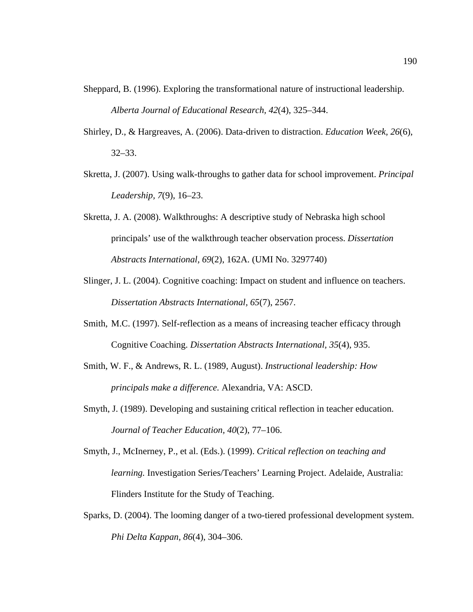- Sheppard, B. (1996). Exploring the transformational nature of instructional leadership. *Alberta Journal of Educational Research, 42*(4), 325–344.
- Shirley, D., & Hargreaves, A. (2006). Data-driven to distraction. *Education Week, 26*(6), 32–33.
- Skretta, J. (2007). Using walk-throughs to gather data for school improvement. *Principal Leadership, 7*(9), 16–23.
- Skretta, J. A. (2008). Walkthroughs: A descriptive study of Nebraska high school principals' use of the walkthrough teacher observation process. *Dissertation Abstracts International, 69*(2), 162A. (UMI No. 3297740)
- Slinger, J. L. (2004). Cognitive coaching: Impact on student and influence on teachers. *Dissertation Abstracts International, 65*(7), 2567.
- Smith, M.C. (1997). Self-reflection as a means of increasing teacher efficacy through Cognitive Coaching. *Dissertation Abstracts International, 35*(4), 935.
- Smith, W. F., & Andrews, R. L. (1989, August). *Instructional leadership: How principals make a difference.* Alexandria, VA: ASCD.
- Smyth, J. (1989). Developing and sustaining critical reflection in teacher education. *Journal of Teacher Education, 40*(2), 77–106.
- Smyth, J., McInerney, P., et al. (Eds.). (1999). *Critical reflection on teaching and learning.* Investigation Series/Teachers' Learning Project. Adelaide, Australia: Flinders Institute for the Study of Teaching.
- Sparks, D. (2004). The looming danger of a two-tiered professional development system. *Phi Delta Kappan, 86*(4), 304–306.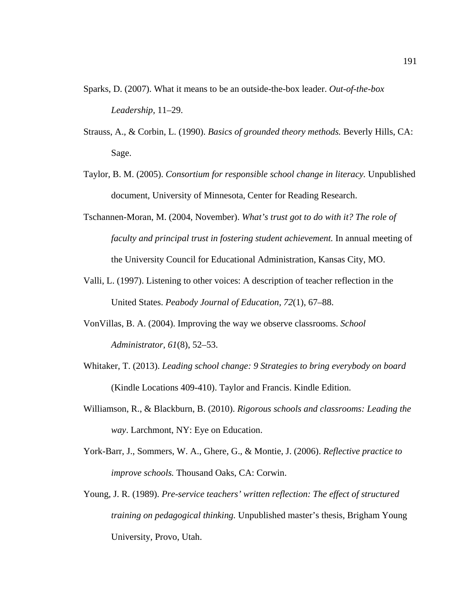- Sparks, D. (2007). What it means to be an outside-the-box leader. *Out-of-the-box Leadership,* 11–29.
- Strauss, A., & Corbin, L. (1990). *Basics of grounded theory methods.* Beverly Hills, CA: Sage.
- Taylor, B. M. (2005). *Consortium for responsible school change in literacy.* Unpublished document, University of Minnesota, Center for Reading Research.
- Tschannen-Moran, M. (2004, November). *What's trust got to do with it? The role of faculty and principal trust in fostering student achievement.* In annual meeting of the University Council for Educational Administration, Kansas City, MO.
- Valli, L. (1997). Listening to other voices: A description of teacher reflection in the United States. *Peabody Journal of Education, 72*(1), 67–88.
- VonVillas, B. A. (2004). Improving the way we observe classrooms. *School Administrator, 61*(8), 52–53.
- Whitaker, T. (2013). *Leading school change: 9 Strategies to bring everybody on board* (Kindle Locations 409-410). Taylor and Francis. Kindle Edition.
- Williamson, R., & Blackburn, B. (2010). *Rigorous schools and classrooms: Leading the way*. Larchmont, NY: Eye on Education.
- York-Barr, J., Sommers, W. A., Ghere, G., & Montie, J. (2006). *Reflective practice to improve schools.* Thousand Oaks, CA: Corwin.
- Young, J. R. (1989). *Pre-service teachers' written reflection: The effect of structured training on pedagogical thinking.* Unpublished master's thesis, Brigham Young University, Provo, Utah.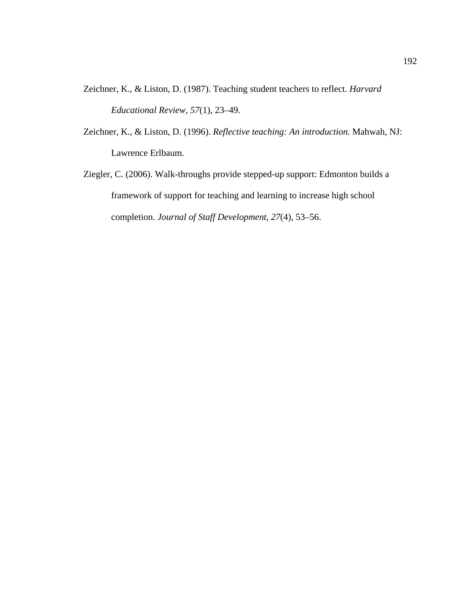- Zeichner, K., & Liston, D. (1987). Teaching student teachers to reflect. *Harvard Educational Review, 57*(1), 23–49.
- Zeichner, K., & Liston, D. (1996). *Reflective teaching: An introduction.* Mahwah, NJ: Lawrence Erlbaum.
- Ziegler, C. (2006). Walk-throughs provide stepped-up support: Edmonton builds a framework of support for teaching and learning to increase high school completion. *Journal of Staff Development, 27*(4), 53–56.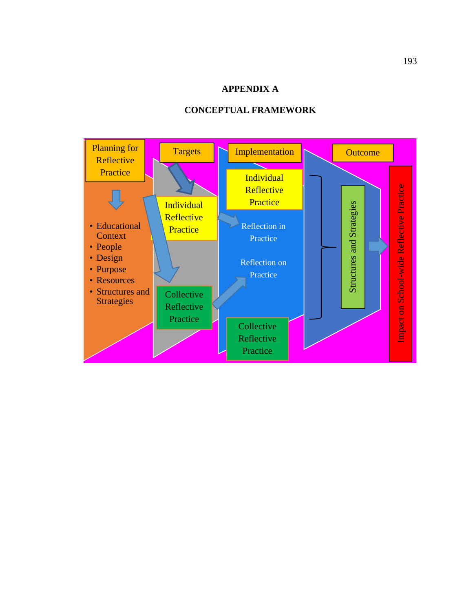# **APPENDIX A**



# **CONCEPTUAL FRAMEWORK**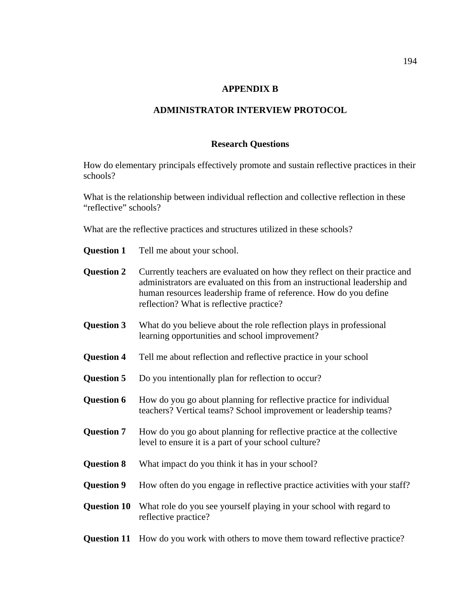# **APPENDIX B**

## **ADMINISTRATOR INTERVIEW PROTOCOL**

## **Research Questions**

How do elementary principals effectively promote and sustain reflective practices in their schools?

What is the relationship between individual reflection and collective reflection in these "reflective" schools?

What are the reflective practices and structures utilized in these schools?

- **Question 1** Tell me about your school.
- **Question 2** Currently teachers are evaluated on how they reflect on their practice and administrators are evaluated on this from an instructional leadership and human resources leadership frame of reference. How do you define reflection? What is reflective practice?
- **Question 3** What do you believe about the role reflection plays in professional learning opportunities and school improvement?
- **Question 4** Tell me about reflection and reflective practice in your school
- **Question 5** Do you intentionally plan for reflection to occur?
- **Question 6** How do you go about planning for reflective practice for individual teachers? Vertical teams? School improvement or leadership teams?
- **Question 7** How do you go about planning for reflective practice at the collective level to ensure it is a part of your school culture?
- **Question 8** What impact do you think it has in your school?
- **Question 9** How often do you engage in reflective practice activities with your staff?
- **Question 10** What role do you see yourself playing in your school with regard to reflective practice?

#### **Question 11** How do you work with others to move them toward reflective practice?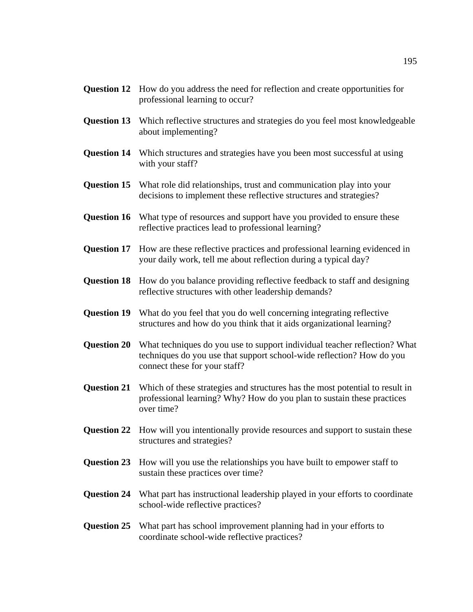- **Question 12** How do you address the need for reflection and create opportunities for professional learning to occur?
- **Question 13** Which reflective structures and strategies do you feel most knowledgeable about implementing?
- **Question 14** Which structures and strategies have you been most successful at using with your staff?
- **Question 15** What role did relationships, trust and communication play into your decisions to implement these reflective structures and strategies?
- **Question 16** What type of resources and support have you provided to ensure these reflective practices lead to professional learning?
- **Question 17** How are these reflective practices and professional learning evidenced in your daily work, tell me about reflection during a typical day?
- **Question 18** How do you balance providing reflective feedback to staff and designing reflective structures with other leadership demands?
- **Question 19** What do you feel that you do well concerning integrating reflective structures and how do you think that it aids organizational learning?
- **Question 20** What techniques do you use to support individual teacher reflection? What techniques do you use that support school-wide reflection? How do you connect these for your staff?
- **Question 21** Which of these strategies and structures has the most potential to result in professional learning? Why? How do you plan to sustain these practices over time?
- **Question 22** How will you intentionally provide resources and support to sustain these structures and strategies?
- **Question 23** How will you use the relationships you have built to empower staff to sustain these practices over time?
- **Question 24** What part has instructional leadership played in your efforts to coordinate school-wide reflective practices?

# **Question 25** What part has school improvement planning had in your efforts to coordinate school-wide reflective practices?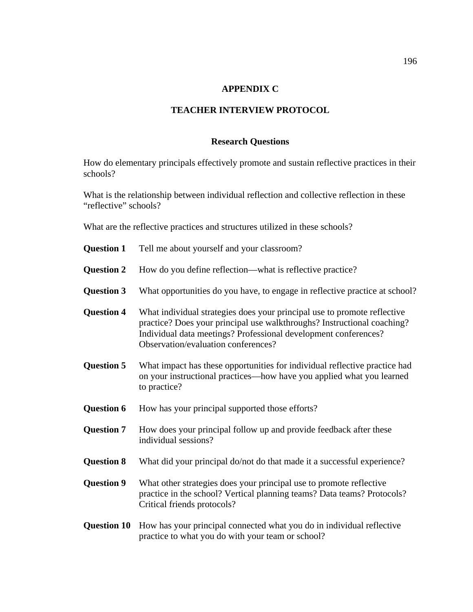# **APPENDIX C**

## **TEACHER INTERVIEW PROTOCOL**

## **Research Questions**

How do elementary principals effectively promote and sustain reflective practices in their schools?

What is the relationship between individual reflection and collective reflection in these "reflective" schools?

What are the reflective practices and structures utilized in these schools?

- **Question 1** Tell me about yourself and your classroom?
- **Question 2** How do you define reflection—what is reflective practice?
- **Question 3** What opportunities do you have, to engage in reflective practice at school?
- **Question 4** What individual strategies does your principal use to promote reflective practice? Does your principal use walkthroughs? Instructional coaching? Individual data meetings? Professional development conferences? Observation/evaluation conferences?
- **Question 5** What impact has these opportunities for individual reflective practice had on your instructional practices—how have you applied what you learned to practice?
- **Question 6** How has your principal supported those efforts?
- **Question 7** How does your principal follow up and provide feedback after these individual sessions?
- **Question 8** What did your principal do/not do that made it a successful experience?
- **Question 9** What other strategies does your principal use to promote reflective practice in the school? Vertical planning teams? Data teams? Protocols? Critical friends protocols?

# **Question 10** How has your principal connected what you do in individual reflective practice to what you do with your team or school?